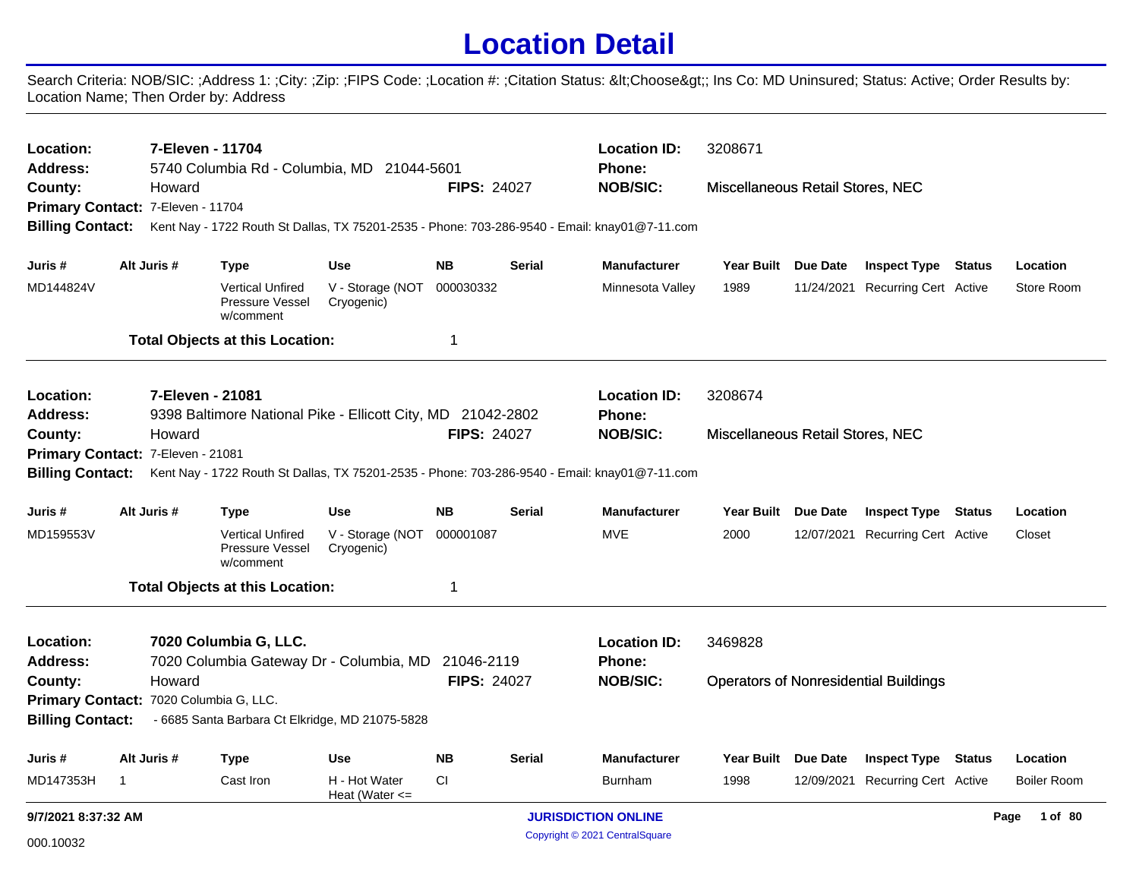## **Location Detail**

Search Criteria: NOB/SIC: ;Address 1: ;City: ;Zip: ;FIPS Code: ;Location #: ;Citation Status: <Choose&gt;; Ins Co: MD Uninsured; Status: Active; Order Results by: Location Name; Then Order by: Address

| Location:                         |                                        | 7-Eleven - 11704 |                                                         |                                                             |                    |               | <b>Location ID:</b>                                                                           | 3208671                          |                 |                                              |                    |
|-----------------------------------|----------------------------------------|------------------|---------------------------------------------------------|-------------------------------------------------------------|--------------------|---------------|-----------------------------------------------------------------------------------------------|----------------------------------|-----------------|----------------------------------------------|--------------------|
| Address:<br>County:               |                                        | Howard           |                                                         | 5740 Columbia Rd - Columbia, MD 21044-5601                  | <b>FIPS: 24027</b> |               | <b>Phone:</b><br><b>NOB/SIC:</b>                                                              | Miscellaneous Retail Stores, NEC |                 |                                              |                    |
| Primary Contact: 7-Eleven - 11704 |                                        |                  |                                                         |                                                             |                    |               |                                                                                               |                                  |                 |                                              |                    |
| <b>Billing Contact:</b>           |                                        |                  |                                                         |                                                             |                    |               | Kent Nay - 1722 Routh St Dallas, TX 75201-2535 - Phone: 703-286-9540 - Email: knay01@7-11.com |                                  |                 |                                              |                    |
| Juris #                           |                                        | Alt Juris #      | <b>Type</b>                                             | <b>Use</b>                                                  | <b>NB</b>          | <b>Serial</b> | <b>Manufacturer</b>                                                                           | <b>Year Built</b>                | Due Date        | <b>Inspect Type Status</b>                   | Location           |
| MD144824V                         |                                        |                  | <b>Vertical Unfired</b><br>Pressure Vessel<br>w/comment | V - Storage (NOT<br>Cryogenic)                              | 000030332          |               | Minnesota Valley                                                                              | 1989                             |                 | 11/24/2021 Recurring Cert Active             | Store Room         |
|                                   |                                        |                  | <b>Total Objects at this Location:</b>                  |                                                             | $\mathbf 1$        |               |                                                                                               |                                  |                 |                                              |                    |
| Location:                         |                                        | 7-Eleven - 21081 |                                                         |                                                             |                    |               | <b>Location ID:</b>                                                                           | 3208674                          |                 |                                              |                    |
| <b>Address:</b>                   |                                        |                  |                                                         | 9398 Baltimore National Pike - Ellicott City, MD 21042-2802 |                    |               | Phone:                                                                                        |                                  |                 |                                              |                    |
| County:                           |                                        | Howard           |                                                         |                                                             | <b>FIPS: 24027</b> |               | <b>NOB/SIC:</b>                                                                               | Miscellaneous Retail Stores, NEC |                 |                                              |                    |
| Primary Contact: 7-Eleven - 21081 |                                        |                  |                                                         |                                                             |                    |               |                                                                                               |                                  |                 |                                              |                    |
| <b>Billing Contact:</b>           |                                        |                  |                                                         |                                                             |                    |               | Kent Nay - 1722 Routh St Dallas, TX 75201-2535 - Phone: 703-286-9540 - Email: knay01@7-11.com |                                  |                 |                                              |                    |
| Juris #                           |                                        | Alt Juris #      | <b>Type</b>                                             | <b>Use</b>                                                  | <b>NB</b>          | <b>Serial</b> | <b>Manufacturer</b>                                                                           | Year Built Due Date              |                 | <b>Inspect Type Status</b>                   | Location           |
| MD159553V                         |                                        |                  | <b>Vertical Unfired</b><br>Pressure Vessel<br>w/comment | V - Storage (NOT<br>Cryogenic)                              | 000001087          |               | <b>MVE</b>                                                                                    | 2000                             |                 | 12/07/2021 Recurring Cert Active             | Closet             |
|                                   |                                        |                  | <b>Total Objects at this Location:</b>                  |                                                             | $\mathbf{1}$       |               |                                                                                               |                                  |                 |                                              |                    |
| Location:                         |                                        |                  | 7020 Columbia G, LLC.                                   |                                                             |                    |               | <b>Location ID:</b>                                                                           | 3469828                          |                 |                                              |                    |
| <b>Address:</b>                   |                                        |                  |                                                         | 7020 Columbia Gateway Dr - Columbia, MD                     | 21046-2119         |               | Phone:                                                                                        |                                  |                 |                                              |                    |
| County:                           |                                        | Howard           |                                                         |                                                             | <b>FIPS: 24027</b> |               | <b>NOB/SIC:</b>                                                                               |                                  |                 | <b>Operators of Nonresidential Buildings</b> |                    |
|                                   | Primary Contact: 7020 Columbia G, LLC. |                  |                                                         |                                                             |                    |               |                                                                                               |                                  |                 |                                              |                    |
| <b>Billing Contact:</b>           |                                        |                  |                                                         | - 6685 Santa Barbara Ct Elkridge, MD 21075-5828             |                    |               |                                                                                               |                                  |                 |                                              |                    |
| Juris #                           |                                        | Alt Juris #      | <b>Type</b>                                             | <b>Use</b>                                                  | <b>NB</b>          | Serial        | <b>Manufacturer</b>                                                                           | <b>Year Built</b>                | <b>Due Date</b> | <b>Inspect Type Status</b>                   | Location           |
| MD147353H                         | $\mathbf{1}$                           |                  | Cast Iron                                               | H - Hot Water<br>Heat (Water $\leq$                         | CI                 |               | <b>Burnham</b>                                                                                | 1998                             |                 | 12/09/2021 Recurring Cert Active             | <b>Boiler Room</b> |
| 9/7/2021 8:37:32 AM               |                                        |                  |                                                         |                                                             |                    |               | <b>JURISDICTION ONLINE</b>                                                                    |                                  |                 |                                              | Page<br>1 of 80    |
| 000.10032                         |                                        |                  |                                                         |                                                             |                    |               | Copyright © 2021 CentralSquare                                                                |                                  |                 |                                              |                    |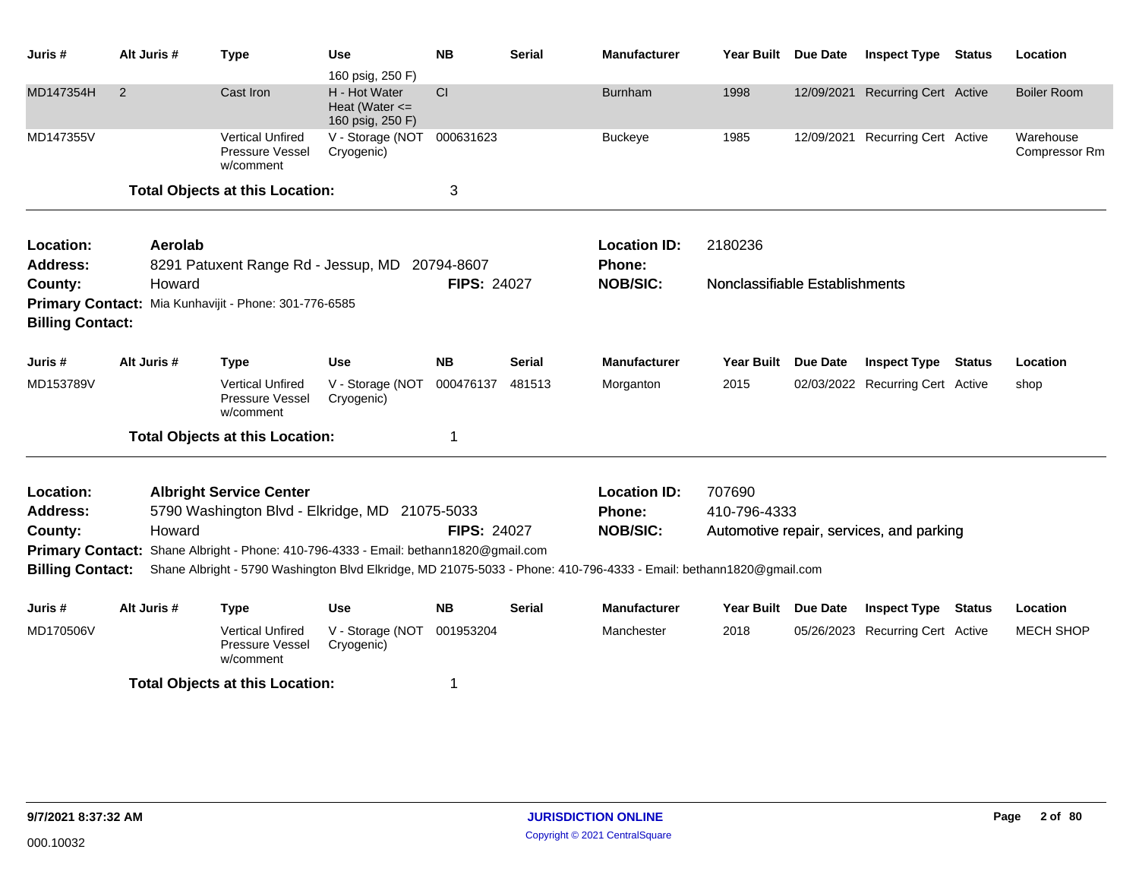| Juris #                 | Alt Juris # | <b>Type</b>                                                                                                        | Use                                                     | <b>NB</b>          | <b>Serial</b> | <b>Manufacturer</b> | <b>Year Built</b>              | Due Date        | <b>Inspect Type</b>                      | <b>Status</b> | Location                   |
|-------------------------|-------------|--------------------------------------------------------------------------------------------------------------------|---------------------------------------------------------|--------------------|---------------|---------------------|--------------------------------|-----------------|------------------------------------------|---------------|----------------------------|
|                         |             |                                                                                                                    | 160 psig, 250 F)                                        |                    |               |                     |                                |                 |                                          |               |                            |
| MD147354H               | 2           | Cast Iron                                                                                                          | H - Hot Water<br>Heat (Water $\leq$<br>160 psig, 250 F) | CI                 |               | <b>Burnham</b>      | 1998                           | 12/09/2021      | <b>Recurring Cert Active</b>             |               | <b>Boiler Room</b>         |
| MD147355V               |             | <b>Vertical Unfired</b><br>Pressure Vessel<br>w/comment                                                            | V - Storage (NOT<br>Cryogenic)                          | 000631623          |               | <b>Buckeye</b>      | 1985                           |                 | 12/09/2021 Recurring Cert Active         |               | Warehouse<br>Compressor Rm |
|                         |             | <b>Total Objects at this Location:</b>                                                                             |                                                         | 3                  |               |                     |                                |                 |                                          |               |                            |
| Location:               | Aerolab     |                                                                                                                    |                                                         |                    |               | <b>Location ID:</b> | 2180236                        |                 |                                          |               |                            |
| <b>Address:</b>         |             | 8291 Patuxent Range Rd - Jessup, MD                                                                                |                                                         | 20794-8607         |               | Phone:              |                                |                 |                                          |               |                            |
| County:                 | Howard      |                                                                                                                    |                                                         | <b>FIPS: 24027</b> |               | <b>NOB/SIC:</b>     | Nonclassifiable Establishments |                 |                                          |               |                            |
|                         |             | Primary Contact: Mia Kunhavijit - Phone: 301-776-6585                                                              |                                                         |                    |               |                     |                                |                 |                                          |               |                            |
| <b>Billing Contact:</b> |             |                                                                                                                    |                                                         |                    |               |                     |                                |                 |                                          |               |                            |
| Juris #                 | Alt Juris # | <b>Type</b>                                                                                                        | <b>Use</b>                                              | <b>NB</b>          | <b>Serial</b> | <b>Manufacturer</b> | <b>Year Built</b>              | <b>Due Date</b> | <b>Inspect Type</b>                      | <b>Status</b> | Location                   |
| MD153789V               |             | <b>Vertical Unfired</b><br>Pressure Vessel<br>w/comment                                                            | V - Storage (NOT<br>Cryogenic)                          | 000476137          | 481513        | Morganton           | 2015                           |                 | 02/03/2022 Recurring Cert Active         |               | shop                       |
|                         |             | <b>Total Objects at this Location:</b>                                                                             |                                                         | 1                  |               |                     |                                |                 |                                          |               |                            |
| Location:               |             | <b>Albright Service Center</b>                                                                                     |                                                         |                    |               | <b>Location ID:</b> | 707690                         |                 |                                          |               |                            |
| <b>Address:</b>         |             | 5790 Washington Blvd - Elkridge, MD 21075-5033                                                                     |                                                         |                    |               | Phone:              | 410-796-4333                   |                 |                                          |               |                            |
| County:                 | Howard      |                                                                                                                    |                                                         | <b>FIPS: 24027</b> |               | <b>NOB/SIC:</b>     |                                |                 | Automotive repair, services, and parking |               |                            |
| <b>Primary Contact:</b> |             | Shane Albright - Phone: 410-796-4333 - Email: bethann1820@gmail.com                                                |                                                         |                    |               |                     |                                |                 |                                          |               |                            |
| <b>Billing Contact:</b> |             | Shane Albright - 5790 Washington Blvd Elkridge, MD 21075-5033 - Phone: 410-796-4333 - Email: bethann1820@gmail.com |                                                         |                    |               |                     |                                |                 |                                          |               |                            |
| Juris #                 | Alt Juris # | <b>Type</b>                                                                                                        | <b>Use</b>                                              | <b>NB</b>          | <b>Serial</b> | <b>Manufacturer</b> | Year Built                     | <b>Due Date</b> | <b>Inspect Type</b>                      | Status        | Location                   |
| MD170506V               |             | <b>Vertical Unfired</b><br>Pressure Vessel<br>w/comment                                                            | V - Storage (NOT<br>Cryogenic)                          | 001953204          |               | Manchester          | 2018                           | 05/26/2023      | <b>Recurring Cert Active</b>             |               | <b>MECH SHOP</b>           |
|                         |             | <b>Total Objects at this Location:</b>                                                                             |                                                         | 1                  |               |                     |                                |                 |                                          |               |                            |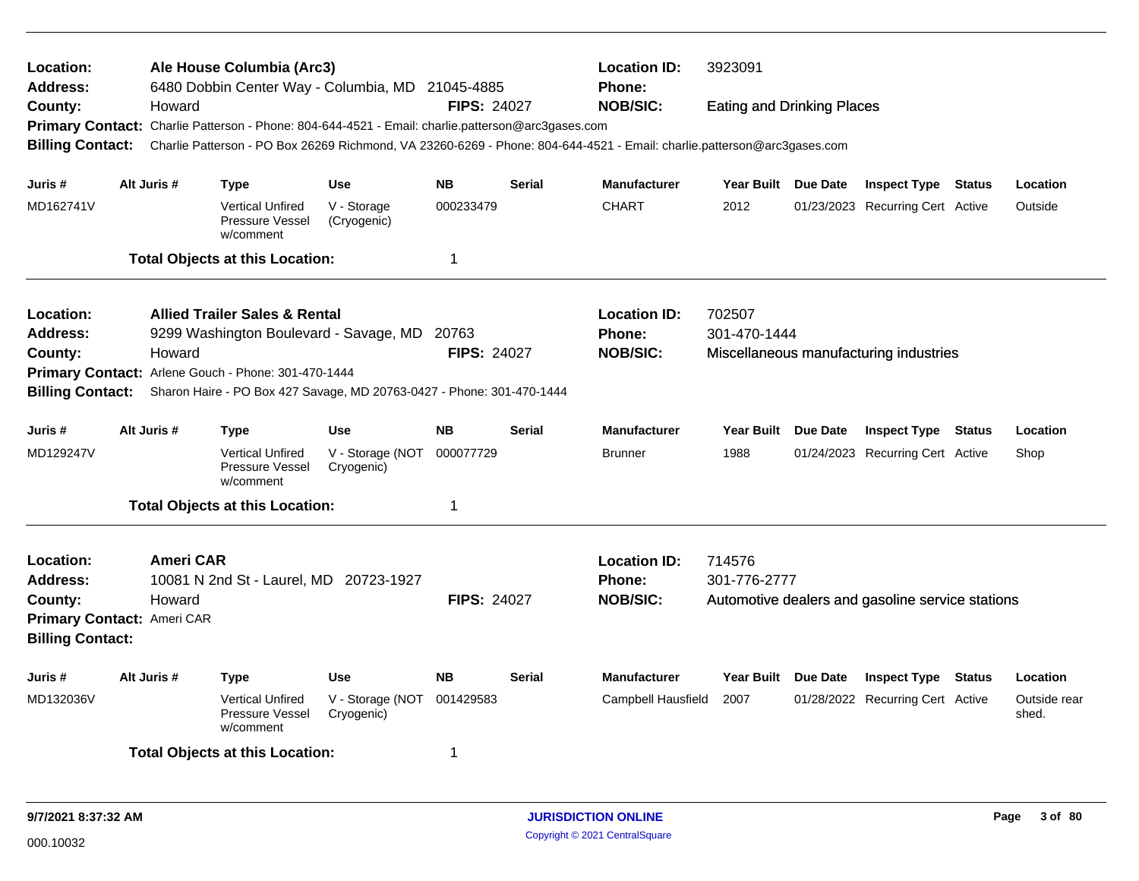| Location:<br>Address:<br>County:<br><b>Primary Contact:</b><br><b>Billing Contact:</b> | Howard                     | Ale House Columbia (Arc3)<br>6480 Dobbin Center Way - Columbia, MD 21045-4885<br>Charlie Patterson - Phone: 804-644-4521 - Email: charlie.patterson@arc3gases.com<br>Charlie Patterson - PO Box 26269 Richmond, VA 23260-6269 - Phone: 804-644-4521 - Email: charlie.patterson@arc3gases.com |                                | <b>FIPS: 24027</b>     |               | <b>Location ID:</b><br><b>Phone:</b><br><b>NOB/SIC:</b> | 3923091<br><b>Eating and Drinking Places</b> |                                                         |        |                       |
|----------------------------------------------------------------------------------------|----------------------------|----------------------------------------------------------------------------------------------------------------------------------------------------------------------------------------------------------------------------------------------------------------------------------------------|--------------------------------|------------------------|---------------|---------------------------------------------------------|----------------------------------------------|---------------------------------------------------------|--------|-----------------------|
| Juris #<br>MD162741V                                                                   | Alt Juris #                | Type<br><b>Vertical Unfired</b>                                                                                                                                                                                                                                                              | <b>Use</b><br>V - Storage      | <b>NB</b><br>000233479 | <b>Serial</b> | <b>Manufacturer</b><br><b>CHART</b>                     | Year Built Due Date<br>2012                  | <b>Inspect Type</b><br>01/23/2023 Recurring Cert Active | Status | Location<br>Outside   |
|                                                                                        |                            | Pressure Vessel<br>w/comment                                                                                                                                                                                                                                                                 | (Cryogenic)                    |                        |               |                                                         |                                              |                                                         |        |                       |
|                                                                                        |                            | <b>Total Objects at this Location:</b>                                                                                                                                                                                                                                                       |                                | $\mathbf 1$            |               |                                                         |                                              |                                                         |        |                       |
| Location:                                                                              |                            | <b>Allied Trailer Sales &amp; Rental</b>                                                                                                                                                                                                                                                     |                                |                        |               | <b>Location ID:</b>                                     | 702507                                       |                                                         |        |                       |
| Address:                                                                               |                            | 9299 Washington Boulevard - Savage, MD                                                                                                                                                                                                                                                       |                                | 20763                  |               | <b>Phone:</b>                                           | 301-470-1444                                 |                                                         |        |                       |
| County:                                                                                | Howard                     | Primary Contact: Arlene Gouch - Phone: 301-470-1444                                                                                                                                                                                                                                          |                                | <b>FIPS: 24027</b>     |               | <b>NOB/SIC:</b>                                         |                                              | Miscellaneous manufacturing industries                  |        |                       |
| <b>Billing Contact:</b>                                                                |                            | Sharon Haire - PO Box 427 Savage, MD 20763-0427 - Phone: 301-470-1444                                                                                                                                                                                                                        |                                |                        |               |                                                         |                                              |                                                         |        |                       |
| Juris #                                                                                | Alt Juris #                | Type                                                                                                                                                                                                                                                                                         | <b>Use</b>                     | <b>NB</b>              | <b>Serial</b> | <b>Manufacturer</b>                                     | Year Built Due Date                          | <b>Inspect Type Status</b>                              |        | Location              |
| MD129247V                                                                              |                            | <b>Vertical Unfired</b><br>Pressure Vessel<br>w/comment                                                                                                                                                                                                                                      | V - Storage (NOT<br>Cryogenic) | 000077729              |               | <b>Brunner</b>                                          | 1988                                         | 01/24/2023 Recurring Cert Active                        |        | Shop                  |
|                                                                                        |                            | <b>Total Objects at this Location:</b>                                                                                                                                                                                                                                                       |                                | $\mathbf 1$            |               |                                                         |                                              |                                                         |        |                       |
| <b>Location:</b>                                                                       | <b>Ameri CAR</b>           |                                                                                                                                                                                                                                                                                              |                                |                        |               | <b>Location ID:</b>                                     | 714576                                       |                                                         |        |                       |
| <b>Address:</b>                                                                        |                            | 10081 N 2nd St - Laurel, MD 20723-1927                                                                                                                                                                                                                                                       |                                |                        |               | <b>Phone:</b>                                           | 301-776-2777                                 |                                                         |        |                       |
| County:                                                                                | Howard                     |                                                                                                                                                                                                                                                                                              |                                | <b>FIPS: 24027</b>     |               | <b>NOB/SIC:</b>                                         |                                              | Automotive dealers and gasoline service stations        |        |                       |
| <b>Billing Contact:</b>                                                                | Primary Contact: Ameri CAR |                                                                                                                                                                                                                                                                                              |                                |                        |               |                                                         |                                              |                                                         |        |                       |
| Juris #                                                                                | Alt Juris #                | <b>Type</b>                                                                                                                                                                                                                                                                                  | Use                            | <b>NB</b>              | <b>Serial</b> | <b>Manufacturer</b>                                     | Year Built Due Date                          | <b>Inspect Type Status</b>                              |        | Location              |
| MD132036V                                                                              |                            | <b>Vertical Unfired</b><br>Pressure Vessel<br>w/comment                                                                                                                                                                                                                                      | V - Storage (NOT<br>Cryogenic) | 001429583              |               | Campbell Hausfield                                      | 2007                                         | 01/28/2022 Recurring Cert Active                        |        | Outside rear<br>shed. |
|                                                                                        |                            | <b>Total Objects at this Location:</b>                                                                                                                                                                                                                                                       |                                | -1                     |               |                                                         |                                              |                                                         |        |                       |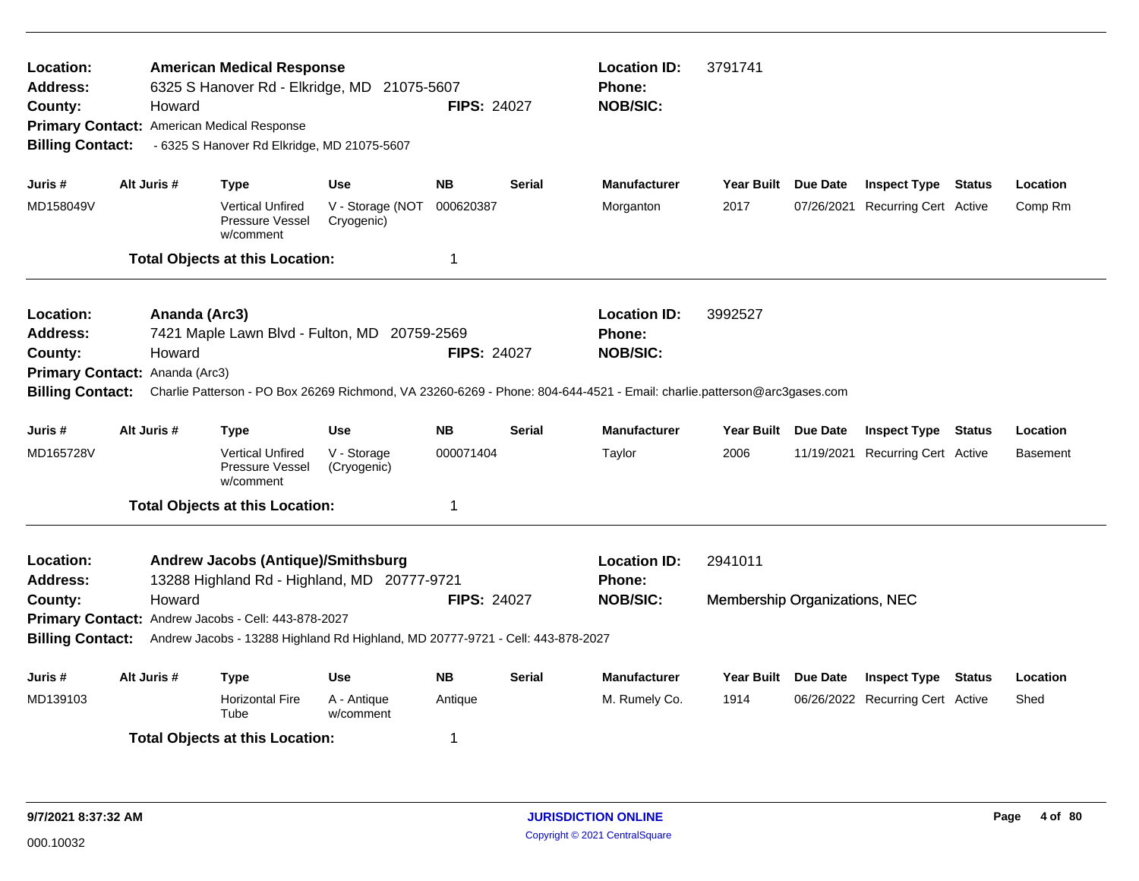| Location:<br><b>Address:</b><br>County:<br><b>Billing Contact:</b> | Howard                                                    | <b>American Medical Response</b><br>6325 S Hanover Rd - Elkridge, MD 21075-5607<br>Primary Contact: American Medical Response<br>- 6325 S Hanover Rd Elkridge, MD 21075-5607 |                                | <b>FIPS: 24027</b> |               | <b>Location ID:</b><br><b>Phone:</b><br><b>NOB/SIC:</b>                                                                                                                     | 3791741                                  |                 |                                  |               |          |
|--------------------------------------------------------------------|-----------------------------------------------------------|------------------------------------------------------------------------------------------------------------------------------------------------------------------------------|--------------------------------|--------------------|---------------|-----------------------------------------------------------------------------------------------------------------------------------------------------------------------------|------------------------------------------|-----------------|----------------------------------|---------------|----------|
| Juris #                                                            | Alt Juris #                                               | <b>Type</b>                                                                                                                                                                  | <b>Use</b>                     | <b>NB</b>          | <b>Serial</b> | <b>Manufacturer</b>                                                                                                                                                         | <b>Year Built</b>                        | Due Date        | <b>Inspect Type</b>              | Status        | Location |
| MD158049V                                                          |                                                           | <b>Vertical Unfired</b><br>Pressure Vessel<br>w/comment                                                                                                                      | V - Storage (NOT<br>Cryogenic) | 000620387          |               | Morganton                                                                                                                                                                   | 2017                                     |                 | 07/26/2021 Recurring Cert Active |               | Comp Rm  |
|                                                                    |                                                           | <b>Total Objects at this Location:</b>                                                                                                                                       |                                | $\mathbf 1$        |               |                                                                                                                                                                             |                                          |                 |                                  |               |          |
| Location:<br><b>Address:</b><br>County:<br><b>Billing Contact:</b> | Ananda (Arc3)<br>Howard<br>Primary Contact: Ananda (Arc3) | 7421 Maple Lawn Blvd - Fulton, MD 20759-2569                                                                                                                                 |                                | <b>FIPS: 24027</b> |               | <b>Location ID:</b><br>Phone:<br><b>NOB/SIC:</b><br>Charlie Patterson - PO Box 26269 Richmond, VA 23260-6269 - Phone: 804-644-4521 - Email: charlie.patterson@arc3gases.com | 3992527                                  |                 |                                  |               |          |
| Juris #                                                            | Alt Juris #                                               | <b>Type</b>                                                                                                                                                                  | <b>Use</b>                     | <b>NB</b>          | <b>Serial</b> | <b>Manufacturer</b>                                                                                                                                                         | <b>Year Built</b>                        | <b>Due Date</b> | <b>Inspect Type</b>              | <b>Status</b> | Location |
| MD165728V                                                          |                                                           | <b>Vertical Unfired</b><br>Pressure Vessel<br>w/comment                                                                                                                      | V - Storage<br>(Cryogenic)     | 000071404          |               | Taylor                                                                                                                                                                      | 2006                                     |                 | 11/19/2021 Recurring Cert Active |               | Basement |
|                                                                    |                                                           | <b>Total Objects at this Location:</b>                                                                                                                                       |                                | $\mathbf 1$        |               |                                                                                                                                                                             |                                          |                 |                                  |               |          |
| Location:<br><b>Address:</b><br>County:                            | Howard                                                    | <b>Andrew Jacobs (Antique)/Smithsburg</b><br>13288 Highland Rd - Highland, MD 20777-9721<br>Primary Contact: Andrew Jacobs - Cell: 443-878-2027                              |                                | <b>FIPS: 24027</b> |               | <b>Location ID:</b><br><b>Phone:</b><br><b>NOB/SIC:</b>                                                                                                                     | 2941011<br>Membership Organizations, NEC |                 |                                  |               |          |
| <b>Billing Contact:</b>                                            |                                                           | Andrew Jacobs - 13288 Highland Rd Highland, MD 20777-9721 - Cell: 443-878-2027                                                                                               |                                |                    |               |                                                                                                                                                                             |                                          |                 |                                  |               |          |
| Juris #                                                            | Alt Juris #                                               | <b>Type</b>                                                                                                                                                                  | <b>Use</b>                     | <b>NB</b>          | <b>Serial</b> | <b>Manufacturer</b>                                                                                                                                                         | <b>Year Built</b>                        | <b>Due Date</b> | <b>Inspect Type</b>              | <b>Status</b> | Location |
| MD139103                                                           |                                                           | <b>Horizontal Fire</b><br>Tube                                                                                                                                               | A - Antique<br>w/comment       | Antique            |               | M. Rumely Co.                                                                                                                                                               | 1914                                     |                 | 06/26/2022 Recurring Cert Active |               | Shed     |
|                                                                    |                                                           | <b>Total Objects at this Location:</b>                                                                                                                                       |                                | -1                 |               |                                                                                                                                                                             |                                          |                 |                                  |               |          |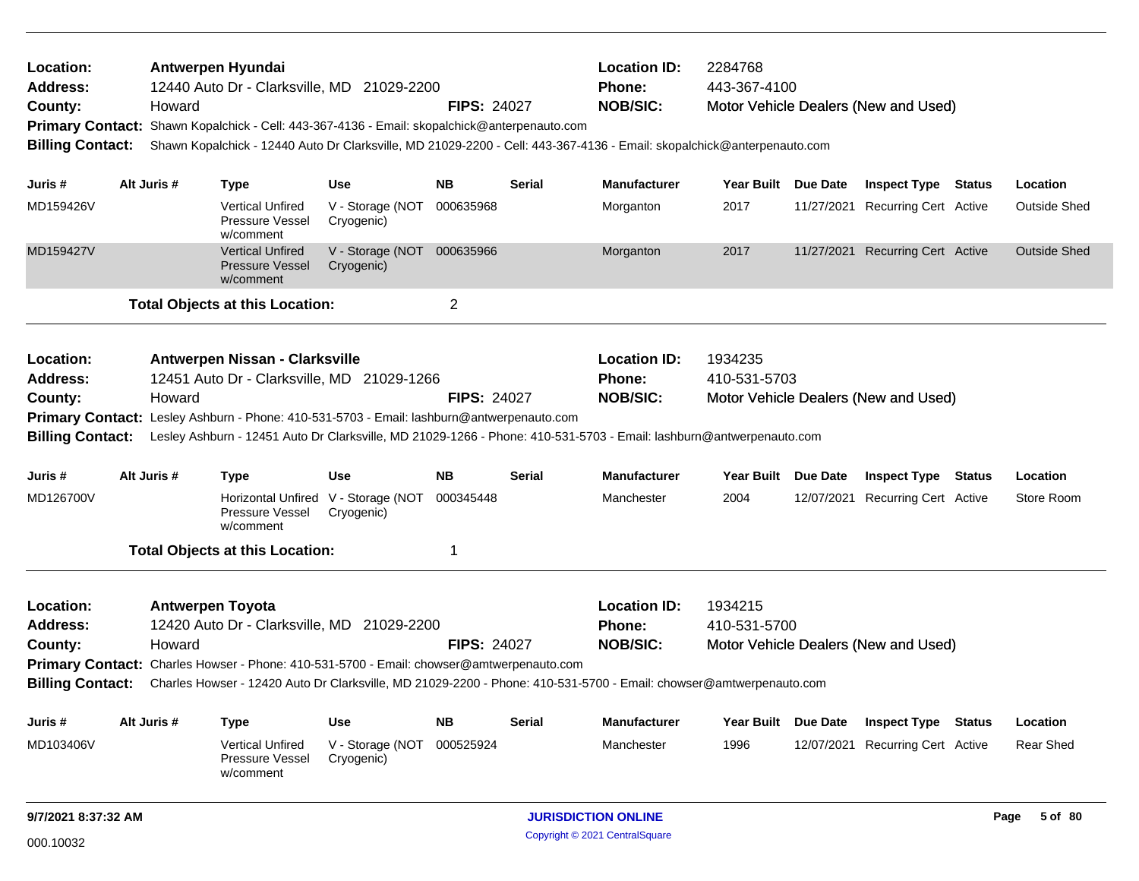| Location:<br><b>Address:</b><br>County:<br><b>Billing Contact:</b>                                                                                                                                                                                                                                                                                                                            |  | Howard      | Antwerpen Hyundai<br>12440 Auto Dr - Clarksville, MD 21029-2200<br>Primary Contact: Shawn Kopalchick - Cell: 443-367-4136 - Email: skopalchick@anterpenauto.com<br>Shawn Kopalchick - 12440 Auto Dr Clarksville, MD 21029-2200 - Cell: 443-367-4136 - Email: skopalchick@anterpenauto.com        |                                                             | <b>FIPS: 24027</b> |               | <b>Location ID:</b><br>Phone:<br><b>NOB/SIC:</b>        | 2284768<br>443-367-4100 |            | Motor Vehicle Dealers (New and Used) |                     |
|-----------------------------------------------------------------------------------------------------------------------------------------------------------------------------------------------------------------------------------------------------------------------------------------------------------------------------------------------------------------------------------------------|--|-------------|--------------------------------------------------------------------------------------------------------------------------------------------------------------------------------------------------------------------------------------------------------------------------------------------------|-------------------------------------------------------------|--------------------|---------------|---------------------------------------------------------|-------------------------|------------|--------------------------------------|---------------------|
| Juris #                                                                                                                                                                                                                                                                                                                                                                                       |  | Alt Juris # | <b>Type</b>                                                                                                                                                                                                                                                                                      | <b>Use</b>                                                  | <b>NB</b>          | Serial        | <b>Manufacturer</b>                                     | Year Built Due Date     |            | <b>Inspect Type Status</b>           | Location            |
| MD159426V                                                                                                                                                                                                                                                                                                                                                                                     |  |             | <b>Vertical Unfired</b><br>Pressure Vessel<br>w/comment                                                                                                                                                                                                                                          | V - Storage (NOT<br>Cryogenic)                              | 000635968          |               | Morganton                                               | 2017                    | 11/27/2021 | <b>Recurring Cert Active</b>         | <b>Outside Shed</b> |
| MD159427V                                                                                                                                                                                                                                                                                                                                                                                     |  |             | <b>Vertical Unfired</b><br><b>Pressure Vessel</b><br>w/comment                                                                                                                                                                                                                                   | V - Storage (NOT 000635966<br>Cryogenic)                    |                    |               | Morganton                                               | 2017                    |            | 11/27/2021 Recurring Cert Active     | <b>Outside Shed</b> |
|                                                                                                                                                                                                                                                                                                                                                                                               |  |             | <b>Total Objects at this Location:</b>                                                                                                                                                                                                                                                           |                                                             | $\overline{c}$     |               |                                                         |                         |            |                                      |                     |
| Location:<br><b>Address:</b><br>County:<br><b>Billing Contact:</b>                                                                                                                                                                                                                                                                                                                            |  | Howard      | Antwerpen Nissan - Clarksville<br>12451 Auto Dr - Clarksville, MD 21029-1266<br>Primary Contact: Lesley Ashburn - Phone: 410-531-5703 - Email: lashburn@antwerpenauto.com<br>Lesley Ashburn - 12451 Auto Dr Clarksville, MD 21029-1266 - Phone: 410-531-5703 - Email: lashburn@antwerpenauto.com |                                                             | <b>FIPS: 24027</b> |               | <b>Location ID:</b><br><b>Phone:</b><br><b>NOB/SIC:</b> | 1934235<br>410-531-5703 |            | Motor Vehicle Dealers (New and Used) |                     |
| Juris #                                                                                                                                                                                                                                                                                                                                                                                       |  | Alt Juris # | <b>Type</b>                                                                                                                                                                                                                                                                                      | <b>Use</b>                                                  | <b>NB</b>          | <b>Serial</b> | <b>Manufacturer</b>                                     | Year Built Due Date     |            | <b>Inspect Type Status</b>           | Location            |
| MD126700V                                                                                                                                                                                                                                                                                                                                                                                     |  |             | Pressure Vessel<br>w/comment                                                                                                                                                                                                                                                                     | Horizontal Unfired V - Storage (NOT 000345448<br>Cryogenic) |                    |               | Manchester                                              | 2004                    | 12/07/2021 | <b>Recurring Cert Active</b>         | Store Room          |
|                                                                                                                                                                                                                                                                                                                                                                                               |  |             | <b>Total Objects at this Location:</b>                                                                                                                                                                                                                                                           |                                                             | 1                  |               |                                                         |                         |            |                                      |                     |
| Location:<br><b>Antwerpen Toyota</b><br><b>Address:</b><br>12420 Auto Dr - Clarksville, MD 21029-2200<br>Howard<br><b>FIPS: 24027</b><br>County:<br>Primary Contact: Charles Howser - Phone: 410-531-5700 - Email: chowser@amtwerpenauto.com<br>Charles Howser - 12420 Auto Dr Clarksville, MD 21029-2200 - Phone: 410-531-5700 - Email: chowser@amtwerpenauto.com<br><b>Billing Contact:</b> |  |             |                                                                                                                                                                                                                                                                                                  |                                                             |                    |               | <b>Location ID:</b><br><b>Phone:</b><br><b>NOB/SIC:</b> | 1934215<br>410-531-5700 |            | Motor Vehicle Dealers (New and Used) |                     |
| Juris #                                                                                                                                                                                                                                                                                                                                                                                       |  | Alt Juris # | <b>Type</b>                                                                                                                                                                                                                                                                                      | Use                                                         | <b>NB</b>          | Serial        | <b>Manufacturer</b>                                     | Year Built Due Date     |            | <b>Inspect Type Status</b>           | Location            |
| MD103406V                                                                                                                                                                                                                                                                                                                                                                                     |  |             | <b>Vertical Unfired</b><br>Pressure Vessel<br>w/comment                                                                                                                                                                                                                                          | V - Storage (NOT<br>Cryogenic)                              | 000525924          |               | Manchester                                              | 1996                    | 12/07/2021 | <b>Recurring Cert Active</b>         | Rear Shed           |
| 9/7/2021 8:37:32 AM                                                                                                                                                                                                                                                                                                                                                                           |  |             |                                                                                                                                                                                                                                                                                                  |                                                             |                    |               | <b>JURISDICTION ONLINE</b>                              |                         |            |                                      | Page 5 of 80        |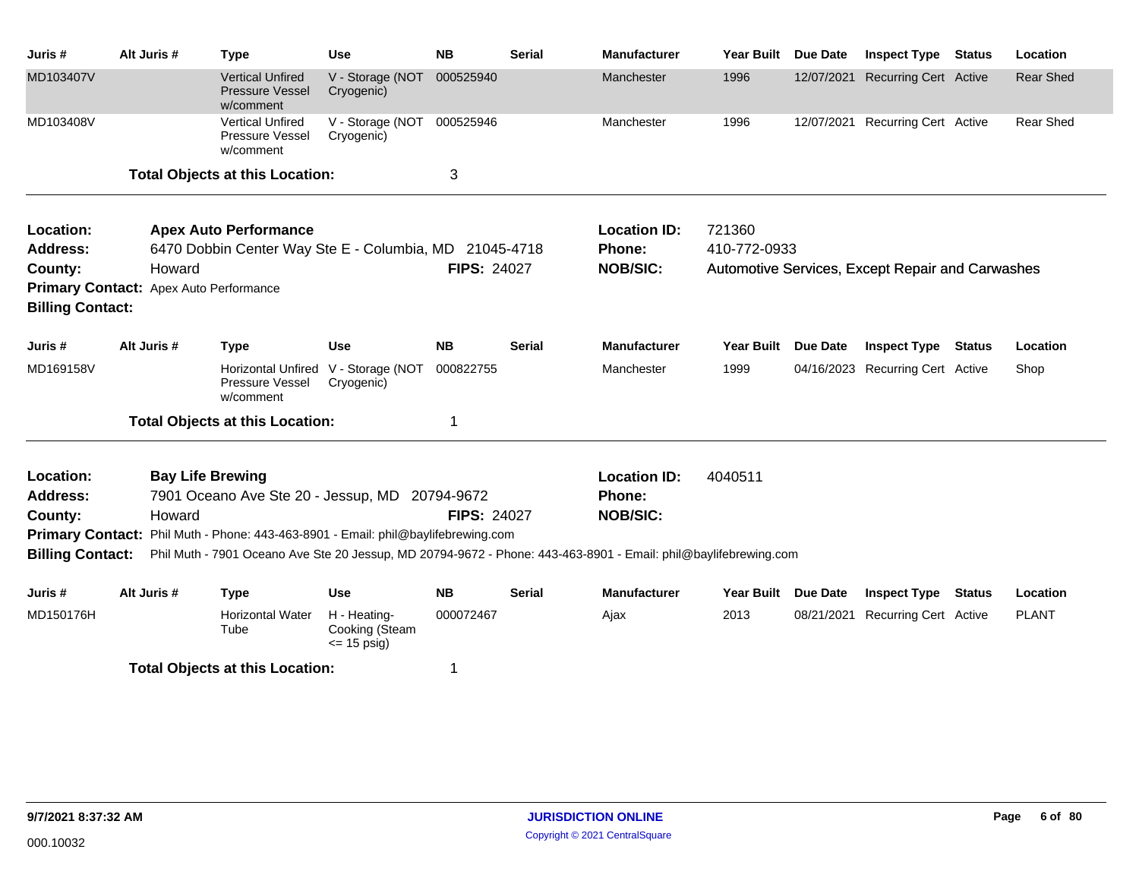| Juris #                                | Alt Juris # |        | <b>Type</b>                                                                            | <b>Use</b>                                        | <b>NB</b>          | <b>Serial</b> | <b>Manufacturer</b>                                                                                             | <b>Year Built</b>      | <b>Due Date</b> | <b>Inspect Type</b>                              | <b>Status</b> | Location         |
|----------------------------------------|-------------|--------|----------------------------------------------------------------------------------------|---------------------------------------------------|--------------------|---------------|-----------------------------------------------------------------------------------------------------------------|------------------------|-----------------|--------------------------------------------------|---------------|------------------|
| MD103407V                              |             |        | <b>Vertical Unfired</b><br><b>Pressure Vessel</b><br>w/comment                         | V - Storage (NOT<br>Cryogenic)                    | 000525940          |               | Manchester                                                                                                      | 1996                   | 12/07/2021      | <b>Recurring Cert Active</b>                     |               | <b>Rear Shed</b> |
| MD103408V                              |             |        | <b>Vertical Unfired</b><br>Pressure Vessel<br>w/comment                                | V - Storage (NOT<br>Cryogenic)                    | 000525946          |               | Manchester                                                                                                      | 1996                   |                 | 12/07/2021 Recurring Cert Active                 |               | <b>Rear Shed</b> |
|                                        |             |        | <b>Total Objects at this Location:</b>                                                 |                                                   | 3                  |               |                                                                                                                 |                        |                 |                                                  |               |                  |
| Location:<br><b>Address:</b>           |             |        | <b>Apex Auto Performance</b><br>6470 Dobbin Center Way Ste E - Columbia, MD 21045-4718 |                                                   |                    |               | <b>Location ID:</b><br>Phone:                                                                                   | 721360<br>410-772-0933 |                 |                                                  |               |                  |
| County:                                |             | Howard |                                                                                        |                                                   | <b>FIPS: 24027</b> |               | <b>NOB/SIC:</b>                                                                                                 |                        |                 | Automotive Services, Except Repair and Carwashes |               |                  |
| Primary Contact: Apex Auto Performance |             |        |                                                                                        |                                                   |                    |               |                                                                                                                 |                        |                 |                                                  |               |                  |
| <b>Billing Contact:</b>                |             |        |                                                                                        |                                                   |                    |               |                                                                                                                 |                        |                 |                                                  |               |                  |
| Juris #                                | Alt Juris # |        | <b>Type</b>                                                                            | <b>Use</b>                                        | <b>NB</b>          | <b>Serial</b> | <b>Manufacturer</b>                                                                                             | <b>Year Built</b>      | <b>Due Date</b> | <b>Inspect Type</b>                              | <b>Status</b> | Location         |
| MD169158V                              |             |        | Pressure Vessel<br>w/comment                                                           | Horizontal Unfired V - Storage (NOT<br>Cryogenic) | 000822755          |               | Manchester                                                                                                      | 1999                   |                 | 04/16/2023 Recurring Cert Active                 |               | Shop             |
|                                        |             |        | <b>Total Objects at this Location:</b>                                                 |                                                   | 1                  |               |                                                                                                                 |                        |                 |                                                  |               |                  |
| Location:                              |             |        | <b>Bay Life Brewing</b>                                                                |                                                   |                    |               | <b>Location ID:</b>                                                                                             | 4040511                |                 |                                                  |               |                  |
| <b>Address:</b>                        |             |        | 7901 Oceano Ave Ste 20 - Jessup, MD 20794-9672                                         |                                                   |                    |               | Phone:                                                                                                          |                        |                 |                                                  |               |                  |
| County:                                |             | Howard |                                                                                        |                                                   | <b>FIPS: 24027</b> |               | <b>NOB/SIC:</b>                                                                                                 |                        |                 |                                                  |               |                  |
| <b>Primary Contact:</b>                |             |        | Phil Muth - Phone: 443-463-8901 - Email: phil@baylifebrewing.com                       |                                                   |                    |               |                                                                                                                 |                        |                 |                                                  |               |                  |
| <b>Billing Contact:</b>                |             |        |                                                                                        |                                                   |                    |               | Phil Muth - 7901 Oceano Ave Ste 20 Jessup, MD 20794-9672 - Phone: 443-463-8901 - Email: phil@baylifebrewing.com |                        |                 |                                                  |               |                  |
| Juris#                                 | Alt Juris # |        | <b>Type</b>                                                                            | <b>Use</b>                                        | <b>NB</b>          | <b>Serial</b> | <b>Manufacturer</b>                                                                                             | <b>Year Built</b>      | <b>Due Date</b> | <b>Inspect Type</b>                              | Status        | Location         |
| MD150176H                              |             |        | <b>Horizontal Water</b><br>Tube                                                        | H - Heating-<br>Cooking (Steam<br>$\leq$ 15 psig) | 000072467          |               | Ajax                                                                                                            | 2013                   | 08/21/2021      | <b>Recurring Cert Active</b>                     |               | <b>PLANT</b>     |
|                                        |             |        | <b>Total Objects at this Location:</b>                                                 |                                                   | 1                  |               |                                                                                                                 |                        |                 |                                                  |               |                  |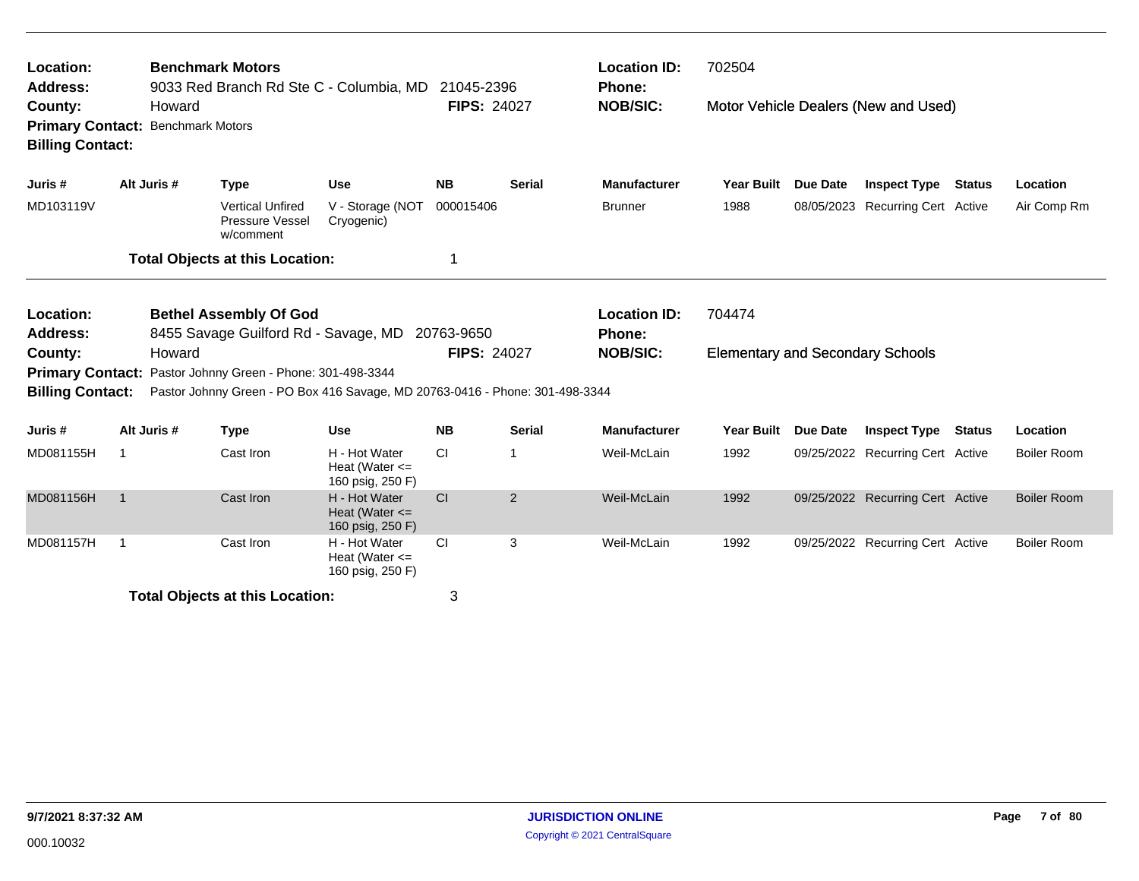| Location:<br><b>Address:</b>                                                                                 |                |                                   | <b>Benchmark Motors</b><br>9033 Red Branch Rd Ste C - Columbia, MD 21045-2396                                                              |                                                         |                    |               | <b>Location ID:</b><br><b>Phone:</b> | 702504                                  |                 |                                      |               |                    |
|--------------------------------------------------------------------------------------------------------------|----------------|-----------------------------------|--------------------------------------------------------------------------------------------------------------------------------------------|---------------------------------------------------------|--------------------|---------------|--------------------------------------|-----------------------------------------|-----------------|--------------------------------------|---------------|--------------------|
| County:<br><b>Primary Contact:</b><br><b>Billing Contact:</b>                                                |                | Howard<br><b>Benchmark Motors</b> |                                                                                                                                            |                                                         | <b>FIPS: 24027</b> |               | <b>NOB/SIC:</b>                      |                                         |                 | Motor Vehicle Dealers (New and Used) |               |                    |
| Juris #                                                                                                      |                | Alt Juris #                       | <b>Type</b>                                                                                                                                | <b>Use</b>                                              | <b>NB</b>          | <b>Serial</b> | <b>Manufacturer</b>                  | <b>Year Built</b>                       | Due Date        | <b>Inspect Type Status</b>           |               | Location           |
| MD103119V                                                                                                    |                |                                   | <b>Vertical Unfired</b><br>Pressure Vessel<br>w/comment                                                                                    | V - Storage (NOT<br>Cryogenic)                          | 000015406          |               | <b>Brunner</b>                       | 1988                                    |                 | 08/05/2023 Recurring Cert Active     |               | Air Comp Rm        |
|                                                                                                              |                |                                   | <b>Total Objects at this Location:</b>                                                                                                     |                                                         | 1                  |               |                                      |                                         |                 |                                      |               |                    |
| Location:<br><b>Bethel Assembly Of God</b><br>Address:<br>8455 Savage Guilford Rd - Savage, MD<br>20763-9650 |                |                                   |                                                                                                                                            |                                                         |                    |               | <b>Location ID:</b><br><b>Phone:</b> | 704474                                  |                 |                                      |               |                    |
| County:<br><b>Billing Contact:</b>                                                                           |                | Howard                            | Primary Contact: Pastor Johnny Green - Phone: 301-498-3344<br>Pastor Johnny Green - PO Box 416 Savage, MD 20763-0416 - Phone: 301-498-3344 |                                                         | <b>FIPS: 24027</b> |               | <b>NOB/SIC:</b>                      | <b>Elementary and Secondary Schools</b> |                 |                                      |               |                    |
| Juris #                                                                                                      |                | Alt Juris #                       | <b>Type</b>                                                                                                                                | <b>Use</b>                                              | <b>NB</b>          | <b>Serial</b> | <b>Manufacturer</b>                  | <b>Year Built</b>                       | <b>Due Date</b> | <b>Inspect Type</b>                  | <b>Status</b> | Location           |
| MD081155H                                                                                                    | -1             |                                   | Cast Iron                                                                                                                                  | H - Hot Water<br>Heat (Water $\leq$<br>160 psig, 250 F) | <b>CI</b>          |               | Weil-McLain                          | 1992                                    |                 | 09/25/2022 Recurring Cert Active     |               | <b>Boiler Room</b> |
| MD081156H                                                                                                    | $\overline{1}$ |                                   | Cast Iron                                                                                                                                  | H - Hot Water<br>Heat (Water $\leq$<br>160 psig, 250 F) | <b>CI</b>          | 2             | Weil-McLain                          | 1992                                    |                 | 09/25/2022 Recurring Cert Active     |               | <b>Boiler Room</b> |
| MD081157H                                                                                                    | -1             |                                   | Cast Iron                                                                                                                                  | H - Hot Water<br>Heat (Water $\leq$<br>160 psig, 250 F) | <b>CI</b>          | 3             | Weil-McLain                          | 1992                                    |                 | 09/25/2022 Recurring Cert Active     |               | <b>Boiler Room</b> |
|                                                                                                              |                |                                   | <b>Total Objects at this Location:</b>                                                                                                     |                                                         | 3                  |               |                                      |                                         |                 |                                      |               |                    |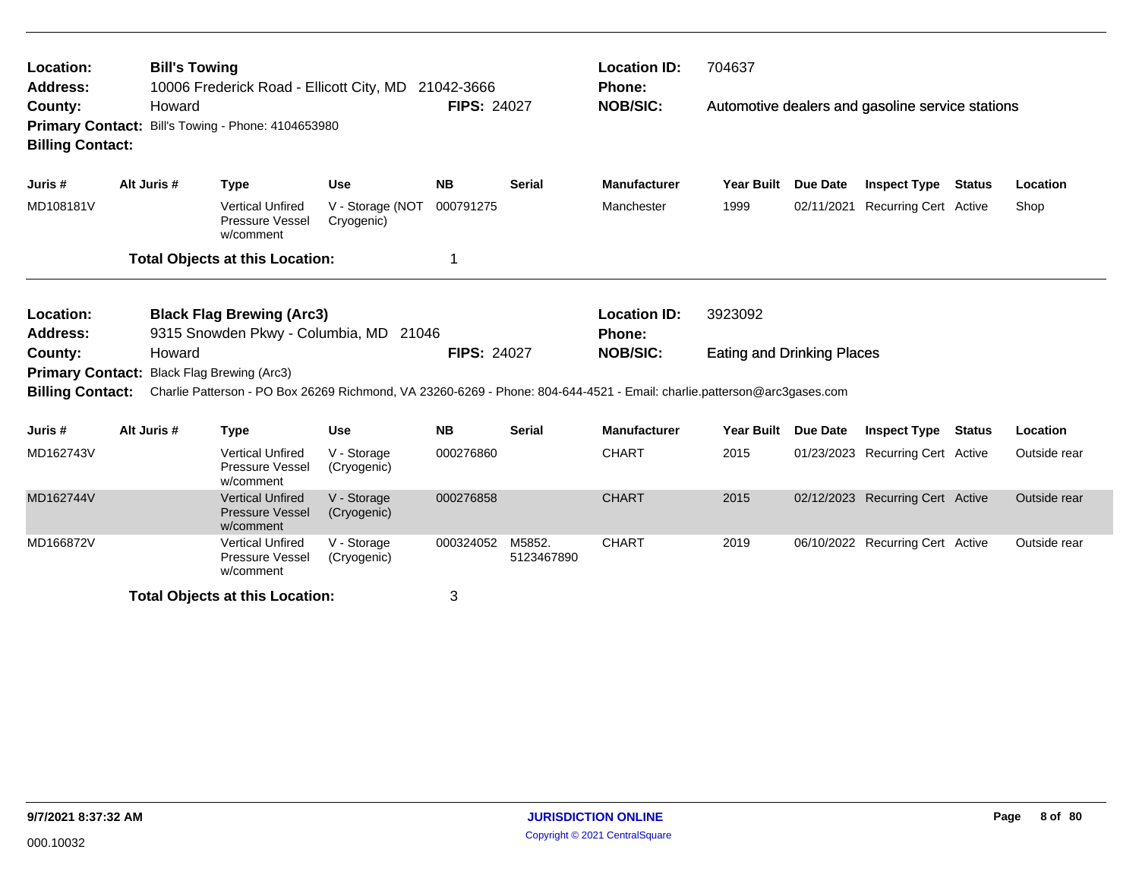| Location:<br><b>Address:</b>                                  | <b>Bill's Towing</b> | 10006 Frederick Road - Ellicott City, MD 21042-3666                                                                                                  |                                |                    |                      | <b>Location ID:</b><br><b>Phone:</b> | 704637                            |                 |                                                  |               |              |
|---------------------------------------------------------------|----------------------|------------------------------------------------------------------------------------------------------------------------------------------------------|--------------------------------|--------------------|----------------------|--------------------------------------|-----------------------------------|-----------------|--------------------------------------------------|---------------|--------------|
| County:<br><b>Billing Contact:</b>                            | Howard               | Primary Contact: Bill's Towing - Phone: 4104653980                                                                                                   |                                | <b>FIPS: 24027</b> |                      | <b>NOB/SIC:</b>                      |                                   |                 | Automotive dealers and gasoline service stations |               |              |
| Juris #                                                       | Alt Juris #          | <b>Type</b>                                                                                                                                          | <b>Use</b>                     | <b>NB</b>          | <b>Serial</b>        | <b>Manufacturer</b>                  | <b>Year Built</b>                 | <b>Due Date</b> | <b>Inspect Type Status</b>                       |               | Location     |
| MD108181V                                                     |                      | <b>Vertical Unfired</b><br>Pressure Vessel<br>w/comment                                                                                              | V - Storage (NOT<br>Cryogenic) | 000791275          |                      | Manchester                           | 1999                              |                 | 02/11/2021 Recurring Cert Active                 |               | Shop         |
|                                                               |                      | <b>Total Objects at this Location:</b>                                                                                                               |                                | 1                  |                      |                                      |                                   |                 |                                                  |               |              |
| Location:<br><b>Address:</b>                                  |                      | <b>Black Flag Brewing (Arc3)</b><br>9315 Snowden Pkwy - Columbia, MD 21046                                                                           |                                |                    |                      | <b>Location ID:</b><br><b>Phone:</b> | 3923092                           |                 |                                                  |               |              |
| County:<br><b>Primary Contact:</b><br><b>Billing Contact:</b> | Howard               | Black Flag Brewing (Arc3)<br>Charlie Patterson - PO Box 26269 Richmond, VA 23260-6269 - Phone: 804-644-4521 - Email: charlie.patterson@arc3gases.com |                                | <b>FIPS: 24027</b> |                      | <b>NOB/SIC:</b>                      | <b>Eating and Drinking Places</b> |                 |                                                  |               |              |
| Juris #                                                       | Alt Juris #          | <b>Type</b>                                                                                                                                          | <b>Use</b>                     | <b>NB</b>          | <b>Serial</b>        | <b>Manufacturer</b>                  | <b>Year Built</b>                 | <b>Due Date</b> | <b>Inspect Type</b>                              | <b>Status</b> | Location     |
| MD162743V                                                     |                      | <b>Vertical Unfired</b><br>Pressure Vessel<br>w/comment                                                                                              | V - Storage<br>(Cryogenic)     | 000276860          |                      | <b>CHART</b>                         | 2015                              |                 | 01/23/2023 Recurring Cert Active                 |               | Outside rear |
| MD162744V                                                     |                      | <b>Vertical Unfired</b><br><b>Pressure Vessel</b><br>w/comment                                                                                       | V - Storage<br>(Cryogenic)     | 000276858          |                      | <b>CHART</b>                         | 2015                              |                 | 02/12/2023 Recurring Cert Active                 |               | Outside rear |
| MD166872V                                                     |                      | <b>Vertical Unfired</b><br><b>Pressure Vessel</b><br>w/comment                                                                                       | V - Storage<br>(Cryogenic)     | 000324052          | M5852.<br>5123467890 | <b>CHART</b>                         | 2019                              |                 | 06/10/2022 Recurring Cert Active                 |               | Outside rear |
|                                                               |                      | <b>Total Objects at this Location:</b>                                                                                                               |                                | 3                  |                      |                                      |                                   |                 |                                                  |               |              |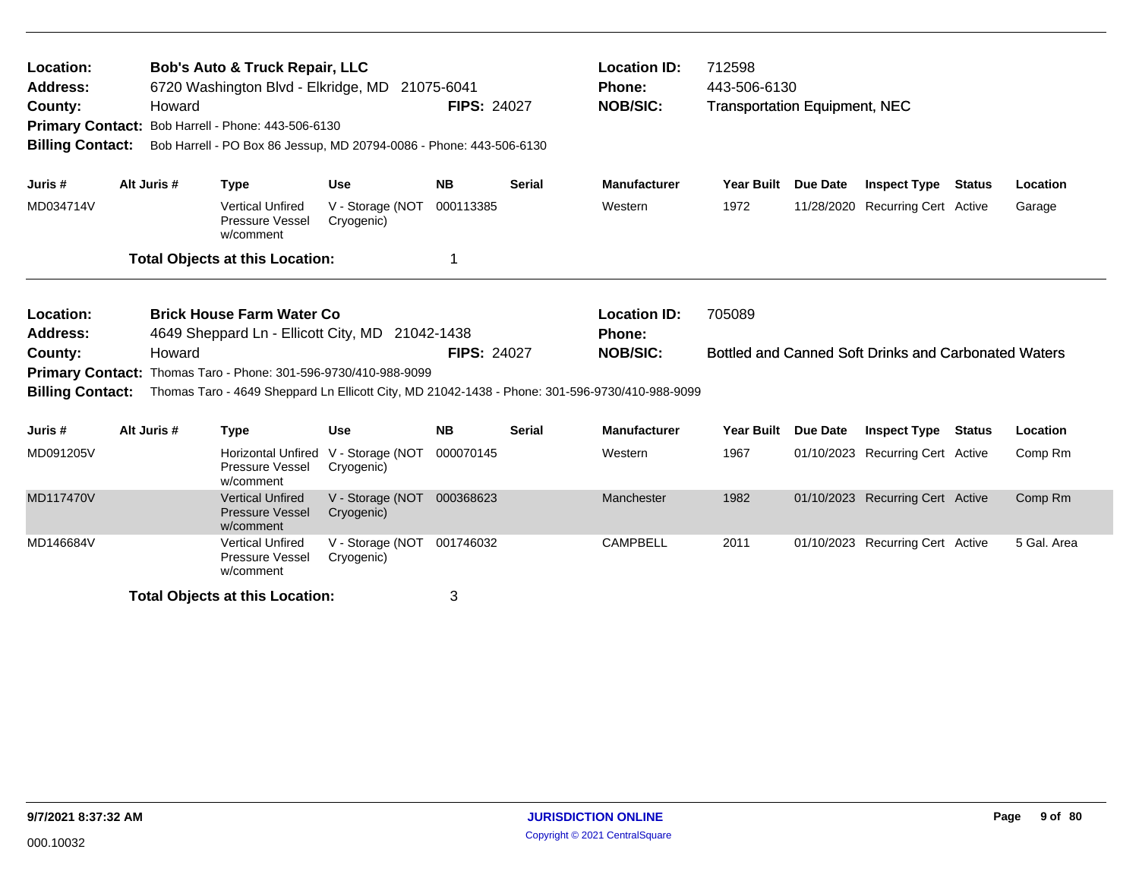| Location:<br>Address:<br>County:<br><b>Primary Contact:</b><br><b>Billing Contact:</b> | Howard                                                                                                                                                                                                                                                                       | <b>Bob's Auto &amp; Truck Repair, LLC</b><br>6720 Washington Blvd - Elkridge, MD<br>Bob Harrell - Phone: 443-506-6130<br>Bob Harrell - PO Box 86 Jessup, MD 20794-0086 - Phone: 443-506-6130 |                                | 21075-6041<br><b>FIPS: 24027</b> |               | <b>Location ID:</b><br><b>Phone:</b><br><b>NOB/SIC:</b> | 712598<br>443-506-6130<br><b>Transportation Equipment, NEC</b> |                 |                                                      |        |             |
|----------------------------------------------------------------------------------------|------------------------------------------------------------------------------------------------------------------------------------------------------------------------------------------------------------------------------------------------------------------------------|----------------------------------------------------------------------------------------------------------------------------------------------------------------------------------------------|--------------------------------|----------------------------------|---------------|---------------------------------------------------------|----------------------------------------------------------------|-----------------|------------------------------------------------------|--------|-------------|
| Juris #                                                                                | Alt Juris #                                                                                                                                                                                                                                                                  | <b>Type</b>                                                                                                                                                                                  | <b>Use</b>                     | <b>NB</b>                        | <b>Serial</b> | <b>Manufacturer</b>                                     | Year Built Due Date                                            |                 | <b>Inspect Type Status</b>                           |        | Location    |
| MD034714V                                                                              |                                                                                                                                                                                                                                                                              | <b>Vertical Unfired</b><br>Pressure Vessel<br>w/comment                                                                                                                                      | V - Storage (NOT<br>Cryogenic) | 000113385                        |               | Western                                                 | 1972                                                           |                 | 11/28/2020 Recurring Cert Active                     |        | Garage      |
|                                                                                        |                                                                                                                                                                                                                                                                              | <b>Total Objects at this Location:</b>                                                                                                                                                       |                                | 1                                |               |                                                         |                                                                |                 |                                                      |        |             |
| Location:<br><b>Address:</b><br>County:<br><b>Billing Contact:</b>                     | <b>Brick House Farm Water Co</b><br>4649 Sheppard Ln - Ellicott City, MD 21042-1438<br>Howard<br>Thomas Taro - Phone: 301-596-9730/410-988-9099<br><b>Primary Contact:</b><br>Thomas Taro - 4649 Sheppard Ln Ellicott City, MD 21042-1438 - Phone: 301-596-9730/410-988-9099 |                                                                                                                                                                                              |                                |                                  |               | <b>Location ID:</b><br>Phone:<br><b>NOB/SIC:</b>        | 705089                                                         |                 | Bottled and Canned Soft Drinks and Carbonated Waters |        |             |
| Juris#                                                                                 | Alt Juris #                                                                                                                                                                                                                                                                  | <b>Type</b>                                                                                                                                                                                  | <b>Use</b>                     | <b>NB</b>                        | <b>Serial</b> | <b>Manufacturer</b>                                     | <b>Year Built</b>                                              | <b>Due Date</b> | <b>Inspect Type</b>                                  | Status | Location    |
| MD091205V                                                                              |                                                                                                                                                                                                                                                                              | <b>Horizontal Unfired</b><br>Pressure Vessel<br>w/comment                                                                                                                                    | V - Storage (NOT<br>Cryogenic) | 000070145                        |               | Western                                                 | 1967                                                           |                 | 01/10/2023 Recurring Cert Active                     |        | Comp Rm     |
| <b>MD117470V</b>                                                                       |                                                                                                                                                                                                                                                                              | <b>Vertical Unfired</b><br><b>Pressure Vessel</b><br>w/comment                                                                                                                               | V - Storage (NOT<br>Cryogenic) | 000368623                        |               | Manchester                                              | 1982                                                           |                 | 01/10/2023 Recurring Cert Active                     |        | Comp Rm     |
| MD146684V                                                                              |                                                                                                                                                                                                                                                                              | <b>Vertical Unfired</b><br><b>Pressure Vessel</b><br>w/comment                                                                                                                               | V - Storage (NOT<br>Cryogenic) | 001746032                        |               | <b>CAMPBELL</b>                                         | 2011                                                           |                 | 01/10/2023 Recurring Cert Active                     |        | 5 Gal. Area |
|                                                                                        |                                                                                                                                                                                                                                                                              | <b>Total Objects at this Location:</b>                                                                                                                                                       |                                | 3                                |               |                                                         |                                                                |                 |                                                      |        |             |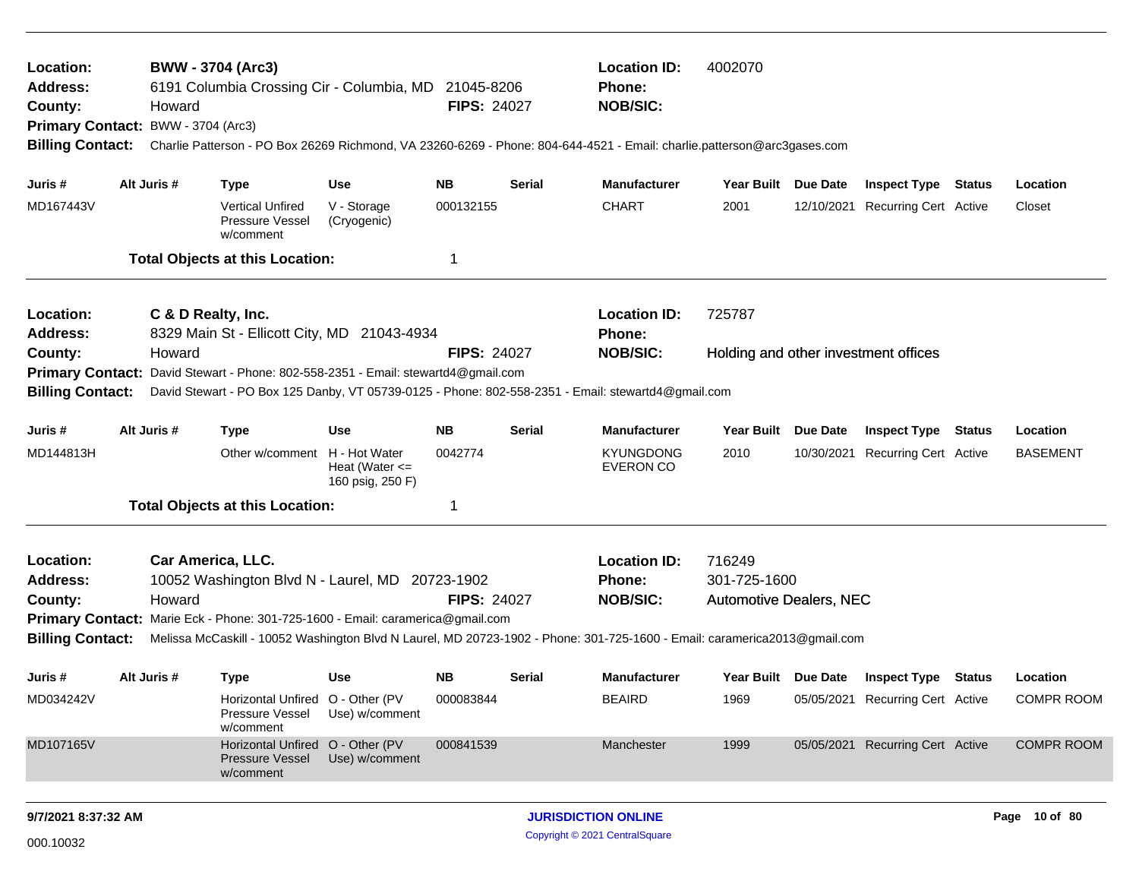| Location:<br><b>Address:</b><br>County:<br><b>Billing Contact:</b> | Howard<br>Primary Contact: BWW - 3704 (Arc3) | <b>BWW - 3704 (Arc3)</b><br>6191 Columbia Crossing Cir - Columbia, MD 21045-8206                                                                       |                                        | <b>FIPS: 24027</b> |                                                         | <b>Location ID:</b><br><b>Phone:</b><br><b>NOB/SIC:</b><br>Charlie Patterson - PO Box 26269 Richmond, VA 23260-6269 - Phone: 804-644-4521 - Email: charlie.patterson@arc3gases.com | 4002070             |          |                                      |               |                   |
|--------------------------------------------------------------------|----------------------------------------------|--------------------------------------------------------------------------------------------------------------------------------------------------------|----------------------------------------|--------------------|---------------------------------------------------------|------------------------------------------------------------------------------------------------------------------------------------------------------------------------------------|---------------------|----------|--------------------------------------|---------------|-------------------|
| Juris #                                                            | Alt Juris #                                  | <b>Type</b>                                                                                                                                            | <b>Use</b>                             | <b>NB</b>          | <b>Serial</b>                                           | <b>Manufacturer</b>                                                                                                                                                                | Year Built Due Date |          | <b>Inspect Type Status</b>           |               | Location          |
| MD167443V                                                          |                                              | <b>Vertical Unfired</b><br><b>Pressure Vessel</b><br>w/comment                                                                                         | V - Storage<br>(Cryogenic)             | 000132155          |                                                         | <b>CHART</b>                                                                                                                                                                       | 2001                |          | 12/10/2021 Recurring Cert Active     |               | Closet            |
|                                                                    |                                              | <b>Total Objects at this Location:</b>                                                                                                                 |                                        | -1                 |                                                         |                                                                                                                                                                                    |                     |          |                                      |               |                   |
| Location:<br>Address:                                              |                                              | C & D Realty, Inc.<br>8329 Main St - Ellicott City, MD 21043-4934                                                                                      |                                        |                    |                                                         | <b>Location ID:</b><br><b>Phone:</b>                                                                                                                                               | 725787              |          |                                      |               |                   |
| County:<br><b>Primary Contact:</b>                                 | Howard                                       | David Stewart - Phone: 802-558-2351 - Email: stewartd4@gmail.com                                                                                       |                                        | <b>FIPS: 24027</b> |                                                         | <b>NOB/SIC:</b>                                                                                                                                                                    |                     |          | Holding and other investment offices |               |                   |
| <b>Billing Contact:</b>                                            |                                              |                                                                                                                                                        |                                        |                    |                                                         | David Stewart - PO Box 125 Danby, VT 05739-0125 - Phone: 802-558-2351 - Email: stewartd4@gmail.com                                                                                 |                     |          |                                      |               |                   |
| Juris #                                                            | Alt Juris #                                  | <b>Type</b>                                                                                                                                            | <b>Use</b>                             | <b>NB</b>          | <b>Serial</b>                                           | <b>Manufacturer</b>                                                                                                                                                                | <b>Year Built</b>   | Due Date | <b>Inspect Type</b>                  | Status        | Location          |
| MD144813H                                                          |                                              | Other w/comment H - Hot Water                                                                                                                          | Heat (Water $\leq$<br>160 psig, 250 F) | 0042774            |                                                         | <b>KYUNGDONG</b><br><b>EVERON CO</b>                                                                                                                                               | 2010                |          | 10/30/2021 Recurring Cert Active     |               | <b>BASEMENT</b>   |
|                                                                    |                                              | <b>Total Objects at this Location:</b>                                                                                                                 |                                        | -1                 |                                                         |                                                                                                                                                                                    |                     |          |                                      |               |                   |
| Location:<br>Address:<br>County:                                   | Howard                                       | Car America, LLC.<br>10052 Washington Blvd N - Laurel, MD 20723-1902<br>Primary Contact: Marie Eck - Phone: 301-725-1600 - Email: caramerica@gmail.com |                                        | <b>FIPS: 24027</b> | <b>Location ID:</b><br><b>Phone:</b><br><b>NOB/SIC:</b> | 716249<br>301-725-1600<br><b>Automotive Dealers, NEC</b>                                                                                                                           |                     |          |                                      |               |                   |
| <b>Billing Contact:</b>                                            |                                              |                                                                                                                                                        |                                        |                    |                                                         | Melissa McCaskill - 10052 Washington Blvd N Laurel, MD 20723-1902 - Phone: 301-725-1600 - Email: caramerica2013@gmail.com                                                          |                     |          |                                      |               |                   |
| Juris #                                                            | Alt Juris #                                  | <b>Type</b>                                                                                                                                            | <b>Use</b>                             | NB.                | <b>Serial</b>                                           | <b>Manufacturer</b>                                                                                                                                                                | Year Built Due Date |          | <b>Inspect Type Status</b>           |               | Location          |
| MD034242V                                                          |                                              | Horizontal Unfired O - Other (PV<br>Pressure Vessel<br>w/comment                                                                                       | Use) w/comment                         | 000083844          |                                                         | <b>BEAIRD</b>                                                                                                                                                                      | 1969                |          | 05/05/2021 Recurring Cert Active     |               | <b>COMPR ROOM</b> |
| MD107165V                                                          |                                              | Horizontal Unfired O - Other (PV<br><b>Pressure Vessel</b><br>w/comment                                                                                | Use) w/comment                         | 000841539          |                                                         | Manchester                                                                                                                                                                         | 1999                |          | 05/05/2021 Recurring Cert Active     |               | COMPR ROOM        |
| 9/7/2021 8:37:32 AM                                                |                                              |                                                                                                                                                        |                                        |                    | <b>JURISDICTION ONLINE</b>                              |                                                                                                                                                                                    |                     |          |                                      | Page 10 of 80 |                   |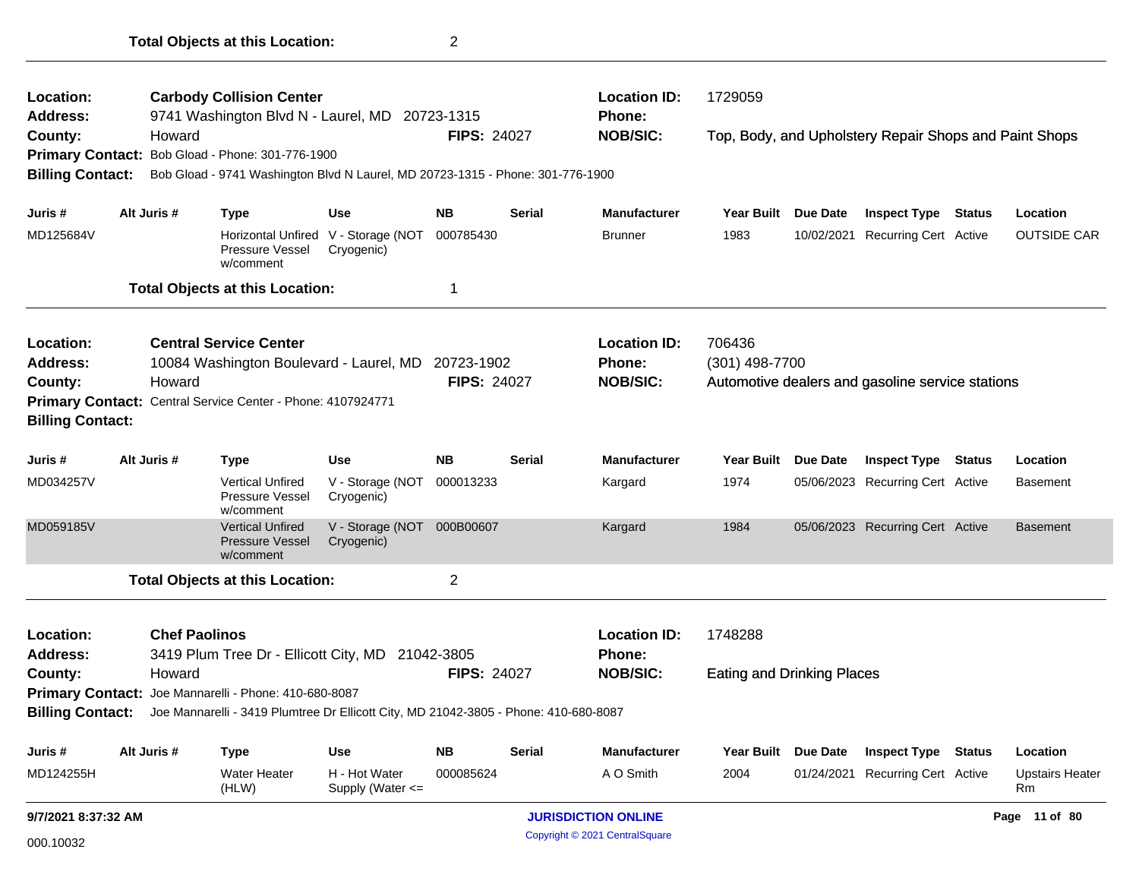| Location:               |                                                                                                       |                      | <b>Carbody Collision Center</b>                                                |                                                   |                    |               | <b>Location ID:</b>        | 1729059                           |                 |                                                        |        |                              |
|-------------------------|-------------------------------------------------------------------------------------------------------|----------------------|--------------------------------------------------------------------------------|---------------------------------------------------|--------------------|---------------|----------------------------|-----------------------------------|-----------------|--------------------------------------------------------|--------|------------------------------|
| <b>Address:</b>         |                                                                                                       |                      | 9741 Washington Blvd N - Laurel, MD 20723-1315                                 |                                                   | <b>FIPS: 24027</b> |               | Phone:<br><b>NOB/SIC:</b>  |                                   |                 |                                                        |        |                              |
| County:                 |                                                                                                       | Howard               | Primary Contact: Bob Gload - Phone: 301-776-1900                               |                                                   |                    |               |                            |                                   |                 | Top, Body, and Upholstery Repair Shops and Paint Shops |        |                              |
| <b>Billing Contact:</b> |                                                                                                       |                      | Bob Gload - 9741 Washington Blvd N Laurel, MD 20723-1315 - Phone: 301-776-1900 |                                                   |                    |               |                            |                                   |                 |                                                        |        |                              |
|                         |                                                                                                       |                      |                                                                                |                                                   |                    |               |                            |                                   |                 |                                                        |        |                              |
| Juris #                 |                                                                                                       | Alt Juris #          | Type                                                                           | <b>Use</b>                                        | <b>NB</b>          | <b>Serial</b> | <b>Manufacturer</b>        | <b>Year Built</b>                 | <b>Due Date</b> | <b>Inspect Type Status</b>                             |        | Location                     |
| MD125684V               |                                                                                                       |                      | Pressure Vessel<br>w/comment                                                   | Horizontal Unfired V - Storage (NOT<br>Cryogenic) | 000785430          |               | <b>Brunner</b>             | 1983                              | 10/02/2021      | Recurring Cert Active                                  |        | <b>OUTSIDE CAR</b>           |
|                         |                                                                                                       |                      | <b>Total Objects at this Location:</b>                                         |                                                   | 1                  |               |                            |                                   |                 |                                                        |        |                              |
| Location:               |                                                                                                       |                      | <b>Central Service Center</b>                                                  |                                                   |                    |               | <b>Location ID:</b>        | 706436                            |                 |                                                        |        |                              |
| <b>Address:</b>         |                                                                                                       |                      | 10084 Washington Boulevard - Laurel, MD                                        |                                                   | 20723-1902         |               | <b>Phone:</b>              | (301) 498-7700                    |                 |                                                        |        |                              |
| County:                 |                                                                                                       | Howard               |                                                                                |                                                   | <b>FIPS: 24027</b> |               | <b>NOB/SIC:</b>            |                                   |                 | Automotive dealers and gasoline service stations       |        |                              |
|                         |                                                                                                       |                      | Primary Contact: Central Service Center - Phone: 4107924771                    |                                                   |                    |               |                            |                                   |                 |                                                        |        |                              |
| <b>Billing Contact:</b> |                                                                                                       |                      |                                                                                |                                                   |                    |               |                            |                                   |                 |                                                        |        |                              |
| Juris #                 |                                                                                                       | Alt Juris #          | <b>Type</b>                                                                    | <b>Use</b>                                        | <b>NB</b>          | Serial        | <b>Manufacturer</b>        | <b>Year Built</b>                 | <b>Due Date</b> | <b>Inspect Type</b>                                    | Status | Location                     |
| MD034257V               |                                                                                                       |                      | <b>Vertical Unfired</b><br>Pressure Vessel<br>w/comment                        | V - Storage (NOT<br>Cryogenic)                    | 000013233          |               | Kargard                    | 1974                              |                 | 05/06/2023 Recurring Cert Active                       |        | <b>Basement</b>              |
| MD059185V               |                                                                                                       |                      | <b>Vertical Unfired</b><br><b>Pressure Vessel</b><br>w/comment                 | V - Storage (NOT<br>Cryogenic)                    | 000B00607          |               | Kargard                    | 1984                              |                 | 05/06/2023 Recurring Cert Active                       |        | <b>Basement</b>              |
|                         |                                                                                                       |                      | <b>Total Objects at this Location:</b>                                         |                                                   | $\overline{2}$     |               |                            |                                   |                 |                                                        |        |                              |
| Location:               |                                                                                                       | <b>Chef Paolinos</b> |                                                                                |                                                   |                    |               | <b>Location ID:</b>        | 1748288                           |                 |                                                        |        |                              |
| <b>Address:</b>         |                                                                                                       |                      | 3419 Plum Tree Dr - Ellicott City, MD 21042-3805                               |                                                   |                    |               | Phone:                     |                                   |                 |                                                        |        |                              |
| County:                 |                                                                                                       | Howard               |                                                                                |                                                   | <b>FIPS: 24027</b> |               | <b>NOB/SIC:</b>            | <b>Eating and Drinking Places</b> |                 |                                                        |        |                              |
|                         |                                                                                                       |                      | Primary Contact: Joe Mannarelli - Phone: 410-680-8087                          |                                                   |                    |               |                            |                                   |                 |                                                        |        |                              |
|                         | Billing Contact: Joe Mannarelli - 3419 Plumtree Dr Ellicott City, MD 21042-3805 - Phone: 410-680-8087 |                      |                                                                                |                                                   |                    |               |                            |                                   |                 |                                                        |        |                              |
| Juris #                 |                                                                                                       | Alt Juris #          | <b>Type</b>                                                                    | <b>Use</b>                                        | <b>NB</b>          | <b>Serial</b> | <b>Manufacturer</b>        | <b>Year Built</b>                 | <b>Due Date</b> | <b>Inspect Type Status</b>                             |        | Location                     |
| MD124255H               |                                                                                                       |                      | Water Heater<br>(HLW)                                                          | H - Hot Water<br>Supply (Water <=                 | 000085624          |               | A O Smith                  | 2004                              | 01/24/2021      | <b>Recurring Cert Active</b>                           |        | <b>Upstairs Heater</b><br>Rm |
|                         | 9/7/2021 8:37:32 AM                                                                                   |                      |                                                                                |                                                   |                    |               | <b>JURISDICTION ONLINE</b> |                                   |                 |                                                        |        | Page 11 of 80                |

Copyright © 2021 CentralSquare 000.10032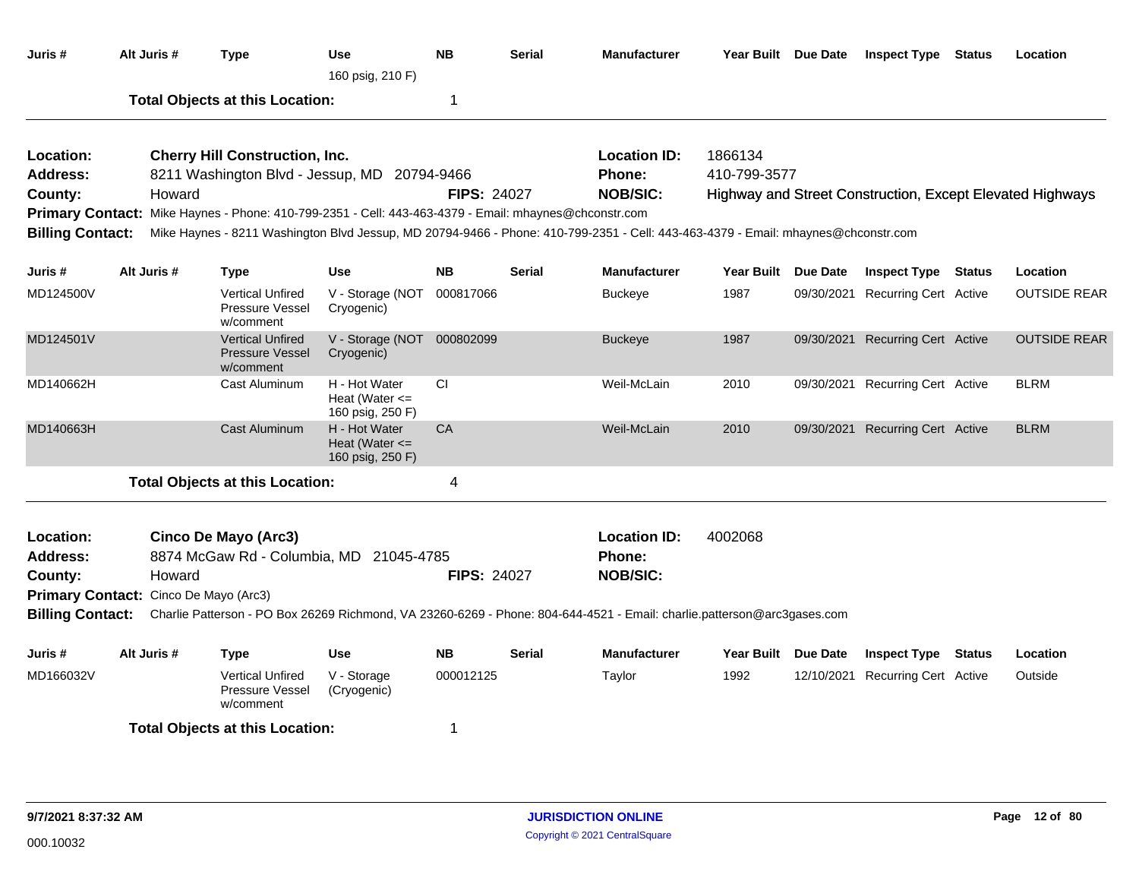| Juris #                                                                                                                                                                                                                                                                                                                                                                             |  | Alt Juris # | <b>Type</b>                                                                                                                                                                         | <b>Use</b><br>160 psig, 210 F)                          | <b>NB</b>                        | Serial        | <b>Manufacturer</b>                                                                                                                                                                          |                         | Year Built Due Date | <b>Inspect Type Status</b>       |               | Location                                                  |
|-------------------------------------------------------------------------------------------------------------------------------------------------------------------------------------------------------------------------------------------------------------------------------------------------------------------------------------------------------------------------------------|--|-------------|-------------------------------------------------------------------------------------------------------------------------------------------------------------------------------------|---------------------------------------------------------|----------------------------------|---------------|----------------------------------------------------------------------------------------------------------------------------------------------------------------------------------------------|-------------------------|---------------------|----------------------------------|---------------|-----------------------------------------------------------|
|                                                                                                                                                                                                                                                                                                                                                                                     |  |             | <b>Total Objects at this Location:</b>                                                                                                                                              |                                                         | 1                                |               |                                                                                                                                                                                              |                         |                     |                                  |               |                                                           |
| Location:<br>Address:<br>County:<br><b>Billing Contact:</b>                                                                                                                                                                                                                                                                                                                         |  | Howard      | <b>Cherry Hill Construction, Inc.</b><br>8211 Washington Blvd - Jessup, MD<br>Primary Contact: Mike Haynes - Phone: 410-799-2351 - Cell: 443-463-4379 - Email: mhaynes@chconstr.com |                                                         | 20794-9466<br><b>FIPS: 24027</b> |               | <b>Location ID:</b><br><b>Phone:</b><br><b>NOB/SIC:</b><br>Mike Haynes - 8211 Washington Blvd Jessup, MD 20794-9466 - Phone: 410-799-2351 - Cell: 443-463-4379 - Email: mhaynes@chconstr.com | 1866134<br>410-799-3577 |                     |                                  |               | Highway and Street Construction, Except Elevated Highways |
| Juris #                                                                                                                                                                                                                                                                                                                                                                             |  | Alt Juris # | <b>Type</b>                                                                                                                                                                         | Use                                                     | <b>NB</b>                        | <b>Serial</b> | <b>Manufacturer</b>                                                                                                                                                                          | <b>Year Built</b>       | Due Date            | <b>Inspect Type</b>              | <b>Status</b> | Location                                                  |
| MD124500V                                                                                                                                                                                                                                                                                                                                                                           |  |             | <b>Vertical Unfired</b><br><b>Pressure Vessel</b><br>w/comment                                                                                                                      | V - Storage (NOT<br>Cryogenic)                          | 000817066                        |               | <b>Buckeye</b>                                                                                                                                                                               | 1987                    | 09/30/2021          | <b>Recurring Cert Active</b>     |               | <b>OUTSIDE REAR</b>                                       |
| MD124501V                                                                                                                                                                                                                                                                                                                                                                           |  |             | <b>Vertical Unfired</b><br><b>Pressure Vessel</b><br>w/comment                                                                                                                      | V - Storage (NOT 000802099<br>Cryogenic)                |                                  |               | <b>Buckeye</b>                                                                                                                                                                               | 1987                    |                     | 09/30/2021 Recurring Cert Active |               | <b>OUTSIDE REAR</b>                                       |
| MD140662H                                                                                                                                                                                                                                                                                                                                                                           |  |             | Cast Aluminum                                                                                                                                                                       | H - Hot Water<br>Heat (Water $\leq$<br>160 psig, 250 F) | СI                               |               | Weil-McLain                                                                                                                                                                                  | 2010                    |                     | 09/30/2021 Recurring Cert Active |               | <b>BLRM</b>                                               |
| MD140663H                                                                                                                                                                                                                                                                                                                                                                           |  |             | Cast Aluminum                                                                                                                                                                       | H - Hot Water<br>Heat (Water $\leq$<br>160 psig, 250 F) | CA                               |               | Weil-McLain                                                                                                                                                                                  | 2010                    |                     | 09/30/2021 Recurring Cert Active |               | <b>BLRM</b>                                               |
|                                                                                                                                                                                                                                                                                                                                                                                     |  |             |                                                                                                                                                                                     |                                                         | 4                                |               |                                                                                                                                                                                              |                         |                     |                                  |               |                                                           |
| <b>Total Objects at this Location:</b><br>Cinco De Mayo (Arc3)<br>Location:<br><b>Address:</b><br>8874 McGaw Rd - Columbia, MD 21045-4785<br><b>FIPS: 24027</b><br>County:<br>Howard<br>Primary Contact: Cinco De Mayo (Arc3)<br><b>Billing Contact:</b><br>Charlie Patterson - PO Box 26269 Richmond, VA 23260-6269 - Phone: 804-644-4521 - Email: charlie.patterson@arc3gases.com |  |             |                                                                                                                                                                                     | <b>Location ID:</b><br>Phone:<br><b>NOB/SIC:</b>        | 4002068                          |               |                                                                                                                                                                                              |                         |                     |                                  |               |                                                           |
| Juris #                                                                                                                                                                                                                                                                                                                                                                             |  | Alt Juris # | <b>Type</b>                                                                                                                                                                         | <b>Use</b>                                              | NΒ                               | Serial        | <b>Manufacturer</b>                                                                                                                                                                          | Year Built Due Date     |                     | <b>Inspect Type</b>              | <b>Status</b> | Location                                                  |
| MD166032V                                                                                                                                                                                                                                                                                                                                                                           |  |             | <b>Vertical Unfired</b><br>Pressure Vessel<br>w/comment                                                                                                                             | V - Storage<br>(Cryogenic)                              | 000012125                        |               | Taylor                                                                                                                                                                                       | 1992                    |                     | 12/10/2021 Recurring Cert Active |               | Outside                                                   |
|                                                                                                                                                                                                                                                                                                                                                                                     |  |             | <b>Total Objects at this Location:</b>                                                                                                                                              |                                                         | 1                                |               |                                                                                                                                                                                              |                         |                     |                                  |               |                                                           |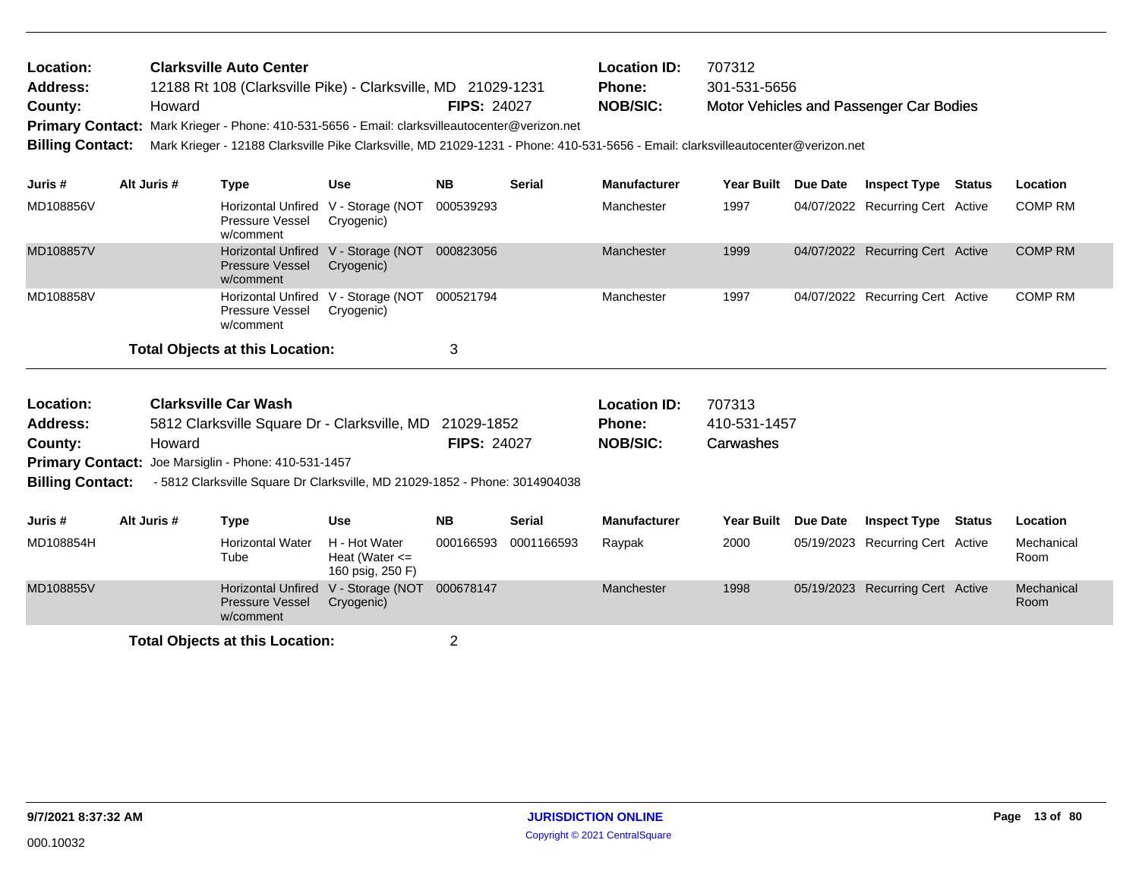| Location:<br>Address:<br>County:<br><b>Primary Contact:</b><br><b>Billing Contact:</b>                                                                                                                                                                                                                       |             | Howard | <b>Clarksville Auto Center</b>         | 12188 Rt 108 (Clarksville Pike) - Clarksville, MD 21029-1231<br>Mark Krieger - Phone: 410-531-5656 - Email: clarksvilleautocenter@verizon.net<br>Mark Krieger - 12188 Clarksville Pike Clarksville, MD 21029-1231 - Phone: 410-531-5656 - Email: clarksvilleautocenter@verizon.net | <b>FIPS: 24027</b>               |               | <b>Location ID:</b><br><b>Phone:</b><br><b>NOB/SIC:</b> | 707312<br>301-531-5656              |                 | Motor Vehicles and Passenger Car Bodies |               |                    |
|--------------------------------------------------------------------------------------------------------------------------------------------------------------------------------------------------------------------------------------------------------------------------------------------------------------|-------------|--------|----------------------------------------|------------------------------------------------------------------------------------------------------------------------------------------------------------------------------------------------------------------------------------------------------------------------------------|----------------------------------|---------------|---------------------------------------------------------|-------------------------------------|-----------------|-----------------------------------------|---------------|--------------------|
| Juris #                                                                                                                                                                                                                                                                                                      | Alt Juris # |        | <b>Type</b>                            | <b>Use</b>                                                                                                                                                                                                                                                                         | <b>NB</b>                        | <b>Serial</b> | <b>Manufacturer</b>                                     | Year Built                          | Due Date        | <b>Inspect Type</b>                     | Status        | Location           |
| MD108856V                                                                                                                                                                                                                                                                                                    |             |        | Pressure Vessel<br>w/comment           | Horizontal Unfired V - Storage (NOT<br>Cryogenic)                                                                                                                                                                                                                                  | 000539293                        |               | Manchester                                              | 1997                                |                 | 04/07/2022 Recurring Cert Active        |               | <b>COMP RM</b>     |
| MD108857V                                                                                                                                                                                                                                                                                                    |             |        | <b>Pressure Vessel</b><br>w/comment    | Horizontal Unfired V - Storage (NOT<br>Cryogenic)                                                                                                                                                                                                                                  | 000823056                        |               | Manchester                                              | 1999                                |                 | 04/07/2022 Recurring Cert Active        |               | <b>COMP RM</b>     |
| MD108858V                                                                                                                                                                                                                                                                                                    |             |        | Pressure Vessel<br>w/comment           | Horizontal Unfired V - Storage (NOT<br>Cryogenic)                                                                                                                                                                                                                                  | 000521794                        |               | Manchester                                              | 1997                                |                 | 04/07/2022 Recurring Cert Active        |               | <b>COMP RM</b>     |
|                                                                                                                                                                                                                                                                                                              |             |        | <b>Total Objects at this Location:</b> |                                                                                                                                                                                                                                                                                    | 3                                |               |                                                         |                                     |                 |                                         |               |                    |
| Location:<br><b>Clarksville Car Wash</b><br><b>Address:</b><br>5812 Clarksville Square Dr - Clarksville, MD<br>Howard<br>County:<br><b>Primary Contact:</b><br>Joe Marsiglin - Phone: 410-531-1457<br><b>Billing Contact:</b><br>- 5812 Clarksville Square Dr Clarksville, MD 21029-1852 - Phone: 3014904038 |             |        |                                        |                                                                                                                                                                                                                                                                                    | 21029-1852<br><b>FIPS: 24027</b> |               | <b>Location ID:</b><br>Phone:<br><b>NOB/SIC:</b>        | 707313<br>410-531-1457<br>Carwashes |                 |                                         |               |                    |
| Juris #                                                                                                                                                                                                                                                                                                      | Alt Juris # |        | <b>Type</b>                            | <b>Use</b>                                                                                                                                                                                                                                                                         | <b>NB</b>                        | <b>Serial</b> | <b>Manufacturer</b>                                     | <b>Year Built</b>                   | <b>Due Date</b> | <b>Inspect Type</b>                     | <b>Status</b> | Location           |
| MD108854H                                                                                                                                                                                                                                                                                                    |             |        | <b>Horizontal Water</b><br>Tube        | H - Hot Water<br>Heat (Water $\leq$<br>160 psig, 250 F)                                                                                                                                                                                                                            | 000166593                        | 0001166593    | Raypak                                                  | 2000                                |                 | 05/19/2023 Recurring Cert Active        |               | Mechanical<br>Room |
| MD108855V                                                                                                                                                                                                                                                                                                    |             |        | <b>Pressure Vessel</b><br>w/comment    | Horizontal Unfired V - Storage (NOT 000678147<br>Cryogenic)                                                                                                                                                                                                                        |                                  |               | Manchester                                              | 1998                                |                 | 05/19/2023 Recurring Cert Active        |               | Mechanical<br>Room |
|                                                                                                                                                                                                                                                                                                              |             |        |                                        |                                                                                                                                                                                                                                                                                    |                                  |               |                                                         |                                     |                 |                                         |               |                    |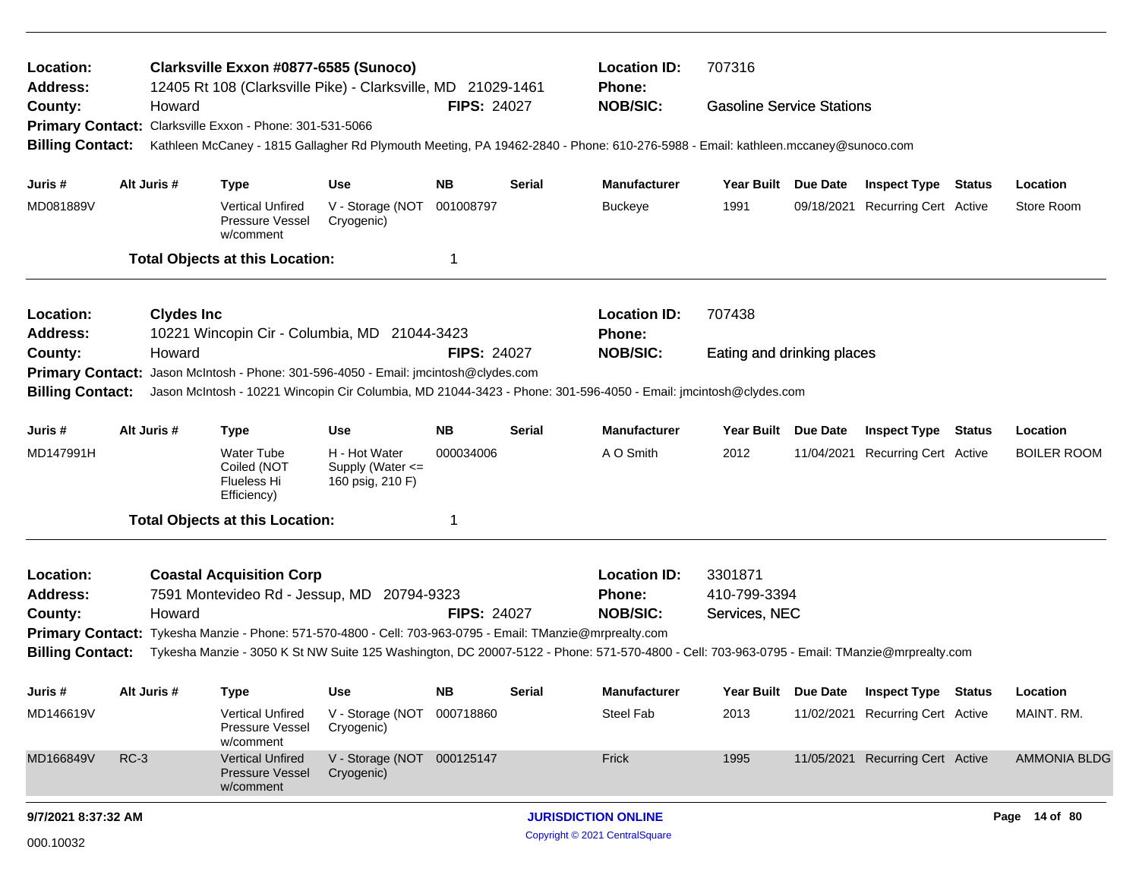| Location:<br><b>Address:</b> |                                                                        | Clarksville Exxon #0877-6585 (Sunoco)<br>12405 Rt 108 (Clarksville Pike) - Clarksville, MD 21029-1461                                                                                                                                                    |                                                       |                    |               | <b>Location ID:</b><br><b>Phone:</b> | 707316                           |  |                                  |  |                     |  |
|------------------------------|------------------------------------------------------------------------|----------------------------------------------------------------------------------------------------------------------------------------------------------------------------------------------------------------------------------------------------------|-------------------------------------------------------|--------------------|---------------|--------------------------------------|----------------------------------|--|----------------------------------|--|---------------------|--|
| County:                      | Howard                                                                 | Primary Contact: Clarksville Exxon - Phone: 301-531-5066                                                                                                                                                                                                 |                                                       | <b>FIPS: 24027</b> |               | <b>NOB/SIC:</b>                      | <b>Gasoline Service Stations</b> |  |                                  |  |                     |  |
| <b>Billing Contact:</b>      |                                                                        | Kathleen McCaney - 1815 Gallagher Rd Plymouth Meeting, PA 19462-2840 - Phone: 610-276-5988 - Email: kathleen.mccaney@sunoco.com                                                                                                                          |                                                       |                    |               |                                      |                                  |  |                                  |  |                     |  |
| Juris #                      | Alt Juris #                                                            | <b>Type</b>                                                                                                                                                                                                                                              | <b>Use</b>                                            | NΒ                 | <b>Serial</b> | <b>Manufacturer</b>                  | Year Built Due Date              |  | <b>Inspect Type Status</b>       |  | Location            |  |
| MD081889V                    |                                                                        | <b>Vertical Unfired</b><br>Pressure Vessel<br>w/comment                                                                                                                                                                                                  | V - Storage (NOT<br>Cryogenic)                        | 001008797          |               | <b>Buckeye</b>                       | 1991                             |  | 09/18/2021 Recurring Cert Active |  | Store Room          |  |
|                              |                                                                        | <b>Total Objects at this Location:</b>                                                                                                                                                                                                                   |                                                       | 1                  |               |                                      |                                  |  |                                  |  |                     |  |
| Location:<br><b>Address:</b> | <b>Clydes Inc</b>                                                      | 10221 Wincopin Cir - Columbia, MD 21044-3423                                                                                                                                                                                                             |                                                       |                    |               | <b>Location ID:</b><br><b>Phone:</b> | 707438                           |  |                                  |  |                     |  |
| County:                      | Howard                                                                 |                                                                                                                                                                                                                                                          |                                                       | <b>FIPS: 24027</b> |               | <b>NOB/SIC:</b>                      | Eating and drinking places       |  |                                  |  |                     |  |
| <b>Primary Contact:</b>      |                                                                        | Jason McIntosh - Phone: 301-596-4050 - Email: jmcintosh@clydes.com                                                                                                                                                                                       |                                                       |                    |               |                                      |                                  |  |                                  |  |                     |  |
| <b>Billing Contact:</b>      |                                                                        | Jason McIntosh - 10221 Wincopin Cir Columbia, MD 21044-3423 - Phone: 301-596-4050 - Email: jmcintosh@clydes.com                                                                                                                                          |                                                       |                    |               |                                      |                                  |  |                                  |  |                     |  |
| Juris #                      | Alt Juris #<br><b>NB</b><br><b>Use</b><br><b>Serial</b><br><b>Type</b> |                                                                                                                                                                                                                                                          |                                                       |                    |               |                                      | Year Built Due Date              |  | <b>Inspect Type Status</b>       |  | Location            |  |
| MD147991H                    |                                                                        | <b>Water Tube</b><br>Coiled (NOT<br>Flueless Hi<br>Efficiency)                                                                                                                                                                                           | H - Hot Water<br>Supply (Water <=<br>160 psig, 210 F) | 000034006          |               | A O Smith                            | 2012                             |  | 11/04/2021 Recurring Cert Active |  | <b>BOILER ROOM</b>  |  |
|                              |                                                                        | <b>Total Objects at this Location:</b>                                                                                                                                                                                                                   |                                                       | -1                 |               |                                      |                                  |  |                                  |  |                     |  |
| Location:                    |                                                                        | <b>Coastal Acquisition Corp</b>                                                                                                                                                                                                                          |                                                       |                    |               | <b>Location ID:</b>                  | 3301871                          |  |                                  |  |                     |  |
| <b>Address:</b>              |                                                                        | 7591 Montevideo Rd - Jessup, MD 20794-9323                                                                                                                                                                                                               |                                                       |                    |               | <b>Phone:</b>                        | 410-799-3394                     |  |                                  |  |                     |  |
| County:                      | Howard                                                                 |                                                                                                                                                                                                                                                          |                                                       | <b>FIPS: 24027</b> |               | <b>NOB/SIC:</b>                      | Services, NEC                    |  |                                  |  |                     |  |
| <b>Billing Contact:</b>      |                                                                        | Primary Contact: Tykesha Manzie - Phone: 571-570-4800 - Cell: 703-963-0795 - Email: TManzie@mrprealty.com<br>Tykesha Manzie - 3050 K St NW Suite 125 Washington, DC 20007-5122 - Phone: 571-570-4800 - Cell: 703-963-0795 - Email: TManzie@mrprealty.com |                                                       |                    |               |                                      |                                  |  |                                  |  |                     |  |
| Juris #                      | Alt Juris #                                                            | Type                                                                                                                                                                                                                                                     | <b>Use</b>                                            | <b>NB</b>          | <b>Serial</b> | <b>Manufacturer</b>                  | Year Built Due Date              |  | <b>Inspect Type Status</b>       |  | Location            |  |
| MD146619V                    |                                                                        | <b>Vertical Unfired</b><br>Pressure Vessel<br>w/comment                                                                                                                                                                                                  | V - Storage (NOT 000718860<br>Cryogenic)              |                    |               | Steel Fab                            | 2013                             |  | 11/02/2021 Recurring Cert Active |  | MAINT. RM.          |  |
| MD166849V                    | $RC-3$                                                                 | <b>Vertical Unfired</b><br><b>Pressure Vessel</b><br>w/comment                                                                                                                                                                                           | V - Storage (NOT 000125147<br>Cryogenic)              |                    |               | Frick                                | 1995                             |  | 11/05/2021 Recurring Cert Active |  | <b>AMMONIA BLDG</b> |  |
| 9/7/2021 8:37:32 AM          |                                                                        |                                                                                                                                                                                                                                                          |                                                       |                    |               | <b>JURISDICTION ONLINE</b>           |                                  |  |                                  |  | Page 14 of 80       |  |
| 000.10032                    |                                                                        |                                                                                                                                                                                                                                                          |                                                       |                    |               | Copyright © 2021 CentralSquare       |                                  |  |                                  |  |                     |  |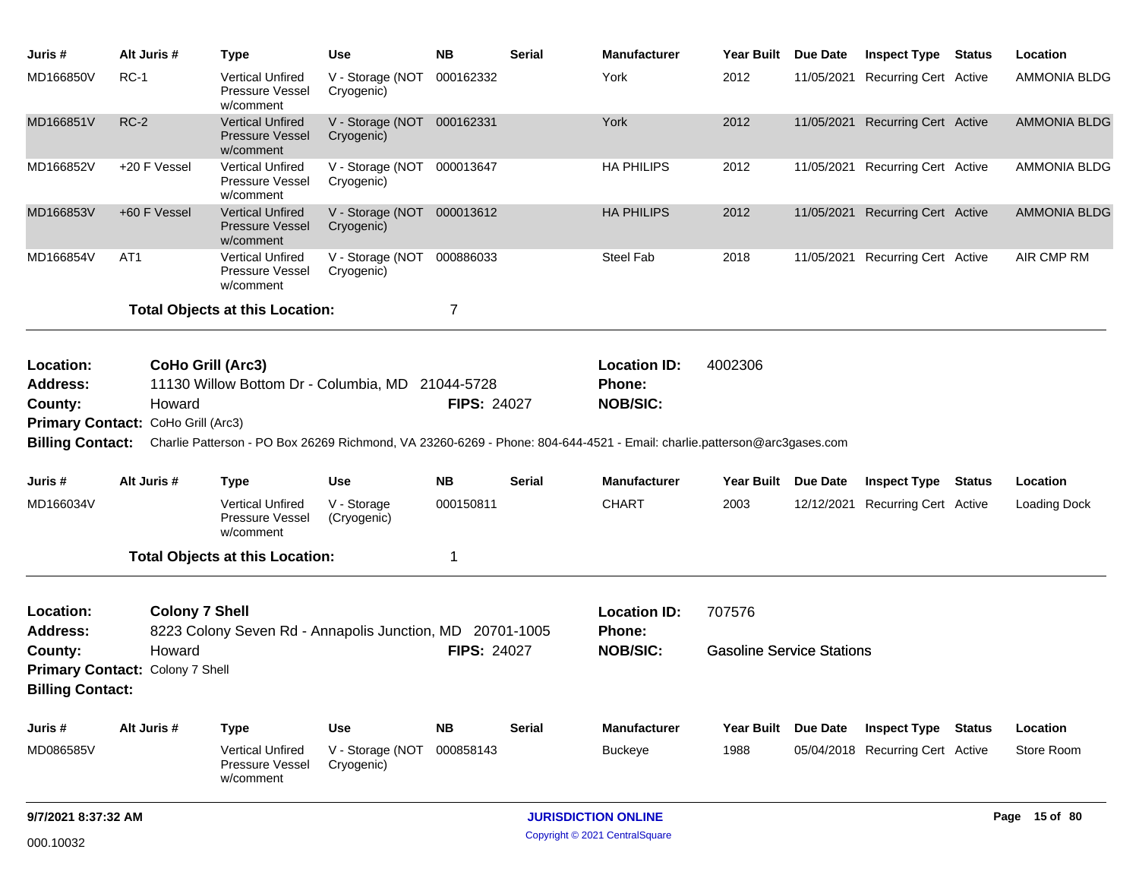| Juris #                                 | Alt Juris #                               | <b>Type</b>                                                    | <b>Use</b>                               | <b>NB</b>          | <b>Serial</b> | <b>Manufacturer</b>                                                                                                     | Year Built                       | <b>Due Date</b> | <b>Inspect Type Status</b>       | Location            |
|-----------------------------------------|-------------------------------------------|----------------------------------------------------------------|------------------------------------------|--------------------|---------------|-------------------------------------------------------------------------------------------------------------------------|----------------------------------|-----------------|----------------------------------|---------------------|
| MD166850V                               | $RC-1$                                    | Vertical Unfired<br>Pressure Vessel<br>w/comment               | V - Storage (NOT<br>Cryogenic)           | 000162332          |               | York                                                                                                                    | 2012                             | 11/05/2021      | <b>Recurring Cert Active</b>     | <b>AMMONIA BLDG</b> |
| MD166851V                               | $RC-2$                                    | <b>Vertical Unfired</b><br><b>Pressure Vessel</b><br>w/comment | V - Storage (NOT 000162331<br>Cryogenic) |                    |               | York                                                                                                                    | 2012                             |                 | 11/05/2021 Recurring Cert Active | <b>AMMONIA BLDG</b> |
| MD166852V                               | +20 F Vessel                              | <b>Vertical Unfired</b><br><b>Pressure Vessel</b><br>w/comment | V - Storage (NOT 000013647<br>Cryogenic) |                    |               | <b>HA PHILIPS</b>                                                                                                       | 2012                             |                 | 11/05/2021 Recurring Cert Active | <b>AMMONIA BLDG</b> |
| MD166853V                               | +60 F Vessel                              | <b>Vertical Unfired</b><br><b>Pressure Vessel</b><br>w/comment | V - Storage (NOT 000013612<br>Cryogenic) |                    |               | <b>HA PHILIPS</b>                                                                                                       | 2012                             | 11/05/2021      | <b>Recurring Cert Active</b>     | <b>AMMONIA BLDG</b> |
| MD166854V                               | AT <sub>1</sub>                           | <b>Vertical Unfired</b><br>Pressure Vessel<br>w/comment        | V - Storage (NOT 000886033<br>Cryogenic) |                    |               | Steel Fab                                                                                                               | 2018                             |                 | 11/05/2021 Recurring Cert Active | AIR CMP RM          |
|                                         |                                           | <b>Total Objects at this Location:</b>                         |                                          | 7                  |               |                                                                                                                         |                                  |                 |                                  |                     |
| Location:<br><b>Address:</b><br>County: | CoHo Grill (Arc3)<br>Howard               | 11130 Willow Bottom Dr - Columbia, MD 21044-5728               |                                          | <b>FIPS: 24027</b> |               | <b>Location ID:</b><br>Phone:<br><b>NOB/SIC:</b>                                                                        | 4002306                          |                 |                                  |                     |
|                                         | Primary Contact: CoHo Grill (Arc3)        |                                                                |                                          |                    |               |                                                                                                                         |                                  |                 |                                  |                     |
| <b>Billing Contact:</b>                 |                                           |                                                                |                                          |                    |               | Charlie Patterson - PO Box 26269 Richmond, VA 23260-6269 - Phone: 804-644-4521 - Email: charlie.patterson@arc3gases.com |                                  |                 |                                  |                     |
| Juris #                                 | Alt Juris #                               | <b>Type</b>                                                    | <b>Use</b>                               | <b>NB</b>          | Serial        | <b>Manufacturer</b>                                                                                                     | Year Built Due Date              |                 | <b>Inspect Type Status</b>       | Location            |
| MD166034V                               |                                           | <b>Vertical Unfired</b><br><b>Pressure Vessel</b><br>w/comment | V - Storage<br>(Cryogenic)               | 000150811          |               | <b>CHART</b>                                                                                                            | 2003                             | 12/12/2021      | <b>Recurring Cert Active</b>     | Loading Dock        |
|                                         |                                           | <b>Total Objects at this Location:</b>                         |                                          | 1                  |               |                                                                                                                         |                                  |                 |                                  |                     |
| Location:<br><b>Address:</b>            | <b>Colony 7 Shell</b>                     | 8223 Colony Seven Rd - Annapolis Junction, MD 20701-1005       |                                          |                    |               | <b>Location ID:</b><br>Phone:                                                                                           | 707576                           |                 |                                  |                     |
| County:<br><b>Billing Contact:</b>      | Howard<br>Primary Contact: Colony 7 Shell |                                                                |                                          | <b>FIPS: 24027</b> |               | <b>NOB/SIC:</b>                                                                                                         | <b>Gasoline Service Stations</b> |                 |                                  |                     |
| Juris #                                 | Alt Juris #                               | <b>Type</b>                                                    | <b>Use</b>                               | <b>NB</b>          | <b>Serial</b> | <b>Manufacturer</b>                                                                                                     | Year Built                       | <b>Due Date</b> | <b>Inspect Type Status</b>       | Location            |
| MD086585V                               |                                           | <b>Vertical Unfired</b><br>Pressure Vessel<br>w/comment        | V - Storage (NOT 000858143<br>Cryogenic) |                    |               | <b>Buckeye</b>                                                                                                          | 1988                             |                 | 05/04/2018 Recurring Cert Active | Store Room          |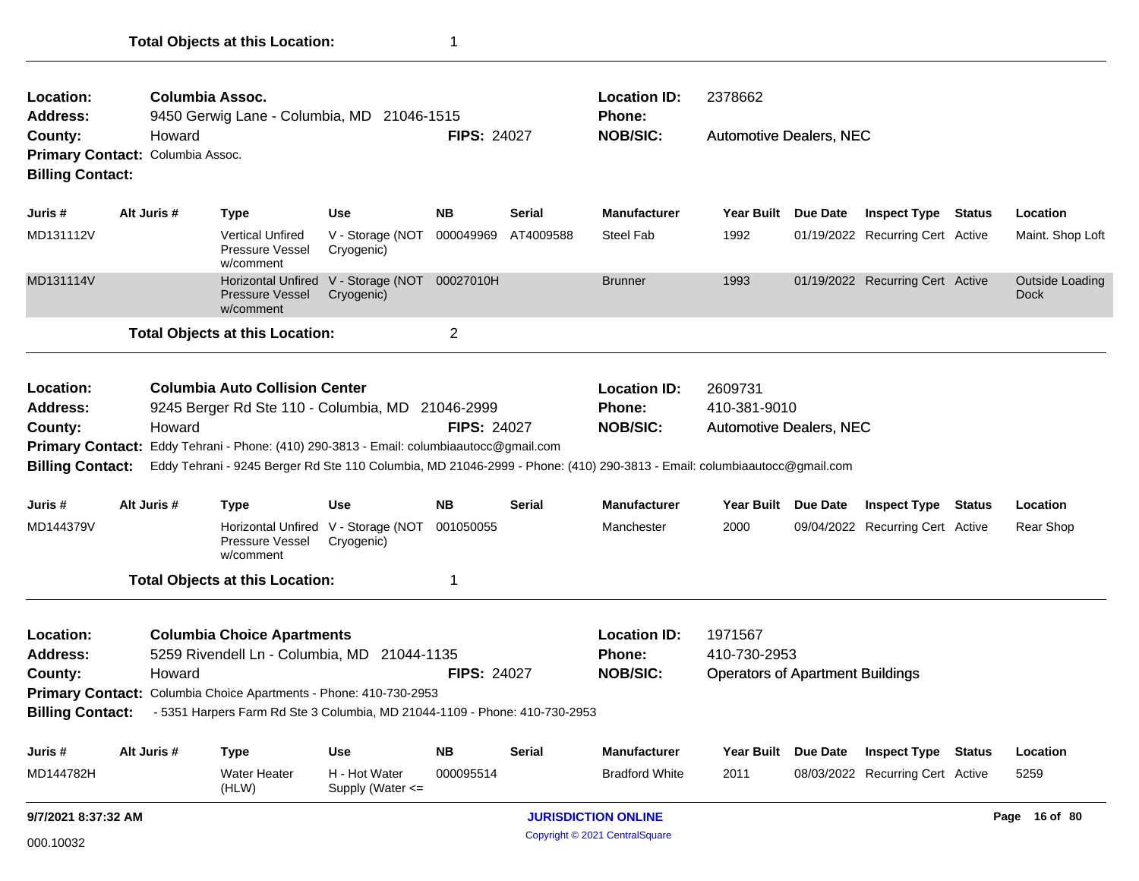| Location:<br><b>Address:</b>                                       |                                            | Columbia Assoc.<br>9450 Gerwig Lane - Columbia, MD 21046-1515                                                                                                                                                                                                                                                   |                                                              |                                                  |                                                                    | <b>Location ID:</b><br><b>Phone:</b>                      | 2378662                        |                 |                                  |        |                                       |
|--------------------------------------------------------------------|--------------------------------------------|-----------------------------------------------------------------------------------------------------------------------------------------------------------------------------------------------------------------------------------------------------------------------------------------------------------------|--------------------------------------------------------------|--------------------------------------------------|--------------------------------------------------------------------|-----------------------------------------------------------|--------------------------------|-----------------|----------------------------------|--------|---------------------------------------|
| County:<br><b>Billing Contact:</b>                                 | Howard<br>Primary Contact: Columbia Assoc. |                                                                                                                                                                                                                                                                                                                 |                                                              | <b>FIPS: 24027</b>                               |                                                                    | <b>NOB/SIC:</b>                                           | <b>Automotive Dealers, NEC</b> |                 |                                  |        |                                       |
| Juris #                                                            | Alt Juris #                                | <b>Type</b>                                                                                                                                                                                                                                                                                                     | Use                                                          | <b>NB</b>                                        | <b>Serial</b>                                                      | <b>Manufacturer</b>                                       | <b>Year Built</b>              | Due Date        | <b>Inspect Type Status</b>       |        | Location                              |
| MD131112V                                                          |                                            | <b>Vertical Unfired</b><br><b>Pressure Vessel</b><br>w/comment                                                                                                                                                                                                                                                  | V - Storage (NOT 000049969<br>Cryogenic)                     |                                                  | AT4009588                                                          | <b>Steel Fab</b>                                          | 1992                           |                 | 01/19/2022 Recurring Cert Active |        | Maint. Shop Loft                      |
| MD131114V                                                          |                                            | <b>Pressure Vessel</b><br>w/comment                                                                                                                                                                                                                                                                             | Horizontal Unfired V - Storage (NOT 00027010H)<br>Cryogenic) |                                                  |                                                                    | <b>Brunner</b>                                            | 1993                           |                 | 01/19/2022 Recurring Cert Active |        | <b>Outside Loading</b><br><b>Dock</b> |
|                                                                    |                                            | <b>Total Objects at this Location:</b>                                                                                                                                                                                                                                                                          |                                                              | $\overline{2}$                                   |                                                                    |                                                           |                                |                 |                                  |        |                                       |
| Location:<br><b>Address:</b><br>County:<br><b>Billing Contact:</b> | Howard                                     | <b>Columbia Auto Collision Center</b><br>9245 Berger Rd Ste 110 - Columbia, MD 21046-2999<br>Primary Contact: Eddy Tehrani - Phone: (410) 290-3813 - Email: columbiaautocc@gmail.com<br>Eddy Tehrani - 9245 Berger Rd Ste 110 Columbia, MD 21046-2999 - Phone: (410) 290-3813 - Email: columbiaautocc@gmail.com |                                                              | <b>FIPS: 24027</b>                               | <b>Location ID:</b><br><b>Phone:</b><br><b>NOB/SIC:</b>            | 2609731<br>410-381-9010<br><b>Automotive Dealers, NEC</b> |                                |                 |                                  |        |                                       |
| Juris #                                                            | Alt Juris #                                | Type                                                                                                                                                                                                                                                                                                            | <b>Use</b>                                                   | <b>NB</b>                                        | <b>Serial</b>                                                      | <b>Manufacturer</b>                                       | Year Built                     | <b>Due Date</b> | <b>Inspect Type</b>              | Status | Location                              |
| MD144379V                                                          |                                            | <b>Pressure Vessel</b><br>w/comment                                                                                                                                                                                                                                                                             | Horizontal Unfired V - Storage (NOT 001050055<br>Cryogenic)  |                                                  |                                                                    | Manchester                                                | 2000                           |                 | 09/04/2022 Recurring Cert Active |        | Rear Shop                             |
|                                                                    |                                            | <b>Total Objects at this Location:</b>                                                                                                                                                                                                                                                                          |                                                              | 1                                                |                                                                    |                                                           |                                |                 |                                  |        |                                       |
| Location:<br><b>Address:</b><br>County:<br><b>Billing Contact:</b> | Howard                                     | <b>Columbia Choice Apartments</b><br>5259 Rivendell Ln - Columbia, MD 21044-1135<br>Primary Contact: Columbia Choice Apartments - Phone: 410-730-2953<br>- 5351 Harpers Farm Rd Ste 3 Columbia, MD 21044-1109 - Phone: 410-730-2953                                                                             | <b>FIPS: 24027</b>                                           | <b>Location ID:</b><br>Phone:<br><b>NOB/SIC:</b> | 1971567<br>410-730-2953<br><b>Operators of Apartment Buildings</b> |                                                           |                                |                 |                                  |        |                                       |
| Juris #                                                            | Alt Juris #                                | <b>Type</b>                                                                                                                                                                                                                                                                                                     | Use                                                          | <b>NB</b>                                        | Serial                                                             | <b>Manufacturer</b>                                       | <b>Year Built</b>              | Due Date        | <b>Inspect Type Status</b>       |        | Location                              |
| MD144782H                                                          |                                            | Water Heater<br>(HLW)                                                                                                                                                                                                                                                                                           | H - Hot Water<br>Supply (Water <=                            | 000095514                                        |                                                                    | <b>Bradford White</b>                                     | 2011                           |                 | 08/03/2022 Recurring Cert Active |        | 5259                                  |
| 9/7/2021 8:37:32 AM                                                |                                            |                                                                                                                                                                                                                                                                                                                 |                                                              | <b>JURISDICTION ONLINE</b>                       |                                                                    |                                                           |                                |                 | Page 16 of 80                    |        |                                       |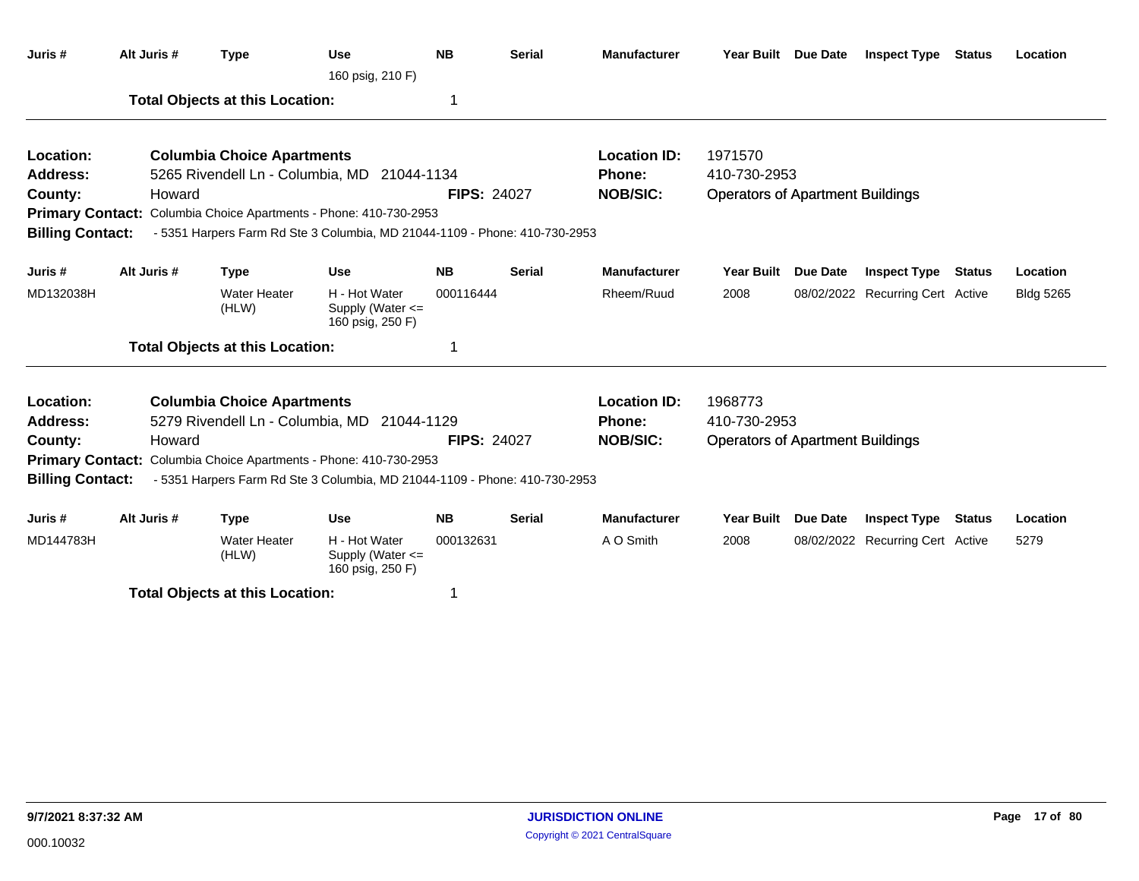| Juris #                 | Alt Juris # | <b>Type</b>                            | <b>Use</b><br>160 psig, 210 F)                                             | <b>NB</b>          | <b>Serial</b> | <b>Manufacturer</b> |                                         | Year Built Due Date | <b>Inspect Type</b>              | Status        | Location         |
|-------------------------|-------------|----------------------------------------|----------------------------------------------------------------------------|--------------------|---------------|---------------------|-----------------------------------------|---------------------|----------------------------------|---------------|------------------|
|                         |             | <b>Total Objects at this Location:</b> |                                                                            | 1                  |               |                     |                                         |                     |                                  |               |                  |
| Location:               |             | <b>Columbia Choice Apartments</b>      |                                                                            |                    |               | <b>Location ID:</b> | 1971570                                 |                     |                                  |               |                  |
| Address:                |             |                                        | 5265 Rivendell Ln - Columbia, MD 21044-1134                                |                    |               | Phone:              | 410-730-2953                            |                     |                                  |               |                  |
| County:                 | Howard      |                                        |                                                                            | <b>FIPS: 24027</b> |               | <b>NOB/SIC:</b>     | <b>Operators of Apartment Buildings</b> |                     |                                  |               |                  |
|                         |             |                                        | Primary Contact: Columbia Choice Apartments - Phone: 410-730-2953          |                    |               |                     |                                         |                     |                                  |               |                  |
| <b>Billing Contact:</b> |             |                                        | - 5351 Harpers Farm Rd Ste 3 Columbia, MD 21044-1109 - Phone: 410-730-2953 |                    |               |                     |                                         |                     |                                  |               |                  |
| Juris #                 | Alt Juris # | <b>Type</b>                            | <b>Use</b>                                                                 | <b>NB</b>          | <b>Serial</b> | <b>Manufacturer</b> | Year Built                              | Due Date            | <b>Inspect Type</b>              | <b>Status</b> | Location         |
| MD132038H               |             | <b>Water Heater</b><br>(HLW)           | H - Hot Water<br>Supply (Water $\leq$<br>160 psig, 250 F)                  | 000116444          |               | Rheem/Ruud          | 2008                                    |                     | 08/02/2022 Recurring Cert Active |               | <b>Bldg 5265</b> |
|                         |             | <b>Total Objects at this Location:</b> |                                                                            | 1                  |               |                     |                                         |                     |                                  |               |                  |
| Location:               |             | <b>Columbia Choice Apartments</b>      |                                                                            |                    |               | <b>Location ID:</b> | 1968773                                 |                     |                                  |               |                  |
| <b>Address:</b>         |             |                                        | 5279 Rivendell Ln - Columbia, MD 21044-1129                                |                    |               | Phone:              | 410-730-2953                            |                     |                                  |               |                  |
| County:                 | Howard      |                                        |                                                                            | <b>FIPS: 24027</b> |               | <b>NOB/SIC:</b>     | <b>Operators of Apartment Buildings</b> |                     |                                  |               |                  |
|                         |             |                                        | Primary Contact: Columbia Choice Apartments - Phone: 410-730-2953          |                    |               |                     |                                         |                     |                                  |               |                  |
| <b>Billing Contact:</b> |             |                                        | - 5351 Harpers Farm Rd Ste 3 Columbia, MD 21044-1109 - Phone: 410-730-2953 |                    |               |                     |                                         |                     |                                  |               |                  |
| Juris #                 | Alt Juris # | <b>Type</b>                            | Use                                                                        | <b>NB</b>          | <b>Serial</b> | <b>Manufacturer</b> | <b>Year Built</b>                       | <b>Due Date</b>     | <b>Inspect Type</b>              | Status        | Location         |
| MD144783H               |             | <b>Water Heater</b><br>(HLW)           | H - Hot Water<br>Supply (Water <=<br>160 psig, 250 F)                      | 000132631          |               | A O Smith           | 2008                                    |                     | 08/02/2022 Recurring Cert Active |               | 5279             |
|                         |             | テレイ・レース しきしょうしょう けいきん せいしょうかい          |                                                                            |                    |               |                     |                                         |                     |                                  |               |                  |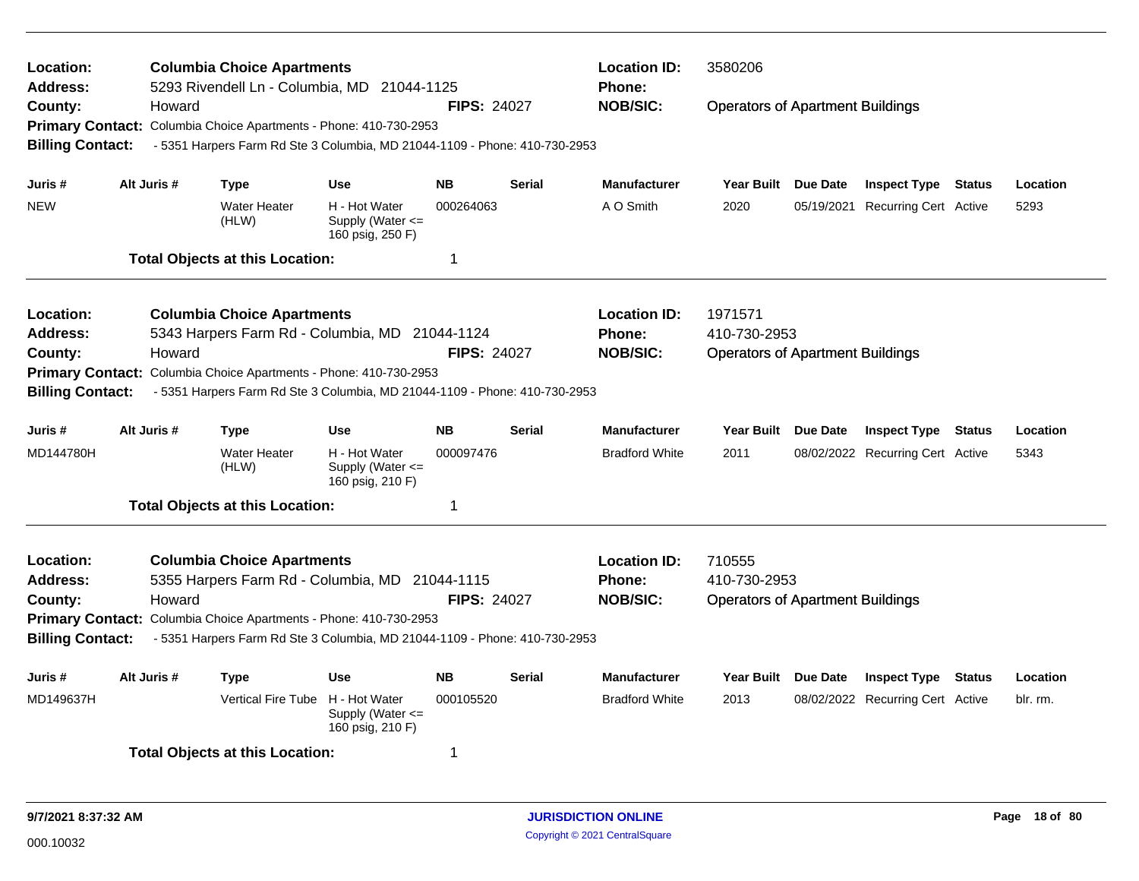| Location:<br><b>Address:</b>                                                                           |             | <b>Columbia Choice Apartments</b><br>5293 Rivendell Ln - Columbia, MD 21044-1125                                               |                                                           |                    |               | <b>Location ID:</b><br><b>Phone:</b> | 3580206                                                 |          |                                  |               |          |  |
|--------------------------------------------------------------------------------------------------------|-------------|--------------------------------------------------------------------------------------------------------------------------------|-----------------------------------------------------------|--------------------|---------------|--------------------------------------|---------------------------------------------------------|----------|----------------------------------|---------------|----------|--|
| County:                                                                                                | Howard      |                                                                                                                                |                                                           | <b>FIPS: 24027</b> |               | <b>NOB/SIC:</b>                      | <b>Operators of Apartment Buildings</b>                 |          |                                  |               |          |  |
| <b>Primary Contact:</b><br><b>Billing Contact:</b>                                                     |             | Columbia Choice Apartments - Phone: 410-730-2953<br>- 5351 Harpers Farm Rd Ste 3 Columbia, MD 21044-1109 - Phone: 410-730-2953 |                                                           |                    |               |                                      |                                                         |          |                                  |               |          |  |
|                                                                                                        |             |                                                                                                                                |                                                           |                    |               |                                      |                                                         |          |                                  |               |          |  |
| Juris #                                                                                                | Alt Juris # | <b>Type</b>                                                                                                                    | <b>Use</b>                                                | <b>NB</b>          | <b>Serial</b> | <b>Manufacturer</b>                  | <b>Year Built</b>                                       | Due Date | <b>Inspect Type Status</b>       |               | Location |  |
| <b>NEW</b>                                                                                             |             | <b>Water Heater</b><br>(HLW)                                                                                                   | H - Hot Water<br>Supply (Water $\leq$<br>160 psig, 250 F) | 000264063          |               | A O Smith                            | 2020                                                    |          | 05/19/2021 Recurring Cert Active |               | 5293     |  |
|                                                                                                        |             | <b>Total Objects at this Location:</b>                                                                                         |                                                           | 1                  |               |                                      |                                                         |          |                                  |               |          |  |
| Location:                                                                                              |             | <b>Columbia Choice Apartments</b>                                                                                              |                                                           |                    |               | <b>Location ID:</b>                  | 1971571                                                 |          |                                  |               |          |  |
| <b>Address:</b>                                                                                        |             | 5343 Harpers Farm Rd - Columbia, MD 21044-1124                                                                                 |                                                           |                    |               | Phone:                               | 410-730-2953<br><b>Operators of Apartment Buildings</b> |          |                                  |               |          |  |
| County:                                                                                                | Howard      |                                                                                                                                |                                                           | <b>FIPS: 24027</b> |               | <b>NOB/SIC:</b>                      |                                                         |          |                                  |               |          |  |
| <b>Primary Contact:</b>                                                                                |             | Columbia Choice Apartments - Phone: 410-730-2953                                                                               |                                                           |                    |               |                                      |                                                         |          |                                  |               |          |  |
| <b>Billing Contact:</b>                                                                                |             | - 5351 Harpers Farm Rd Ste 3 Columbia, MD 21044-1109 - Phone: 410-730-2953                                                     |                                                           |                    |               |                                      |                                                         |          |                                  |               |          |  |
| Juris #                                                                                                | Alt Juris # | <b>Type</b>                                                                                                                    | <b>Use</b>                                                | <b>NB</b>          | <b>Serial</b> | <b>Manufacturer</b>                  | <b>Year Built</b>                                       | Due Date | <b>Inspect Type Status</b>       |               | Location |  |
| MD144780H                                                                                              |             | <b>Water Heater</b><br>(HLW)                                                                                                   | H - Hot Water<br>Supply (Water <=<br>160 psig, 210 F)     | 000097476          |               | <b>Bradford White</b>                | 2011                                                    |          | 08/02/2022 Recurring Cert Active |               | 5343     |  |
|                                                                                                        |             | <b>Total Objects at this Location:</b>                                                                                         |                                                           | 1                  |               |                                      |                                                         |          |                                  |               |          |  |
| Location:                                                                                              |             | <b>Columbia Choice Apartments</b>                                                                                              |                                                           |                    |               | <b>Location ID:</b>                  | 710555                                                  |          |                                  |               |          |  |
| <b>Address:</b>                                                                                        |             | 5355 Harpers Farm Rd - Columbia, MD 21044-1115                                                                                 |                                                           |                    |               | Phone:                               | 410-730-2953                                            |          |                                  |               |          |  |
| County:                                                                                                | Howard      |                                                                                                                                |                                                           | <b>FIPS: 24027</b> |               | <b>NOB/SIC:</b>                      | <b>Operators of Apartment Buildings</b>                 |          |                                  |               |          |  |
|                                                                                                        |             | Primary Contact: Columbia Choice Apartments - Phone: 410-730-2953                                                              |                                                           |                    |               |                                      |                                                         |          |                                  |               |          |  |
| <b>Billing Contact:</b>                                                                                |             | - 5351 Harpers Farm Rd Ste 3 Columbia, MD 21044-1109 - Phone: 410-730-2953                                                     |                                                           |                    |               |                                      |                                                         |          |                                  |               |          |  |
| Juris #                                                                                                | Alt Juris # | <b>Type</b>                                                                                                                    | <b>Use</b>                                                | <b>NB</b>          | Serial        | <b>Manufacturer</b>                  | <b>Year Built</b>                                       | Due Date | <b>Inspect Type</b>              | <b>Status</b> | Location |  |
| MD149637H<br>Vertical Fire Tube H - Hot Water<br>000105520<br>Supply (Water $\leq$<br>160 psig, 210 F) |             |                                                                                                                                |                                                           |                    |               | <b>Bradford White</b>                | 2013                                                    |          | 08/02/2022 Recurring Cert Active |               | blr. rm. |  |
|                                                                                                        |             | <b>Total Objects at this Location:</b>                                                                                         |                                                           | -1                 |               |                                      |                                                         |          |                                  |               |          |  |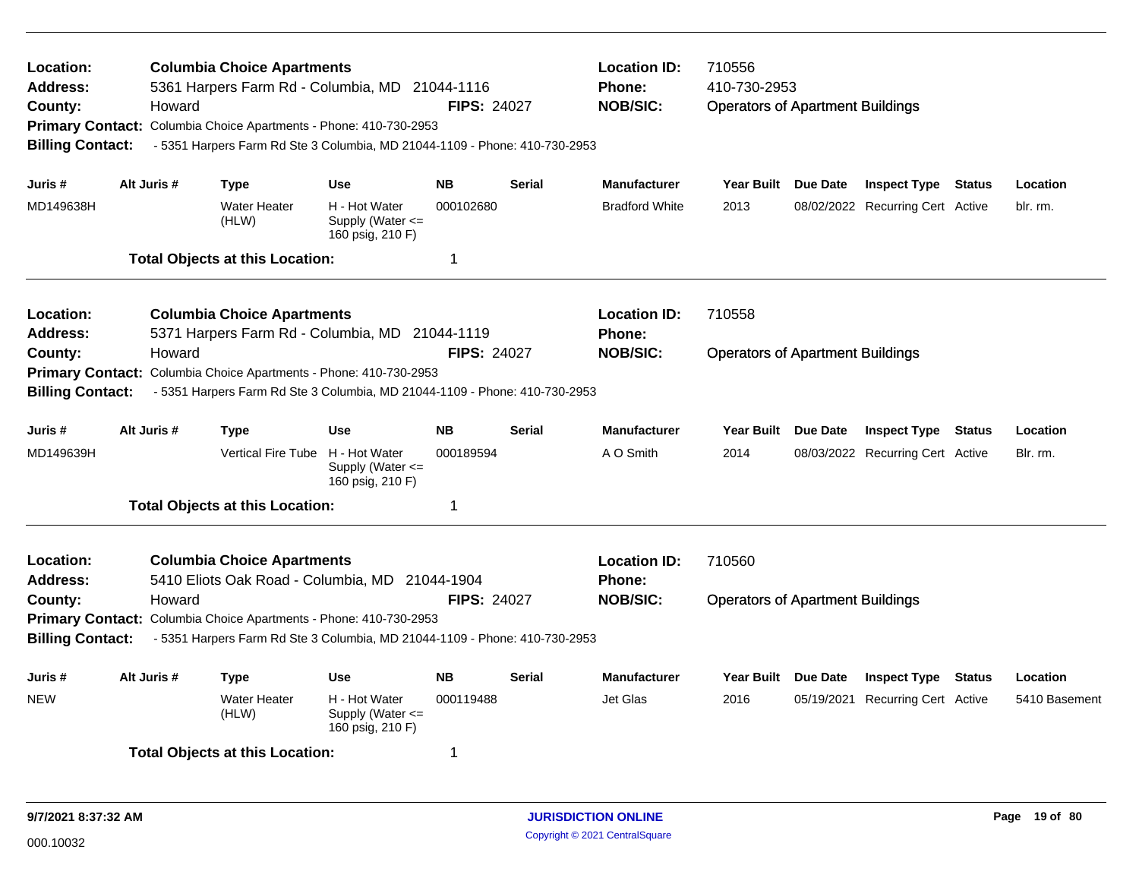| Location:<br><b>Address:</b><br>County:<br><b>Billing Contact:</b> | Howard      | <b>Columbia Choice Apartments</b><br>5361 Harpers Farm Rd - Columbia, MD 21044-1116<br>Primary Contact: Columbia Choice Apartments - Phone: 410-730-2953<br>- 5351 Harpers Farm Rd Ste 3 Columbia, MD 21044-1109 - Phone: 410-730-2953 |                                                           | <b>FIPS: 24027</b> |               | <b>Location ID:</b><br>710556<br><b>Phone:</b><br>410-730-2953<br><b>NOB/SIC:</b><br><b>Operators of Apartment Buildings</b> |                                         |          |                                  |               |               |
|--------------------------------------------------------------------|-------------|----------------------------------------------------------------------------------------------------------------------------------------------------------------------------------------------------------------------------------------|-----------------------------------------------------------|--------------------|---------------|------------------------------------------------------------------------------------------------------------------------------|-----------------------------------------|----------|----------------------------------|---------------|---------------|
| Juris #                                                            | Alt Juris # | <b>Type</b>                                                                                                                                                                                                                            | <b>Use</b>                                                | <b>NB</b>          | <b>Serial</b> | <b>Manufacturer</b>                                                                                                          | <b>Year Built</b>                       | Due Date | <b>Inspect Type Status</b>       |               | Location      |
| MD149638H                                                          |             | <b>Water Heater</b><br>(HLW)                                                                                                                                                                                                           | H - Hot Water<br>Supply (Water $\leq$<br>160 psig, 210 F) | 000102680          |               | <b>Bradford White</b>                                                                                                        | 2013                                    |          | 08/02/2022 Recurring Cert Active |               | blr. rm.      |
|                                                                    |             | <b>Total Objects at this Location:</b>                                                                                                                                                                                                 |                                                           | -1                 |               |                                                                                                                              |                                         |          |                                  |               |               |
| Location:<br><b>Address:</b>                                       |             | <b>Columbia Choice Apartments</b><br>5371 Harpers Farm Rd - Columbia, MD 21044-1119                                                                                                                                                    |                                                           |                    |               | <b>Location ID:</b><br><b>Phone:</b>                                                                                         | 710558                                  |          |                                  |               |               |
| County:<br><b>Primary Contact:</b><br><b>Billing Contact:</b>      | Howard      | Columbia Choice Apartments - Phone: 410-730-2953<br>- 5351 Harpers Farm Rd Ste 3 Columbia, MD 21044-1109 - Phone: 410-730-2953                                                                                                         |                                                           | <b>FIPS: 24027</b> |               | <b>NOB/SIC:</b>                                                                                                              | <b>Operators of Apartment Buildings</b> |          |                                  |               |               |
| Juris #                                                            | Alt Juris # | <b>Type</b>                                                                                                                                                                                                                            | <b>Use</b>                                                | <b>NB</b>          | <b>Serial</b> | <b>Manufacturer</b>                                                                                                          | <b>Year Built</b>                       | Due Date | <b>Inspect Type</b>              | Status        | Location      |
| MD149639H                                                          |             | Vertical Fire Tube H - Hot Water                                                                                                                                                                                                       | Supply (Water $\leq$<br>160 psig, 210 F)                  | 000189594          |               | A O Smith                                                                                                                    | 2014                                    |          | 08/03/2022 Recurring Cert Active |               | Blr. rm.      |
|                                                                    |             | <b>Total Objects at this Location:</b>                                                                                                                                                                                                 |                                                           | $\overline{1}$     |               |                                                                                                                              |                                         |          |                                  |               |               |
| Location:<br><b>Address:</b>                                       |             | <b>Columbia Choice Apartments</b><br>5410 Eliots Oak Road - Columbia, MD 21044-1904                                                                                                                                                    |                                                           |                    |               | <b>Location ID:</b><br><b>Phone:</b>                                                                                         | 710560                                  |          |                                  |               |               |
| County:<br><b>Billing Contact:</b>                                 | Howard      | Primary Contact: Columbia Choice Apartments - Phone: 410-730-2953<br>- 5351 Harpers Farm Rd Ste 3 Columbia, MD 21044-1109 - Phone: 410-730-2953                                                                                        |                                                           | <b>FIPS: 24027</b> |               | <b>NOB/SIC:</b>                                                                                                              | <b>Operators of Apartment Buildings</b> |          |                                  |               |               |
| Juris #                                                            | Alt Juris # | <b>Type</b>                                                                                                                                                                                                                            | <b>Use</b>                                                | <b>NB</b>          | <b>Serial</b> | <b>Manufacturer</b>                                                                                                          | Year Built Due Date                     |          | <b>Inspect Type</b>              | <b>Status</b> | Location      |
| <b>NEW</b>                                                         |             | <b>Water Heater</b><br>(HLW)                                                                                                                                                                                                           | H - Hot Water<br>Supply (Water <=<br>160 psig, 210 F)     | 000119488          |               | Jet Glas                                                                                                                     | 2016                                    |          | 05/19/2021 Recurring Cert Active |               | 5410 Basement |
|                                                                    |             | <b>Total Objects at this Location:</b>                                                                                                                                                                                                 |                                                           | -1                 |               |                                                                                                                              |                                         |          |                                  |               |               |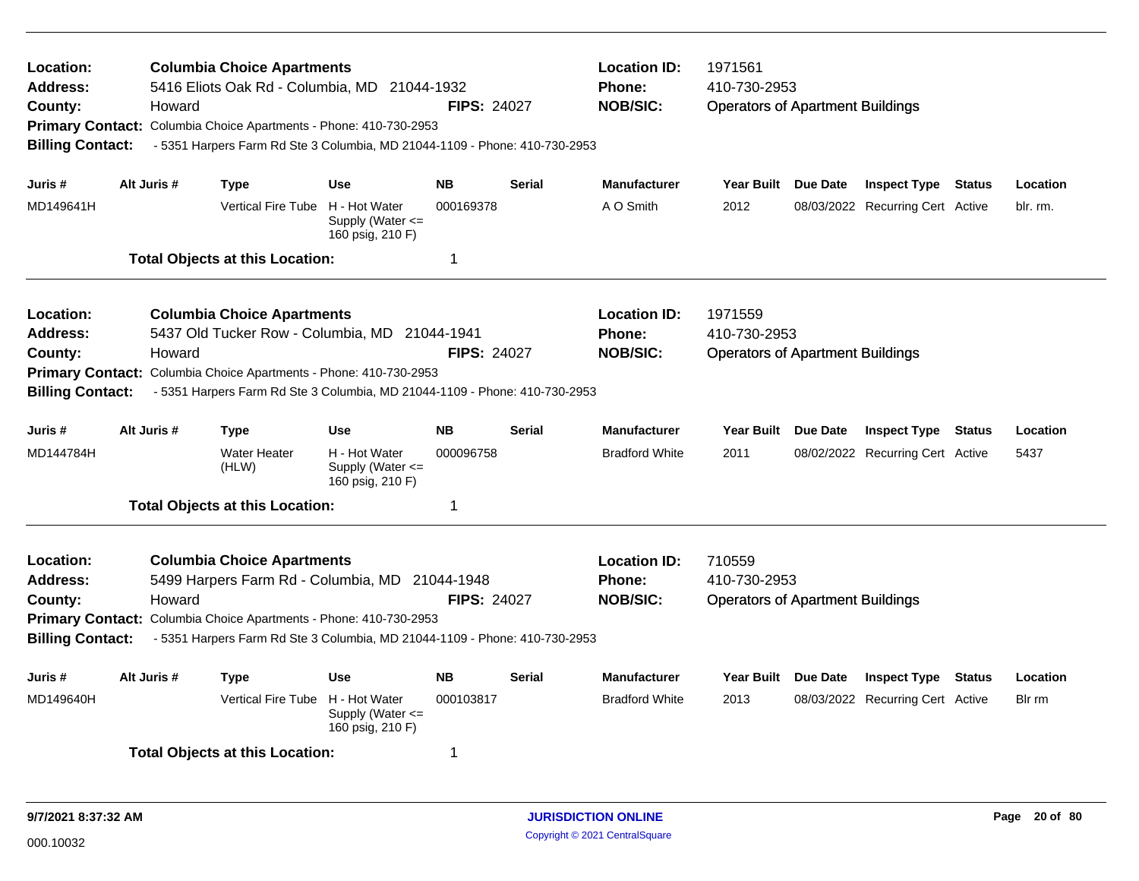| Location:<br><b>Address:</b><br>County:<br><b>Billing Contact:</b> | Howard                                                                                    | <b>Columbia Choice Apartments</b><br>5416 Eliots Oak Rd - Columbia, MD 21044-1932<br>Primary Contact: Columbia Choice Apartments - Phone: 410-730-2953<br>- 5351 Harpers Farm Rd Ste 3 Columbia, MD 21044-1109 - Phone: 410-730-2953   |                                                       | <b>FIPS: 24027</b>  |                   | <b>Location ID:</b><br>Phone:<br><b>NOB/SIC:</b> | 1971561<br>410-730-2953<br><b>Operators of Apartment Buildings</b> |          |                                  |               |          |  |
|--------------------------------------------------------------------|-------------------------------------------------------------------------------------------|----------------------------------------------------------------------------------------------------------------------------------------------------------------------------------------------------------------------------------------|-------------------------------------------------------|---------------------|-------------------|--------------------------------------------------|--------------------------------------------------------------------|----------|----------------------------------|---------------|----------|--|
| Juris #                                                            | Alt Juris #                                                                               | <b>Type</b>                                                                                                                                                                                                                            | <b>Use</b>                                            | <b>NB</b>           | <b>Serial</b>     | <b>Manufacturer</b>                              | <b>Year Built</b>                                                  | Due Date | <b>Inspect Type Status</b>       |               | Location |  |
| MD149641H                                                          |                                                                                           | Vertical Fire Tube H - Hot Water                                                                                                                                                                                                       | Supply (Water $\leq$<br>160 psig, 210 F)              | 000169378           |                   | A O Smith                                        | 2012                                                               |          | 08/03/2022 Recurring Cert Active |               | blr. rm. |  |
|                                                                    |                                                                                           | <b>Total Objects at this Location:</b>                                                                                                                                                                                                 |                                                       | $\mathbf 1$         |                   |                                                  |                                                                    |          |                                  |               |          |  |
| Location:<br><b>Address:</b><br>County:<br><b>Billing Contact:</b> | Howard                                                                                    | <b>Columbia Choice Apartments</b><br>5437 Old Tucker Row - Columbia, MD 21044-1941<br>Primary Contact: Columbia Choice Apartments - Phone: 410-730-2953<br>- 5351 Harpers Farm Rd Ste 3 Columbia, MD 21044-1109 - Phone: 410-730-2953  |                                                       | <b>FIPS: 24027</b>  |                   | <b>Location ID:</b><br>Phone:<br><b>NOB/SIC:</b> | 1971559<br>410-730-2953<br><b>Operators of Apartment Buildings</b> |          |                                  |               |          |  |
| Juris #                                                            | Alt Juris #                                                                               | <b>Type</b>                                                                                                                                                                                                                            | <b>Serial</b>                                         | <b>Manufacturer</b> | <b>Year Built</b> | Due Date                                         | <b>Inspect Type Status</b>                                         |          | Location                         |               |          |  |
| MD144784H                                                          |                                                                                           | <b>Water Heater</b><br>(HLW)                                                                                                                                                                                                           | H - Hot Water<br>Supply (Water <=<br>160 psig, 210 F) | 000096758           |                   | <b>Bradford White</b>                            | 2011                                                               |          | 08/02/2022 Recurring Cert Active |               | 5437     |  |
|                                                                    |                                                                                           | <b>Total Objects at this Location:</b>                                                                                                                                                                                                 |                                                       | -1                  |                   |                                                  |                                                                    |          |                                  |               |          |  |
| Location:<br><b>Address:</b><br>County:<br><b>Billing Contact:</b> | Howard                                                                                    | <b>Columbia Choice Apartments</b><br>5499 Harpers Farm Rd - Columbia, MD 21044-1948<br>Primary Contact: Columbia Choice Apartments - Phone: 410-730-2953<br>- 5351 Harpers Farm Rd Ste 3 Columbia, MD 21044-1109 - Phone: 410-730-2953 |                                                       | <b>FIPS: 24027</b>  |                   | <b>Location ID:</b><br>Phone:<br><b>NOB/SIC:</b> | 710559<br>410-730-2953<br><b>Operators of Apartment Buildings</b>  |          |                                  |               |          |  |
| Juris #                                                            | Alt Juris #                                                                               | <b>Type</b>                                                                                                                                                                                                                            | <b>Use</b>                                            | <b>NB</b>           | <b>Serial</b>     | <b>Manufacturer</b>                              | <b>Year Built</b>                                                  | Due Date | <b>Inspect Type</b>              | <b>Status</b> | Location |  |
| MD149640H                                                          | Vertical Fire Tube H - Hot Water<br>000103817<br>Supply (Water $\leq$<br>160 psig, 210 F) |                                                                                                                                                                                                                                        |                                                       |                     |                   |                                                  | 2013                                                               |          | 08/03/2022 Recurring Cert Active |               | Blr rm   |  |
|                                                                    |                                                                                           | <b>Total Objects at this Location:</b>                                                                                                                                                                                                 |                                                       | 1                   |                   |                                                  |                                                                    |          |                                  |               |          |  |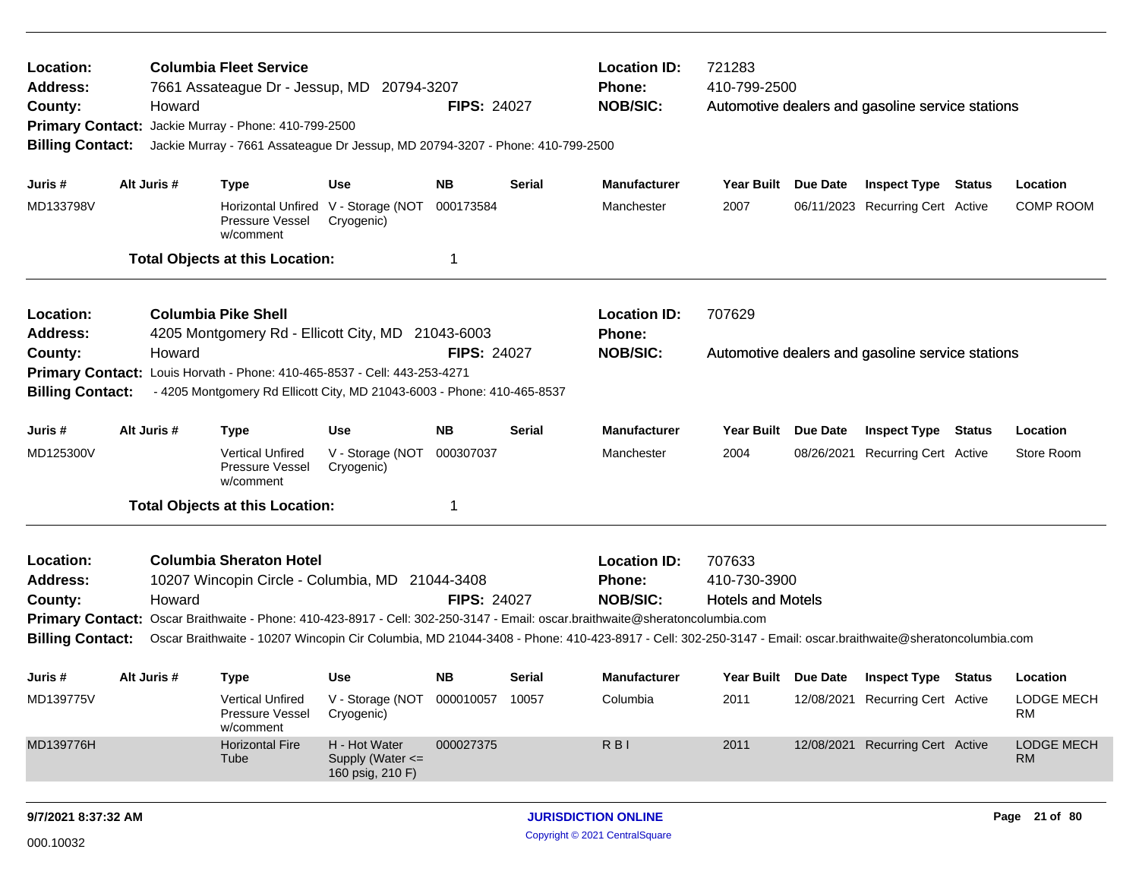| Location:<br><b>Columbia Fleet Service</b><br>Address:<br>7661 Assateague Dr - Jessup, MD<br>20794-3207<br>County:<br>Howard<br>Primary Contact: Jackie Murray - Phone: 410-799-2500<br><b>Billing Contact:</b><br>Jackie Murray - 7661 Assateague Dr Jessup, MD 20794-3207 - Phone: 410-799-2500 |             |                                                                                                                                                                                                                        |                                                                 |                             | <b>FIPS: 24027</b>                               | <b>Location ID:</b><br><b>Phone:</b><br><b>NOB/SIC:</b>                                                                                                                                                         | 721283<br>410-799-2500                                                                                                             |  | Automotive dealers and gasoline service stations               |  |                                            |
|---------------------------------------------------------------------------------------------------------------------------------------------------------------------------------------------------------------------------------------------------------------------------------------------------|-------------|------------------------------------------------------------------------------------------------------------------------------------------------------------------------------------------------------------------------|-----------------------------------------------------------------|-----------------------------|--------------------------------------------------|-----------------------------------------------------------------------------------------------------------------------------------------------------------------------------------------------------------------|------------------------------------------------------------------------------------------------------------------------------------|--|----------------------------------------------------------------|--|--------------------------------------------|
| Juris #<br>MD133798V                                                                                                                                                                                                                                                                              | Alt Juris # | <b>Type</b><br>Pressure Vessel<br>w/comment<br><b>Total Objects at this Location:</b>                                                                                                                                  | <b>Use</b><br>Horizontal Unfired V - Storage (NOT<br>Cryogenic) | <b>NB</b><br>000173584<br>1 | <b>Serial</b>                                    | <b>Manufacturer</b><br>Manchester                                                                                                                                                                               | Year Built Due Date<br>2007                                                                                                        |  | <b>Inspect Type Status</b><br>06/11/2023 Recurring Cert Active |  | Location<br><b>COMP ROOM</b>               |
| Location:<br><b>Address:</b><br>County:<br><b>Primary Contact:</b><br><b>Billing Contact:</b>                                                                                                                                                                                                     | Howard      | <b>Columbia Pike Shell</b><br>4205 Montgomery Rd - Ellicott City, MD 21043-6003<br>Louis Horvath - Phone: 410-465-8537 - Cell: 443-253-4271<br>- 4205 Montgomery Rd Ellicott City, MD 21043-6003 - Phone: 410-465-8537 |                                                                 | <b>FIPS: 24027</b>          |                                                  | <b>Location ID:</b><br><b>Phone:</b><br><b>NOB/SIC:</b>                                                                                                                                                         | 707629<br>Automotive dealers and gasoline service stations                                                                         |  |                                                                |  |                                            |
| Juris #<br>MD125300V                                                                                                                                                                                                                                                                              | Alt Juris # | <b>Type</b><br><b>Vertical Unfired</b><br>Pressure Vessel<br>w/comment<br><b>Total Objects at this Location:</b>                                                                                                       | <b>Use</b><br>V - Storage (NOT<br>Cryogenic)                    | <b>NB</b><br>000307037<br>1 | <b>Serial</b>                                    | <b>Manufacturer</b><br>Manchester                                                                                                                                                                               | <b>Year Built</b><br><b>Due Date</b><br><b>Inspect Type</b><br><b>Status</b><br>2004<br>08/26/2021<br><b>Recurring Cert Active</b> |  |                                                                |  | Location<br>Store Room                     |
| Location:<br><b>Address:</b><br>County:<br><b>Billing Contact:</b>                                                                                                                                                                                                                                | Howard      | <b>Columbia Sheraton Hotel</b><br>10207 Wincopin Circle - Columbia, MD 21044-3408<br>Primary Contact: Oscar Braithwaite - Phone: 410-423-8917 - Cell: 302-250-3147 - Email: oscar.braithwaite@sheratoncolumbia.com     |                                                                 | <b>FIPS: 24027</b>          | <b>Location ID:</b><br>Phone:<br><b>NOB/SIC:</b> | 707633<br>410-730-3900<br><b>Hotels and Motels</b><br>Oscar Braithwaite - 10207 Wincopin Cir Columbia, MD 21044-3408 - Phone: 410-423-8917 - Cell: 302-250-3147 - Email: oscar.braithwaite@sheratoncolumbia.com |                                                                                                                                    |  |                                                                |  |                                            |
| Juris #<br>MD139775V                                                                                                                                                                                                                                                                              | Alt Juris # | <b>Type</b><br><b>Vertical Unfired</b><br>Pressure Vessel<br>w/comment                                                                                                                                                 | <b>Use</b><br>V - Storage (NOT<br>Cryogenic)                    | <b>NB</b><br>000010057      | <b>Serial</b><br>10057                           | <b>Manufacturer</b><br>Columbia                                                                                                                                                                                 | Year Built Due Date<br>2011                                                                                                        |  | <b>Inspect Type Status</b><br>12/08/2021 Recurring Cert Active |  | Location<br><b>LODGE MECH</b><br><b>RM</b> |
| MD139776H                                                                                                                                                                                                                                                                                         |             | <b>Horizontal Fire</b><br>Tube                                                                                                                                                                                         | H - Hot Water<br>Supply (Water <=<br>160 psig, 210 F)           | 000027375                   |                                                  | R <sub>BI</sub>                                                                                                                                                                                                 | 2011                                                                                                                               |  | 12/08/2021 Recurring Cert Active                               |  | <b>LODGE MECH</b><br><b>RM</b>             |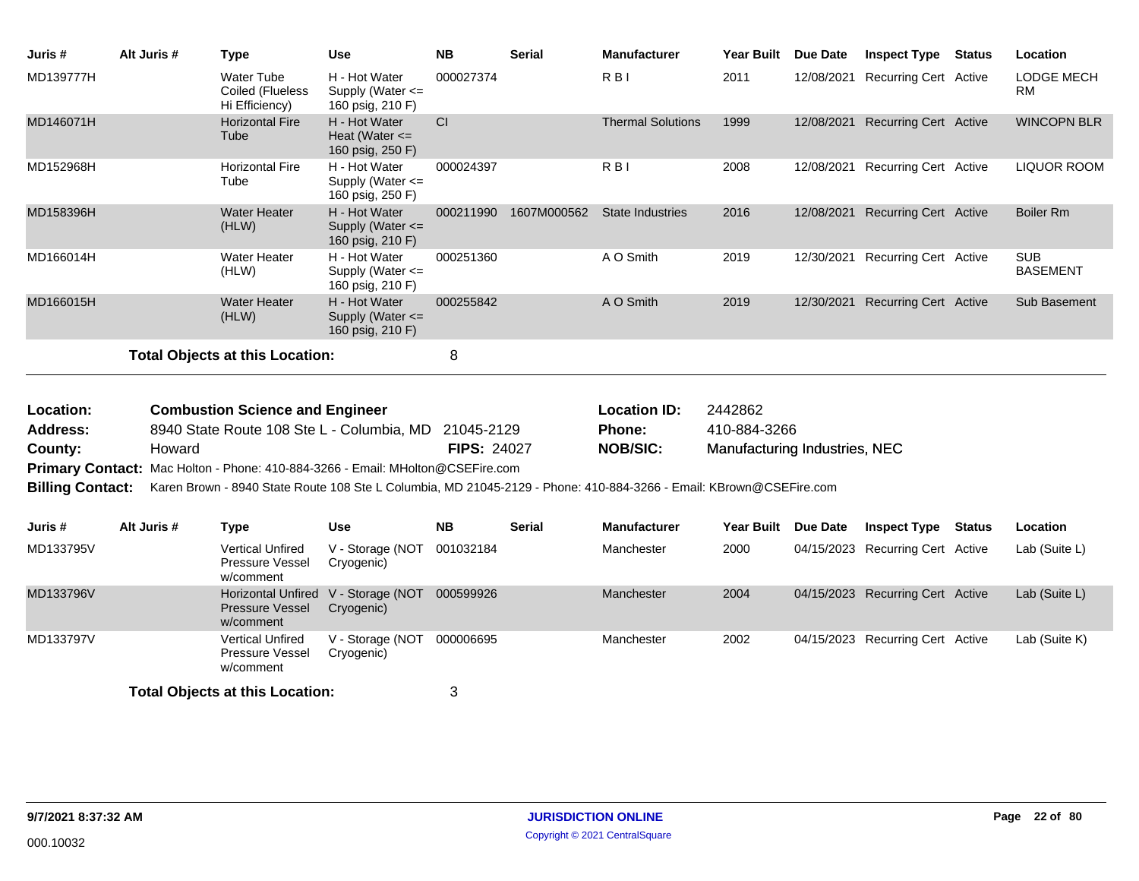| Juris #                 | Alt Juris # | <b>Type</b>                                                                                                        | <b>Use</b>                                                  | <b>NB</b>          | <b>Serial</b>          | <b>Manufacturer</b>      | Year Built                    | <b>Due Date</b> | <b>Inspect Type Status</b>       | Location                      |
|-------------------------|-------------|--------------------------------------------------------------------------------------------------------------------|-------------------------------------------------------------|--------------------|------------------------|--------------------------|-------------------------------|-----------------|----------------------------------|-------------------------------|
| MD139777H               |             | <b>Water Tube</b><br>Coiled (Flueless<br>Hi Efficiency)                                                            | H - Hot Water<br>Supply (Water <=<br>160 psig, 210 F)       | 000027374          |                        | $R$ $B$ $I$              | 2011                          | 12/08/2021      | <b>Recurring Cert Active</b>     | LODGE MECH<br><b>RM</b>       |
| MD146071H               |             | <b>Horizontal Fire</b><br>Tube                                                                                     | H - Hot Water<br>Heat (Water $\leq$<br>160 psig, 250 F)     | CI                 |                        | <b>Thermal Solutions</b> | 1999                          | 12/08/2021      | <b>Recurring Cert Active</b>     | <b>WINCOPN BLR</b>            |
| MD152968H               |             | <b>Horizontal Fire</b><br>Tube                                                                                     | H - Hot Water<br>Supply (Water <=<br>160 psig, 250 F)       | 000024397          |                        | R <sub>B</sub>           | 2008                          | 12/08/2021      | <b>Recurring Cert Active</b>     | <b>LIQUOR ROOM</b>            |
| MD158396H               |             | <b>Water Heater</b><br>(HLW)                                                                                       | H - Hot Water<br>Supply (Water <=<br>160 psig, 210 F)       |                    | 000211990  1607M000562 | <b>State Industries</b>  | 2016                          |                 | 12/08/2021 Recurring Cert Active | <b>Boiler Rm</b>              |
| MD166014H               |             | <b>Water Heater</b><br>(HLW)                                                                                       | H - Hot Water<br>Supply (Water <=<br>160 psig, 210 F)       | 000251360          |                        | A O Smith                | 2019                          | 12/30/2021      | <b>Recurring Cert Active</b>     | <b>SUB</b><br><b>BASEMENT</b> |
| MD166015H               |             | <b>Water Heater</b><br>(HLW)                                                                                       | H - Hot Water<br>Supply (Water <=<br>160 psig, 210 F)       | 000255842          |                        | A O Smith                | 2019                          | 12/30/2021      | <b>Recurring Cert Active</b>     | Sub Basement                  |
|                         |             | <b>Total Objects at this Location:</b>                                                                             |                                                             | 8                  |                        |                          |                               |                 |                                  |                               |
|                         |             |                                                                                                                    |                                                             |                    |                        |                          |                               |                 |                                  |                               |
| Location:               |             | <b>Combustion Science and Engineer</b>                                                                             |                                                             |                    |                        | <b>Location ID:</b>      | 2442862                       |                 |                                  |                               |
| <b>Address:</b>         |             | 8940 State Route 108 Ste L - Columbia, MD                                                                          |                                                             | 21045-2129         |                        | Phone:                   | 410-884-3266                  |                 |                                  |                               |
| County:                 | Howard      |                                                                                                                    |                                                             | <b>FIPS: 24027</b> |                        | <b>NOB/SIC:</b>          | Manufacturing Industries, NEC |                 |                                  |                               |
|                         |             | Primary Contact: Mac Holton - Phone: 410-884-3266 - Email: MHolton@CSEFire.com                                     |                                                             |                    |                        |                          |                               |                 |                                  |                               |
| <b>Billing Contact:</b> |             | Karen Brown - 8940 State Route 108 Ste L Columbia, MD 21045-2129 - Phone: 410-884-3266 - Email: KBrown@CSEFire.com |                                                             |                    |                        |                          |                               |                 |                                  |                               |
| Juris #                 | Alt Juris # | <b>Type</b>                                                                                                        | <b>Use</b>                                                  | <b>NB</b>          | <b>Serial</b>          | <b>Manufacturer</b>      | <b>Year Built</b>             | <b>Due Date</b> | <b>Inspect Type Status</b>       | Location                      |
| MD133795V               |             | <b>Vertical Unfired</b><br><b>Pressure Vessel</b><br>w/comment                                                     | V - Storage (NOT<br>Cryogenic)                              | 001032184          |                        | Manchester               | 2000                          |                 | 04/15/2023 Recurring Cert Active | Lab (Suite L)                 |
| MD133796V               |             | <b>Pressure Vessel</b><br>w/comment                                                                                | Horizontal Unfired V - Storage (NOT 000599926<br>Cryogenic) |                    |                        | <b>Manchester</b>        | 2004                          |                 | 04/15/2023 Recurring Cert Active | Lab (Suite L)                 |
| MD133797V               |             | <b>Vertical Unfired</b><br>Pressure Vessel<br>w/comment                                                            | V - Storage (NOT<br>Cryogenic)                              | 000006695          |                        | Manchester               | 2002                          |                 | 04/15/2023 Recurring Cert Active | Lab (Suite K)                 |
|                         |             | <b>Total Objects at this Location:</b>                                                                             |                                                             | 3                  |                        |                          |                               |                 |                                  |                               |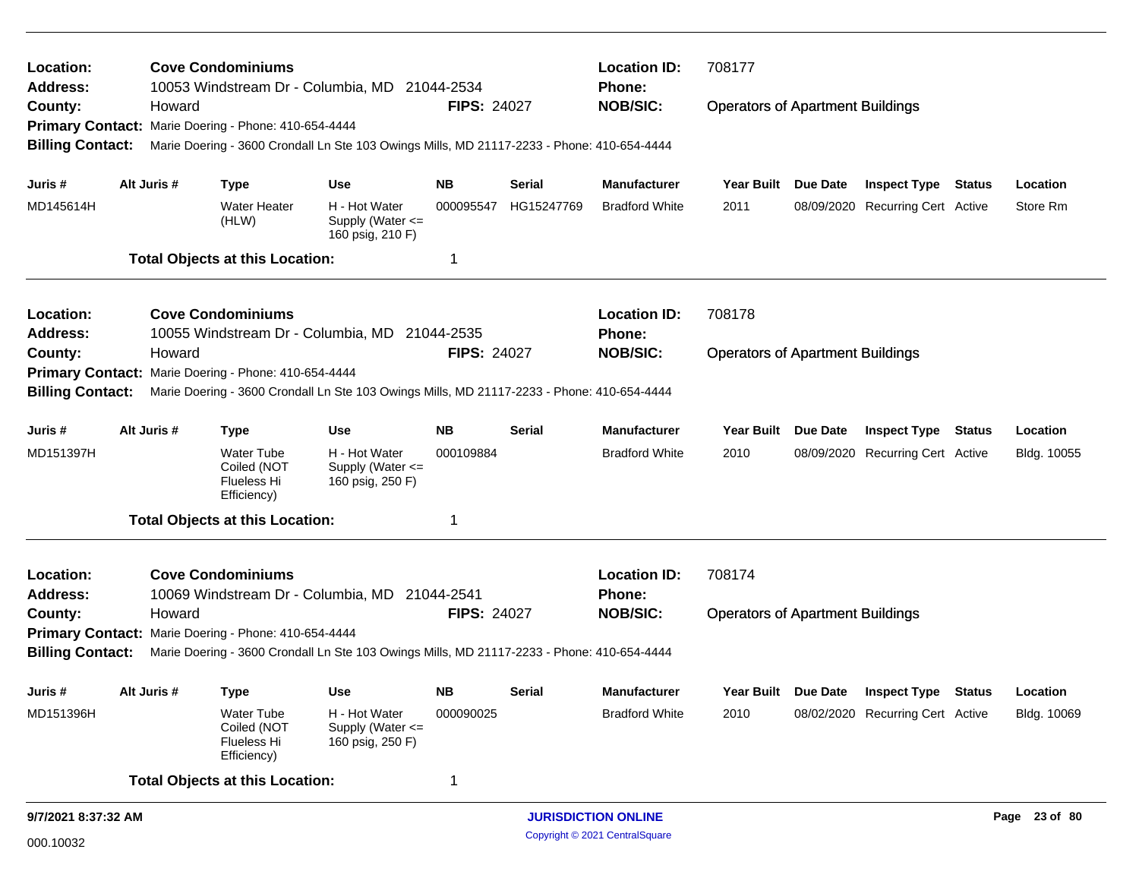| Location:<br>Address:   |  | <b>Cove Condominiums</b> | 10053 Windstream Dr - Columbia, MD 21044-2534                  |                                                                                            |                    | <b>Location ID:</b><br>Phone: | 708177                     |                                         |                 |                                  |               |
|-------------------------|--|--------------------------|----------------------------------------------------------------|--------------------------------------------------------------------------------------------|--------------------|-------------------------------|----------------------------|-----------------------------------------|-----------------|----------------------------------|---------------|
| County:                 |  | Howard                   |                                                                |                                                                                            | <b>FIPS: 24027</b> |                               | <b>NOB/SIC:</b>            | <b>Operators of Apartment Buildings</b> |                 |                                  |               |
|                         |  |                          | Primary Contact: Marie Doering - Phone: 410-654-4444           |                                                                                            |                    |                               |                            |                                         |                 |                                  |               |
| <b>Billing Contact:</b> |  |                          |                                                                | Marie Doering - 3600 Crondall Ln Ste 103 Owings Mills, MD 21117-2233 - Phone: 410-654-4444 |                    |                               |                            |                                         |                 |                                  |               |
| Juris #                 |  | Alt Juris #              | <b>Type</b>                                                    | Use                                                                                        | NB.                | Serial                        | <b>Manufacturer</b>        | Year Built Due Date                     |                 | <b>Inspect Type Status</b>       | Location      |
| MD145614H               |  |                          | <b>Water Heater</b><br>(HLW)                                   | H - Hot Water<br>Supply (Water $\leq$<br>160 psig, 210 F)                                  | 000095547          | HG15247769                    | <b>Bradford White</b>      | 2011                                    |                 | 08/09/2020 Recurring Cert Active | Store Rm      |
|                         |  |                          | <b>Total Objects at this Location:</b>                         |                                                                                            | 1                  |                               |                            |                                         |                 |                                  |               |
| Location:               |  |                          | <b>Cove Condominiums</b>                                       |                                                                                            |                    |                               | <b>Location ID:</b>        | 708178                                  |                 |                                  |               |
| <b>Address:</b>         |  |                          |                                                                | 10055 Windstream Dr - Columbia, MD 21044-2535                                              |                    |                               | <b>Phone:</b>              |                                         |                 |                                  |               |
| County:                 |  | Howard                   |                                                                |                                                                                            | <b>FIPS: 24027</b> |                               | <b>NOB/SIC:</b>            | <b>Operators of Apartment Buildings</b> |                 |                                  |               |
|                         |  |                          | Primary Contact: Marie Doering - Phone: 410-654-4444           |                                                                                            |                    |                               |                            |                                         |                 |                                  |               |
| <b>Billing Contact:</b> |  |                          |                                                                | Marie Doering - 3600 Crondall Ln Ste 103 Owings Mills, MD 21117-2233 - Phone: 410-654-4444 |                    |                               |                            |                                         |                 |                                  |               |
| Juris #                 |  | Alt Juris #              | <b>Type</b>                                                    | Use                                                                                        | <b>NB</b>          | Serial                        | <b>Manufacturer</b>        | <b>Year Built</b>                       | <b>Due Date</b> | <b>Inspect Type Status</b>       | Location      |
| MD151397H               |  |                          | Water Tube<br>Coiled (NOT<br>Flueless Hi<br>Efficiency)        | H - Hot Water<br>Supply (Water <=<br>160 psig, 250 F)                                      | 000109884          |                               | <b>Bradford White</b>      | 2010                                    |                 | 08/09/2020 Recurring Cert Active | Bldg. 10055   |
|                         |  |                          | <b>Total Objects at this Location:</b>                         |                                                                                            | 1                  |                               |                            |                                         |                 |                                  |               |
| Location:               |  |                          | <b>Cove Condominiums</b>                                       |                                                                                            |                    |                               | <b>Location ID:</b>        | 708174                                  |                 |                                  |               |
| <b>Address:</b>         |  |                          |                                                                | 10069 Windstream Dr - Columbia, MD 21044-2541                                              |                    |                               | <b>Phone:</b>              |                                         |                 |                                  |               |
| County:                 |  | Howard                   |                                                                |                                                                                            | <b>FIPS: 24027</b> |                               | <b>NOB/SIC:</b>            | <b>Operators of Apartment Buildings</b> |                 |                                  |               |
|                         |  |                          | Primary Contact: Marie Doering - Phone: 410-654-4444           |                                                                                            |                    |                               |                            |                                         |                 |                                  |               |
| <b>Billing Contact:</b> |  |                          |                                                                | Marie Doering - 3600 Crondall Ln Ste 103 Owings Mills, MD 21117-2233 - Phone: 410-654-4444 |                    |                               |                            |                                         |                 |                                  |               |
| Juris #                 |  | Alt Juris #              | Type                                                           | <b>Use</b>                                                                                 | NB                 | Serial                        | <b>Manufacturer</b>        | Year Built Due Date                     |                 | <b>Inspect Type Status</b>       | Location      |
| MD151396H               |  |                          | <b>Water Tube</b><br>Coiled (NOT<br>Flueless Hi<br>Efficiency) | H - Hot Water<br>Supply (Water <=<br>160 psig, 250 F)                                      | 000090025          |                               | <b>Bradford White</b>      | 2010                                    |                 | 08/02/2020 Recurring Cert Active | Bldg. 10069   |
|                         |  |                          | <b>Total Objects at this Location:</b>                         |                                                                                            | 1                  |                               |                            |                                         |                 |                                  |               |
| 9/7/2021 8:37:32 AM     |  |                          |                                                                |                                                                                            |                    |                               | <b>JURISDICTION ONLINE</b> |                                         |                 |                                  | Page 23 of 80 |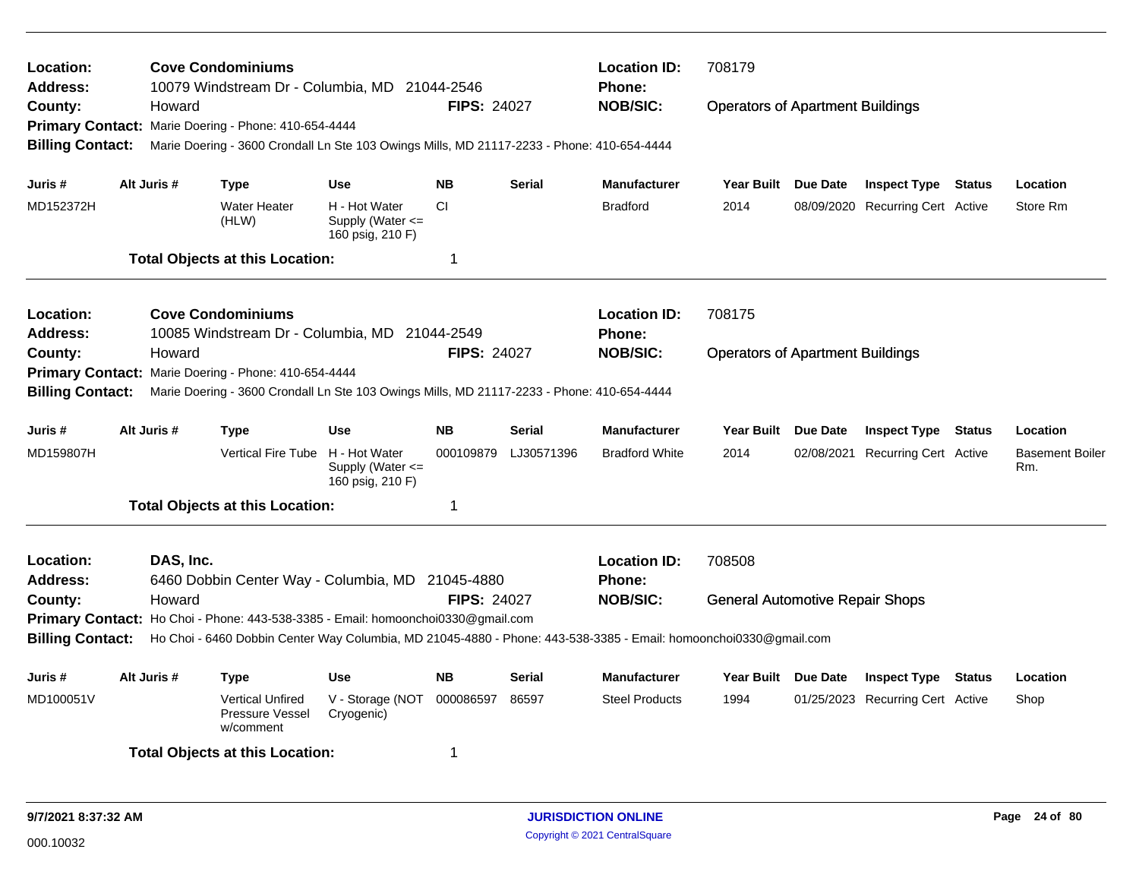| Location:<br><b>Address:</b>                                  | Howard      | <b>Cove Condominiums</b><br>10079 Windstream Dr - Columbia, MD 21044-2546                                                                                                                            |                                                           | <b>FIPS: 24027</b> |               | <b>Location ID:</b><br>Phone:<br><b>NOB/SIC:</b> | 708179                                  |                                  |                               |
|---------------------------------------------------------------|-------------|------------------------------------------------------------------------------------------------------------------------------------------------------------------------------------------------------|-----------------------------------------------------------|--------------------|---------------|--------------------------------------------------|-----------------------------------------|----------------------------------|-------------------------------|
| County:<br><b>Billing Contact:</b>                            |             | Primary Contact: Marie Doering - Phone: 410-654-4444<br>Marie Doering - 3600 Crondall Ln Ste 103 Owings Mills, MD 21117-2233 - Phone: 410-654-4444                                                   |                                                           |                    |               |                                                  | <b>Operators of Apartment Buildings</b> |                                  |                               |
| Juris #                                                       | Alt Juris # | Type                                                                                                                                                                                                 | <b>Use</b>                                                | <b>NB</b>          | <b>Serial</b> | <b>Manufacturer</b>                              | Year Built Due Date                     | <b>Inspect Type Status</b>       | Location                      |
| MD152372H                                                     |             | <b>Water Heater</b><br>(HLW)                                                                                                                                                                         | H - Hot Water<br>Supply (Water $\leq$<br>160 psig, 210 F) | <b>CI</b>          |               | <b>Bradford</b>                                  | 2014                                    | 08/09/2020 Recurring Cert Active | Store Rm                      |
|                                                               |             | <b>Total Objects at this Location:</b>                                                                                                                                                               |                                                           | 1                  |               |                                                  |                                         |                                  |                               |
| Location:<br>Address:                                         |             | <b>Cove Condominiums</b><br>10085 Windstream Dr - Columbia, MD 21044-2549                                                                                                                            |                                                           |                    |               | <b>Location ID:</b><br><b>Phone:</b>             | 708175                                  |                                  |                               |
| County:<br><b>Primary Contact:</b><br><b>Billing Contact:</b> | Howard      | Marie Doering - Phone: 410-654-4444<br>Marie Doering - 3600 Crondall Ln Ste 103 Owings Mills, MD 21117-2233 - Phone: 410-654-4444                                                                    |                                                           | <b>FIPS: 24027</b> |               | <b>NOB/SIC:</b>                                  | <b>Operators of Apartment Buildings</b> |                                  |                               |
| Juris #                                                       | Alt Juris # | <b>Type</b>                                                                                                                                                                                          | <b>Use</b>                                                | <b>NB</b>          | Serial        | <b>Manufacturer</b>                              | Year Built Due Date                     | <b>Inspect Type Status</b>       | Location                      |
| MD159807H                                                     |             | Vertical Fire Tube H - Hot Water                                                                                                                                                                     | Supply (Water <=<br>160 psig, 210 F)                      | 000109879          | LJ30571396    | <b>Bradford White</b>                            | 2014                                    | 02/08/2021 Recurring Cert Active | <b>Basement Boiler</b><br>Rm. |
|                                                               |             | <b>Total Objects at this Location:</b>                                                                                                                                                               |                                                           | 1                  |               |                                                  |                                         |                                  |                               |
| Location:<br><b>Address:</b>                                  | DAS, Inc.   | 6460 Dobbin Center Way - Columbia, MD 21045-4880                                                                                                                                                     |                                                           |                    |               | <b>Location ID:</b><br><b>Phone:</b>             | 708508                                  |                                  |                               |
| County:<br><b>Billing Contact:</b>                            | Howard      | Primary Contact: Ho Choi - Phone: 443-538-3385 - Email: homoonchoi0330@gmail.com<br>Ho Choi - 6460 Dobbin Center Way Columbia, MD 21045-4880 - Phone: 443-538-3385 - Email: homoonchoi0330@gmail.com |                                                           | <b>FIPS: 24027</b> |               | <b>NOB/SIC:</b>                                  | <b>General Automotive Repair Shops</b>  |                                  |                               |
| Juris #                                                       | Alt Juris # | <b>Type</b>                                                                                                                                                                                          | <b>Use</b>                                                | <b>NB</b>          | Serial        | <b>Manufacturer</b>                              | Year Built Due Date                     | <b>Inspect Type Status</b>       | Location                      |
| MD100051V                                                     |             | <b>Vertical Unfired</b><br>Pressure Vessel<br>w/comment                                                                                                                                              | V - Storage (NOT<br>Cryogenic)                            | 000086597          | 86597         | <b>Steel Products</b>                            | 1994                                    | 01/25/2023 Recurring Cert Active | Shop                          |
|                                                               |             | <b>Total Objects at this Location:</b>                                                                                                                                                               |                                                           | 1                  |               |                                                  |                                         |                                  |                               |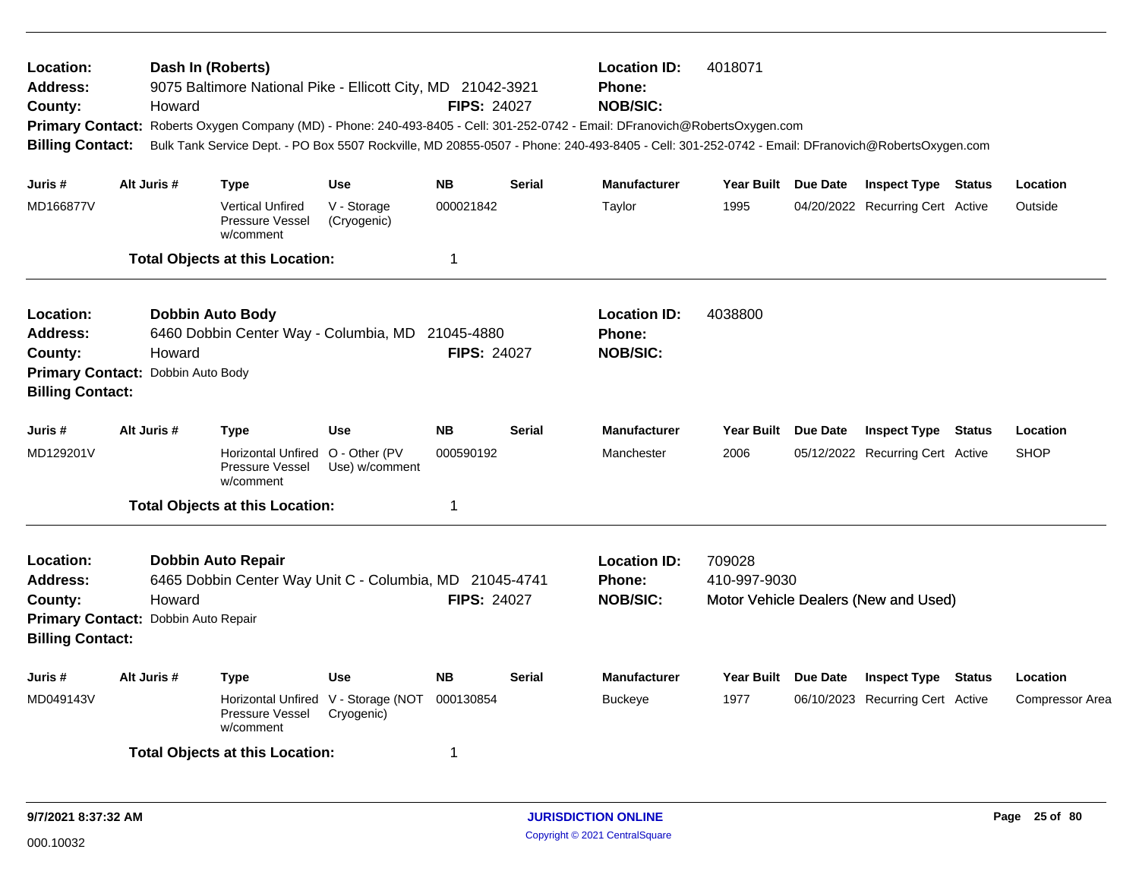| Location:<br>Address:<br>County:<br><b>Billing Contact:</b>                                        | Dash In (Roberts)<br>Howard | 9075 Baltimore National Pike - Ellicott City, MD 21042-3921                          |                                                   | <b>FIPS: 24027</b> |               | <b>Location ID:</b><br><b>Phone:</b><br><b>NOB/SIC:</b><br>Primary Contact: Roberts Oxygen Company (MD) - Phone: 240-493-8405 - Cell: 301-252-0742 - Email: DFranovich@RobertsOxygen.com<br>Bulk Tank Service Dept. - PO Box 5507 Rockville, MD 20855-0507 - Phone: 240-493-8405 - Cell: 301-252-0742 - Email: DFranovich@RobertsOxygen.com | 4018071                |          |                                      |        |                        |
|----------------------------------------------------------------------------------------------------|-----------------------------|--------------------------------------------------------------------------------------|---------------------------------------------------|--------------------|---------------|---------------------------------------------------------------------------------------------------------------------------------------------------------------------------------------------------------------------------------------------------------------------------------------------------------------------------------------------|------------------------|----------|--------------------------------------|--------|------------------------|
| Juris #                                                                                            | Alt Juris #                 | <b>Type</b>                                                                          | <b>Use</b>                                        | <b>NB</b>          | <b>Serial</b> | <b>Manufacturer</b>                                                                                                                                                                                                                                                                                                                         | Year Built Due Date    |          | <b>Inspect Type Status</b>           |        | Location               |
| MD166877V                                                                                          |                             | <b>Vertical Unfired</b><br>Pressure Vessel<br>w/comment                              | V - Storage<br>(Cryogenic)                        | 000021842          |               | Taylor                                                                                                                                                                                                                                                                                                                                      | 1995                   |          | 04/20/2022 Recurring Cert Active     |        | Outside                |
|                                                                                                    |                             | <b>Total Objects at this Location:</b>                                               |                                                   | 1                  |               |                                                                                                                                                                                                                                                                                                                                             |                        |          |                                      |        |                        |
| Location:<br>Address:<br>County:<br>Primary Contact: Dobbin Auto Body<br><b>Billing Contact:</b>   | Howard                      | <b>Dobbin Auto Body</b><br>6460 Dobbin Center Way - Columbia, MD 21045-4880          |                                                   | <b>FIPS: 24027</b> |               | <b>Location ID:</b><br>Phone:<br><b>NOB/SIC:</b>                                                                                                                                                                                                                                                                                            | 4038800                |          |                                      |        |                        |
| Juris #                                                                                            | Alt Juris #                 | <b>Type</b>                                                                          | <b>Use</b>                                        | <b>NB</b>          | <b>Serial</b> | <b>Manufacturer</b>                                                                                                                                                                                                                                                                                                                         | Year Built Due Date    |          | <b>Inspect Type Status</b>           |        | Location               |
| MD129201V                                                                                          |                             | Horizontal Unfired O - Other (PV<br>Pressure Vessel<br>w/comment                     | Use) w/comment                                    | 000590192          |               | Manchester                                                                                                                                                                                                                                                                                                                                  | 2006                   |          | 05/12/2022 Recurring Cert Active     |        | <b>SHOP</b>            |
|                                                                                                    |                             | <b>Total Objects at this Location:</b>                                               |                                                   | 1                  |               |                                                                                                                                                                                                                                                                                                                                             |                        |          |                                      |        |                        |
| Location:<br>Address:<br>County:<br>Primary Contact: Dobbin Auto Repair<br><b>Billing Contact:</b> | Howard                      | <b>Dobbin Auto Repair</b><br>6465 Dobbin Center Way Unit C - Columbia, MD 21045-4741 |                                                   | <b>FIPS: 24027</b> |               | <b>Location ID:</b><br><b>Phone:</b><br><b>NOB/SIC:</b>                                                                                                                                                                                                                                                                                     | 709028<br>410-997-9030 |          | Motor Vehicle Dealers (New and Used) |        |                        |
| Juris #                                                                                            | Alt Juris #                 | <b>Type</b>                                                                          | <b>Use</b>                                        | <b>NB</b>          | <b>Serial</b> | <b>Manufacturer</b>                                                                                                                                                                                                                                                                                                                         | Year Built             | Due Date | <b>Inspect Type</b>                  | Status | Location               |
| MD049143V                                                                                          |                             | Pressure Vessel<br>w/comment                                                         | Horizontal Unfired V - Storage (NOT<br>Cryogenic) | 000130854          |               | <b>Buckeye</b>                                                                                                                                                                                                                                                                                                                              | 1977                   |          | 06/10/2023 Recurring Cert Active     |        | <b>Compressor Area</b> |
|                                                                                                    |                             | <b>Total Objects at this Location:</b>                                               |                                                   | 1                  |               |                                                                                                                                                                                                                                                                                                                                             |                        |          |                                      |        |                        |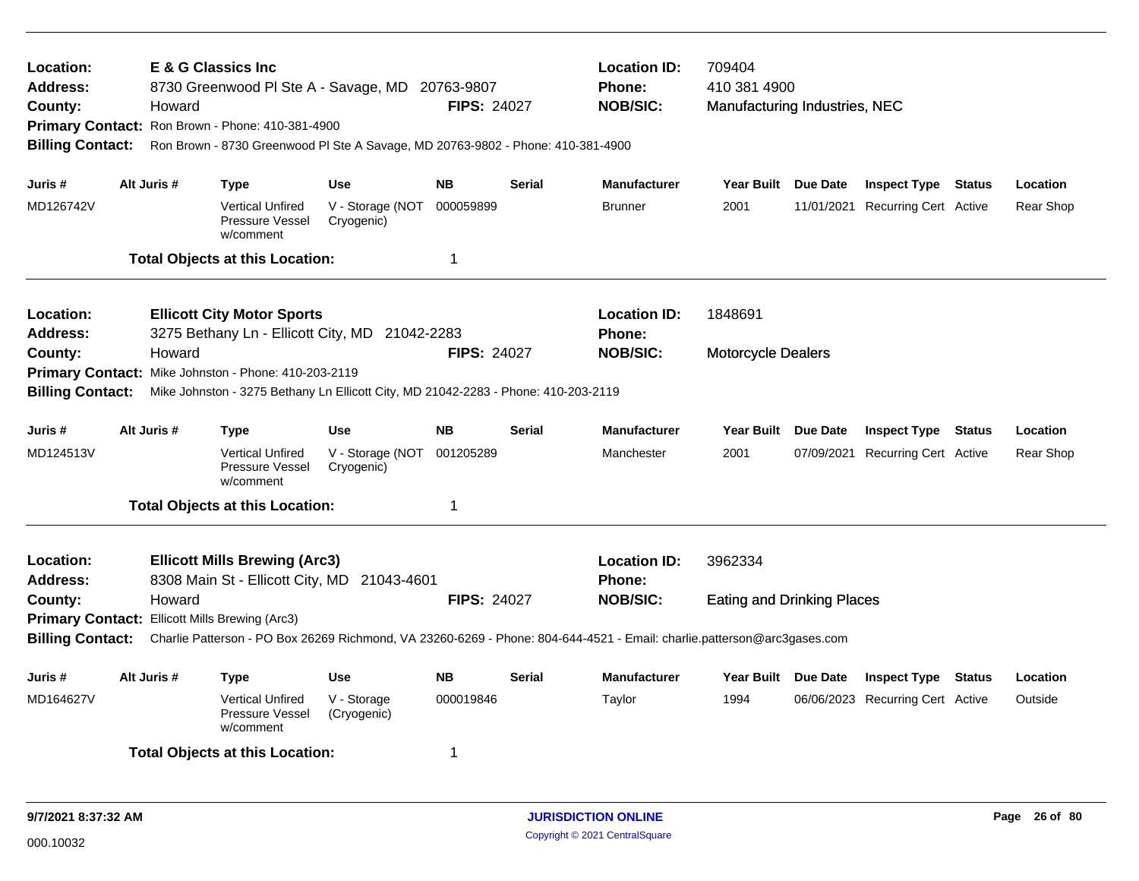| Location:<br><b>Address:</b><br>County:<br><b>Billing Contact:</b> |                                                                                                                     | <b>E &amp; G Classics Inc</b><br>Howard | 8730 Greenwood PI Ste A - Savage, MD 20763-9807<br>Primary Contact: Ron Brown - Phone: 410-381-4900<br>Ron Brown - 8730 Greenwood PI Ste A Savage, MD 20763-9802 - Phone: 410-381-4900 |                                | <b>FIPS: 24027</b> |               | <b>Location ID:</b><br><b>Phone:</b><br><b>NOB/SIC:</b>                                                                                    | 709404<br>410 381 4900<br>Manufacturing Industries, NEC |                                                         |        |           |
|--------------------------------------------------------------------|---------------------------------------------------------------------------------------------------------------------|-----------------------------------------|----------------------------------------------------------------------------------------------------------------------------------------------------------------------------------------|--------------------------------|--------------------|---------------|--------------------------------------------------------------------------------------------------------------------------------------------|---------------------------------------------------------|---------------------------------------------------------|--------|-----------|
| Juris #                                                            |                                                                                                                     | Alt Juris #                             | <b>Type</b>                                                                                                                                                                            | <b>Use</b>                     | <b>NB</b>          | <b>Serial</b> | <b>Manufacturer</b>                                                                                                                        | Year Built Due Date                                     | <b>Inspect Type Status</b>                              |        | Location  |
| MD126742V                                                          |                                                                                                                     |                                         | <b>Vertical Unfired</b><br>Pressure Vessel<br>w/comment                                                                                                                                | V - Storage (NOT<br>Cryogenic) | 000059899          |               | <b>Brunner</b>                                                                                                                             | 2001                                                    | 11/01/2021 Recurring Cert Active                        |        | Rear Shop |
|                                                                    |                                                                                                                     |                                         | <b>Total Objects at this Location:</b>                                                                                                                                                 |                                | $\mathbf 1$        |               |                                                                                                                                            |                                                         |                                                         |        |           |
| Location:<br><b>Address:</b>                                       | <b>Ellicott City Motor Sports</b><br>3275 Bethany Ln - Ellicott City, MD 21042-2283<br><b>FIPS: 24027</b><br>Howard |                                         |                                                                                                                                                                                        |                                |                    |               | <b>Location ID:</b><br><b>Phone:</b>                                                                                                       | 1848691                                                 |                                                         |        |           |
| County:<br><b>Primary Contact:</b>                                 |                                                                                                                     |                                         | Mike Johnston - Phone: 410-203-2119                                                                                                                                                    |                                |                    |               | <b>NOB/SIC:</b>                                                                                                                            | <b>Motorcycle Dealers</b>                               |                                                         |        |           |
| <b>Billing Contact:</b>                                            |                                                                                                                     |                                         | Mike Johnston - 3275 Bethany Ln Ellicott City, MD 21042-2283 - Phone: 410-203-2119                                                                                                     |                                |                    |               |                                                                                                                                            |                                                         |                                                         |        |           |
| Juris #                                                            |                                                                                                                     | Alt Juris #                             | <b>Type</b>                                                                                                                                                                            | <b>Use</b>                     | <b>NB</b>          | <b>Serial</b> | <b>Manufacturer</b>                                                                                                                        | Year Built Due Date                                     | <b>Inspect Type Status</b>                              |        | Location  |
| MD124513V                                                          |                                                                                                                     |                                         | <b>Vertical Unfired</b><br>Pressure Vessel<br>w/comment                                                                                                                                | V - Storage (NOT<br>Cryogenic) | 001205289          |               | Manchester                                                                                                                                 | 2001                                                    | 07/09/2021 Recurring Cert Active                        |        | Rear Shop |
|                                                                    |                                                                                                                     |                                         | <b>Total Objects at this Location:</b>                                                                                                                                                 |                                | $\mathbf 1$        |               |                                                                                                                                            |                                                         |                                                         |        |           |
| Location:<br><b>Address:</b>                                       |                                                                                                                     |                                         | <b>Ellicott Mills Brewing (Arc3)</b><br>8308 Main St - Ellicott City, MD 21043-4601                                                                                                    |                                |                    |               | <b>Location ID:</b><br><b>Phone:</b>                                                                                                       | 3962334                                                 |                                                         |        |           |
| County:<br><b>Billing Contact:</b>                                 |                                                                                                                     | Howard                                  | Primary Contact: Ellicott Mills Brewing (Arc3)                                                                                                                                         |                                | <b>FIPS: 24027</b> |               | <b>NOB/SIC:</b><br>Charlie Patterson - PO Box 26269 Richmond, VA 23260-6269 - Phone: 804-644-4521 - Email: charlie.patterson@arc3gases.com | <b>Eating and Drinking Places</b>                       |                                                         |        |           |
| Juris #                                                            |                                                                                                                     | Alt Juris #                             |                                                                                                                                                                                        | <b>Use</b>                     | <b>NB</b>          | <b>Serial</b> | <b>Manufacturer</b>                                                                                                                        | Year Built Due Date                                     |                                                         |        | Location  |
| MD164627V                                                          |                                                                                                                     |                                         | <b>Type</b><br><b>Vertical Unfired</b><br>Pressure Vessel<br>w/comment                                                                                                                 | V - Storage<br>(Cryogenic)     | 000019846          |               | Taylor                                                                                                                                     | 1994                                                    | <b>Inspect Type</b><br>06/06/2023 Recurring Cert Active | Status | Outside   |
|                                                                    |                                                                                                                     |                                         | <b>Total Objects at this Location:</b>                                                                                                                                                 |                                | -1                 |               |                                                                                                                                            |                                                         |                                                         |        |           |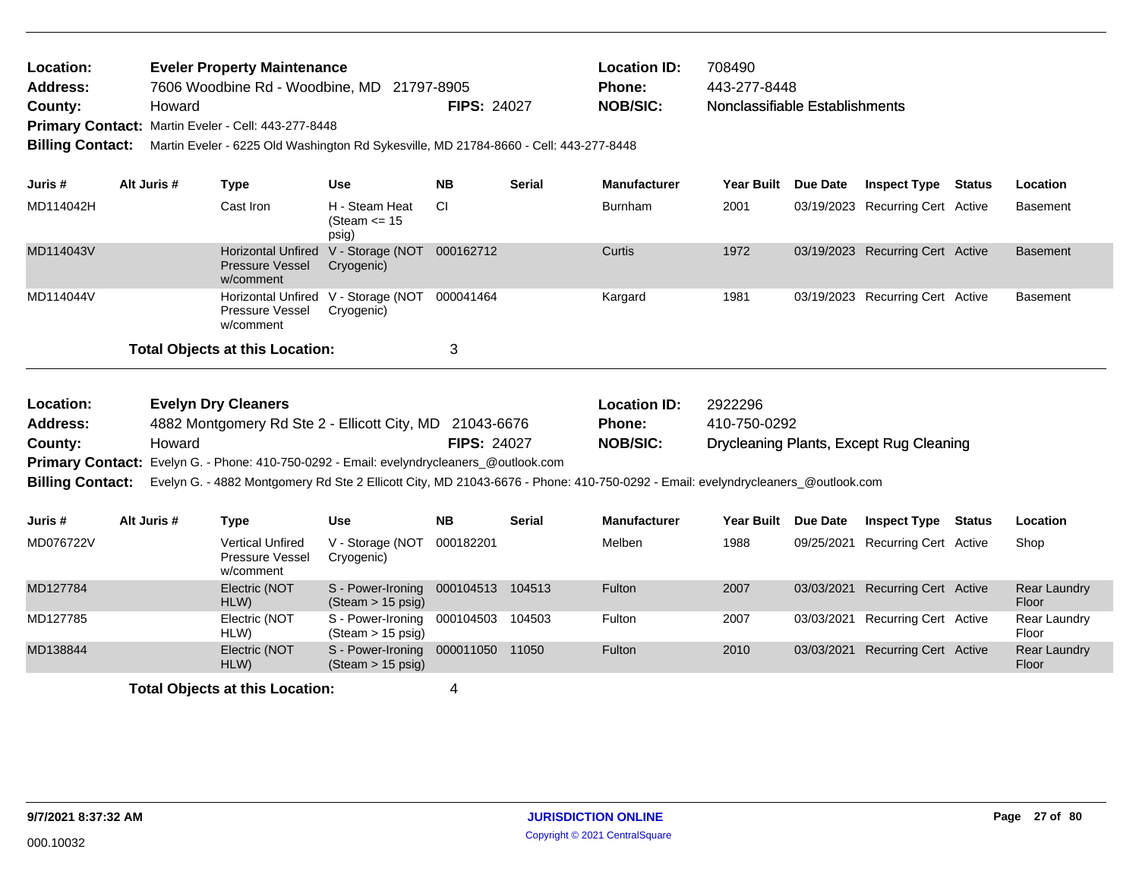| Location:<br><b>Address:</b><br>County:<br><b>Billing Contact:</b> | Howard      | <b>Eveler Property Maintenance</b><br>7606 Woodbine Rd - Woodbine, MD 21797-8905<br>Primary Contact: Martin Eveler - Cell: 443-277-8448<br>Martin Eveler - 6225 Old Washington Rd Sykesville, MD 21784-8660 - Cell: 443-277-8448 |                                                             | <b>FIPS: 24027</b> |               | <b>Location ID:</b><br>Phone:<br><b>NOB/SIC:</b> | 708490<br>443-277-8448<br>Nonclassifiable Establishments |                                         |                              |
|--------------------------------------------------------------------|-------------|----------------------------------------------------------------------------------------------------------------------------------------------------------------------------------------------------------------------------------|-------------------------------------------------------------|--------------------|---------------|--------------------------------------------------|----------------------------------------------------------|-----------------------------------------|------------------------------|
| Juris #                                                            | Alt Juris # | <b>Type</b>                                                                                                                                                                                                                      | <b>Use</b>                                                  | <b>NB</b>          | <b>Serial</b> | <b>Manufacturer</b>                              | Year Built Due Date                                      | <b>Inspect Type Status</b>              | Location                     |
| MD114042H                                                          |             | Cast Iron                                                                                                                                                                                                                        | H - Steam Heat<br>(Steam $\le$ 15<br>psig)                  | CI.                |               | <b>Burnham</b>                                   | 2001                                                     | 03/19/2023 Recurring Cert Active        | <b>Basement</b>              |
| MD114043V                                                          |             | <b>Pressure Vessel</b><br>w/comment                                                                                                                                                                                              | Horizontal Unfired V - Storage (NOT 000162712<br>Cryogenic) |                    |               | Curtis                                           | 1972                                                     | 03/19/2023 Recurring Cert Active        | <b>Basement</b>              |
| MD114044V                                                          |             | Pressure Vessel<br>w/comment                                                                                                                                                                                                     | Horizontal Unfired V - Storage (NOT<br>Cryogenic)           | 000041464          |               | Kargard                                          | 1981                                                     | 03/19/2023 Recurring Cert Active        | <b>Basement</b>              |
|                                                                    |             | <b>Total Objects at this Location:</b>                                                                                                                                                                                           |                                                             | 3                  |               |                                                  |                                                          |                                         |                              |
| Location:<br><b>Address:</b>                                       |             | <b>Evelyn Dry Cleaners</b><br>4882 Montgomery Rd Ste 2 - Ellicott City, MD 21043-6676                                                                                                                                            |                                                             |                    |               | <b>Location ID:</b><br>Phone:                    | 2922296<br>410-750-0292                                  |                                         |                              |
| County:                                                            | Howard      |                                                                                                                                                                                                                                  |                                                             | <b>FIPS: 24027</b> |               | <b>NOB/SIC:</b>                                  |                                                          | Drycleaning Plants, Except Rug Cleaning |                              |
|                                                                    |             | Primary Contact: Evelyn G. - Phone: 410-750-0292 - Email: evelyndrycleaners_@outlook.com                                                                                                                                         |                                                             |                    |               |                                                  |                                                          |                                         |                              |
| <b>Billing Contact:</b>                                            |             | Evelyn G. - 4882 Montgomery Rd Ste 2 Ellicott City, MD 21043-6676 - Phone: 410-750-0292 - Email: evelyndrycleaners_@outlook.com                                                                                                  |                                                             |                    |               |                                                  |                                                          |                                         |                              |
| Juris #                                                            | Alt Juris # | <b>Type</b>                                                                                                                                                                                                                      | <b>Use</b>                                                  | <b>NB</b>          | <b>Serial</b> | <b>Manufacturer</b>                              | Year Built Due Date                                      | <b>Inspect Type Status</b>              | Location                     |
| MD076722V                                                          |             | <b>Vertical Unfired</b><br>Pressure Vessel<br>w/comment                                                                                                                                                                          | V - Storage (NOT<br>Cryogenic)                              | 000182201          |               | Melben                                           | 1988                                                     | 09/25/2021 Recurring Cert Active        | Shop                         |
| MD127784                                                           |             | Electric (NOT<br>HLW)                                                                                                                                                                                                            | S - Power-Ironing<br>$(Steam > 15 \text{ psig})$            | 000104513 104513   |               | Fulton                                           | 2007                                                     | 03/03/2021 Recurring Cert Active        | Rear Laundry<br>Floor        |
| MD127785                                                           |             | Electric (NOT<br>HLW)                                                                                                                                                                                                            | S - Power-Ironing<br>(Steam > 15 psig)                      | 000104503          | 104503        | Fulton                                           | 2007                                                     | 03/03/2021 Recurring Cert Active        | Rear Laundry<br>Floor        |
| MD138844                                                           |             | Electric (NOT<br>HLW)                                                                                                                                                                                                            | S - Power-Ironing<br>$(Steam > 15 \text{ psig})$            | 000011050 11050    |               | Fulton                                           | 2010                                                     | 03/03/2021 Recurring Cert Active        | <b>Rear Laundry</b><br>Floor |
|                                                                    |             |                                                                                                                                                                                                                                  |                                                             |                    |               |                                                  |                                                          |                                         |                              |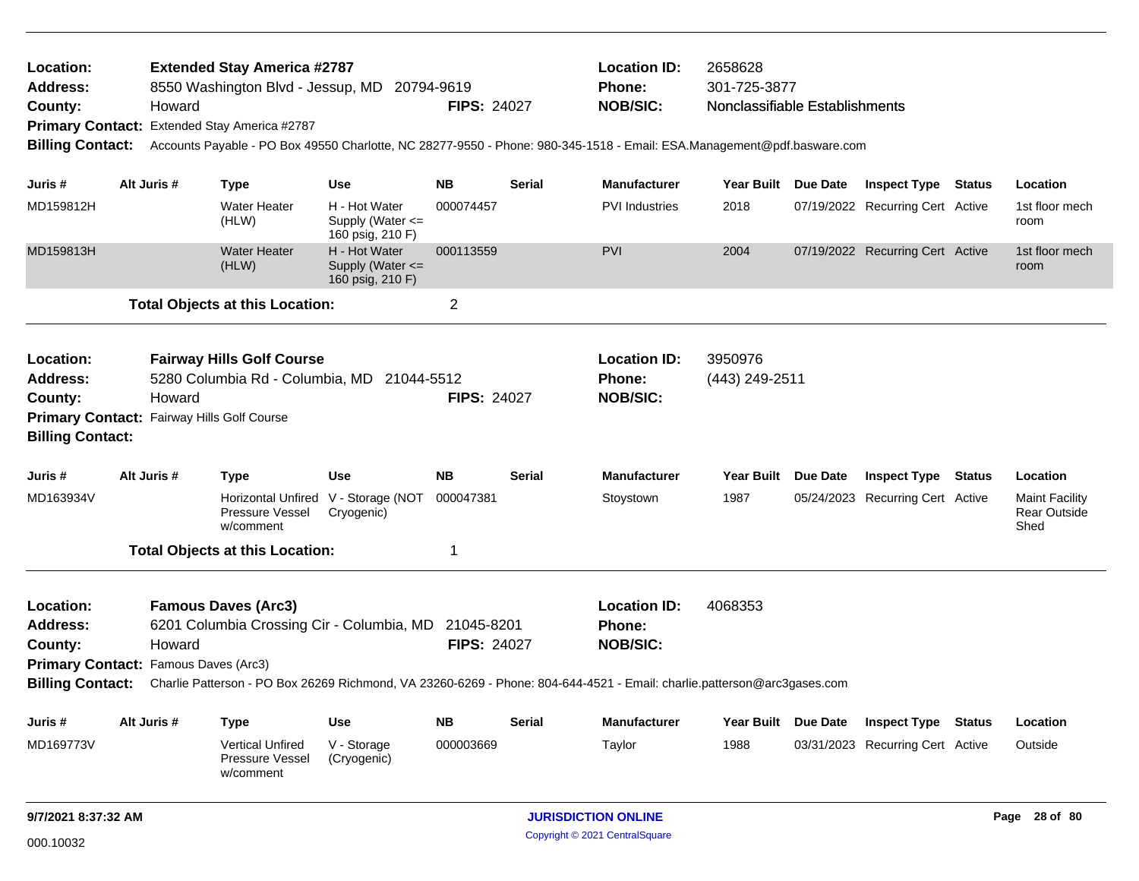| Location:<br>Address:<br>County:                                   | <b>Extended Stay America #2787</b><br>8550 Washington Blvd - Jessup, MD 20794-9619<br>Howard<br>Primary Contact: Extended Stay America #2787<br><b>Billing Contact:</b><br>Accounts Payable - PO Box 49550 Charlotte, NC 28277-9550 - Phone: 980-345-1518 - Email: ESA.Management@pdf.basware.com                                  |             |                                                                     |                                                           |           | <b>FIPS: 24027</b> | <b>Location ID:</b><br>Phone:<br><b>NOB/SIC:</b>        | 2658628<br>301-725-3877<br>Nonclassifiable Establishments |          |                                  |        |                                                      |
|--------------------------------------------------------------------|------------------------------------------------------------------------------------------------------------------------------------------------------------------------------------------------------------------------------------------------------------------------------------------------------------------------------------|-------------|---------------------------------------------------------------------|-----------------------------------------------------------|-----------|--------------------|---------------------------------------------------------|-----------------------------------------------------------|----------|----------------------------------|--------|------------------------------------------------------|
|                                                                    |                                                                                                                                                                                                                                                                                                                                    |             |                                                                     |                                                           |           |                    |                                                         |                                                           |          |                                  |        |                                                      |
| Juris #                                                            |                                                                                                                                                                                                                                                                                                                                    | Alt Juris # | Type                                                                | <b>Use</b>                                                | <b>NB</b> | <b>Serial</b>      | <b>Manufacturer</b>                                     | Year Built Due Date                                       |          | <b>Inspect Type Status</b>       |        | Location                                             |
| MD159812H                                                          |                                                                                                                                                                                                                                                                                                                                    |             | <b>Water Heater</b><br>(HLW)                                        | H - Hot Water<br>Supply (Water <=<br>160 psig, 210 F)     | 000074457 |                    | <b>PVI</b> Industries                                   | 2018                                                      |          | 07/19/2022 Recurring Cert Active |        | 1st floor mech<br>room                               |
| MD159813H                                                          |                                                                                                                                                                                                                                                                                                                                    |             | <b>Water Heater</b><br>(HLW)                                        | H - Hot Water<br>Supply (Water $\leq$<br>160 psig, 210 F) | 000113559 |                    | <b>PVI</b>                                              | 2004                                                      |          | 07/19/2022 Recurring Cert Active |        | 1st floor mech<br>room                               |
|                                                                    |                                                                                                                                                                                                                                                                                                                                    |             | <b>Total Objects at this Location:</b>                              |                                                           | 2         |                    |                                                         |                                                           |          |                                  |        |                                                      |
| Location:<br><b>Address:</b><br>County:<br><b>Billing Contact:</b> | <b>Fairway Hills Golf Course</b><br>5280 Columbia Rd - Columbia, MD 21044-5512<br>Howard<br>Primary Contact: Fairway Hills Golf Course                                                                                                                                                                                             |             |                                                                     |                                                           |           | <b>FIPS: 24027</b> | <b>Location ID:</b><br><b>Phone:</b><br><b>NOB/SIC:</b> | 3950976<br>(443) 249-2511                                 |          |                                  |        |                                                      |
| Juris #                                                            |                                                                                                                                                                                                                                                                                                                                    | Alt Juris # | <b>Type</b>                                                         | <b>Use</b>                                                | <b>NB</b> | Serial             | <b>Manufacturer</b>                                     | Year Built Due Date                                       |          | <b>Inspect Type Status</b>       |        | Location                                             |
| MD163934V                                                          |                                                                                                                                                                                                                                                                                                                                    |             | Horizontal Unfired V - Storage (NOT<br>Pressure Vessel<br>w/comment | Cryogenic)                                                | 000047381 |                    | Stoystown                                               | 1987                                                      |          | 05/24/2023 Recurring Cert Active |        | <b>Maint Facility</b><br><b>Rear Outside</b><br>Shed |
|                                                                    |                                                                                                                                                                                                                                                                                                                                    |             |                                                                     |                                                           | 1         |                    |                                                         |                                                           |          |                                  |        |                                                      |
| Location:<br><b>Address:</b><br>County:<br><b>Billing Contact:</b> | <b>Total Objects at this Location:</b><br><b>Famous Daves (Arc3)</b><br>6201 Columbia Crossing Cir - Columbia, MD<br>21045-8201<br><b>FIPS: 24027</b><br>Howard<br>Primary Contact: Famous Daves (Arc3)<br>Charlie Patterson - PO Box 26269 Richmond, VA 23260-6269 - Phone: 804-644-4521 - Email: charlie.patterson@arc3gases.com |             |                                                                     |                                                           |           |                    | <b>Location ID:</b><br><b>Phone:</b><br><b>NOB/SIC:</b> | 4068353                                                   |          |                                  |        |                                                      |
| Juris #                                                            |                                                                                                                                                                                                                                                                                                                                    | Alt Juris # | <b>Type</b>                                                         | <b>Use</b>                                                | <b>NB</b> | <b>Serial</b>      | <b>Manufacturer</b>                                     | <b>Year Built</b>                                         | Due Date | <b>Inspect Type</b>              | Status | Location                                             |
| MD169773V                                                          |                                                                                                                                                                                                                                                                                                                                    |             | <b>Vertical Unfired</b><br><b>Pressure Vessel</b><br>w/comment      | V - Storage<br>(Cryogenic)                                | 000003669 |                    | Taylor                                                  | 1988                                                      |          | 03/31/2023 Recurring Cert Active |        | Outside                                              |
|                                                                    | 9/7/2021 8:37:32 AM                                                                                                                                                                                                                                                                                                                |             |                                                                     |                                                           |           |                    | <b>JURISDICTION ONLINE</b>                              |                                                           |          |                                  |        | Page 28 of 80                                        |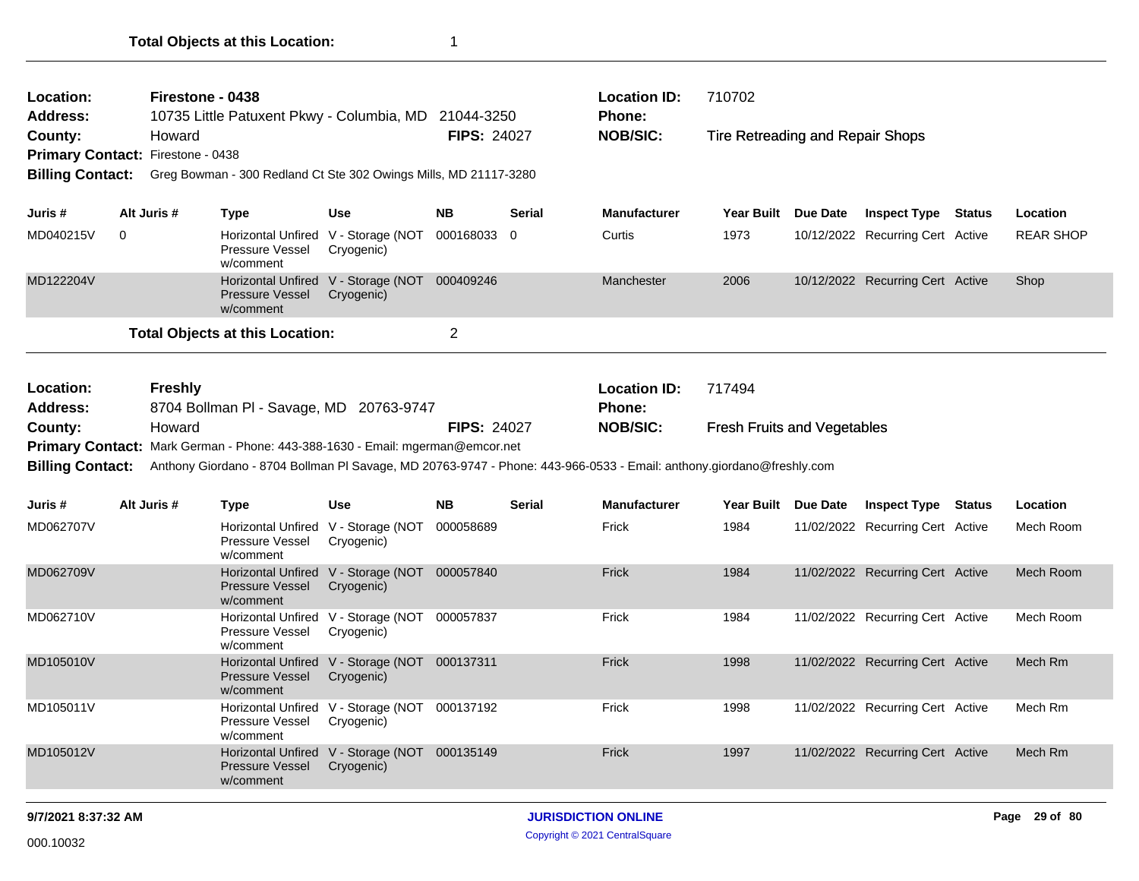| Location:<br><b>Address:</b>                                                                                                                                                                                                     |                                                                     | Firestone - 0438<br>10735 Little Patuxent Pkwy - Columbia, MD 21044-3250 |                                                             |                    |               | <b>Location ID:</b><br>Phone:        | 710702                             |                 |                                  |                  |
|----------------------------------------------------------------------------------------------------------------------------------------------------------------------------------------------------------------------------------|---------------------------------------------------------------------|--------------------------------------------------------------------------|-------------------------------------------------------------|--------------------|---------------|--------------------------------------|------------------------------------|-----------------|----------------------------------|------------------|
| County:<br>Primary Contact: Firestone - 0438                                                                                                                                                                                     | Howard                                                              |                                                                          |                                                             | <b>FIPS: 24027</b> |               | <b>NOB/SIC:</b>                      | Tire Retreading and Repair Shops   |                 |                                  |                  |
| <b>Billing Contact:</b>                                                                                                                                                                                                          |                                                                     | Greg Bowman - 300 Redland Ct Ste 302 Owings Mills, MD 21117-3280         |                                                             |                    |               |                                      |                                    |                 |                                  |                  |
| Juris #                                                                                                                                                                                                                          | Alt Juris #                                                         | <b>Type</b>                                                              | <b>Use</b>                                                  | NΒ                 | <b>Serial</b> | <b>Manufacturer</b>                  | <b>Year Built</b>                  | <b>Due Date</b> | <b>Inspect Type Status</b>       | Location         |
| MD040215V                                                                                                                                                                                                                        | 0                                                                   | Pressure Vessel<br>w/comment                                             | Horizontal Unfired V - Storage (NOT<br>Cryogenic)           | 000168033 0        |               | Curtis                               | 1973                               |                 | 10/12/2022 Recurring Cert Active | <b>REAR SHOP</b> |
| MD122204V                                                                                                                                                                                                                        |                                                                     | <b>Pressure Vessel</b><br>w/comment                                      | Horizontal Unfired V - Storage (NOT 000409246<br>Cryogenic) |                    |               | Manchester                           | 2006                               |                 | 10/12/2022 Recurring Cert Active | Shop             |
|                                                                                                                                                                                                                                  |                                                                     | <b>Total Objects at this Location:</b>                                   | $\overline{2}$                                              |                    |               |                                      |                                    |                 |                                  |                  |
| Location:<br><b>Address:</b>                                                                                                                                                                                                     | <b>Freshly</b><br>8704 Bollman PI - Savage, MD 20763-9747<br>Howard |                                                                          |                                                             |                    |               | <b>Location ID:</b><br><b>Phone:</b> | 717494                             |                 |                                  |                  |
| County:                                                                                                                                                                                                                          |                                                                     |                                                                          |                                                             | <b>FIPS: 24027</b> |               | <b>NOB/SIC:</b>                      | <b>Fresh Fruits and Vegetables</b> |                 |                                  |                  |
| Primary Contact: Mark German - Phone: 443-388-1630 - Email: mgerman@emcor.net<br><b>Billing Contact:</b><br>Anthony Giordano - 8704 Bollman Pl Savage, MD 20763-9747 - Phone: 443-966-0533 - Email: anthony.giordano@freshly.com |                                                                     |                                                                          |                                                             |                    |               |                                      |                                    |                 |                                  |                  |
|                                                                                                                                                                                                                                  |                                                                     |                                                                          |                                                             |                    |               |                                      |                                    |                 |                                  |                  |
| Juris #                                                                                                                                                                                                                          | Alt Juris #                                                         | <b>Type</b>                                                              | <b>Use</b>                                                  | <b>NB</b>          | <b>Serial</b> | <b>Manufacturer</b>                  | Year Built Due Date                |                 | <b>Inspect Type Status</b>       | Location         |
| MD062707V                                                                                                                                                                                                                        |                                                                     | Pressure Vessel<br>w/comment                                             | Horizontal Unfired V - Storage (NOT<br>Cryogenic)           | 000058689          |               | Frick                                | 1984                               |                 | 11/02/2022 Recurring Cert Active | Mech Room        |
| MD062709V                                                                                                                                                                                                                        |                                                                     | Pressure Vessel<br>w/comment                                             | Horizontal Unfired V - Storage (NOT 000057840<br>Cryogenic) |                    |               | Frick                                | 1984                               |                 | 11/02/2022 Recurring Cert Active | <b>Mech Room</b> |
| MD062710V                                                                                                                                                                                                                        |                                                                     | Pressure Vessel<br>w/comment                                             | Horizontal Unfired V - Storage (NOT 000057837<br>Cryogenic) |                    |               | Frick                                | 1984                               |                 | 11/02/2022 Recurring Cert Active | Mech Room        |
| MD105010V                                                                                                                                                                                                                        |                                                                     | <b>Pressure Vessel</b><br>w/comment                                      | Horizontal Unfired V - Storage (NOT 000137311<br>Cryogenic) |                    |               | Frick                                | 1998                               |                 | 11/02/2022 Recurring Cert Active | Mech Rm          |
| MD105011V                                                                                                                                                                                                                        |                                                                     | Pressure Vessel<br>w/comment                                             | Horizontal Unfired V - Storage (NOT 000137192<br>Cryogenic) |                    |               | Frick                                | 1998                               |                 | 11/02/2022 Recurring Cert Active | Mech Rm          |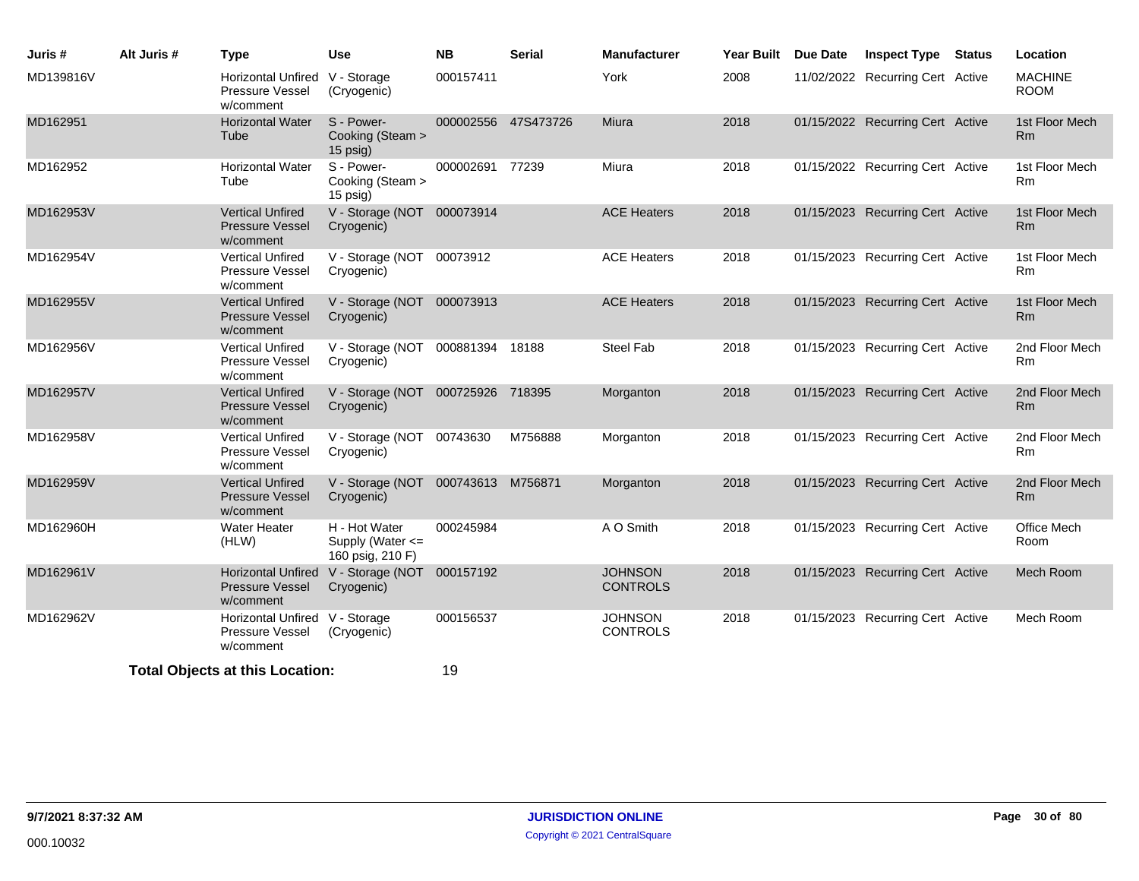| Juris #   | Alt Juris # | <b>Type</b>                                                    | <b>Use</b>                                                  | <b>NB</b>       | <b>Serial</b>       | <b>Manufacturer</b>               | Year Built Due Date | <b>Inspect Type Status</b>       | Location                         |
|-----------|-------------|----------------------------------------------------------------|-------------------------------------------------------------|-----------------|---------------------|-----------------------------------|---------------------|----------------------------------|----------------------------------|
| MD139816V |             | Horizontal Unfired V - Storage<br>Pressure Vessel<br>w/comment | (Cryogenic)                                                 | 000157411       |                     | York                              | 2008                | 11/02/2022 Recurring Cert Active | <b>MACHINE</b><br><b>ROOM</b>    |
| MD162951  |             | <b>Horizontal Water</b><br>Tube                                | S - Power-<br>Cooking (Steam ><br>15 psig)                  |                 | 000002556 47S473726 | Miura                             | 2018                | 01/15/2022 Recurring Cert Active | 1st Floor Mech<br>R <sub>m</sub> |
| MD162952  |             | <b>Horizontal Water</b><br>Tube                                | S - Power-<br>Cooking (Steam ><br>15 psig)                  | 000002691 77239 |                     | Miura                             | 2018                | 01/15/2022 Recurring Cert Active | 1st Floor Mech<br><b>Rm</b>      |
| MD162953V |             | <b>Vertical Unfired</b><br>Pressure Vessel<br>w/comment        | V - Storage (NOT 000073914<br>Cryogenic)                    |                 |                     | <b>ACE Heaters</b>                | 2018                | 01/15/2023 Recurring Cert Active | 1st Floor Mech<br>R <sub>m</sub> |
| MD162954V |             | <b>Vertical Unfired</b><br>Pressure Vessel<br>w/comment        | V - Storage (NOT 00073912<br>Cryogenic)                     |                 |                     | <b>ACE Heaters</b>                | 2018                | 01/15/2023 Recurring Cert Active | 1st Floor Mech<br>R <sub>m</sub> |
| MD162955V |             | <b>Vertical Unfired</b><br><b>Pressure Vessel</b><br>w/comment | V - Storage (NOT 000073913<br>Cryogenic)                    |                 |                     | <b>ACE Heaters</b>                | 2018                | 01/15/2023 Recurring Cert Active | 1st Floor Mech<br>Rm             |
| MD162956V |             | <b>Vertical Unfired</b><br>Pressure Vessel<br>w/comment        | V - Storage (NOT 000881394 18188<br>Cryogenic)              |                 |                     | <b>Steel Fab</b>                  | 2018                | 01/15/2023 Recurring Cert Active | 2nd Floor Mech<br>Rm             |
| MD162957V |             | <b>Vertical Unfired</b><br><b>Pressure Vessel</b><br>w/comment | V - Storage (NOT 000725926 718395<br>Cryogenic)             |                 |                     | Morganton                         | 2018                | 01/15/2023 Recurring Cert Active | 2nd Floor Mech<br>R <sub>m</sub> |
| MD162958V |             | <b>Vertical Unfired</b><br>Pressure Vessel<br>w/comment        | V - Storage (NOT 00743630<br>Cryogenic)                     |                 | M756888             | Morganton                         | 2018                | 01/15/2023 Recurring Cert Active | 2nd Floor Mech<br>Rm             |
| MD162959V |             | <b>Vertical Unfired</b><br><b>Pressure Vessel</b><br>w/comment | V - Storage (NOT 000743613 M756871<br>Cryogenic)            |                 |                     | Morganton                         | 2018                | 01/15/2023 Recurring Cert Active | 2nd Floor Mech<br>R <sub>m</sub> |
| MD162960H |             | <b>Water Heater</b><br>(HLW)                                   | H - Hot Water<br>Supply (Water <=<br>160 psig, 210 F)       | 000245984       |                     | A O Smith                         | 2018                | 01/15/2023 Recurring Cert Active | Office Mech<br>Room              |
| MD162961V |             | <b>Pressure Vessel</b><br>w/comment                            | Horizontal Unfired V - Storage (NOT 000157192<br>Cryogenic) |                 |                     | <b>JOHNSON</b><br><b>CONTROLS</b> | 2018                | 01/15/2023 Recurring Cert Active | Mech Room                        |
| MD162962V |             | Horizontal Unfired V - Storage<br>Pressure Vessel<br>w/comment | (Cryogenic)                                                 | 000156537       |                     | <b>JOHNSON</b><br><b>CONTROLS</b> | 2018                | 01/15/2023 Recurring Cert Active | Mech Room                        |
|           |             | <b>Total Objects at this Location:</b>                         |                                                             | 19              |                     |                                   |                     |                                  |                                  |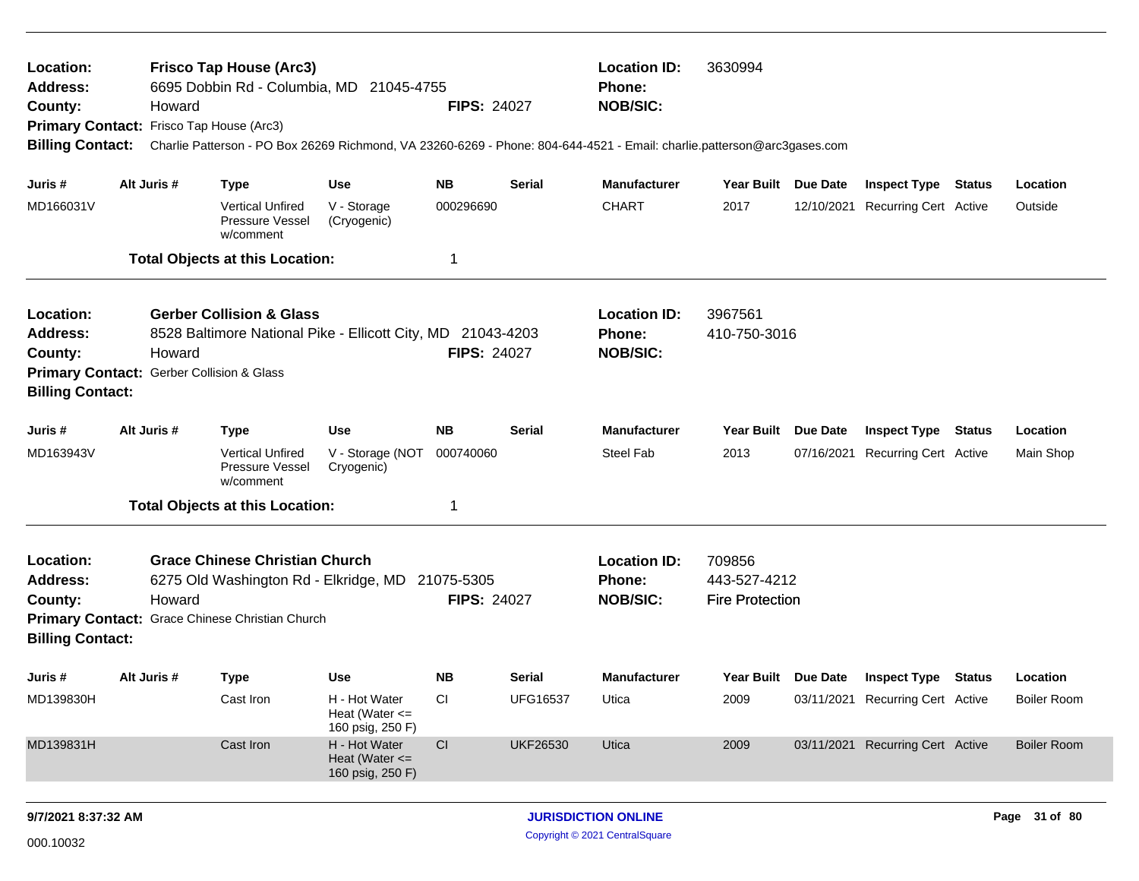| Location:<br><b>Address:</b><br>County:<br>Primary Contact: Frisco Tap House (Arc3)<br><b>Billing Contact:</b>  | Howard                                                                                                                                                                                                                 | <b>Frisco Tap House (Arc3)</b>                                                                            | 6695 Dobbin Rd - Columbia, MD 21045-4755                                                                                         | <b>FIPS: 24027</b>                        |                                              | <b>Location ID:</b><br>Phone:<br><b>NOB/SIC:</b><br>Charlie Patterson - PO Box 26269 Richmond, VA 23260-6269 - Phone: 804-644-4521 - Email: charlie.patterson@arc3gases.com | 3630994                                          |                 |                                                                                                    |        |                                                      |
|-----------------------------------------------------------------------------------------------------------------|------------------------------------------------------------------------------------------------------------------------------------------------------------------------------------------------------------------------|-----------------------------------------------------------------------------------------------------------|----------------------------------------------------------------------------------------------------------------------------------|-------------------------------------------|----------------------------------------------|-----------------------------------------------------------------------------------------------------------------------------------------------------------------------------|--------------------------------------------------|-----------------|----------------------------------------------------------------------------------------------------|--------|------------------------------------------------------|
| Juris #<br>MD166031V                                                                                            | Alt Juris #                                                                                                                                                                                                            | <b>Type</b><br>Vertical Unfired<br>Pressure Vessel<br>w/comment<br><b>Total Objects at this Location:</b> | <b>Use</b><br>V - Storage<br>(Cryogenic)                                                                                         | <b>NB</b><br>000296690<br>-1              | <b>Serial</b>                                | <b>Manufacturer</b><br><b>CHART</b>                                                                                                                                         | Year Built Due Date<br>2017                      | 12/10/2021      | <b>Inspect Type Status</b><br>Recurring Cert Active                                                |        | Location<br>Outside                                  |
| Location:<br><b>Address:</b><br>County:<br>Primary Contact: Gerber Collision & Glass<br><b>Billing Contact:</b> | Howard                                                                                                                                                                                                                 | <b>Gerber Collision &amp; Glass</b>                                                                       | 8528 Baltimore National Pike - Ellicott City, MD 21043-4203                                                                      | <b>FIPS: 24027</b>                        |                                              | <b>Location ID:</b><br><b>Phone:</b><br><b>NOB/SIC:</b>                                                                                                                     | 3967561<br>410-750-3016                          |                 |                                                                                                    |        |                                                      |
| Juris #<br>MD163943V                                                                                            | Alt Juris #                                                                                                                                                                                                            | <b>Type</b><br><b>Vertical Unfired</b><br>Pressure Vessel<br>w/comment                                    | <b>Use</b><br>V - Storage (NOT<br>Cryogenic)                                                                                     | <b>NB</b><br>000740060<br>-1              | Serial                                       | <b>Manufacturer</b><br><b>Steel Fab</b>                                                                                                                                     | Year Built<br>2013                               | <b>Due Date</b> | <b>Inspect Type</b><br>07/16/2021 Recurring Cert Active                                            | Status | Location<br>Main Shop                                |
| Location:<br><b>Address:</b><br>County:<br><b>Billing Contact:</b>                                              | <b>Total Objects at this Location:</b><br><b>Grace Chinese Christian Church</b><br>6275 Old Washington Rd - Elkridge, MD 21075-5305<br><b>FIPS: 24027</b><br>Howard<br>Primary Contact: Grace Chinese Christian Church |                                                                                                           |                                                                                                                                  |                                           |                                              |                                                                                                                                                                             | 709856<br>443-527-4212<br><b>Fire Protection</b> |                 |                                                                                                    |        |                                                      |
| Juris #<br>MD139830H<br>MD139831H                                                                               | Alt Juris #                                                                                                                                                                                                            | <b>Type</b><br>Cast Iron<br>Cast Iron                                                                     | <b>Use</b><br>H - Hot Water<br>Heat (Water $\leq$<br>160 psig, 250 F)<br>H - Hot Water<br>Heat (Water $\leq$<br>160 psig, 250 F) | <b>NB</b><br>CI<br>$\mathsf{C}\mathsf{I}$ | Serial<br><b>UFG16537</b><br><b>UKF26530</b> | <b>Manufacturer</b><br>Utica<br>Utica                                                                                                                                       | Year Built Due Date<br>2009<br>2009              |                 | <b>Inspect Type Status</b><br>03/11/2021 Recurring Cert Active<br>03/11/2021 Recurring Cert Active |        | Location<br><b>Boiler Room</b><br><b>Boiler Room</b> |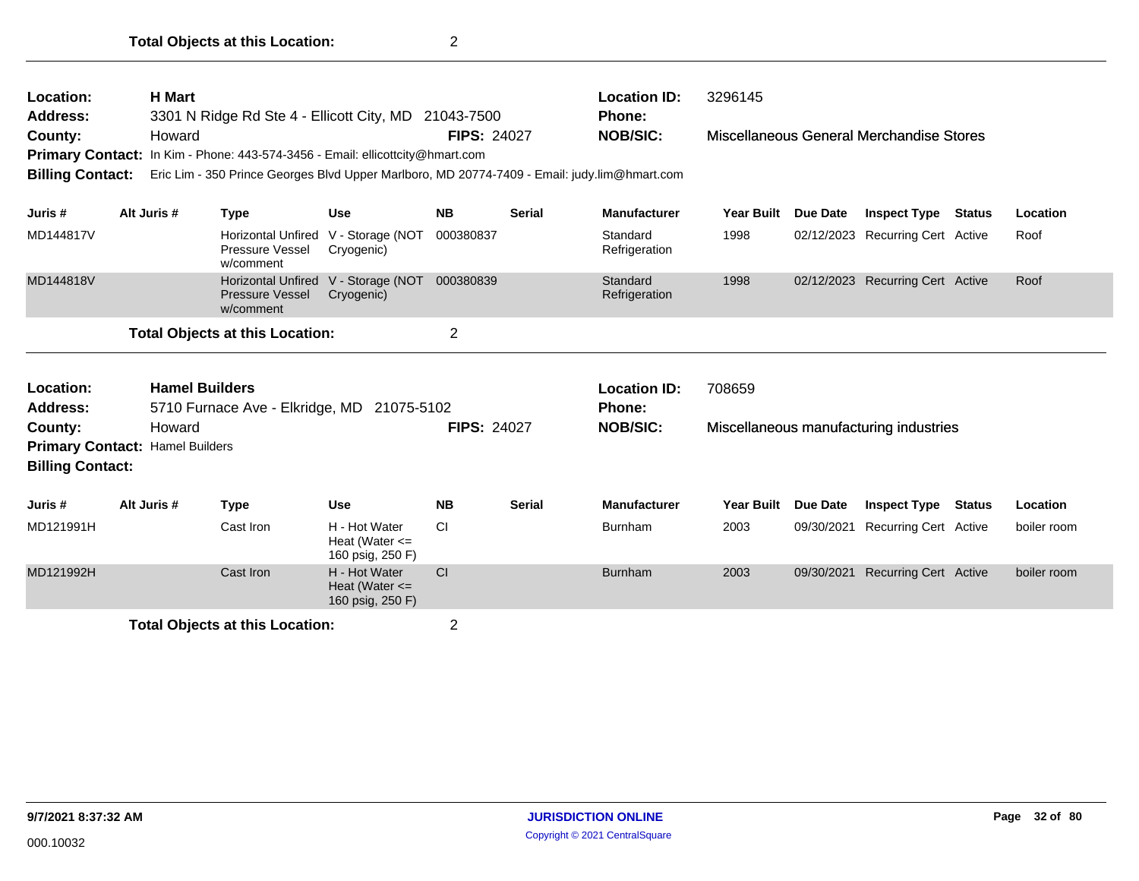| <b>H</b> Mart<br>Location:<br>Address:<br>3301 N Ridge Rd Ste 4 - Ellicott City, MD 21043-7500<br>County:<br>Howard<br><b>Primary Contact:</b><br>In Kim - Phone: 443-574-3456 - Email: ellicottcity@hmart.com<br><b>Billing Contact:</b><br>Eric Lim - 350 Prince Georges Blvd Upper Marlboro, MD 20774-7409 - Email: judy.lim@hmart.com<br>Alt Juris #<br><b>Type</b><br><b>Use</b> |                                                                                                                                                                   |  |                                     |                                                         | <b>FIPS: 24027</b> |                                                  | <b>Location ID:</b><br><b>Phone:</b><br><b>NOB/SIC:</b> | 3296145             |                                        | Miscellaneous General Merchandise Stores |               |             |
|---------------------------------------------------------------------------------------------------------------------------------------------------------------------------------------------------------------------------------------------------------------------------------------------------------------------------------------------------------------------------------------|-------------------------------------------------------------------------------------------------------------------------------------------------------------------|--|-------------------------------------|---------------------------------------------------------|--------------------|--------------------------------------------------|---------------------------------------------------------|---------------------|----------------------------------------|------------------------------------------|---------------|-------------|
| Juris #                                                                                                                                                                                                                                                                                                                                                                               |                                                                                                                                                                   |  |                                     |                                                         | <b>NB</b>          | <b>Serial</b>                                    | <b>Manufacturer</b>                                     | <b>Year Built</b>   | <b>Due Date</b>                        | <b>Inspect Type</b>                      | <b>Status</b> | Location    |
| MD144817V                                                                                                                                                                                                                                                                                                                                                                             |                                                                                                                                                                   |  | Pressure Vessel<br>w/comment        | Horizontal Unfired V - Storage (NOT<br>Cryogenic)       | 000380837          |                                                  | Standard<br>Refrigeration                               | 1998                |                                        | 02/12/2023 Recurring Cert Active         |               | Roof        |
| MD144818V                                                                                                                                                                                                                                                                                                                                                                             |                                                                                                                                                                   |  | <b>Pressure Vessel</b><br>w/comment | Horizontal Unfired V - Storage (NOT<br>Cryogenic)       | 000380839          |                                                  | Standard<br>Refrigeration                               | 1998                |                                        | 02/12/2023 Recurring Cert Active         |               | Roof        |
|                                                                                                                                                                                                                                                                                                                                                                                       |                                                                                                                                                                   |  |                                     |                                                         | $\overline{2}$     |                                                  |                                                         |                     |                                        |                                          |               |             |
| Location:<br><b>Address:</b><br>County:                                                                                                                                                                                                                                                                                                                                               | <b>Total Objects at this Location:</b><br><b>Hamel Builders</b><br>5710 Furnace Ave - Elkridge, MD 21075-5102<br>Howard<br><b>Primary Contact: Hamel Builders</b> |  |                                     | <b>FIPS: 24027</b>                                      |                    | <b>Location ID:</b><br>Phone:<br><b>NOB/SIC:</b> | 708659                                                  |                     | Miscellaneous manufacturing industries |                                          |               |             |
| <b>Billing Contact:</b>                                                                                                                                                                                                                                                                                                                                                               |                                                                                                                                                                   |  |                                     |                                                         |                    |                                                  |                                                         |                     |                                        |                                          |               |             |
| Juris #                                                                                                                                                                                                                                                                                                                                                                               | Alt Juris #                                                                                                                                                       |  | <b>Type</b>                         | <b>Use</b>                                              | <b>NB</b>          | <b>Serial</b>                                    | <b>Manufacturer</b>                                     | Year Built Due Date |                                        | <b>Inspect Type</b>                      | <b>Status</b> | Location    |
| MD121991H                                                                                                                                                                                                                                                                                                                                                                             |                                                                                                                                                                   |  | Cast Iron                           | H - Hot Water<br>Heat (Water $\leq$<br>160 psig, 250 F) | <b>CI</b>          |                                                  | Burnham                                                 | 2003                | 09/30/2021                             | <b>Recurring Cert Active</b>             |               | boiler room |
| MD121992H                                                                                                                                                                                                                                                                                                                                                                             |                                                                                                                                                                   |  | Cast Iron                           | H - Hot Water<br>Heat (Water $\leq$<br>160 psig, 250 F) | <b>CI</b>          |                                                  | <b>Burnham</b>                                          | 2003                | 09/30/2021                             | <b>Recurring Cert Active</b>             |               | boiler room |
|                                                                                                                                                                                                                                                                                                                                                                                       | <b>Total Objects at this Location:</b>                                                                                                                            |  |                                     |                                                         |                    |                                                  |                                                         |                     |                                        |                                          |               |             |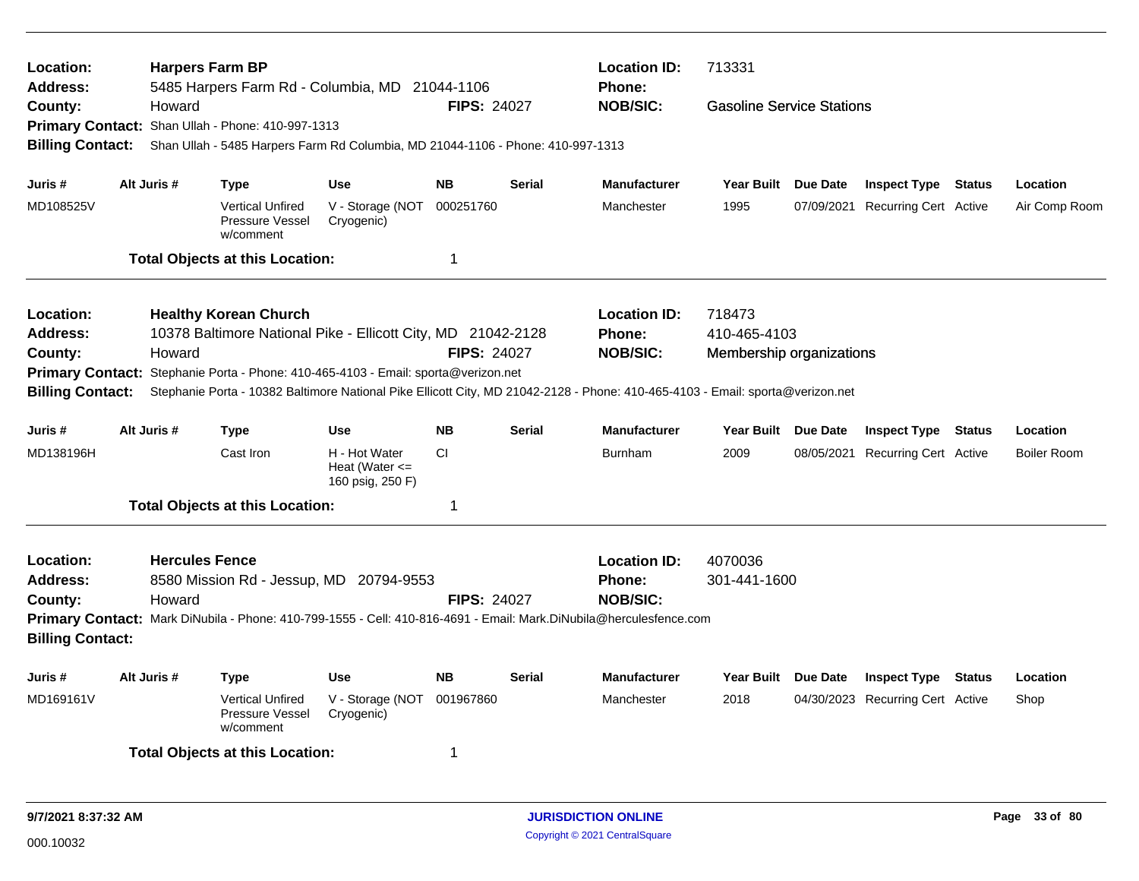| Location:<br><b>Address:</b> |             | <b>Harpers Farm BP</b><br>5485 Harpers Farm Rd - Columbia, MD 21044-1106           |                                                     |                    |               | <b>Location ID:</b><br><b>Phone:</b>                                                                                           | 713331                           |          |                                  |               |                    |
|------------------------------|-------------|------------------------------------------------------------------------------------|-----------------------------------------------------|--------------------|---------------|--------------------------------------------------------------------------------------------------------------------------------|----------------------------------|----------|----------------------------------|---------------|--------------------|
| County:                      | Howard      |                                                                                    |                                                     | <b>FIPS: 24027</b> |               | <b>NOB/SIC:</b>                                                                                                                | <b>Gasoline Service Stations</b> |          |                                  |               |                    |
|                              |             | Primary Contact: Shan Ullah - Phone: 410-997-1313                                  |                                                     |                    |               |                                                                                                                                |                                  |          |                                  |               |                    |
| <b>Billing Contact:</b>      |             | Shan Ullah - 5485 Harpers Farm Rd Columbia, MD 21044-1106 - Phone: 410-997-1313    |                                                     |                    |               |                                                                                                                                |                                  |          |                                  |               |                    |
| Juris #                      | Alt Juris # | <b>Type</b>                                                                        | <b>Use</b>                                          | <b>NB</b>          | <b>Serial</b> | <b>Manufacturer</b>                                                                                                            | Year Built Due Date              |          | <b>Inspect Type Status</b>       |               | Location           |
| MD108525V                    |             | <b>Vertical Unfired</b><br>Pressure Vessel<br>w/comment                            | V - Storage (NOT<br>Cryogenic)                      | 000251760          |               | Manchester                                                                                                                     | 1995                             |          | 07/09/2021 Recurring Cert Active |               | Air Comp Room      |
|                              |             | <b>Total Objects at this Location:</b>                                             |                                                     | 1                  |               |                                                                                                                                |                                  |          |                                  |               |                    |
| Location:                    |             | <b>Healthy Korean Church</b>                                                       |                                                     |                    |               | <b>Location ID:</b>                                                                                                            | 718473                           |          |                                  |               |                    |
| <b>Address:</b>              |             | 10378 Baltimore National Pike - Ellicott City, MD 21042-2128                       |                                                     |                    |               | <b>Phone:</b>                                                                                                                  | 410-465-4103                     |          |                                  |               |                    |
| County:                      | Howard      |                                                                                    |                                                     | <b>FIPS: 24027</b> |               | <b>NOB/SIC:</b>                                                                                                                | Membership organizations         |          |                                  |               |                    |
|                              |             | Primary Contact: Stephanie Porta - Phone: 410-465-4103 - Email: sporta@verizon.net |                                                     |                    |               |                                                                                                                                |                                  |          |                                  |               |                    |
| <b>Billing Contact:</b>      |             |                                                                                    |                                                     |                    |               | Stephanie Porta - 10382 Baltimore National Pike Ellicott City, MD 21042-2128 - Phone: 410-465-4103 - Email: sporta@verizon.net |                                  |          |                                  |               |                    |
| Juris #                      | Alt Juris # | <b>Type</b>                                                                        | <b>Use</b>                                          | <b>NB</b>          | <b>Serial</b> | <b>Manufacturer</b>                                                                                                            | Year Built Due Date              |          | <b>Inspect Type Status</b>       |               | Location           |
| MD138196H                    |             | Cast Iron                                                                          | H - Hot Water<br>Heat (Water <=<br>160 psig, 250 F) | <b>CI</b>          |               | <b>Burnham</b>                                                                                                                 | 2009                             |          | 08/05/2021 Recurring Cert Active |               | <b>Boiler Room</b> |
|                              |             | <b>Total Objects at this Location:</b>                                             |                                                     | $\mathbf 1$        |               |                                                                                                                                |                                  |          |                                  |               |                    |
| Location:                    |             | <b>Hercules Fence</b>                                                              |                                                     |                    |               | <b>Location ID:</b>                                                                                                            | 4070036                          |          |                                  |               |                    |
| <b>Address:</b>              |             | 8580 Mission Rd - Jessup, MD 20794-9553                                            |                                                     |                    |               | <b>Phone:</b>                                                                                                                  | 301-441-1600                     |          |                                  |               |                    |
| County:                      | Howard      |                                                                                    |                                                     | <b>FIPS: 24027</b> |               | <b>NOB/SIC:</b>                                                                                                                |                                  |          |                                  |               |                    |
| <b>Billing Contact:</b>      |             |                                                                                    |                                                     |                    |               | Primary Contact: Mark DiNubila - Phone: 410-799-1555 - Cell: 410-816-4691 - Email: Mark.DiNubila@herculesfence.com             |                                  |          |                                  |               |                    |
| Juris #                      | Alt Juris # | <b>Type</b>                                                                        | <b>Use</b>                                          | <b>NB</b>          | <b>Serial</b> | <b>Manufacturer</b>                                                                                                            | <b>Year Built</b>                | Due Date | <b>Inspect Type</b>              | <b>Status</b> | Location           |
| MD169161V                    |             | <b>Vertical Unfired</b><br>Pressure Vessel<br>w/comment                            | V - Storage (NOT<br>Cryogenic)                      | 001967860          |               | Manchester                                                                                                                     | 2018                             |          | 04/30/2023 Recurring Cert Active |               | Shop               |
|                              |             | <b>Total Objects at this Location:</b>                                             |                                                     | -1                 |               |                                                                                                                                |                                  |          |                                  |               |                    |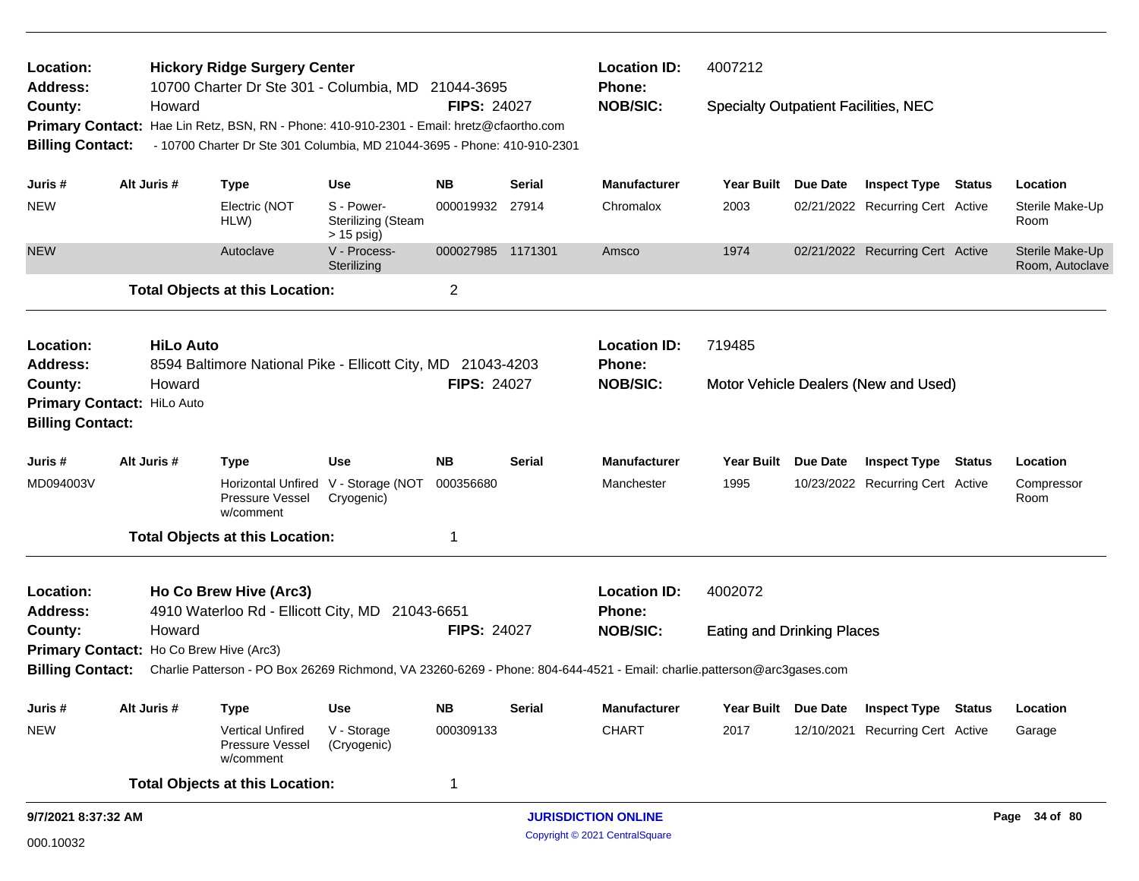| Location:<br><b>Address:</b>                                  |                                                                                                                                                                                            | <b>Hickory Ridge Surgery Center</b><br>10700 Charter Dr Ste 301 - Columbia, MD 21044-3695                               |                                                         |                    |                            | <b>Location ID:</b><br><b>Phone:</b> | 4007212                                     |                 |                                      |               |                                    |
|---------------------------------------------------------------|--------------------------------------------------------------------------------------------------------------------------------------------------------------------------------------------|-------------------------------------------------------------------------------------------------------------------------|---------------------------------------------------------|--------------------|----------------------------|--------------------------------------|---------------------------------------------|-----------------|--------------------------------------|---------------|------------------------------------|
| County:<br><b>Primary Contact:</b><br><b>Billing Contact:</b> | Howard<br>Hae Lin Retz, BSN, RN - Phone: 410-910-2301 - Email: hretz@cfaortho.com<br>- 10700 Charter Dr Ste 301 Columbia, MD 21044-3695 - Phone: 410-910-2301<br>Alt Juris #<br><b>Use</b> |                                                                                                                         |                                                         | <b>FIPS: 24027</b> |                            | <b>NOB/SIC:</b>                      | <b>Specialty Outpatient Facilities, NEC</b> |                 |                                      |               |                                    |
| Juris #                                                       |                                                                                                                                                                                            | <b>Type</b>                                                                                                             |                                                         | <b>NB</b>          | <b>Serial</b>              | <b>Manufacturer</b>                  | <b>Year Built</b>                           | Due Date        | <b>Inspect Type</b>                  | Status        | Location                           |
| <b>NEW</b>                                                    |                                                                                                                                                                                            | Electric (NOT<br>HLW)                                                                                                   | S - Power-<br><b>Sterilizing (Steam</b><br>$> 15$ psig) | 000019932          | 27914                      | Chromalox                            | 2003                                        |                 | 02/21/2022 Recurring Cert Active     |               | Sterile Make-Up<br>Room            |
| <b>NEW</b>                                                    |                                                                                                                                                                                            | Autoclave                                                                                                               | V - Process-<br>Sterilizing                             | 000027985 1171301  |                            | Amsco                                | 1974                                        |                 | 02/21/2022 Recurring Cert Active     |               | Sterile Make-Up<br>Room, Autoclave |
|                                                               |                                                                                                                                                                                            | <b>Total Objects at this Location:</b>                                                                                  |                                                         | $\overline{c}$     |                            |                                      |                                             |                 |                                      |               |                                    |
| Location:<br><b>Address:</b>                                  | <b>HiLo Auto</b>                                                                                                                                                                           | 8594 Baltimore National Pike - Ellicott City, MD 21043-4203                                                             |                                                         |                    |                            | <b>Location ID:</b><br>Phone:        | 719485                                      |                 |                                      |               |                                    |
| County:                                                       | Howard                                                                                                                                                                                     |                                                                                                                         |                                                         | <b>FIPS: 24027</b> |                            | <b>NOB/SIC:</b>                      |                                             |                 | Motor Vehicle Dealers (New and Used) |               |                                    |
| <b>Billing Contact:</b>                                       | Primary Contact: HiLo Auto                                                                                                                                                                 |                                                                                                                         |                                                         |                    |                            |                                      |                                             |                 |                                      |               |                                    |
|                                                               |                                                                                                                                                                                            |                                                                                                                         |                                                         |                    |                            |                                      |                                             |                 |                                      |               |                                    |
| Juris #                                                       | Alt Juris #                                                                                                                                                                                | <b>Type</b>                                                                                                             | <b>Use</b>                                              | <b>NB</b>          | <b>Serial</b>              | <b>Manufacturer</b>                  | <b>Year Built</b>                           | <b>Due Date</b> | <b>Inspect Type</b>                  | Status        | Location                           |
| MD094003V                                                     |                                                                                                                                                                                            | Pressure Vessel<br>w/comment                                                                                            | Horizontal Unfired V - Storage (NOT<br>Cryogenic)       | 000356680          |                            | Manchester                           | 1995                                        |                 | 10/23/2022 Recurring Cert Active     |               | Compressor<br>Room                 |
|                                                               |                                                                                                                                                                                            | <b>Total Objects at this Location:</b>                                                                                  |                                                         | 1                  |                            |                                      |                                             |                 |                                      |               |                                    |
| Location:<br><b>Address:</b>                                  |                                                                                                                                                                                            | Ho Co Brew Hive (Arc3)<br>4910 Waterloo Rd - Ellicott City, MD 21043-6651                                               |                                                         |                    |                            | <b>Location ID:</b><br>Phone:        | 4002072                                     |                 |                                      |               |                                    |
| County:                                                       | Howard                                                                                                                                                                                     |                                                                                                                         |                                                         | <b>FIPS: 24027</b> |                            | <b>NOB/SIC:</b>                      | <b>Eating and Drinking Places</b>           |                 |                                      |               |                                    |
|                                                               | Primary Contact: Ho Co Brew Hive (Arc3)                                                                                                                                                    |                                                                                                                         |                                                         |                    |                            |                                      |                                             |                 |                                      |               |                                    |
| <b>Billing Contact:</b>                                       |                                                                                                                                                                                            | Charlie Patterson - PO Box 26269 Richmond, VA 23260-6269 - Phone: 804-644-4521 - Email: charlie.patterson@arc3gases.com |                                                         |                    |                            |                                      |                                             |                 |                                      |               |                                    |
| Juris #                                                       | Alt Juris #                                                                                                                                                                                | <b>Type</b>                                                                                                             | <b>Use</b>                                              | <b>NB</b>          | <b>Serial</b>              | Manufacturer                         | <b>Year Built</b>                           | Due Date        | <b>Inspect Type Status</b>           |               | Location                           |
| <b>NEW</b>                                                    |                                                                                                                                                                                            | <b>Vertical Unfired</b><br>Pressure Vessel<br>w/comment                                                                 | V - Storage<br>(Cryogenic)                              | 000309133          |                            | <b>CHART</b>                         | 2017                                        | 12/10/2021      | <b>Recurring Cert Active</b>         |               | Garage                             |
|                                                               |                                                                                                                                                                                            | <b>Total Objects at this Location:</b>                                                                                  |                                                         | -1                 |                            |                                      |                                             |                 |                                      |               |                                    |
| 9/7/2021 8:37:32 AM                                           |                                                                                                                                                                                            |                                                                                                                         |                                                         |                    | <b>JURISDICTION ONLINE</b> |                                      |                                             |                 |                                      | Page 34 of 80 |                                    |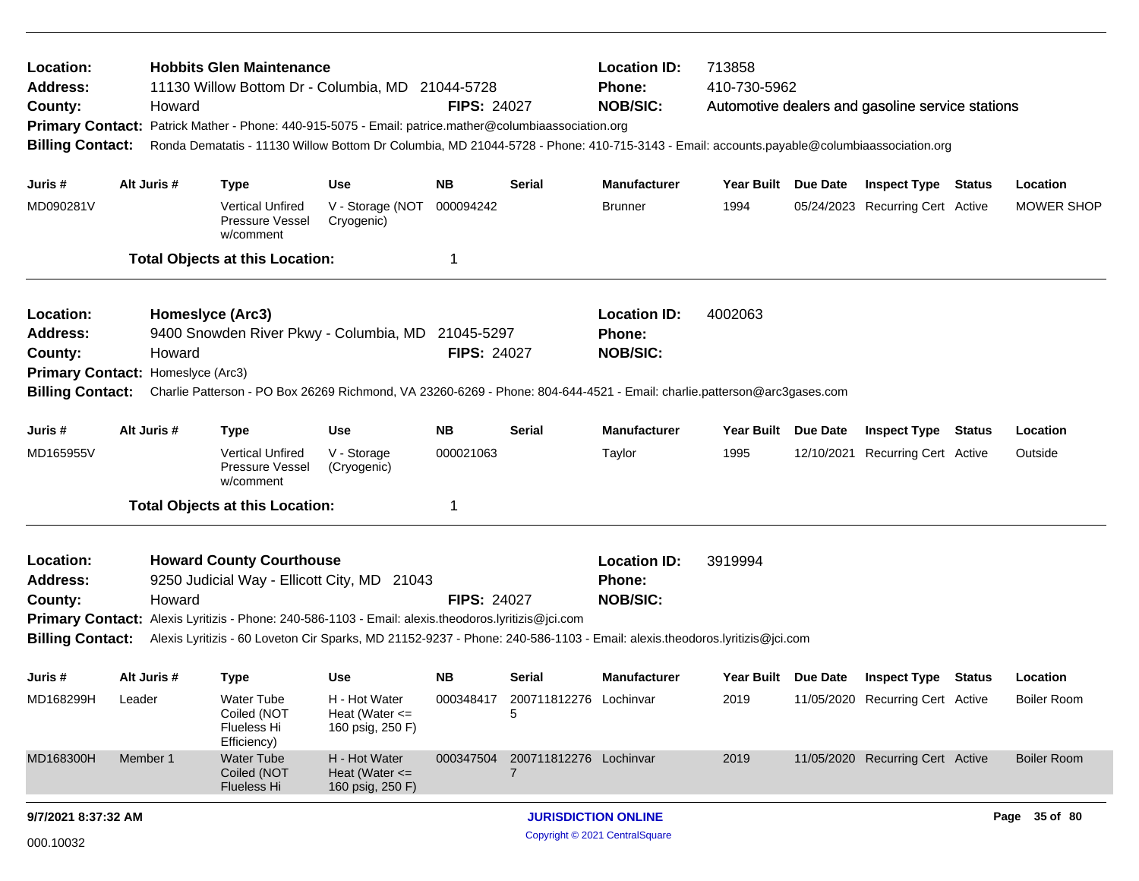| Location:<br><b>Address:</b><br>County:<br><b>Primary Contact:</b><br><b>Billing Contact:</b> | Howard                                                                                                                                                                                                                | <b>Hobbits Glen Maintenance</b><br>11130 Willow Bottom Dr - Columbia, MD 21044-5728<br>Patrick Mather - Phone: 440-915-5075 - Email: patrice.mather@columbiaassociation.org<br>Ronda Dematatis - 11130 Willow Bottom Dr Columbia, MD 21044-5728 - Phone: 410-715-3143 - Email: accounts.payable@columbiaassociation.org |                                                           | <b>FIPS: 24027</b>                                      |                             | <b>Location ID:</b><br><b>Phone:</b><br><b>NOB/SIC:</b> | 713858<br>410-730-5962 |          | Automotive dealers and gasoline service stations |                    |
|-----------------------------------------------------------------------------------------------|-----------------------------------------------------------------------------------------------------------------------------------------------------------------------------------------------------------------------|-------------------------------------------------------------------------------------------------------------------------------------------------------------------------------------------------------------------------------------------------------------------------------------------------------------------------|-----------------------------------------------------------|---------------------------------------------------------|-----------------------------|---------------------------------------------------------|------------------------|----------|--------------------------------------------------|--------------------|
| Juris #                                                                                       | Alt Juris #                                                                                                                                                                                                           | <b>Type</b>                                                                                                                                                                                                                                                                                                             | <b>Use</b>                                                | <b>NB</b>                                               | <b>Serial</b>               | <b>Manufacturer</b>                                     | Year Built Due Date    |          | <b>Inspect Type Status</b>                       | Location           |
| MD090281V                                                                                     |                                                                                                                                                                                                                       | <b>Vertical Unfired</b><br>Pressure Vessel<br>w/comment                                                                                                                                                                                                                                                                 | V - Storage (NOT<br>Cryogenic)                            | 000094242                                               |                             | <b>Brunner</b>                                          | 1994                   |          | 05/24/2023 Recurring Cert Active                 | <b>MOWER SHOP</b>  |
|                                                                                               |                                                                                                                                                                                                                       | <b>Total Objects at this Location:</b>                                                                                                                                                                                                                                                                                  |                                                           | -1                                                      |                             |                                                         |                        |          |                                                  |                    |
| Location:<br><b>Address:</b><br>County:                                                       | Howard                                                                                                                                                                                                                | Homeslyce (Arc3)<br>9400 Snowden River Pkwy - Columbia, MD 21045-5297                                                                                                                                                                                                                                                   | <b>FIPS: 24027</b>                                        | <b>Location ID:</b><br><b>Phone:</b><br><b>NOB/SIC:</b> | 4002063                     |                                                         |                        |          |                                                  |                    |
| Primary Contact: Homeslyce (Arc3)                                                             |                                                                                                                                                                                                                       |                                                                                                                                                                                                                                                                                                                         |                                                           |                                                         |                             |                                                         |                        |          |                                                  |                    |
| <b>Billing Contact:</b>                                                                       |                                                                                                                                                                                                                       | Charlie Patterson - PO Box 26269 Richmond, VA 23260-6269 - Phone: 804-644-4521 - Email: charlie.patterson@arc3gases.com                                                                                                                                                                                                 |                                                           |                                                         |                             |                                                         |                        |          |                                                  |                    |
| Juris #                                                                                       | Alt Juris #<br><b>NB</b><br><b>Use</b><br><b>Type</b>                                                                                                                                                                 |                                                                                                                                                                                                                                                                                                                         |                                                           |                                                         | Serial                      | <b>Manufacturer</b>                                     | <b>Year Built</b>      | Due Date | <b>Inspect Type Status</b>                       | Location           |
| MD165955V                                                                                     |                                                                                                                                                                                                                       | <b>Vertical Unfired</b><br><b>Pressure Vessel</b><br>w/comment                                                                                                                                                                                                                                                          | V - Storage<br>(Cryogenic)                                | 000021063                                               |                             | Taylor                                                  | 1995                   |          | 12/10/2021 Recurring Cert Active                 | Outside            |
|                                                                                               |                                                                                                                                                                                                                       | <b>Total Objects at this Location:</b>                                                                                                                                                                                                                                                                                  |                                                           | -1                                                      |                             |                                                         |                        |          |                                                  |                    |
| Location:<br><b>Address:</b><br>County:                                                       | <b>Howard County Courthouse</b><br>9250 Judicial Way - Ellicott City, MD 21043<br>Howard<br><b>FIPS: 24027</b><br>Primary Contact: Alexis Lyritizis - Phone: 240-586-1103 - Email: alexis.theodoros.lyritizis@jci.com |                                                                                                                                                                                                                                                                                                                         |                                                           |                                                         |                             |                                                         | 3919994                |          |                                                  |                    |
| <b>Billing Contact:</b>                                                                       |                                                                                                                                                                                                                       | Alexis Lyritizis - 60 Loveton Cir Sparks, MD 21152-9237 - Phone: 240-586-1103 - Email: alexis.theodoros.lyritizis@jci.com                                                                                                                                                                                               |                                                           |                                                         |                             |                                                         |                        |          |                                                  |                    |
| Juris #                                                                                       | Alt Juris #                                                                                                                                                                                                           | <b>Type</b>                                                                                                                                                                                                                                                                                                             | <b>Use</b>                                                | <b>NB</b>                                               | Serial                      | <b>Manufacturer</b>                                     | Year Built Due Date    |          | <b>Inspect Type Status</b>                       | Location           |
| MD168299H                                                                                     | Leader                                                                                                                                                                                                                | Water Tube<br>Coiled (NOT<br>Flueless Hi<br>Efficiency)                                                                                                                                                                                                                                                                 | H - Hot Water<br>Heat (Water $\leq$ =<br>160 psig, 250 F) | 000348417                                               | 200711812276 Lochinvar<br>5 |                                                         | 2019                   |          | 11/05/2020 Recurring Cert Active                 | Boiler Room        |
| MD168300H                                                                                     | Member 1                                                                                                                                                                                                              | <b>Water Tube</b><br>Coiled (NOT<br>Flueless Hi                                                                                                                                                                                                                                                                         | H - Hot Water<br>Heat (Water $\leq$<br>160 psig, 250 F)   | 000347504                                               | 200711812276 Lochinvar<br>7 |                                                         | 2019                   |          | 11/05/2020 Recurring Cert Active                 | <b>Boiler Room</b> |
| 9/7/2021 8:37:32 AM                                                                           |                                                                                                                                                                                                                       |                                                                                                                                                                                                                                                                                                                         |                                                           |                                                         | <b>JURISDICTION ONLINE</b>  |                                                         |                        |          | Page 35 of 80                                    |                    |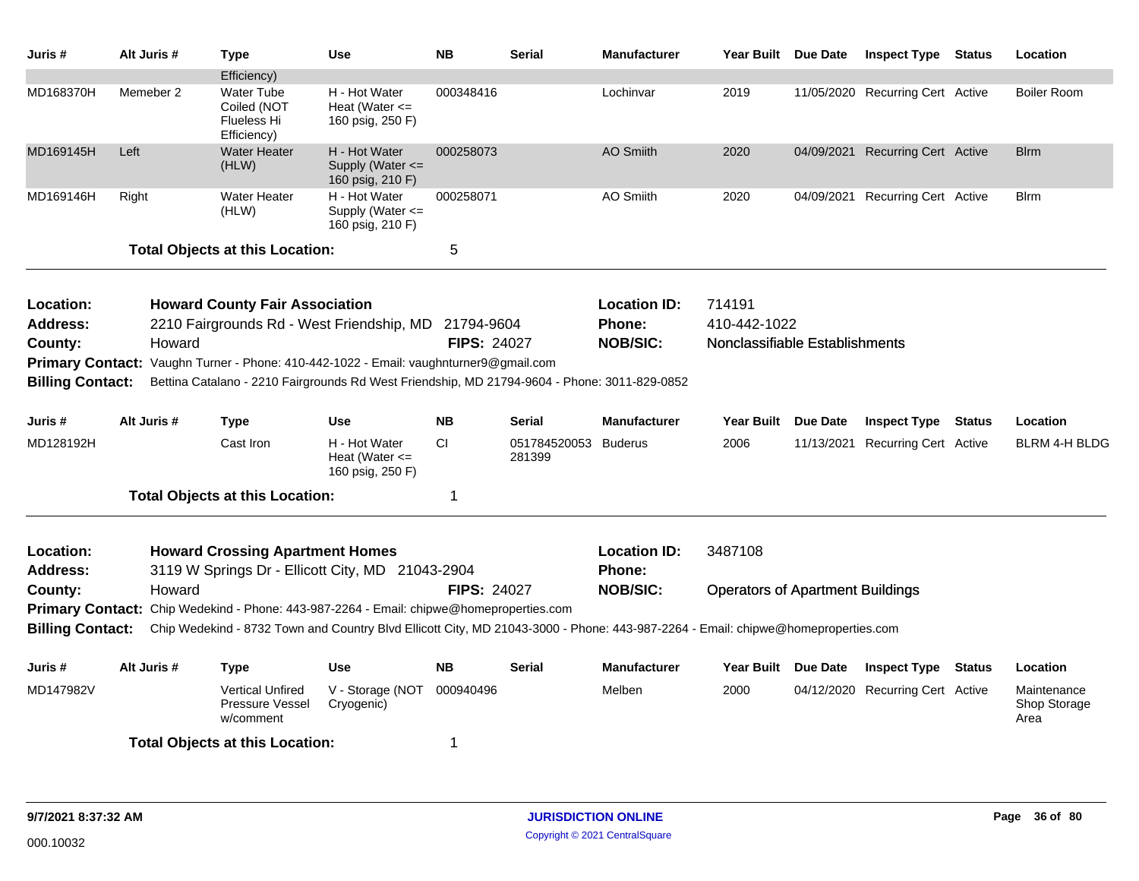| Juris #                      | Alt Juris # | <b>Type</b>                                                                                                                      | <b>Use</b>                                              | <b>NB</b>          | <b>Serial</b>                  | <b>Manufacturer</b>                  | Year Built Due Date                     |                 | <b>Inspect Type Status</b>       | Location                            |
|------------------------------|-------------|----------------------------------------------------------------------------------------------------------------------------------|---------------------------------------------------------|--------------------|--------------------------------|--------------------------------------|-----------------------------------------|-----------------|----------------------------------|-------------------------------------|
|                              |             | Efficiency)                                                                                                                      |                                                         |                    |                                |                                      |                                         |                 |                                  |                                     |
| MD168370H                    | Memeber 2   | Water Tube<br>Coiled (NOT<br>Flueless Hi<br>Efficiency)                                                                          | H - Hot Water<br>Heat (Water $\leq$<br>160 psig, 250 F) | 000348416          |                                | Lochinvar                            | 2019                                    |                 | 11/05/2020 Recurring Cert Active | <b>Boiler Room</b>                  |
| MD169145H                    | Left        | <b>Water Heater</b><br>(HLW)                                                                                                     | H - Hot Water<br>Supply (Water <=<br>160 psig, 210 F)   | 000258073          |                                | <b>AO Smiith</b>                     | 2020                                    |                 | 04/09/2021 Recurring Cert Active | <b>Blrm</b>                         |
| MD169146H                    | Right       | <b>Water Heater</b><br>(HLW)                                                                                                     | H - Hot Water<br>Supply (Water <=<br>160 psig, 210 F)   | 000258071          |                                | AO Smiith                            | 2020                                    |                 | 04/09/2021 Recurring Cert Active | <b>Blrm</b>                         |
|                              |             | <b>Total Objects at this Location:</b>                                                                                           |                                                         | 5                  |                                |                                      |                                         |                 |                                  |                                     |
| Location:                    |             | <b>Howard County Fair Association</b>                                                                                            |                                                         |                    |                                | <b>Location ID:</b>                  | 714191                                  |                 |                                  |                                     |
| <b>Address:</b>              |             | 2210 Fairgrounds Rd - West Friendship, MD 21794-9604                                                                             |                                                         |                    |                                | Phone:                               | 410-442-1022                            |                 |                                  |                                     |
| County:                      | Howard      |                                                                                                                                  |                                                         | <b>FIPS: 24027</b> |                                | <b>NOB/SIC:</b>                      | Nonclassifiable Establishments          |                 |                                  |                                     |
| <b>Primary Contact:</b>      |             | Vaughn Turner - Phone: 410-442-1022 - Email: vaughnturner9@gmail.com                                                             |                                                         |                    |                                |                                      |                                         |                 |                                  |                                     |
| <b>Billing Contact:</b>      |             | Bettina Catalano - 2210 Fairgrounds Rd West Friendship, MD 21794-9604 - Phone: 3011-829-0852                                     |                                                         |                    |                                |                                      |                                         |                 |                                  |                                     |
| Juris #                      | Alt Juris # | <b>Type</b>                                                                                                                      | <b>Use</b>                                              | <b>NB</b>          | <b>Serial</b>                  | <b>Manufacturer</b>                  | <b>Year Built</b>                       | <b>Due Date</b> | <b>Inspect Type Status</b>       | Location                            |
| MD128192H                    |             | Cast Iron                                                                                                                        | H - Hot Water<br>Heat (Water $\leq$<br>160 psig, 250 F) | <b>CI</b>          | 051784520053 Buderus<br>281399 |                                      | 2006                                    | 11/13/2021      | <b>Recurring Cert Active</b>     | <b>BLRM 4-H BLDG</b>                |
|                              |             | <b>Total Objects at this Location:</b>                                                                                           |                                                         | 1                  |                                |                                      |                                         |                 |                                  |                                     |
| Location:<br><b>Address:</b> |             | <b>Howard Crossing Apartment Homes</b><br>3119 W Springs Dr - Ellicott City, MD 21043-2904                                       |                                                         |                    |                                | <b>Location ID:</b><br><b>Phone:</b> | 3487108                                 |                 |                                  |                                     |
| County:                      | Howard      |                                                                                                                                  |                                                         | <b>FIPS: 24027</b> |                                | <b>NOB/SIC:</b>                      | <b>Operators of Apartment Buildings</b> |                 |                                  |                                     |
| <b>Primary Contact:</b>      |             | Chip Wedekind - Phone: 443-987-2264 - Email: chipwe@homeproperties.com                                                           |                                                         |                    |                                |                                      |                                         |                 |                                  |                                     |
| <b>Billing Contact:</b>      |             | Chip Wedekind - 8732 Town and Country Blvd Ellicott City, MD 21043-3000 - Phone: 443-987-2264 - Email: chipwe@homeproperties.com |                                                         |                    |                                |                                      |                                         |                 |                                  |                                     |
| Juris #                      | Alt Juris # | <b>Type</b>                                                                                                                      | <b>Use</b>                                              | <b>NB</b>          | <b>Serial</b>                  | <b>Manufacturer</b>                  | Year Built                              | Due Date        | <b>Inspect Type Status</b>       | Location                            |
| MD147982V                    |             | <b>Vertical Unfired</b><br>Pressure Vessel<br>w/comment                                                                          | V - Storage (NOT<br>Cryogenic)                          | 000940496          |                                | Melben                               | 2000                                    |                 | 04/12/2020 Recurring Cert Active | Maintenance<br>Shop Storage<br>Area |
|                              |             | <b>Total Objects at this Location:</b>                                                                                           |                                                         | 1                  |                                |                                      |                                         |                 |                                  |                                     |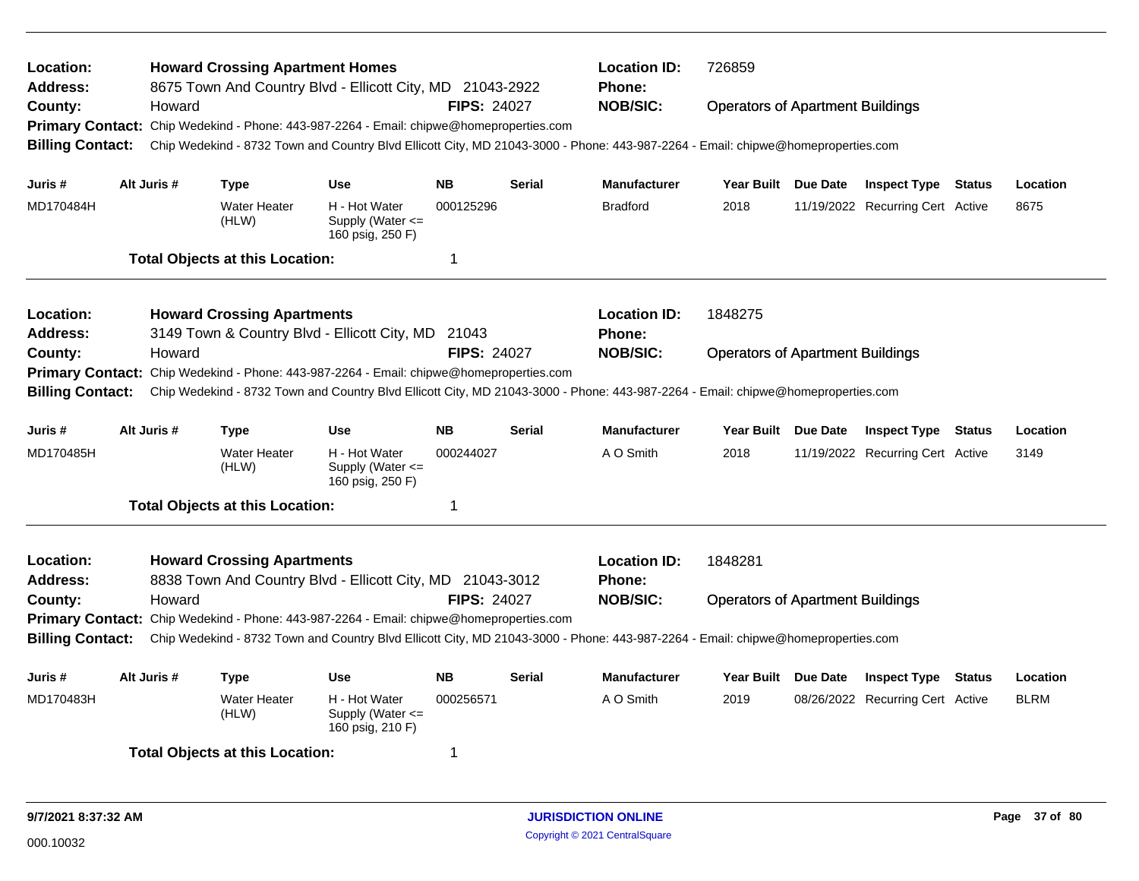| Location:<br>Address:                                                                                                                                       |  |             | <b>Howard Crossing Apartment Homes</b><br>8675 Town And Country Blvd - Ellicott City, MD 21043-2922 |                                                           |                    |               | <b>Location ID:</b><br><b>Phone:</b> | 726859     |                                                                                                                                                                                                                                                                                                                                                                                                                                                                                                                                                                                                                                                                                                                       |  |  |  |  |
|-------------------------------------------------------------------------------------------------------------------------------------------------------------|--|-------------|-----------------------------------------------------------------------------------------------------|-----------------------------------------------------------|--------------------|---------------|--------------------------------------|------------|-----------------------------------------------------------------------------------------------------------------------------------------------------------------------------------------------------------------------------------------------------------------------------------------------------------------------------------------------------------------------------------------------------------------------------------------------------------------------------------------------------------------------------------------------------------------------------------------------------------------------------------------------------------------------------------------------------------------------|--|--|--|--|
| County:                                                                                                                                                     |  | Howard      |                                                                                                     |                                                           | <b>FIPS: 24027</b> |               | <b>NOB/SIC:</b>                      |            |                                                                                                                                                                                                                                                                                                                                                                                                                                                                                                                                                                                                                                                                                                                       |  |  |  |  |
| <b>Primary Contact:</b>                                                                                                                                     |  |             | Chip Wedekind - Phone: 443-987-2264 - Email: chipwe@homeproperties.com                              |                                                           |                    |               |                                      |            | <b>Operators of Apartment Buildings</b><br>Chip Wedekind - 8732 Town and Country Blvd Ellicott City, MD 21043-3000 - Phone: 443-987-2264 - Email: chipwe@homeproperties.com<br>Due Date<br><b>Inspect Type Status</b><br>Location<br>11/19/2022 Recurring Cert Active<br>8675<br><b>Operators of Apartment Buildings</b><br>Chip Wedekind - 8732 Town and Country Blvd Ellicott City, MD 21043-3000 - Phone: 443-987-2264 - Email: chipwe@homeproperties.com<br>Due Date<br><b>Inspect Type Status</b><br>Location<br>11/19/2022 Recurring Cert Active<br>3149<br><b>Operators of Apartment Buildings</b><br>Due Date<br><b>Inspect Type</b><br>Status<br>Location<br><b>BLRM</b><br>08/26/2022 Recurring Cert Active |  |  |  |  |
| <b>Billing Contact:</b>                                                                                                                                     |  |             |                                                                                                     |                                                           |                    |               |                                      |            |                                                                                                                                                                                                                                                                                                                                                                                                                                                                                                                                                                                                                                                                                                                       |  |  |  |  |
| Juris #                                                                                                                                                     |  | Alt Juris # | Type                                                                                                | <b>Use</b>                                                | <b>NB</b>          | <b>Serial</b> | <b>Manufacturer</b>                  | Year Built |                                                                                                                                                                                                                                                                                                                                                                                                                                                                                                                                                                                                                                                                                                                       |  |  |  |  |
| MD170484H                                                                                                                                                   |  |             | <b>Water Heater</b><br>(HLW)                                                                        | H - Hot Water<br>Supply (Water $\leq$<br>160 psig, 250 F) | 000125296          |               | <b>Bradford</b>                      | 2018       |                                                                                                                                                                                                                                                                                                                                                                                                                                                                                                                                                                                                                                                                                                                       |  |  |  |  |
|                                                                                                                                                             |  |             | <b>Total Objects at this Location:</b>                                                              |                                                           | $\mathbf 1$        |               |                                      |            |                                                                                                                                                                                                                                                                                                                                                                                                                                                                                                                                                                                                                                                                                                                       |  |  |  |  |
| <b>Location:</b>                                                                                                                                            |  |             | <b>Howard Crossing Apartments</b>                                                                   |                                                           |                    |               | <b>Location ID:</b>                  | 1848275    |                                                                                                                                                                                                                                                                                                                                                                                                                                                                                                                                                                                                                                                                                                                       |  |  |  |  |
| <b>Address:</b>                                                                                                                                             |  |             | 3149 Town & Country Blvd - Ellicott City, MD 21043                                                  |                                                           |                    |               | <b>Phone:</b>                        |            |                                                                                                                                                                                                                                                                                                                                                                                                                                                                                                                                                                                                                                                                                                                       |  |  |  |  |
| County:                                                                                                                                                     |  | Howard      |                                                                                                     |                                                           | <b>FIPS: 24027</b> |               | <b>NOB/SIC:</b>                      |            |                                                                                                                                                                                                                                                                                                                                                                                                                                                                                                                                                                                                                                                                                                                       |  |  |  |  |
| <b>Primary Contact:</b>                                                                                                                                     |  |             | Chip Wedekind - Phone: 443-987-2264 - Email: chipwe@homeproperties.com                              |                                                           |                    |               |                                      |            |                                                                                                                                                                                                                                                                                                                                                                                                                                                                                                                                                                                                                                                                                                                       |  |  |  |  |
| <b>Billing Contact:</b>                                                                                                                                     |  |             |                                                                                                     |                                                           |                    |               |                                      |            |                                                                                                                                                                                                                                                                                                                                                                                                                                                                                                                                                                                                                                                                                                                       |  |  |  |  |
| Juris #                                                                                                                                                     |  | Alt Juris # | Type                                                                                                | <b>Use</b>                                                | <b>NB</b>          | <b>Serial</b> | <b>Manufacturer</b>                  | Year Built |                                                                                                                                                                                                                                                                                                                                                                                                                                                                                                                                                                                                                                                                                                                       |  |  |  |  |
| MD170485H                                                                                                                                                   |  |             | <b>Water Heater</b><br>(HLW)                                                                        | H - Hot Water<br>Supply (Water $\leq$<br>160 psig, 250 F) | 000244027          |               | A O Smith                            | 2018       |                                                                                                                                                                                                                                                                                                                                                                                                                                                                                                                                                                                                                                                                                                                       |  |  |  |  |
|                                                                                                                                                             |  |             | <b>Total Objects at this Location:</b>                                                              |                                                           | 1                  |               |                                      |            |                                                                                                                                                                                                                                                                                                                                                                                                                                                                                                                                                                                                                                                                                                                       |  |  |  |  |
| Location:                                                                                                                                                   |  |             | <b>Howard Crossing Apartments</b>                                                                   |                                                           |                    |               | <b>Location ID:</b>                  | 1848281    |                                                                                                                                                                                                                                                                                                                                                                                                                                                                                                                                                                                                                                                                                                                       |  |  |  |  |
| Address:                                                                                                                                                    |  |             | 8838 Town And Country Blvd - Ellicott City, MD 21043-3012                                           |                                                           |                    |               | <b>Phone:</b>                        |            |                                                                                                                                                                                                                                                                                                                                                                                                                                                                                                                                                                                                                                                                                                                       |  |  |  |  |
| County:                                                                                                                                                     |  | Howard      |                                                                                                     |                                                           | <b>FIPS: 24027</b> |               | <b>NOB/SIC:</b>                      |            |                                                                                                                                                                                                                                                                                                                                                                                                                                                                                                                                                                                                                                                                                                                       |  |  |  |  |
|                                                                                                                                                             |  |             | Primary Contact: Chip Wedekind - Phone: 443-987-2264 - Email: chipwe@homeproperties.com             |                                                           |                    |               |                                      |            |                                                                                                                                                                                                                                                                                                                                                                                                                                                                                                                                                                                                                                                                                                                       |  |  |  |  |
| <b>Billing Contact:</b><br>Chip Wedekind - 8732 Town and Country Blvd Ellicott City, MD 21043-3000 - Phone: 443-987-2264 - Email: chipwe@homeproperties.com |  |             |                                                                                                     |                                                           |                    |               |                                      |            |                                                                                                                                                                                                                                                                                                                                                                                                                                                                                                                                                                                                                                                                                                                       |  |  |  |  |
| Juris #                                                                                                                                                     |  | Alt Juris # | Type                                                                                                | <b>Use</b>                                                | <b>NB</b>          | Serial        | <b>Manufacturer</b>                  | Year Built |                                                                                                                                                                                                                                                                                                                                                                                                                                                                                                                                                                                                                                                                                                                       |  |  |  |  |
| MD170483H                                                                                                                                                   |  |             | <b>Water Heater</b><br>(HLW)                                                                        | H - Hot Water<br>Supply (Water $\leq$<br>160 psig, 210 F) | 000256571          |               | A O Smith                            | 2019       |                                                                                                                                                                                                                                                                                                                                                                                                                                                                                                                                                                                                                                                                                                                       |  |  |  |  |
|                                                                                                                                                             |  |             | <b>Total Objects at this Location:</b>                                                              |                                                           | 1                  |               |                                      |            |                                                                                                                                                                                                                                                                                                                                                                                                                                                                                                                                                                                                                                                                                                                       |  |  |  |  |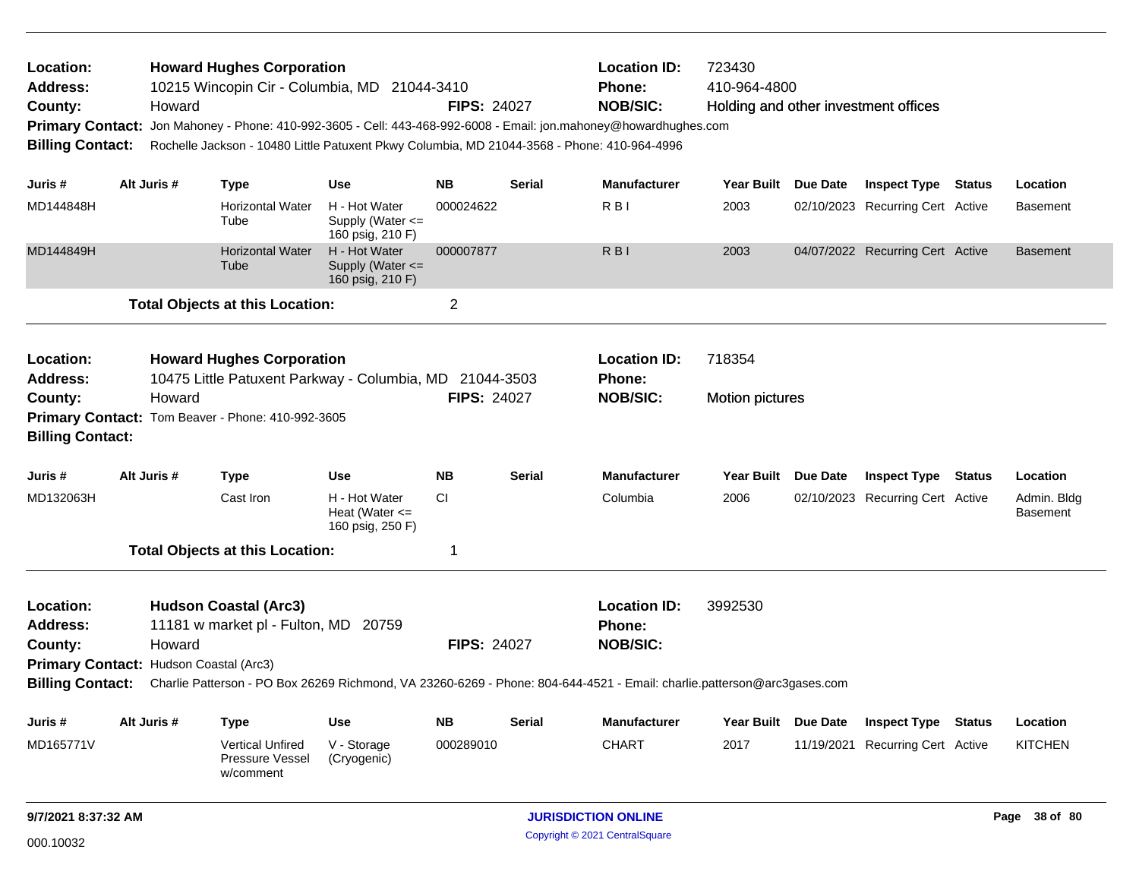| Location:<br><b>Address:</b><br>County:<br><b>Primary Contact:</b><br><b>Billing Contact:</b> | Howard                                                                                                                                                                                       | <b>Howard Hughes Corporation</b>                                     | <b>Location ID:</b><br>723430<br>410-964-4800<br>10215 Wincopin Cir - Columbia, MD 21044-3410<br>Phone:<br><b>NOB/SIC:</b><br><b>FIPS: 24027</b><br>Holding and other investment offices<br>Jon Mahoney - Phone: 410-992-3605 - Cell: 443-468-992-6008 - Email: jon.mahoney@howardhughes.com<br>Rochelle Jackson - 10480 Little Patuxent Pkwy Columbia, MD 21044-3568 - Phone: 410-964-4996 |                    |               |                                                         |                                  |            |                                  |               |                         |
|-----------------------------------------------------------------------------------------------|----------------------------------------------------------------------------------------------------------------------------------------------------------------------------------------------|----------------------------------------------------------------------|---------------------------------------------------------------------------------------------------------------------------------------------------------------------------------------------------------------------------------------------------------------------------------------------------------------------------------------------------------------------------------------------|--------------------|---------------|---------------------------------------------------------|----------------------------------|------------|----------------------------------|---------------|-------------------------|
| Juris #                                                                                       | Alt Juris #                                                                                                                                                                                  | <b>Type</b>                                                          | <b>Use</b>                                                                                                                                                                                                                                                                                                                                                                                  | <b>NB</b>          | Serial        | <b>Manufacturer</b>                                     | Year Built Due Date              |            | Inspect Type                     | <b>Status</b> | Location                |
| MD144848H                                                                                     |                                                                                                                                                                                              | <b>Horizontal Water</b><br>Tube                                      | H - Hot Water<br>Supply (Water $\leq$<br>160 psig, 210 F)                                                                                                                                                                                                                                                                                                                                   | 000024622          |               | R <sub>BI</sub>                                         | 2003                             |            | 02/10/2023 Recurring Cert Active |               | <b>Basement</b>         |
| MD144849H                                                                                     |                                                                                                                                                                                              | <b>Horizontal Water</b><br>Tube                                      | H - Hot Water<br>Supply (Water <=<br>160 psig, 210 F)                                                                                                                                                                                                                                                                                                                                       | 000007877          |               | R <sub>BI</sub>                                         | 2003                             |            | 04/07/2022 Recurring Cert Active |               | <b>Basement</b>         |
|                                                                                               |                                                                                                                                                                                              | <b>Total Objects at this Location:</b>                               |                                                                                                                                                                                                                                                                                                                                                                                             | $\overline{2}$     |               |                                                         |                                  |            |                                  |               |                         |
| Location:<br><b>Address:</b><br>County:                                                       | <b>Howard Hughes Corporation</b><br>10475 Little Patuxent Parkway - Columbia, MD 21044-3503<br>Howard<br>Primary Contact: Tom Beaver - Phone: 410-992-3605                                   |                                                                      |                                                                                                                                                                                                                                                                                                                                                                                             | <b>FIPS: 24027</b> |               | <b>Location ID:</b><br><b>Phone:</b><br><b>NOB/SIC:</b> | 718354<br><b>Motion pictures</b> |            |                                  |               |                         |
| <b>Billing Contact:</b>                                                                       |                                                                                                                                                                                              |                                                                      |                                                                                                                                                                                                                                                                                                                                                                                             |                    |               |                                                         |                                  |            |                                  |               |                         |
| Juris #                                                                                       | Alt Juris #                                                                                                                                                                                  | <b>Type</b>                                                          | <b>Use</b>                                                                                                                                                                                                                                                                                                                                                                                  | <b>NB</b>          | <b>Serial</b> | <b>Manufacturer</b>                                     | Year Built Due Date              |            | <b>Inspect Type Status</b>       |               | Location                |
| MD132063H                                                                                     |                                                                                                                                                                                              | Cast Iron                                                            | H - Hot Water<br>Heat (Water $\leq$<br>160 psig, 250 F)                                                                                                                                                                                                                                                                                                                                     | <b>CI</b>          |               | Columbia                                                | 2006                             |            | 02/10/2023 Recurring Cert Active |               | Admin. Bldg<br>Basement |
|                                                                                               |                                                                                                                                                                                              | <b>Total Objects at this Location:</b>                               |                                                                                                                                                                                                                                                                                                                                                                                             | 1                  |               |                                                         |                                  |            |                                  |               |                         |
| Location:<br><b>Address:</b><br>County:                                                       | Howard                                                                                                                                                                                       | <b>Hudson Coastal (Arc3)</b><br>11181 w market pl - Fulton, MD 20759 |                                                                                                                                                                                                                                                                                                                                                                                             | <b>FIPS: 24027</b> |               | <b>Location ID:</b><br>Phone:<br><b>NOB/SIC:</b>        | 3992530                          |            |                                  |               |                         |
|                                                                                               | Primary Contact: Hudson Coastal (Arc3)<br><b>Billing Contact:</b><br>Charlie Patterson - PO Box 26269 Richmond, VA 23260-6269 - Phone: 804-644-4521 - Email: charlie.patterson@arc3gases.com |                                                                      |                                                                                                                                                                                                                                                                                                                                                                                             |                    |               |                                                         |                                  |            |                                  |               |                         |
|                                                                                               |                                                                                                                                                                                              |                                                                      |                                                                                                                                                                                                                                                                                                                                                                                             |                    |               |                                                         |                                  |            |                                  |               |                         |
| Juris #                                                                                       | Alt Juris #                                                                                                                                                                                  | <b>Type</b>                                                          | Use                                                                                                                                                                                                                                                                                                                                                                                         | <b>NB</b>          | Serial        | <b>Manufacturer</b>                                     | Year Built Due Date              |            | <b>Inspect Type Status</b>       |               | Location                |
| MD165771V                                                                                     |                                                                                                                                                                                              | <b>Vertical Unfired</b><br>Pressure Vessel<br>w/comment              | V - Storage<br>(Cryogenic)                                                                                                                                                                                                                                                                                                                                                                  | 000289010          |               | <b>CHART</b>                                            | 2017                             | 11/19/2021 | <b>Recurring Cert Active</b>     |               | <b>KITCHEN</b>          |
| 9/7/2021 8:37:32 AM                                                                           |                                                                                                                                                                                              |                                                                      |                                                                                                                                                                                                                                                                                                                                                                                             |                    |               | <b>JURISDICTION ONLINE</b><br>Page 38 of 80             |                                  |            |                                  |               |                         |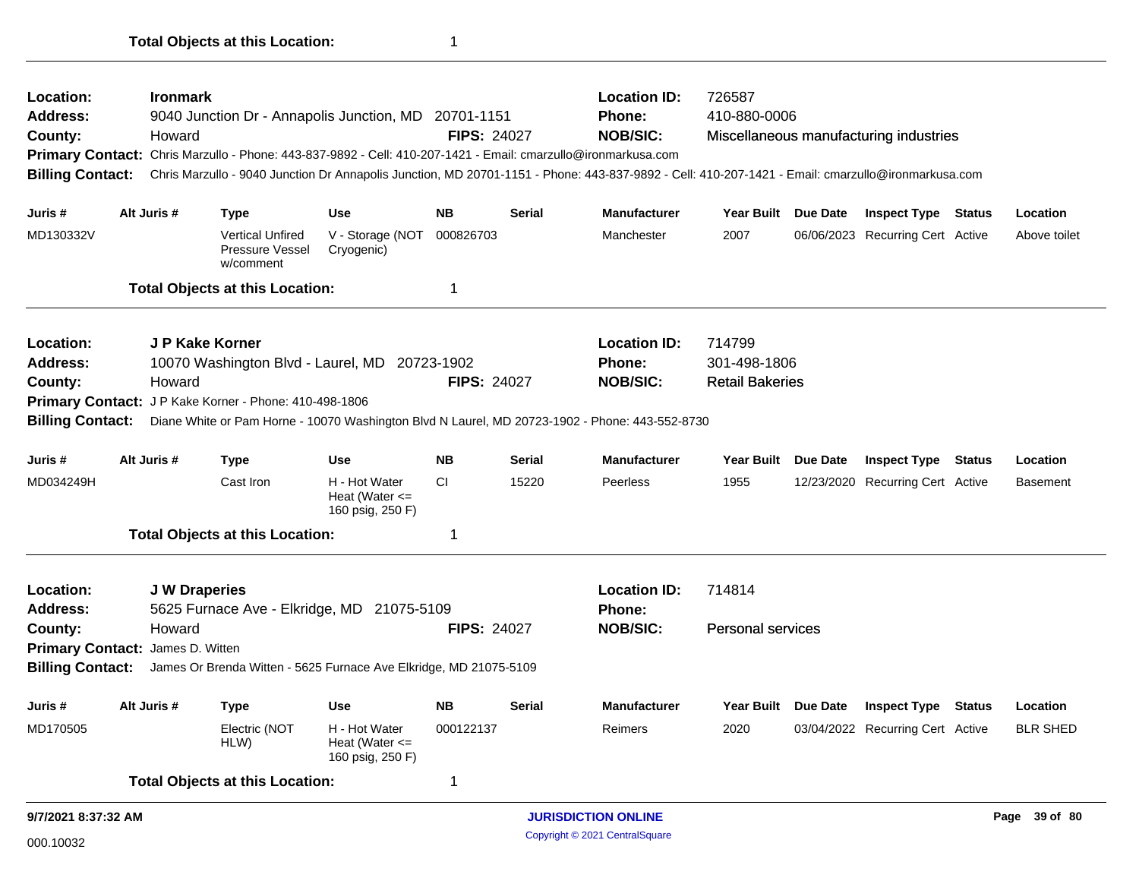| Location:<br><b>Ironmark</b><br><b>Address:</b><br>9040 Junction Dr - Annapolis Junction, MD 20701-1151<br>County:<br>Howard<br>Primary Contact: Chris Marzullo - Phone: 443-837-9892 - Cell: 410-207-1421 - Email: cmarzullo@ironmarkusa.com<br><b>Billing Contact:</b> |                                                                                                                                                                                    |                      |                                                         |                                                         |                    | <b>Location ID:</b><br>726587<br>410-880-0006<br>Phone:<br><b>NOB/SIC:</b><br><b>FIPS: 24027</b><br>Miscellaneous manufacturing industries<br>Chris Marzullo - 9040 Junction Dr Annapolis Junction, MD 20701-1151 - Phone: 443-837-9892 - Cell: 410-207-1421 - Email: cmarzullo@ironmarkusa.com |                                             |                          |  |                                  |               |                 |  |  |
|--------------------------------------------------------------------------------------------------------------------------------------------------------------------------------------------------------------------------------------------------------------------------|------------------------------------------------------------------------------------------------------------------------------------------------------------------------------------|----------------------|---------------------------------------------------------|---------------------------------------------------------|--------------------|-------------------------------------------------------------------------------------------------------------------------------------------------------------------------------------------------------------------------------------------------------------------------------------------------|---------------------------------------------|--------------------------|--|----------------------------------|---------------|-----------------|--|--|
| Juris #                                                                                                                                                                                                                                                                  |                                                                                                                                                                                    | Alt Juris #          | Type                                                    | <b>Use</b>                                              | <b>NB</b>          | <b>Serial</b>                                                                                                                                                                                                                                                                                   | <b>Manufacturer</b>                         | Year Built Due Date      |  | <b>Inspect Type Status</b>       |               | Location        |  |  |
| MD130332V                                                                                                                                                                                                                                                                |                                                                                                                                                                                    |                      | <b>Vertical Unfired</b><br>Pressure Vessel<br>w/comment | V - Storage (NOT<br>Cryogenic)                          | 000826703          |                                                                                                                                                                                                                                                                                                 | Manchester                                  | 2007                     |  | 06/06/2023 Recurring Cert Active |               | Above toilet    |  |  |
|                                                                                                                                                                                                                                                                          |                                                                                                                                                                                    |                      | <b>Total Objects at this Location:</b>                  |                                                         | 1                  |                                                                                                                                                                                                                                                                                                 |                                             |                          |  |                                  |               |                 |  |  |
| Location:                                                                                                                                                                                                                                                                |                                                                                                                                                                                    | J P Kake Korner      |                                                         |                                                         |                    |                                                                                                                                                                                                                                                                                                 | <b>Location ID:</b>                         | 714799                   |  |                                  |               |                 |  |  |
| <b>Address:</b>                                                                                                                                                                                                                                                          |                                                                                                                                                                                    |                      | 10070 Washington Blvd - Laurel, MD 20723-1902           |                                                         |                    |                                                                                                                                                                                                                                                                                                 | Phone:                                      | 301-498-1806             |  |                                  |               |                 |  |  |
| County:                                                                                                                                                                                                                                                                  | Howard                                                                                                                                                                             |                      |                                                         |                                                         | <b>FIPS: 24027</b> |                                                                                                                                                                                                                                                                                                 | <b>NOB/SIC:</b>                             | <b>Retail Bakeries</b>   |  |                                  |               |                 |  |  |
|                                                                                                                                                                                                                                                                          | Primary Contact: JP Kake Korner - Phone: 410-498-1806<br>Diane White or Pam Horne - 10070 Washington Blvd N Laurel, MD 20723-1902 - Phone: 443-552-8730<br><b>Billing Contact:</b> |                      |                                                         |                                                         |                    |                                                                                                                                                                                                                                                                                                 |                                             |                          |  |                                  |               |                 |  |  |
|                                                                                                                                                                                                                                                                          |                                                                                                                                                                                    |                      |                                                         |                                                         |                    |                                                                                                                                                                                                                                                                                                 |                                             |                          |  |                                  |               |                 |  |  |
| Juris #                                                                                                                                                                                                                                                                  |                                                                                                                                                                                    | Alt Juris #          | <b>Type</b>                                             | <b>Use</b>                                              | <b>NB</b>          | <b>Serial</b>                                                                                                                                                                                                                                                                                   | <b>Manufacturer</b>                         | Year Built Due Date      |  | <b>Inspect Type</b>              | Status        | Location        |  |  |
| MD034249H                                                                                                                                                                                                                                                                |                                                                                                                                                                                    |                      | Cast Iron                                               | H - Hot Water<br>Heat (Water $\leq$<br>160 psig, 250 F) | CI.                | 15220                                                                                                                                                                                                                                                                                           | Peerless                                    | 1955                     |  | 12/23/2020 Recurring Cert Active |               | <b>Basement</b> |  |  |
|                                                                                                                                                                                                                                                                          |                                                                                                                                                                                    |                      | <b>Total Objects at this Location:</b>                  |                                                         | $\mathbf 1$        |                                                                                                                                                                                                                                                                                                 |                                             |                          |  |                                  |               |                 |  |  |
| Location:                                                                                                                                                                                                                                                                |                                                                                                                                                                                    | <b>J W Draperies</b> |                                                         |                                                         |                    |                                                                                                                                                                                                                                                                                                 | <b>Location ID:</b>                         | 714814                   |  |                                  |               |                 |  |  |
| <b>Address:</b>                                                                                                                                                                                                                                                          |                                                                                                                                                                                    |                      | 5625 Furnace Ave - Elkridge, MD 21075-5109              |                                                         |                    |                                                                                                                                                                                                                                                                                                 | <b>Phone:</b>                               |                          |  |                                  |               |                 |  |  |
| County:                                                                                                                                                                                                                                                                  |                                                                                                                                                                                    | Howard               |                                                         |                                                         | <b>FIPS: 24027</b> |                                                                                                                                                                                                                                                                                                 | <b>NOB/SIC:</b>                             | <b>Personal services</b> |  |                                  |               |                 |  |  |
| Primary Contact: James D. Witten                                                                                                                                                                                                                                         |                                                                                                                                                                                    |                      |                                                         |                                                         |                    |                                                                                                                                                                                                                                                                                                 |                                             |                          |  |                                  |               |                 |  |  |
|                                                                                                                                                                                                                                                                          | <b>Billing Contact:</b><br>James Or Brenda Witten - 5625 Furnace Ave Elkridge, MD 21075-5109                                                                                       |                      |                                                         |                                                         |                    |                                                                                                                                                                                                                                                                                                 |                                             |                          |  |                                  |               |                 |  |  |
| Juris #                                                                                                                                                                                                                                                                  |                                                                                                                                                                                    | Alt Juris #          | Type                                                    | <b>Use</b>                                              | <b>NB</b>          | <b>Serial</b>                                                                                                                                                                                                                                                                                   | <b>Manufacturer</b>                         | Year Built Due Date      |  | <b>Inspect Type</b>              | <b>Status</b> | Location        |  |  |
| MD170505                                                                                                                                                                                                                                                                 |                                                                                                                                                                                    |                      | Electric (NOT<br>HLW)                                   | H - Hot Water<br>Heat (Water $\leq$<br>160 psig, 250 F) | 000122137          |                                                                                                                                                                                                                                                                                                 | Reimers                                     | 2020                     |  | 03/04/2022 Recurring Cert Active |               | <b>BLR SHED</b> |  |  |
|                                                                                                                                                                                                                                                                          |                                                                                                                                                                                    |                      | <b>Total Objects at this Location:</b>                  |                                                         | 1                  |                                                                                                                                                                                                                                                                                                 |                                             |                          |  |                                  |               |                 |  |  |
| 9/7/2021 8:37:32 AM                                                                                                                                                                                                                                                      |                                                                                                                                                                                    |                      |                                                         |                                                         |                    |                                                                                                                                                                                                                                                                                                 | <b>JURISDICTION ONLINE</b><br>Page 39 of 80 |                          |  |                                  |               |                 |  |  |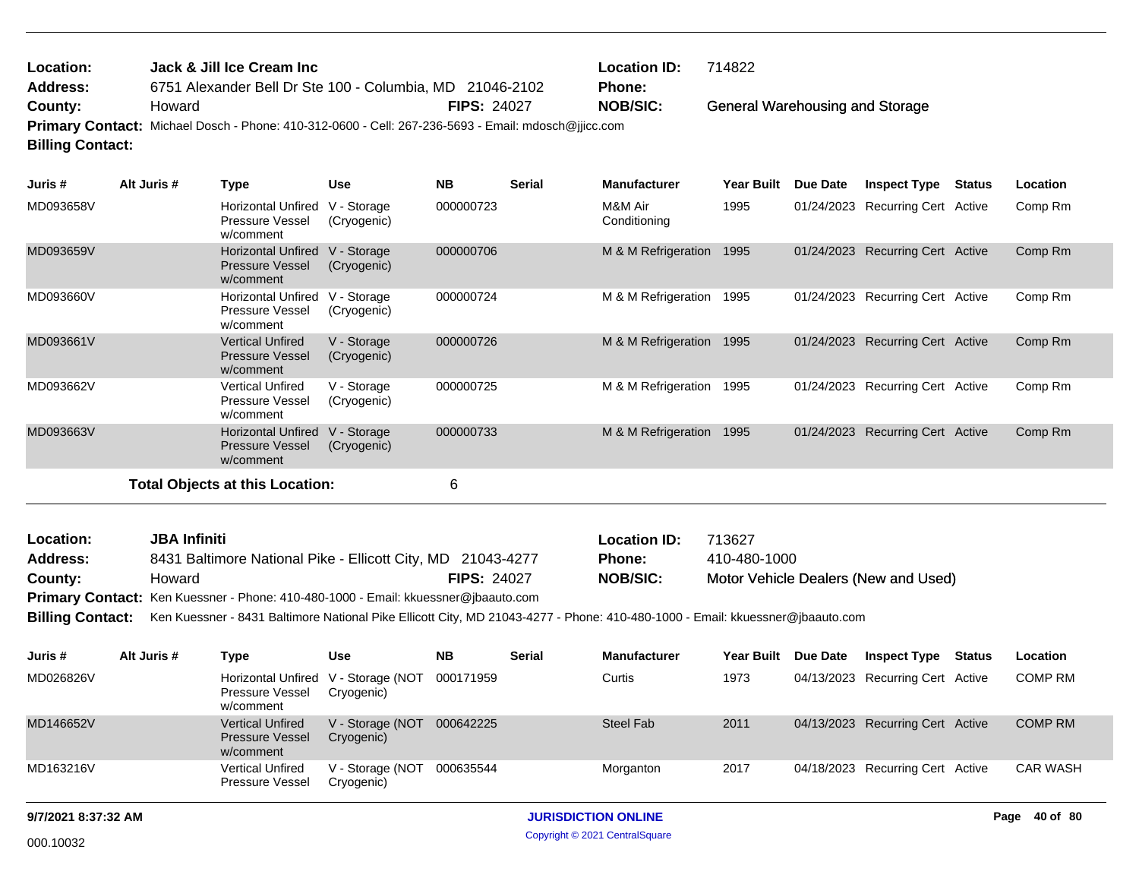| Location:               |             | Jack & Jill Ice Cream Inc |     | 714822<br><b>Location ID:</b>                                                                                                                                                                                                                                |        |                     |  |  |                                         |  |          |  |
|-------------------------|-------------|---------------------------|-----|--------------------------------------------------------------------------------------------------------------------------------------------------------------------------------------------------------------------------------------------------------------|--------|---------------------|--|--|-----------------------------------------|--|----------|--|
| <b>Address:</b>         |             |                           |     | 6751 Alexander Bell Dr Ste 100 - Columbia, MD 21046-2102<br><b>Phone:</b><br><b>NOB/SIC:</b><br>General Warehousing and Storage<br><b>FIPS: 24027</b><br>Primary Contact: Michael Dosch - Phone: 410-312-0600 - Cell: 267-236-5693 - Email: mdosch@jjicc.com |        |                     |  |  |                                         |  |          |  |
| County:                 | Howard      |                           |     |                                                                                                                                                                                                                                                              |        |                     |  |  |                                         |  |          |  |
|                         |             |                           |     |                                                                                                                                                                                                                                                              |        |                     |  |  |                                         |  |          |  |
| <b>Billing Contact:</b> |             |                           |     |                                                                                                                                                                                                                                                              |        |                     |  |  |                                         |  |          |  |
| Juris #                 | Alt Juris # | Tvne                      | Use | NΒ                                                                                                                                                                                                                                                           | Serial | <b>Manufacturer</b> |  |  | Year Built Due Date Inspect Type Status |  | Location |  |

| งนเเร #   | AIL JUIS $#$ | i ype                                                            | use                        | ND        | <b>S</b> erial | <u>manuracturer</u>     | <b>Tear Duill</b> | Due Date   | mspect type                  | ้อเสเนธ | Location |
|-----------|--------------|------------------------------------------------------------------|----------------------------|-----------|----------------|-------------------------|-------------------|------------|------------------------------|---------|----------|
| MD093658V |              | Horizontal Unfired<br>Pressure Vessel<br>w/comment               | V - Storage<br>(Cryogenic) | 000000723 |                | M&M Air<br>Conditioning | 1995              | 01/24/2023 | Recurring Cert Active        |         | Comp Rm  |
| MD093659V |              | <b>Horizontal Unfired</b><br><b>Pressure Vessel</b><br>w/comment | V - Storage<br>(Cryogenic) | 000000706 |                | M & M Refrigeration     | 1995              | 01/24/2023 | Recurring Cert Active        |         | Comp Rm  |
| MD093660V |              | <b>Horizontal Unfired</b><br>Pressure Vessel<br>w/comment        | V - Storage<br>(Cryogenic) | 000000724 |                | M & M Refrigeration     | 1995              | 01/24/2023 | <b>Recurring Cert Active</b> |         | Comp Rm  |
| MD093661V |              | <b>Vertical Unfired</b><br><b>Pressure Vessel</b><br>w/comment   | V - Storage<br>(Cryogenic) | 000000726 |                | M & M Refrigeration     | 1995              | 01/24/2023 | <b>Recurring Cert Active</b> |         | Comp Rm  |
| MD093662V |              | Vertical Unfired<br>Pressure Vessel<br>w/comment                 | V - Storage<br>(Cryogenic) | 000000725 |                | M & M Refrigeration     | 1995              | 01/24/2023 | Recurring Cert Active        |         | Comp Rm  |
| MD093663V |              | <b>Horizontal Unfired</b><br><b>Pressure Vessel</b><br>w/comment | V - Storage<br>(Cryogenic) | 000000733 |                | M & M Refrigeration     | 1995              | 01/24/2023 | <b>Recurring Cert Active</b> |         | Comp Rm  |
|           |              | Total Objects at this Location:                                  |                            | 6         |                |                         |                   |            |                              |         |          |

| Location:       | <b>JBA Infiniti</b>                                                                                                                   |                    | <b>Location ID:</b> | 713627                               |
|-----------------|---------------------------------------------------------------------------------------------------------------------------------------|--------------------|---------------------|--------------------------------------|
| <b>Address:</b> | 8431 Baltimore National Pike - Ellicott City, MD 21043-4277                                                                           |                    | <b>Phone:</b>       | 410-480-1000                         |
| County:         | Howard                                                                                                                                | <b>FIPS: 24027</b> | <b>NOB/SIC:</b>     | Motor Vehicle Dealers (New and Used) |
|                 | <b>Primary Contact:</b> Ken Kuessner - Phone: 410-480-1000 - Email: kkuessner@jbaauto.com                                             |                    |                     |                                      |
|                 | Dillian Cantaati Kee Kussassa 1944 Delimere Netional Dike Fliestt City MD 94049 4977 Dhanau 440 400 4000 Email kkussassa @ihaauta sam |                    |                     |                                      |

**Billing Contact:** Ken Kuessner - 8431 Baltimore National Pike Ellicott City, MD 21043-4277 - Phone: 410-480-1000 - Email: kkuessner@jbaauto.com

| Juris #   | Alt Juris # | Type                                                                | Use                            | <b>NB</b> | <b>Serial</b> | <b>Manufacturer</b> | Year Built | <b>Due Date</b> | <b>Inspect Type</b>              | Status | Location        |
|-----------|-------------|---------------------------------------------------------------------|--------------------------------|-----------|---------------|---------------------|------------|-----------------|----------------------------------|--------|-----------------|
| MD026826V |             | Horizontal Unfired V - Storage (NOT<br>Pressure Vessel<br>w/comment | Cryogenic)                     | 000171959 |               | Curtis              | 1973       |                 | 04/13/2023 Recurring Cert Active |        | <b>COMP RM</b>  |
| MD146652V |             | <b>Vertical Unfired</b><br><b>Pressure Vessel</b><br>w/comment      | V - Storage (NOT<br>Cryogenic) | 000642225 |               | Steel Fab           | 2011       |                 | 04/13/2023 Recurring Cert Active |        | <b>COMP RM</b>  |
| MD163216V |             | <b>Vertical Unfired</b><br>Pressure Vessel                          | V - Storage (NOT<br>Cryogenic) | 000635544 |               | Morganton           | 2017       |                 | 04/18/2023 Recurring Cert Active |        | <b>CAR WASH</b> |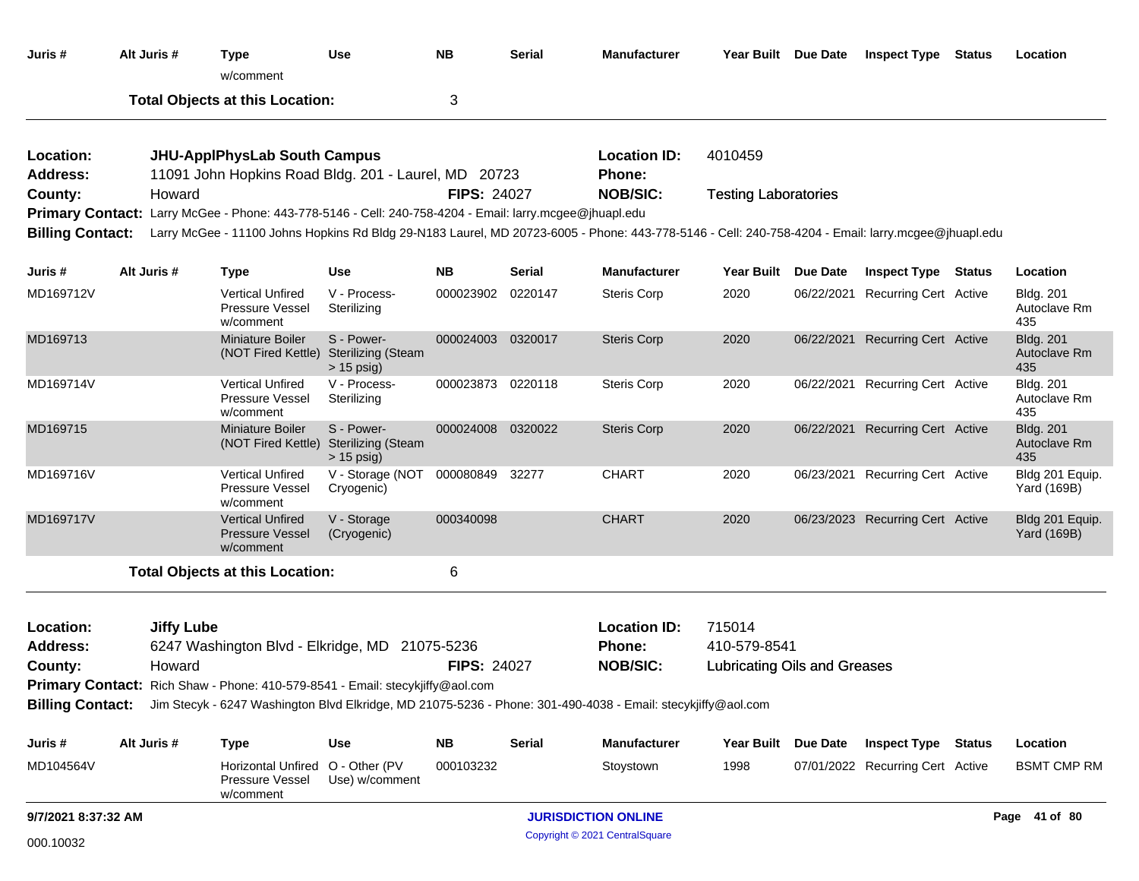| Juris #                            | Alt Juris #       | Type<br>w/comment                                                                                       | <b>Use</b>                                              | <b>NB</b>          | <b>Serial</b> | <b>Manufacturer</b>                                                                                                                                                   | Year Built Due Date                 |                 | <b>Inspect Type Status</b>       | Location                                |
|------------------------------------|-------------------|---------------------------------------------------------------------------------------------------------|---------------------------------------------------------|--------------------|---------------|-----------------------------------------------------------------------------------------------------------------------------------------------------------------------|-------------------------------------|-----------------|----------------------------------|-----------------------------------------|
|                                    |                   | <b>Total Objects at this Location:</b>                                                                  |                                                         | 3                  |               |                                                                                                                                                                       |                                     |                 |                                  |                                         |
| Location:<br>Address:              |                   | <b>JHU-ApplPhysLab South Campus</b><br>11091 John Hopkins Road Bldg. 201 - Laurel, MD 20723             |                                                         |                    |               | <b>Location ID:</b><br>Phone:                                                                                                                                         | 4010459                             |                 |                                  |                                         |
| County:<br><b>Billing Contact:</b> | Howard            | Primary Contact: Larry McGee - Phone: 443-778-5146 - Cell: 240-758-4204 - Email: larry.mcgee@jhuapl.edu |                                                         | <b>FIPS: 24027</b> |               | <b>NOB/SIC:</b><br>Larry McGee - 11100 Johns Hopkins Rd Bldg 29-N183 Laurel, MD 20723-6005 - Phone: 443-778-5146 - Cell: 240-758-4204 - Email: larry.mcgee@jhuapl.edu | <b>Testing Laboratories</b>         |                 |                                  |                                         |
| Juris #                            | Alt Juris #       | <b>Type</b>                                                                                             | <b>Use</b>                                              | <b>NB</b>          | Serial        | <b>Manufacturer</b>                                                                                                                                                   | <b>Year Built</b>                   | Due Date        | <b>Inspect Type Status</b>       | Location                                |
| MD169712V                          |                   | <b>Vertical Unfired</b><br>Pressure Vessel<br>w/comment                                                 | V - Process-<br>Sterilizing                             | 000023902          | 0220147       | <b>Steris Corp</b>                                                                                                                                                    | 2020                                |                 | 06/22/2021 Recurring Cert Active | <b>Bldg. 201</b><br>Autoclave Rm<br>435 |
| MD169713                           |                   | <b>Miniature Boiler</b><br>(NOT Fired Kettle)                                                           | S - Power-<br><b>Sterilizing (Steam</b><br>$> 15$ psig) | 000024003 0320017  |               | <b>Steris Corp</b>                                                                                                                                                    | 2020                                |                 | 06/22/2021 Recurring Cert Active | <b>Bldg. 201</b><br>Autoclave Rm<br>435 |
| MD169714V                          |                   | <b>Vertical Unfired</b><br><b>Pressure Vessel</b><br>w/comment                                          | V - Process-<br>Sterilizing                             | 000023873 0220118  |               | <b>Steris Corp</b>                                                                                                                                                    | 2020                                |                 | 06/22/2021 Recurring Cert Active | <b>Bldg. 201</b><br>Autoclave Rm<br>435 |
| MD169715                           |                   | <b>Miniature Boiler</b><br>(NOT Fired Kettle)                                                           | S - Power-<br><b>Sterilizing (Steam</b><br>$> 15$ psig) | 000024008 0320022  |               | <b>Steris Corp</b>                                                                                                                                                    | 2020                                |                 | 06/22/2021 Recurring Cert Active | <b>Bldg. 201</b><br>Autoclave Rm<br>435 |
| MD169716V                          |                   | <b>Vertical Unfired</b><br>Pressure Vessel<br>w/comment                                                 | V - Storage (NOT<br>Cryogenic)                          | 000080849 32277    |               | <b>CHART</b>                                                                                                                                                          | 2020                                |                 | 06/23/2021 Recurring Cert Active | Bldg 201 Equip.<br>Yard (169B)          |
| MD169717V                          |                   | <b>Vertical Unfired</b><br><b>Pressure Vessel</b><br>w/comment                                          | V - Storage<br>(Cryogenic)                              | 000340098          |               | <b>CHART</b>                                                                                                                                                          | 2020                                |                 | 06/23/2023 Recurring Cert Active | Bldg 201 Equip.<br><b>Yard (169B)</b>   |
|                                    |                   | <b>Total Objects at this Location:</b>                                                                  |                                                         | 6                  |               |                                                                                                                                                                       |                                     |                 |                                  |                                         |
| Location:<br><b>Address:</b>       | <b>Jiffy Lube</b> | 6247 Washington Blvd - Elkridge, MD 21075-5236                                                          |                                                         |                    |               | <b>Location ID:</b><br><b>Phone:</b>                                                                                                                                  | 715014<br>410-579-8541              |                 |                                  |                                         |
| County:                            | Howard            | Primary Contact: Rich Shaw - Phone: 410-579-8541 - Email: stecykjiffy@aol.com                           |                                                         | <b>FIPS: 24027</b> |               | <b>NOB/SIC:</b><br>Billing Contact: Jim Stecyk - 6247 Washington Blvd Elkridge, MD 21075-5236 - Phone: 301-490-4038 - Email: stecykjiffy@aol.com                      | <b>Lubricating Oils and Greases</b> |                 |                                  |                                         |
| Juris #                            | Alt Juris #       | <b>Type</b>                                                                                             | Use                                                     | <b>NB</b>          | <b>Serial</b> | <b>Manufacturer</b>                                                                                                                                                   | <b>Year Built</b>                   | <b>Due Date</b> | <b>Inspect Type Status</b>       | Location                                |
| MD104564V                          |                   | Horizontal Unfired O - Other (PV<br>Pressure Vessel<br>w/comment                                        | Use) w/comment                                          | 000103232          |               | Stoystown                                                                                                                                                             | 1998                                |                 | 07/01/2022 Recurring Cert Active | <b>BSMT CMP RM</b>                      |
| 9/7/2021 8:37:32 AM                |                   |                                                                                                         |                                                         |                    |               | <b>JURISDICTION ONLINE</b>                                                                                                                                            |                                     |                 |                                  | Page 41 of 80                           |
| 000.10032                          |                   |                                                                                                         |                                                         |                    |               | Copyright © 2021 CentralSquare                                                                                                                                        |                                     |                 |                                  |                                         |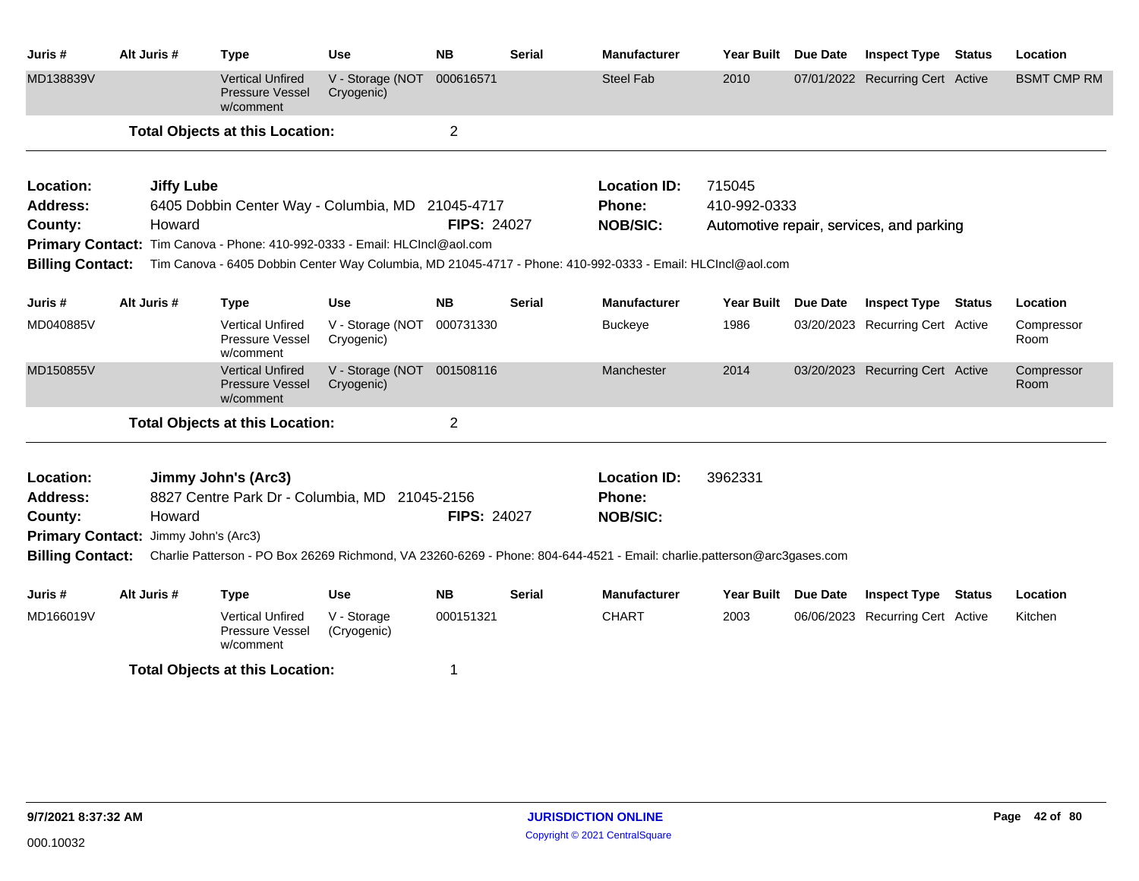| Juris #                 | Alt Juris #                          | <b>Type</b>                                                                | <b>Use</b>                               | <b>NB</b>          | <b>Serial</b> | <b>Manufacturer</b>                                                                                                                      | Year Built        | <b>Due Date</b> | <b>Inspect Type</b>                      | <b>Status</b> | Location           |
|-------------------------|--------------------------------------|----------------------------------------------------------------------------|------------------------------------------|--------------------|---------------|------------------------------------------------------------------------------------------------------------------------------------------|-------------------|-----------------|------------------------------------------|---------------|--------------------|
| MD138839V               |                                      | <b>Vertical Unfired</b><br><b>Pressure Vessel</b><br>w/comment             | V - Storage (NOT<br>Cryogenic)           | 000616571          |               | <b>Steel Fab</b>                                                                                                                         | 2010              |                 | 07/01/2022 Recurring Cert Active         |               | <b>BSMT CMP RM</b> |
|                         |                                      | <b>Total Objects at this Location:</b>                                     |                                          | $\overline{2}$     |               |                                                                                                                                          |                   |                 |                                          |               |                    |
| Location:               | <b>Jiffy Lube</b>                    |                                                                            |                                          |                    |               | <b>Location ID:</b>                                                                                                                      | 715045            |                 |                                          |               |                    |
| <b>Address:</b>         |                                      | 6405 Dobbin Center Way - Columbia, MD 21045-4717                           |                                          |                    |               | <b>Phone:</b>                                                                                                                            | 410-992-0333      |                 |                                          |               |                    |
| County:                 | Howard                               |                                                                            |                                          | <b>FIPS: 24027</b> |               | <b>NOB/SIC:</b>                                                                                                                          |                   |                 | Automotive repair, services, and parking |               |                    |
|                         |                                      | Primary Contact: Tim Canova - Phone: 410-992-0333 - Email: HLCIncl@aol.com |                                          |                    |               |                                                                                                                                          |                   |                 |                                          |               |                    |
| <b>Billing Contact:</b> |                                      |                                                                            |                                          |                    |               | Tim Canova - 6405 Dobbin Center Way Columbia, MD 21045-4717 - Phone: 410-992-0333 - Email: HLCIncl@aol.com                               |                   |                 |                                          |               |                    |
| Juris #                 | Alt Juris #                          | <b>Type</b>                                                                | <b>Use</b>                               | <b>NB</b>          | <b>Serial</b> | <b>Manufacturer</b>                                                                                                                      | <b>Year Built</b> | Due Date        | <b>Inspect Type</b>                      | <b>Status</b> | Location           |
| MD040885V               |                                      | <b>Vertical Unfired</b><br>Pressure Vessel<br>w/comment                    | V - Storage (NOT<br>Cryogenic)           | 000731330          |               | <b>Buckeye</b>                                                                                                                           | 1986              |                 | 03/20/2023 Recurring Cert Active         |               | Compressor<br>Room |
| MD150855V               |                                      | <b>Vertical Unfired</b><br><b>Pressure Vessel</b><br>w/comment             | V - Storage (NOT 001508116<br>Cryogenic) |                    |               | Manchester                                                                                                                               | 2014              |                 | 03/20/2023 Recurring Cert Active         |               | Compressor<br>Room |
|                         |                                      | <b>Total Objects at this Location:</b>                                     |                                          | $\overline{2}$     |               |                                                                                                                                          |                   |                 |                                          |               |                    |
| Location:               |                                      | Jimmy John's (Arc3)                                                        |                                          |                    |               | <b>Location ID:</b>                                                                                                                      | 3962331           |                 |                                          |               |                    |
| <b>Address:</b>         |                                      | 8827 Centre Park Dr - Columbia, MD 21045-2156                              |                                          |                    |               | Phone:                                                                                                                                   |                   |                 |                                          |               |                    |
| County:                 | Howard                               |                                                                            |                                          | <b>FIPS: 24027</b> |               | <b>NOB/SIC:</b>                                                                                                                          |                   |                 |                                          |               |                    |
|                         | Primary Contact: Jimmy John's (Arc3) |                                                                            |                                          |                    |               |                                                                                                                                          |                   |                 |                                          |               |                    |
|                         |                                      |                                                                            |                                          |                    |               | Billing Contact: Charlie Patterson - PO Box 26269 Richmond, VA 23260-6269 - Phone: 804-644-4521 - Email: charlie.patterson@arc3gases.com |                   |                 |                                          |               |                    |
| Juris #                 | Alt Juris #                          | <b>Type</b>                                                                | Use                                      | <b>NB</b>          | <b>Serial</b> | <b>Manufacturer</b>                                                                                                                      | <b>Year Built</b> | <b>Due Date</b> | <b>Inspect Type</b>                      | <b>Status</b> | Location           |
| MD166019V               |                                      | <b>Vertical Unfired</b><br>Pressure Vessel<br>w/comment                    | V - Storage<br>(Cryogenic)               | 000151321          |               | <b>CHART</b>                                                                                                                             | 2003              |                 | 06/06/2023 Recurring Cert Active         |               | Kitchen            |
|                         |                                      | <b>Total Objects at this Location:</b>                                     |                                          | 1                  |               |                                                                                                                                          |                   |                 |                                          |               |                    |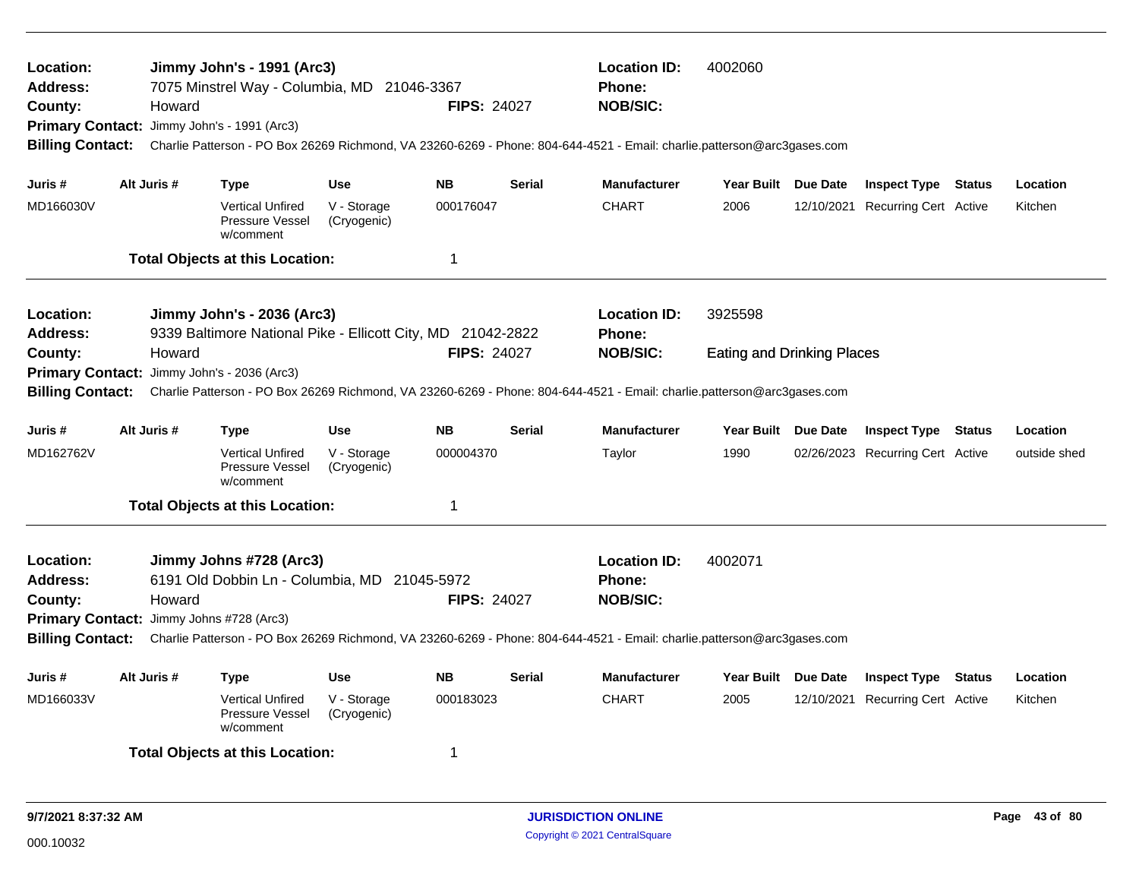| Location:<br><b>Address:</b><br>County:<br><b>Primary Contact:</b><br><b>Billing Contact:</b> | Howard                                                                                                                                                                                                                                                                                                    | Jimmy John's - 1991 (Arc3)<br>7075 Minstrel Way - Columbia, MD 21046-3367<br>Jimmy John's - 1991 (Arc3) |                            | <b>FIPS: 24027</b> |               | <b>Location ID:</b><br>4002060<br><b>Phone:</b><br><b>NOB/SIC:</b><br>Charlie Patterson - PO Box 26269 Richmond, VA 23260-6269 - Phone: 804-644-4521 - Email: charlie.patterson@arc3gases.com<br>Year Built Due Date |                                   |  |                                  |  |              |
|-----------------------------------------------------------------------------------------------|-----------------------------------------------------------------------------------------------------------------------------------------------------------------------------------------------------------------------------------------------------------------------------------------------------------|---------------------------------------------------------------------------------------------------------|----------------------------|--------------------|---------------|----------------------------------------------------------------------------------------------------------------------------------------------------------------------------------------------------------------------|-----------------------------------|--|----------------------------------|--|--------------|
| Juris #                                                                                       | Alt Juris #                                                                                                                                                                                                                                                                                               | <b>Type</b>                                                                                             | <b>Use</b>                 | <b>NB</b>          | <b>Serial</b> | <b>Manufacturer</b>                                                                                                                                                                                                  |                                   |  | <b>Inspect Type Status</b>       |  | Location     |
| MD166030V                                                                                     |                                                                                                                                                                                                                                                                                                           | <b>Vertical Unfired</b><br><b>Pressure Vessel</b><br>w/comment                                          | V - Storage<br>(Cryogenic) | 000176047          |               | <b>CHART</b>                                                                                                                                                                                                         | 2006                              |  | 12/10/2021 Recurring Cert Active |  | Kitchen      |
|                                                                                               |                                                                                                                                                                                                                                                                                                           | <b>Total Objects at this Location:</b>                                                                  |                            | $\mathbf 1$        |               |                                                                                                                                                                                                                      |                                   |  |                                  |  |              |
| <b>Location:</b><br><b>Address:</b>                                                           |                                                                                                                                                                                                                                                                                                           | Jimmy John's - 2036 (Arc3)<br>9339 Baltimore National Pike - Ellicott City, MD 21042-2822               |                            |                    |               | <b>Location ID:</b><br>Phone:                                                                                                                                                                                        | 3925598                           |  |                                  |  |              |
| County:<br><b>Billing Contact:</b>                                                            | Howard<br>Primary Contact: Jimmy John's - 2036 (Arc3)                                                                                                                                                                                                                                                     |                                                                                                         |                            | <b>FIPS: 24027</b> |               | <b>NOB/SIC:</b><br>Charlie Patterson - PO Box 26269 Richmond, VA 23260-6269 - Phone: 804-644-4521 - Email: charlie.patterson@arc3gases.com                                                                           | <b>Eating and Drinking Places</b> |  |                                  |  |              |
| Juris #                                                                                       | Alt Juris #                                                                                                                                                                                                                                                                                               | Type                                                                                                    | <b>Use</b>                 | <b>NB</b>          | <b>Serial</b> | <b>Manufacturer</b>                                                                                                                                                                                                  | Year Built Due Date               |  | <b>Inspect Type Status</b>       |  | Location     |
| MD162762V                                                                                     |                                                                                                                                                                                                                                                                                                           | <b>Vertical Unfired</b><br>Pressure Vessel<br>w/comment                                                 | V - Storage<br>(Cryogenic) | 000004370          |               | Taylor                                                                                                                                                                                                               | 1990                              |  | 02/26/2023 Recurring Cert Active |  | outside shed |
|                                                                                               |                                                                                                                                                                                                                                                                                                           | <b>Total Objects at this Location:</b>                                                                  |                            | -1                 |               |                                                                                                                                                                                                                      |                                   |  |                                  |  |              |
| Location:<br><b>Address:</b><br>County:                                                       | Jimmy Johns #728 (Arc3)<br>6191 Old Dobbin Ln - Columbia, MD 21045-5972<br><b>FIPS: 24027</b><br>Howard<br>Primary Contact: Jimmy Johns #728 (Arc3)<br>Charlie Patterson - PO Box 26269 Richmond, VA 23260-6269 - Phone: 804-644-4521 - Email: charlie.patterson@arc3gases.com<br><b>Billing Contact:</b> |                                                                                                         |                            |                    |               | <b>Location ID:</b><br>Phone:<br><b>NOB/SIC:</b>                                                                                                                                                                     | 4002071                           |  |                                  |  |              |
| Juris #                                                                                       | Alt Juris #                                                                                                                                                                                                                                                                                               | <b>Type</b>                                                                                             | Use                        | <b>NB</b>          | <b>Serial</b> | <b>Manufacturer</b>                                                                                                                                                                                                  | Year Built Due Date               |  | <b>Inspect Type Status</b>       |  | Location     |
| MD166033V                                                                                     |                                                                                                                                                                                                                                                                                                           | <b>Vertical Unfired</b><br>Pressure Vessel<br>w/comment                                                 | V - Storage<br>(Cryogenic) | 000183023          |               | <b>CHART</b>                                                                                                                                                                                                         | 2005                              |  | 12/10/2021 Recurring Cert Active |  | Kitchen      |
|                                                                                               |                                                                                                                                                                                                                                                                                                           | <b>Total Objects at this Location:</b>                                                                  |                            | $\overline{1}$     |               |                                                                                                                                                                                                                      |                                   |  |                                  |  |              |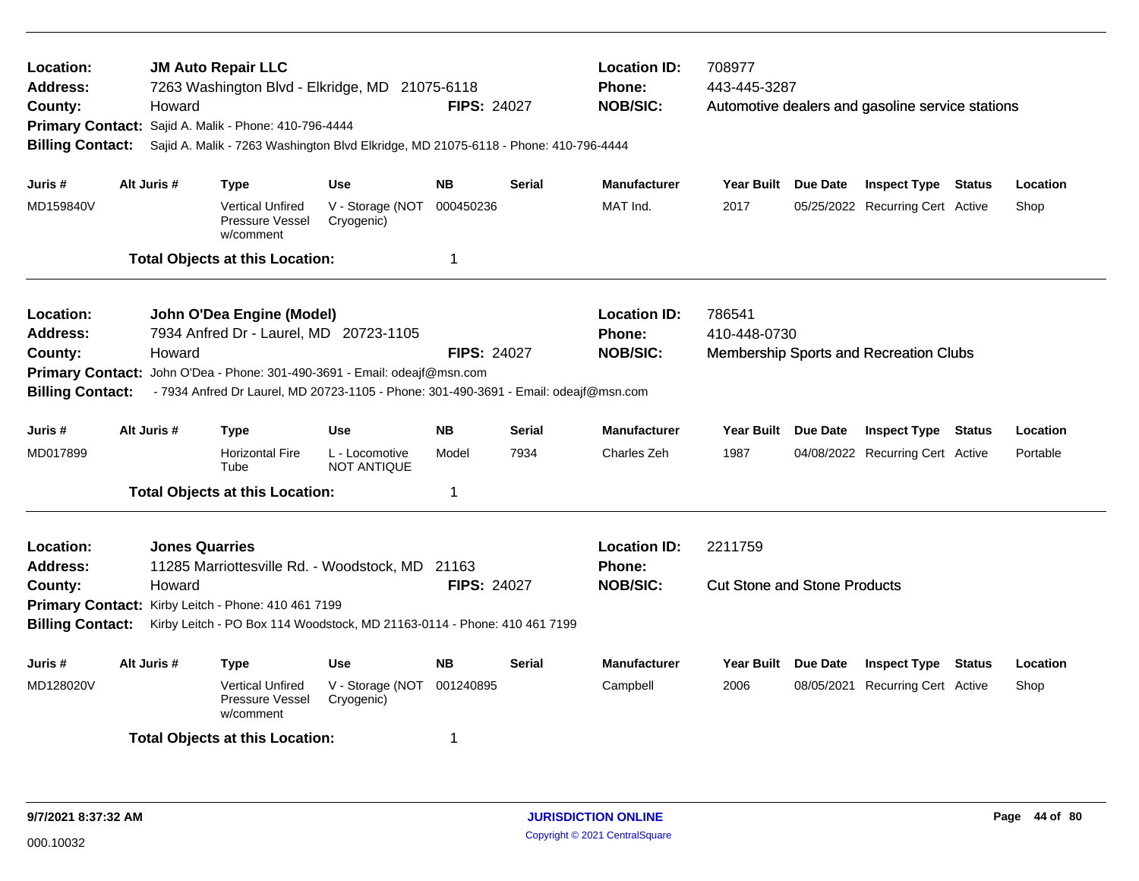| Location:<br><b>Address:</b><br>County:<br><b>Primary Contact:</b><br><b>Billing Contact:</b>                                                                                                                                                                                         |             | Howard | <b>JM Auto Repair LLC</b><br>7263 Washington Blvd - Elkridge, MD 21075-6118<br>Sajid A. Malik - Phone: 410-796-4444 | <b>Location ID:</b><br>Phone:<br><b>NOB/SIC:</b><br><b>FIPS: 24027</b><br>Sajid A. Malik - 7263 Washington Blvd Elkridge, MD 21075-6118 - Phone: 410-796-4444 |                                                         |                                                | 708977<br>443-445-3287<br>Automotive dealers and gasoline service stations |                                                                  |            |                                  |        |          |  |
|---------------------------------------------------------------------------------------------------------------------------------------------------------------------------------------------------------------------------------------------------------------------------------------|-------------|--------|---------------------------------------------------------------------------------------------------------------------|---------------------------------------------------------------------------------------------------------------------------------------------------------------|---------------------------------------------------------|------------------------------------------------|----------------------------------------------------------------------------|------------------------------------------------------------------|------------|----------------------------------|--------|----------|--|
| Juris #                                                                                                                                                                                                                                                                               | Alt Juris # |        | Type                                                                                                                | <b>Use</b>                                                                                                                                                    | <b>NB</b>                                               | <b>Serial</b>                                  | <b>Manufacturer</b>                                                        | Year Built Due Date                                              |            | <b>Inspect Type Status</b>       |        | Location |  |
| MD159840V                                                                                                                                                                                                                                                                             |             |        | <b>Vertical Unfired</b><br>Pressure Vessel<br>w/comment                                                             | V - Storage (NOT<br>Cryogenic)                                                                                                                                | 000450236                                               |                                                | MAT Ind.                                                                   | 2017                                                             |            | 05/25/2022 Recurring Cert Active |        | Shop     |  |
|                                                                                                                                                                                                                                                                                       |             |        | <b>Total Objects at this Location:</b>                                                                              |                                                                                                                                                               | $\overline{1}$                                          |                                                |                                                                            |                                                                  |            |                                  |        |          |  |
| Location:<br><b>Address:</b><br>County:<br><b>Primary Contact:</b><br><b>Billing Contact:</b>                                                                                                                                                                                         |             | Howard | John O'Dea Engine (Model)<br>7934 Anfred Dr - Laurel, MD 20723-1105                                                 | John O'Dea - Phone: 301-490-3691 - Email: odeajf@msn.com<br>- 7934 Anfred Dr Laurel, MD 20723-1105 - Phone: 301-490-3691 - Email: odeajf@msn.com              | <b>FIPS: 24027</b>                                      |                                                | <b>Location ID:</b><br><b>Phone:</b><br><b>NOB/SIC:</b>                    | 786541<br>410-448-0730<br>Membership Sports and Recreation Clubs |            |                                  |        |          |  |
| Juris #                                                                                                                                                                                                                                                                               | Alt Juris # |        | <b>Type</b>                                                                                                         | <b>Use</b>                                                                                                                                                    | <b>NB</b>                                               | <b>Serial</b>                                  | <b>Manufacturer</b>                                                        | Year Built Due Date                                              |            | <b>Inspect Type</b>              | Status | Location |  |
| MD017899                                                                                                                                                                                                                                                                              |             |        | <b>Horizontal Fire</b><br>Tube                                                                                      | L - Locomotive<br><b>NOT ANTIQUE</b>                                                                                                                          | Model                                                   | 7934                                           | Charles Zeh                                                                | 1987                                                             |            | 04/08/2022 Recurring Cert Active |        | Portable |  |
|                                                                                                                                                                                                                                                                                       |             |        | <b>Total Objects at this Location:</b>                                                                              |                                                                                                                                                               | $\mathbf 1$                                             |                                                |                                                                            |                                                                  |            |                                  |        |          |  |
| <b>Jones Quarries</b><br>Location:<br><b>Address:</b><br>11285 Marriottesville Rd. - Woodstock, MD<br>County:<br>Howard<br>Primary Contact: Kirby Leitch - Phone: 410 461 7199<br><b>Billing Contact:</b><br>Kirby Leitch - PO Box 114 Woodstock, MD 21163-0114 - Phone: 410 461 7199 |             |        | 21163<br><b>FIPS: 24027</b>                                                                                         |                                                                                                                                                               | <b>Location ID:</b><br><b>Phone:</b><br><b>NOB/SIC:</b> | 2211759<br><b>Cut Stone and Stone Products</b> |                                                                            |                                                                  |            |                                  |        |          |  |
| Juris #                                                                                                                                                                                                                                                                               | Alt Juris # |        | Type                                                                                                                | <b>Use</b>                                                                                                                                                    | <b>NB</b>                                               | <b>Serial</b>                                  | <b>Manufacturer</b>                                                        | Year Built Due Date                                              |            | <b>Inspect Type</b>              | Status | Location |  |
| MD128020V                                                                                                                                                                                                                                                                             |             |        | <b>Vertical Unfired</b><br>Pressure Vessel<br>w/comment                                                             | V - Storage (NOT<br>Cryogenic)                                                                                                                                | 001240895                                               |                                                | Campbell                                                                   | 2006                                                             | 08/05/2021 | <b>Recurring Cert Active</b>     |        | Shop     |  |
|                                                                                                                                                                                                                                                                                       |             |        | <b>Total Objects at this Location:</b>                                                                              |                                                                                                                                                               | -1                                                      |                                                |                                                                            |                                                                  |            |                                  |        |          |  |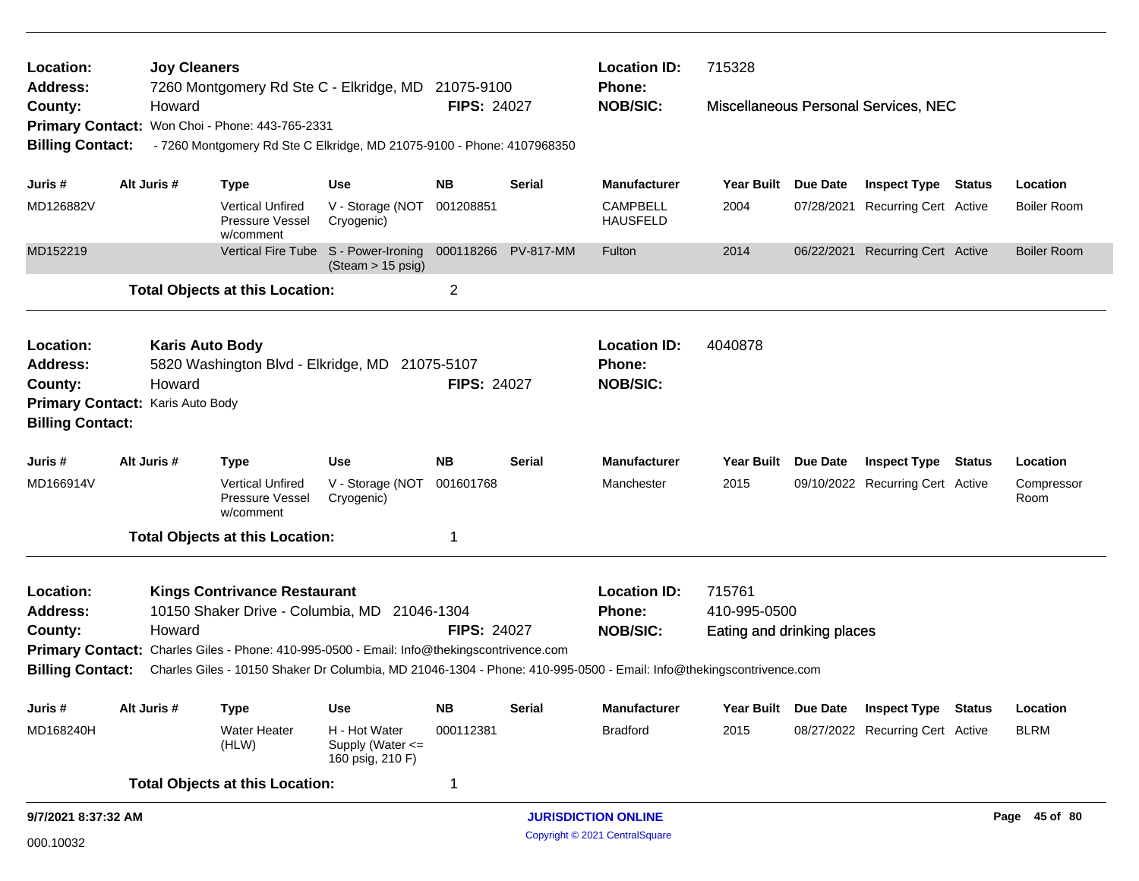| Location:<br>Address:        |                                                                                                                                                                                                                                              | <b>Joy Cleaners</b> |                                                                        |                                                                     | <b>Location ID:</b><br>7260 Montgomery Rd Ste C - Elkridge, MD 21075-9100<br><b>Phone:</b> |                                             |                                    | 715328                     |            |                                      |        |                    |  |
|------------------------------|----------------------------------------------------------------------------------------------------------------------------------------------------------------------------------------------------------------------------------------------|---------------------|------------------------------------------------------------------------|---------------------------------------------------------------------|--------------------------------------------------------------------------------------------|---------------------------------------------|------------------------------------|----------------------------|------------|--------------------------------------|--------|--------------------|--|
| County:                      |                                                                                                                                                                                                                                              | Howard              |                                                                        |                                                                     | <b>FIPS: 24027</b>                                                                         |                                             | <b>NOB/SIC:</b>                    |                            |            | Miscellaneous Personal Services, NEC |        |                    |  |
|                              |                                                                                                                                                                                                                                              |                     | Primary Contact: Won Choi - Phone: 443-765-2331                        |                                                                     |                                                                                            |                                             |                                    |                            |            |                                      |        |                    |  |
| <b>Billing Contact:</b>      |                                                                                                                                                                                                                                              |                     | - 7260 Montgomery Rd Ste C Elkridge, MD 21075-9100 - Phone: 4107968350 |                                                                     |                                                                                            |                                             |                                    |                            |            |                                      |        |                    |  |
| Juris #                      |                                                                                                                                                                                                                                              | Alt Juris #         | <b>Type</b>                                                            | <b>Use</b>                                                          | <b>NB</b>                                                                                  | <b>Serial</b>                               | <b>Manufacturer</b>                | <b>Year Built</b>          | Due Date   | <b>Inspect Type Status</b>           |        | Location           |  |
| MD126882V                    |                                                                                                                                                                                                                                              |                     | <b>Vertical Unfired</b><br>Pressure Vessel<br>w/comment                | V - Storage (NOT<br>Cryogenic)                                      | 001208851                                                                                  |                                             | <b>CAMPBELL</b><br><b>HAUSFELD</b> | 2004                       | 07/28/2021 | <b>Recurring Cert Active</b>         |        | Boiler Room        |  |
| MD152219                     |                                                                                                                                                                                                                                              |                     |                                                                        | Vertical Fire Tube S - Power-Ironing<br>$(Steam > 15 \text{ psig})$ |                                                                                            | 000118266 PV-817-MM                         | Fulton                             | 2014                       |            | 06/22/2021 Recurring Cert Active     |        | <b>Boiler Room</b> |  |
|                              |                                                                                                                                                                                                                                              |                     | <b>Total Objects at this Location:</b>                                 |                                                                     | 2                                                                                          |                                             |                                    |                            |            |                                      |        |                    |  |
| Location:<br><b>Address:</b> | <b>Karis Auto Body</b><br>5820 Washington Blvd - Elkridge, MD 21075-5107<br>Howard<br>Primary Contact: Karis Auto Body                                                                                                                       |                     |                                                                        |                                                                     |                                                                                            |                                             | <b>Location ID:</b><br>Phone:      | 4040878                    |            |                                      |        |                    |  |
| County:                      |                                                                                                                                                                                                                                              |                     |                                                                        |                                                                     | <b>FIPS: 24027</b>                                                                         |                                             | <b>NOB/SIC:</b>                    |                            |            |                                      |        |                    |  |
|                              |                                                                                                                                                                                                                                              |                     |                                                                        |                                                                     |                                                                                            |                                             |                                    |                            |            |                                      |        |                    |  |
| <b>Billing Contact:</b>      |                                                                                                                                                                                                                                              |                     |                                                                        |                                                                     |                                                                                            |                                             |                                    |                            |            |                                      |        |                    |  |
| Juris #                      |                                                                                                                                                                                                                                              | Alt Juris #         | <b>Type</b>                                                            | <b>Use</b>                                                          | <b>NB</b>                                                                                  | <b>Serial</b>                               | <b>Manufacturer</b>                | Year Built Due Date        |            | <b>Inspect Type</b>                  | Status | Location           |  |
| MD166914V                    |                                                                                                                                                                                                                                              |                     | <b>Vertical Unfired</b><br>Pressure Vessel<br>w/comment                | V - Storage (NOT<br>Cryogenic)                                      | 001601768                                                                                  |                                             | Manchester                         | 2015                       |            | 09/10/2022 Recurring Cert Active     |        | Compressor<br>Room |  |
|                              |                                                                                                                                                                                                                                              |                     | <b>Total Objects at this Location:</b>                                 |                                                                     | 1                                                                                          |                                             |                                    |                            |            |                                      |        |                    |  |
| Location:                    |                                                                                                                                                                                                                                              |                     | <b>Kings Contrivance Restaurant</b>                                    |                                                                     |                                                                                            |                                             | <b>Location ID:</b>                | 715761                     |            |                                      |        |                    |  |
| <b>Address:</b>              |                                                                                                                                                                                                                                              |                     | 10150 Shaker Drive - Columbia, MD 21046-1304                           |                                                                     |                                                                                            |                                             | <b>Phone:</b>                      | 410-995-0500               |            |                                      |        |                    |  |
| County:                      |                                                                                                                                                                                                                                              | Howard              |                                                                        |                                                                     | <b>FIPS: 24027</b>                                                                         |                                             | <b>NOB/SIC:</b>                    | Eating and drinking places |            |                                      |        |                    |  |
|                              |                                                                                                                                                                                                                                              |                     |                                                                        |                                                                     |                                                                                            |                                             |                                    |                            |            |                                      |        |                    |  |
|                              | Primary Contact: Charles Giles - Phone: 410-995-0500 - Email: Info@thekingscontrivence.com<br><b>Billing Contact:</b><br>Charles Giles - 10150 Shaker Dr Columbia, MD 21046-1304 - Phone: 410-995-0500 - Email: Info@thekingscontrivence.com |                     |                                                                        |                                                                     |                                                                                            |                                             |                                    |                            |            |                                      |        |                    |  |
| Juris #                      |                                                                                                                                                                                                                                              | Alt Juris #         | <b>Type</b>                                                            | <b>Use</b>                                                          | <b>NB</b>                                                                                  | <b>Serial</b>                               | Manufacturer                       | Year Built Due Date        |            | <b>Inspect Type Status</b>           |        | Location           |  |
| MD168240H                    |                                                                                                                                                                                                                                              |                     | <b>Water Heater</b><br>(HLW)                                           | H - Hot Water<br>Supply (Water <=<br>160 psig, 210 F)               | 000112381                                                                                  |                                             | <b>Bradford</b>                    | 2015                       |            | 08/27/2022 Recurring Cert Active     |        | <b>BLRM</b>        |  |
|                              |                                                                                                                                                                                                                                              |                     | <b>Total Objects at this Location:</b>                                 |                                                                     | 1                                                                                          |                                             |                                    |                            |            |                                      |        |                    |  |
| 9/7/2021 8:37:32 AM          |                                                                                                                                                                                                                                              |                     |                                                                        |                                                                     |                                                                                            | <b>JURISDICTION ONLINE</b><br>Page 45 of 80 |                                    |                            |            |                                      |        |                    |  |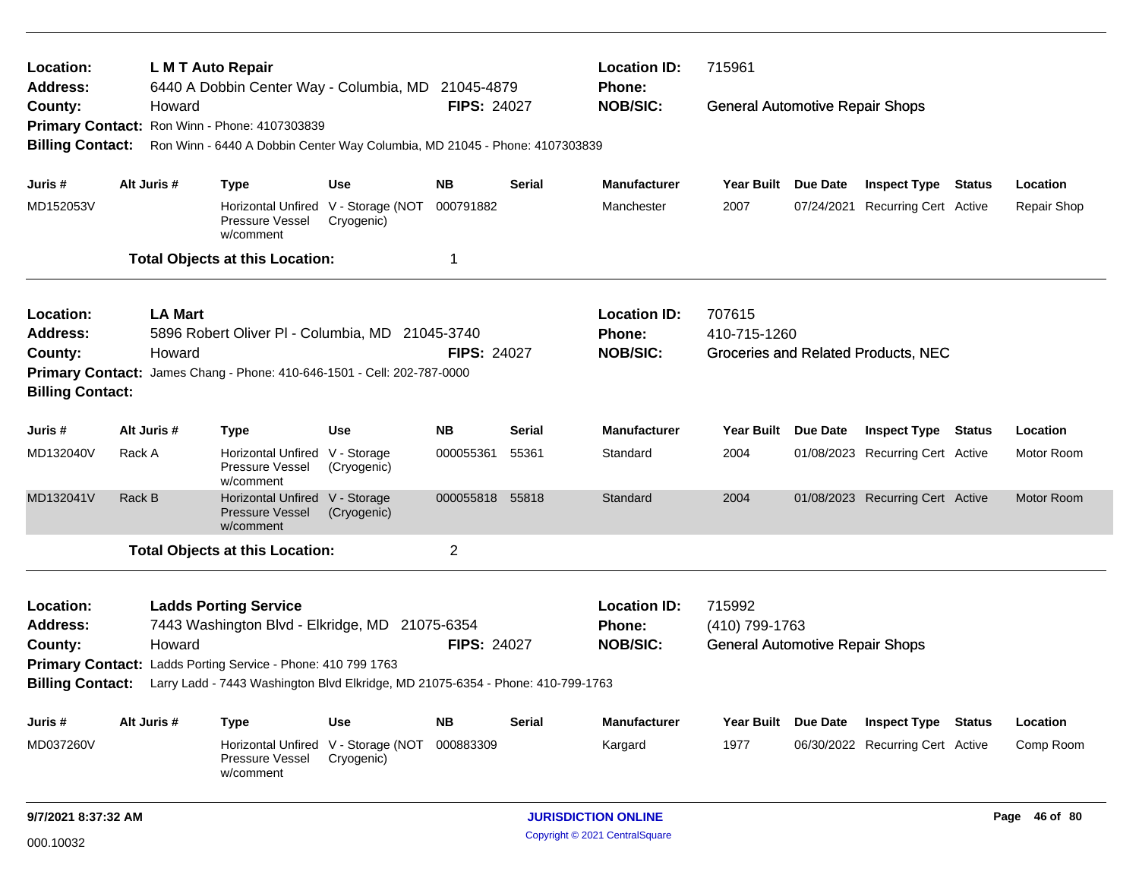| Location:<br><b>Address:</b> |        | L M T Auto Repair | 6440 A Dobbin Center Way - Columbia, MD 21045-4879                              |             |                    |               | <b>Location ID:</b><br><b>Phone:</b> | 715961                                 |            |                                     |             |
|------------------------------|--------|-------------------|---------------------------------------------------------------------------------|-------------|--------------------|---------------|--------------------------------------|----------------------------------------|------------|-------------------------------------|-------------|
| County:                      |        | Howard            |                                                                                 |             | <b>FIPS: 24027</b> |               | <b>NOB/SIC:</b>                      | <b>General Automotive Repair Shops</b> |            |                                     |             |
| <b>Primary Contact:</b>      |        |                   | Ron Winn - Phone: 4107303839                                                    |             |                    |               |                                      |                                        |            |                                     |             |
| <b>Billing Contact:</b>      |        |                   | Ron Winn - 6440 A Dobbin Center Way Columbia, MD 21045 - Phone: 4107303839      |             |                    |               |                                      |                                        |            |                                     |             |
| Juris #                      |        | Alt Juris #       | <b>Type</b>                                                                     | <b>Use</b>  | <b>NB</b>          | <b>Serial</b> | <b>Manufacturer</b>                  | Year Built Due Date                    |            | <b>Inspect Type Status</b>          | Location    |
| MD152053V                    |        |                   | Horizontal Unfired V - Storage (NOT<br>Pressure Vessel<br>w/comment             | Cryogenic)  | 000791882          |               | Manchester                           | 2007                                   | 07/24/2021 | <b>Recurring Cert Active</b>        | Repair Shop |
|                              |        |                   | <b>Total Objects at this Location:</b>                                          |             | 1                  |               |                                      |                                        |            |                                     |             |
| Location:                    |        | <b>LA Mart</b>    |                                                                                 |             |                    |               | <b>Location ID:</b>                  | 707615                                 |            |                                     |             |
| <b>Address:</b>              |        |                   | 5896 Robert Oliver PI - Columbia, MD 21045-3740                                 |             |                    |               | Phone:                               | 410-715-1260                           |            |                                     |             |
| County:                      |        | Howard            |                                                                                 |             | <b>FIPS: 24027</b> |               | <b>NOB/SIC:</b>                      |                                        |            | Groceries and Related Products, NEC |             |
| <b>Billing Contact:</b>      |        |                   | Primary Contact: James Chang - Phone: 410-646-1501 - Cell: 202-787-0000         |             |                    |               |                                      |                                        |            |                                     |             |
| Juris #                      |        | Alt Juris #       | <b>Type</b>                                                                     | <b>Use</b>  | <b>NB</b>          | <b>Serial</b> | <b>Manufacturer</b>                  | Year Built Due Date                    |            | <b>Inspect Type Status</b>          | Location    |
| MD132040V                    | Rack A |                   | Horizontal Unfired V - Storage<br>Pressure Vessel<br>w/comment                  | (Cryogenic) | 000055361          | 55361         | Standard                             | 2004                                   |            | 01/08/2023 Recurring Cert Active    | Motor Room  |
| MD132041V                    | Rack B |                   | Horizontal Unfired V - Storage<br><b>Pressure Vessel</b><br>w/comment           | (Cryogenic) | 000055818 55818    |               | Standard                             | 2004                                   |            | 01/08/2023 Recurring Cert Active    | Motor Room  |
|                              |        |                   | <b>Total Objects at this Location:</b>                                          |             | $\overline{c}$     |               |                                      |                                        |            |                                     |             |
| Location:<br><b>Address:</b> |        |                   | <b>Ladds Porting Service</b><br>7443 Washington Blvd - Elkridge, MD 21075-6354  |             |                    |               | <b>Location ID:</b><br>Phone:        | 715992<br>(410) 799-1763               |            |                                     |             |
| County:                      |        | Howard            |                                                                                 |             | <b>FIPS: 24027</b> |               | <b>NOB/SIC:</b>                      | <b>General Automotive Repair Shops</b> |            |                                     |             |
|                              |        |                   | Primary Contact: Ladds Porting Service - Phone: 410 799 1763                    |             |                    |               |                                      |                                        |            |                                     |             |
| <b>Billing Contact:</b>      |        |                   | Larry Ladd - 7443 Washington Blvd Elkridge, MD 21075-6354 - Phone: 410-799-1763 |             |                    |               |                                      |                                        |            |                                     |             |
| Juris #                      |        | Alt Juris #       | <b>Type</b>                                                                     | <b>Use</b>  | <b>NB</b>          | <b>Serial</b> | <b>Manufacturer</b>                  | Year Built Due Date                    |            | <b>Inspect Type Status</b>          | Location    |
| MD037260V                    |        |                   | Horizontal Unfired V - Storage (NOT<br>Pressure Vessel<br>w/comment             | Cryogenic)  | 000883309          |               | Kargard                              | 1977                                   |            | 06/30/2022 Recurring Cert Active    | Comp Room   |
|                              |        |                   |                                                                                 |             |                    |               |                                      |                                        |            |                                     |             |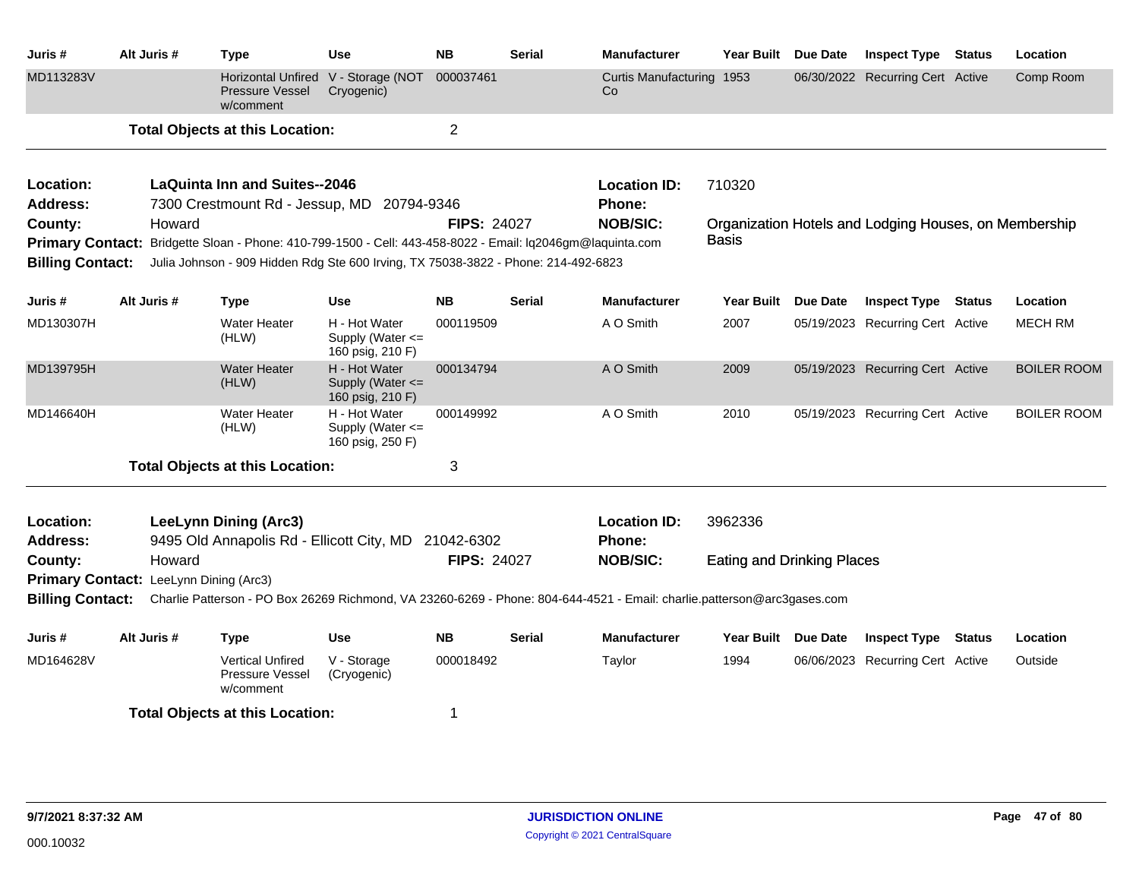| Juris #                 | Alt Juris #                                      | <b>Type</b>                                                                                                | <b>Use</b>                                            | <b>NB</b>          | <b>Serial</b> | <b>Manufacturer</b>                                                                                                     | Year Built                        | Due Date | <b>Inspect Type Status</b>                            | Location           |
|-------------------------|--------------------------------------------------|------------------------------------------------------------------------------------------------------------|-------------------------------------------------------|--------------------|---------------|-------------------------------------------------------------------------------------------------------------------------|-----------------------------------|----------|-------------------------------------------------------|--------------------|
| MD113283V               |                                                  | <b>Horizontal Unfired</b><br><b>Pressure Vessel</b><br>w/comment                                           | V - Storage (NOT<br>Cryogenic)                        | 000037461          |               | Curtis Manufacturing 1953<br>Co                                                                                         |                                   |          | 06/30/2022 Recurring Cert Active                      | Comp Room          |
|                         |                                                  | <b>Total Objects at this Location:</b>                                                                     |                                                       | $\overline{2}$     |               |                                                                                                                         |                                   |          |                                                       |                    |
| Location:               |                                                  | <b>LaQuinta Inn and Suites--2046</b>                                                                       |                                                       |                    |               | <b>Location ID:</b>                                                                                                     | 710320                            |          |                                                       |                    |
| <b>Address:</b>         |                                                  | 7300 Crestmount Rd - Jessup, MD 20794-9346                                                                 |                                                       |                    |               | Phone:                                                                                                                  |                                   |          |                                                       |                    |
| County:                 | Howard                                           |                                                                                                            |                                                       | <b>FIPS: 24027</b> |               | <b>NOB/SIC:</b>                                                                                                         |                                   |          | Organization Hotels and Lodging Houses, on Membership |                    |
|                         |                                                  | Primary Contact: Bridgette Sloan - Phone: 410-799-1500 - Cell: 443-458-8022 - Email: Iq2046gm@laquinta.com |                                                       |                    |               |                                                                                                                         | Basis                             |          |                                                       |                    |
| <b>Billing Contact:</b> |                                                  | Julia Johnson - 909 Hidden Rdg Ste 600 Irving, TX 75038-3822 - Phone: 214-492-6823                         |                                                       |                    |               |                                                                                                                         |                                   |          |                                                       |                    |
| Juris #                 | Alt Juris #                                      | <b>Type</b>                                                                                                | <b>Use</b>                                            | <b>NB</b>          | <b>Serial</b> | <b>Manufacturer</b>                                                                                                     | <b>Year Built</b>                 | Due Date | <b>Inspect Type Status</b>                            | Location           |
| MD130307H               |                                                  | <b>Water Heater</b><br>(HLW)                                                                               | H - Hot Water<br>Supply (Water <=<br>160 psig, 210 F) | 000119509          |               | A O Smith                                                                                                               | 2007                              |          | 05/19/2023 Recurring Cert Active                      | <b>MECH RM</b>     |
| MD139795H               |                                                  | <b>Water Heater</b><br>(HLW)                                                                               | H - Hot Water<br>Supply (Water <=<br>160 psig, 210 F) | 000134794          |               | A O Smith                                                                                                               | 2009                              |          | 05/19/2023 Recurring Cert Active                      | <b>BOILER ROOM</b> |
| MD146640H               |                                                  | Water Heater<br>(HLW)                                                                                      | H - Hot Water<br>Supply (Water <=<br>160 psig, 250 F) | 000149992          |               | A O Smith                                                                                                               | 2010                              |          | 05/19/2023 Recurring Cert Active                      | <b>BOILER ROOM</b> |
|                         |                                                  | <b>Total Objects at this Location:</b>                                                                     |                                                       | 3                  |               |                                                                                                                         |                                   |          |                                                       |                    |
| Location:               |                                                  | <b>LeeLynn Dining (Arc3)</b>                                                                               |                                                       |                    |               | <b>Location ID:</b>                                                                                                     | 3962336                           |          |                                                       |                    |
| <b>Address:</b>         |                                                  | 9495 Old Annapolis Rd - Ellicott City, MD 21042-6302                                                       |                                                       |                    |               | Phone:                                                                                                                  |                                   |          |                                                       |                    |
| County:                 | Howard<br>Primary Contact: LeeLynn Dining (Arc3) |                                                                                                            |                                                       | <b>FIPS: 24027</b> |               | <b>NOB/SIC:</b>                                                                                                         | <b>Eating and Drinking Places</b> |          |                                                       |                    |
| <b>Billing Contact:</b> |                                                  |                                                                                                            |                                                       |                    |               | Charlie Patterson - PO Box 26269 Richmond, VA 23260-6269 - Phone: 804-644-4521 - Email: charlie.patterson@arc3gases.com |                                   |          |                                                       |                    |
|                         |                                                  |                                                                                                            |                                                       |                    |               |                                                                                                                         |                                   |          |                                                       |                    |
| Juris #                 | Alt Juris #                                      | <b>Type</b>                                                                                                | <b>Use</b>                                            | <b>NB</b>          | <b>Serial</b> | <b>Manufacturer</b>                                                                                                     | Year Built Due Date               |          | <b>Inspect Type Status</b>                            | Location           |
| MD164628V               |                                                  | <b>Vertical Unfired</b><br>Pressure Vessel<br>w/comment                                                    | V - Storage<br>(Cryogenic)                            | 000018492          |               | Taylor                                                                                                                  | 1994                              |          | 06/06/2023 Recurring Cert Active                      | Outside            |
|                         |                                                  | <b>Total Objects at this Location:</b>                                                                     |                                                       | 1                  |               |                                                                                                                         |                                   |          |                                                       |                    |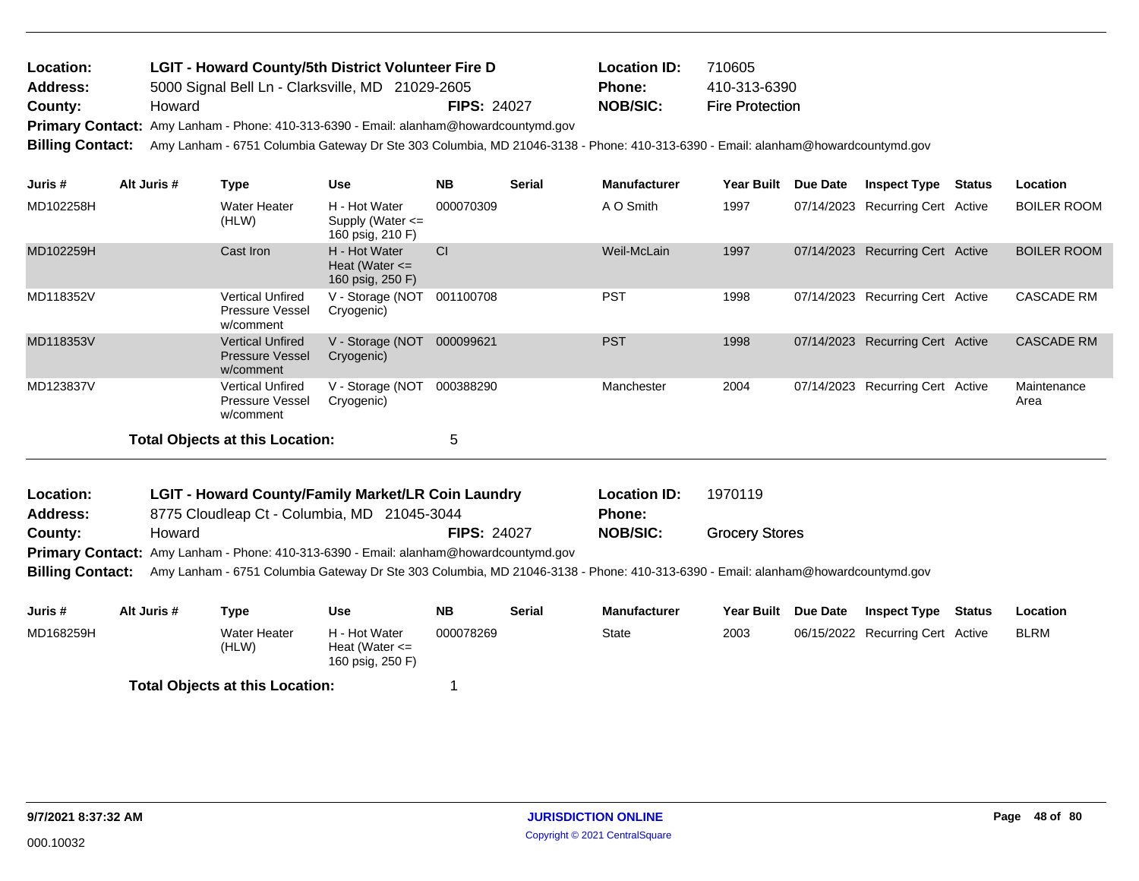| Location: | <b>LGIT - Howard County/5th District Volunteer Fire D</b> |                    | <b>Location ID:</b> | 710605                 |
|-----------|-----------------------------------------------------------|--------------------|---------------------|------------------------|
| Address:  | 5000 Signal Bell Ln - Clarksville, MD 21029-2605          |                    | Phone:              | 410-313-6390           |
| County:   | Howard                                                    | <b>FIPS: 24027</b> | NOB/SIC:            | <b>Fire Protection</b> |

Primary Contact: Amy Lanham - Phone: 410-313-6390 - Email: alanham@howardcountymd.gov

**Billing Contact:** Amy Lanham - 6751 Columbia Gateway Dr Ste 303 Columbia, MD 21046-3138 - Phone: 410-313-6390 - Email: alanham@howardcountymd.gov

| Juris #   | Alt Juris # | Type                                                           | <b>Use</b>                                                | <b>NB</b> | <b>Serial</b> | <b>Manufacturer</b> | <b>Year Built</b> | <b>Due Date</b> | <b>Inspect Type</b>              | Status | Location            |
|-----------|-------------|----------------------------------------------------------------|-----------------------------------------------------------|-----------|---------------|---------------------|-------------------|-----------------|----------------------------------|--------|---------------------|
| MD102258H |             | Water Heater<br>(HLW)                                          | H - Hot Water<br>Supply (Water $\leq$<br>160 psig, 210 F) | 000070309 |               | A O Smith           | 1997              |                 | 07/14/2023 Recurring Cert Active |        | <b>BOILER ROOM</b>  |
| MD102259H |             | Cast Iron                                                      | H - Hot Water<br>Heat (Water $\leq$<br>160 psig, 250 F)   | <b>CI</b> |               | Weil-McLain         | 1997              |                 | 07/14/2023 Recurring Cert Active |        | <b>BOILER ROOM</b>  |
| MD118352V |             | Vertical Unfired<br><b>Pressure Vessel</b><br>w/comment        | V - Storage (NOT<br>Cryogenic)                            | 001100708 |               | <b>PST</b>          | 1998              |                 | 07/14/2023 Recurring Cert Active |        | <b>CASCADE RM</b>   |
| MD118353V |             | <b>Vertical Unfired</b><br><b>Pressure Vessel</b><br>w/comment | V - Storage (NOT<br>Cryogenic)                            | 000099621 |               | <b>PST</b>          | 1998              |                 | 07/14/2023 Recurring Cert Active |        | <b>CASCADE RM</b>   |
| MD123837V |             | <b>Vertical Unfired</b><br><b>Pressure Vessel</b><br>w/comment | V - Storage (NOT<br>Cryogenic)                            | 000388290 |               | Manchester          | 2004              |                 | 07/14/2023 Recurring Cert Active |        | Maintenance<br>Area |
|           |             | Total Objects at this Location:                                |                                                           | 5         |               |                     |                   |                 |                                  |        |                     |

| Location:       | <b>LGIT - Howard County/Family Market/LR Coin Laundry</b>                                    |                    | <b>Location ID:</b> | 1970119               |
|-----------------|----------------------------------------------------------------------------------------------|--------------------|---------------------|-----------------------|
| <b>Address:</b> | 8775 Cloudleap Ct - Columbia, MD 21045-3044                                                  |                    | <b>Phone:</b>       |                       |
| County:         | Howard                                                                                       | <b>FIPS: 24027</b> | NOB/SIC:            | <b>Grocery Stores</b> |
|                 | <b>Primary Contact:</b> Amy Lanham - Phone: 410-313-6390 - Email: alanham@howardcountymd.gov |                    |                     |                       |

**Billing Contact:** Amy Lanham - 6751 Columbia Gateway Dr Ste 303 Columbia, MD 21046-3138 - Phone: 410-313-6390 - Email: alanham@howardcountymd.gov

| Juris #   | Alt Juris # | Type                                   | Use                                                     | <b>NB</b> | <b>Serial</b> | <b>Manufacturer</b> | Year Built | <b>Due Date</b> | <b>Inspect Type</b>              | Status | Location    |
|-----------|-------------|----------------------------------------|---------------------------------------------------------|-----------|---------------|---------------------|------------|-----------------|----------------------------------|--------|-------------|
| MD168259H |             | Water Heater<br>(HLW)                  | H - Hot Water<br>Heat (Water $\leq$<br>160 psig, 250 F) | 000078269 |               | State               | 2003       |                 | 06/15/2022 Recurring Cert Active |        | <b>BLRM</b> |
|           |             | <b>Total Objects at this Location:</b> |                                                         |           |               |                     |            |                 |                                  |        |             |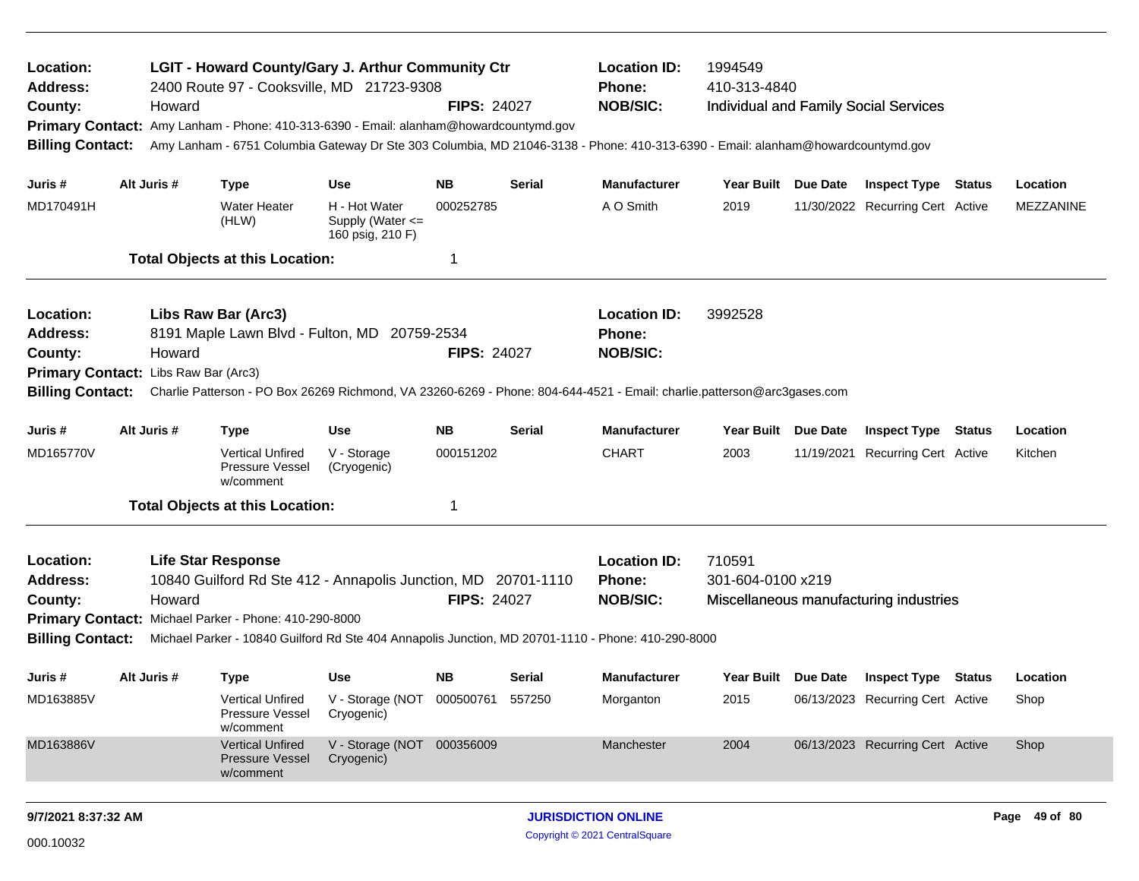| Location:<br><b>Address:</b><br>County:<br><b>Billing Contact:</b>                                         |             | Howard | <b>LGIT - Howard County/Gary J. Arthur Community Ctr</b><br>2400 Route 97 - Cooksville, MD 21723-9308<br>Primary Contact: Amy Lanham - Phone: 410-313-6390 - Email: alanham@howardcountymd.gov |                                                       | <b>FIPS: 24027</b> |               | <b>Location ID:</b><br><b>Phone:</b><br><b>NOB/SIC:</b>                                                                                                                            | 1994549<br>410-313-4840<br>Individual and Family Social Services<br>Amy Lanham - 6751 Columbia Gateway Dr Ste 303 Columbia, MD 21046-3138 - Phone: 410-313-6390 - Email: alanham@howardcountymd.gov |          |                                         |        |               |
|------------------------------------------------------------------------------------------------------------|-------------|--------|------------------------------------------------------------------------------------------------------------------------------------------------------------------------------------------------|-------------------------------------------------------|--------------------|---------------|------------------------------------------------------------------------------------------------------------------------------------------------------------------------------------|-----------------------------------------------------------------------------------------------------------------------------------------------------------------------------------------------------|----------|-----------------------------------------|--------|---------------|
| Juris #                                                                                                    | Alt Juris # |        | <b>Type</b>                                                                                                                                                                                    | <b>Use</b>                                            | NB.                | <b>Serial</b> | <b>Manufacturer</b>                                                                                                                                                                | Year Built Due Date                                                                                                                                                                                 |          | <b>Inspect Type Status</b>              |        | Location      |
| MD170491H                                                                                                  |             |        | <b>Water Heater</b><br>(HLW)                                                                                                                                                                   | H - Hot Water<br>Supply (Water <=<br>160 psig, 210 F) | 000252785          |               | A O Smith                                                                                                                                                                          | 2019                                                                                                                                                                                                |          | 11/30/2022 Recurring Cert Active        |        | MEZZANINE     |
|                                                                                                            |             |        | <b>Total Objects at this Location:</b>                                                                                                                                                         |                                                       | -1                 |               |                                                                                                                                                                                    |                                                                                                                                                                                                     |          |                                         |        |               |
| Location:<br><b>Address:</b><br>County:<br>Primary Contact: Libs Raw Bar (Arc3)<br><b>Billing Contact:</b> |             | Howard | Libs Raw Bar (Arc3)<br>8191 Maple Lawn Blvd - Fulton, MD 20759-2534                                                                                                                            |                                                       | <b>FIPS: 24027</b> |               | <b>Location ID:</b><br><b>Phone:</b><br><b>NOB/SIC:</b><br>Charlie Patterson - PO Box 26269 Richmond, VA 23260-6269 - Phone: 804-644-4521 - Email: charlie.patterson@arc3gases.com | 3992528                                                                                                                                                                                             |          |                                         |        |               |
| Juris #                                                                                                    | Alt Juris # |        | <b>Type</b>                                                                                                                                                                                    | <b>Use</b>                                            | <b>NB</b>          | <b>Serial</b> | <b>Manufacturer</b>                                                                                                                                                                | Year Built                                                                                                                                                                                          | Due Date | <b>Inspect Type</b>                     | Status | Location      |
| MD165770V                                                                                                  |             |        | <b>Vertical Unfired</b><br>Pressure Vessel<br>w/comment                                                                                                                                        | V - Storage<br>(Cryogenic)                            | 000151202          |               | <b>CHART</b>                                                                                                                                                                       | 2003                                                                                                                                                                                                |          | 11/19/2021 Recurring Cert Active        |        | Kitchen       |
|                                                                                                            |             |        | <b>Total Objects at this Location:</b>                                                                                                                                                         |                                                       | 1                  |               |                                                                                                                                                                                    |                                                                                                                                                                                                     |          |                                         |        |               |
| Location:<br><b>Address:</b><br>County:<br><b>Billing Contact:</b>                                         |             | Howard | <b>Life Star Response</b><br>10840 Guilford Rd Ste 412 - Annapolis Junction, MD 20701-1110<br>Primary Contact: Michael Parker - Phone: 410-290-8000                                            |                                                       | <b>FIPS: 24027</b> |               | <b>Location ID:</b><br><b>Phone:</b><br><b>NOB/SIC:</b><br>Michael Parker - 10840 Guilford Rd Ste 404 Annapolis Junction, MD 20701-1110 - Phone: 410-290-8000                      | 710591<br>301-604-0100 x219                                                                                                                                                                         |          | Miscellaneous manufacturing industries  |        |               |
| Juris #                                                                                                    | Alt Juris # |        | <b>Type</b>                                                                                                                                                                                    | <b>Use</b>                                            | NB.                | Serial        | <b>Manufacturer</b>                                                                                                                                                                |                                                                                                                                                                                                     |          | Year Built Due Date Inspect Type Status |        | Location      |
| MD163885V                                                                                                  |             |        | Vertical Unfired<br>Pressure Vessel<br>w/comment                                                                                                                                               | V - Storage (NOT 000500761 557250<br>Cryogenic)       |                    |               | Morganton                                                                                                                                                                          | 2015                                                                                                                                                                                                |          | 06/13/2023 Recurring Cert Active        |        | Shop          |
| MD163886V                                                                                                  |             |        | <b>Vertical Unfired</b><br><b>Pressure Vessel</b><br>w/comment                                                                                                                                 | V - Storage (NOT 000356009<br>Cryogenic)              |                    |               | Manchester                                                                                                                                                                         | 2004                                                                                                                                                                                                |          | 06/13/2023 Recurring Cert Active        |        | Shop          |
| 9/7/2021 8:37:32 AM                                                                                        |             |        |                                                                                                                                                                                                |                                                       |                    |               | <b>JURISDICTION ONLINE</b>                                                                                                                                                         |                                                                                                                                                                                                     |          |                                         |        | Page 49 of 80 |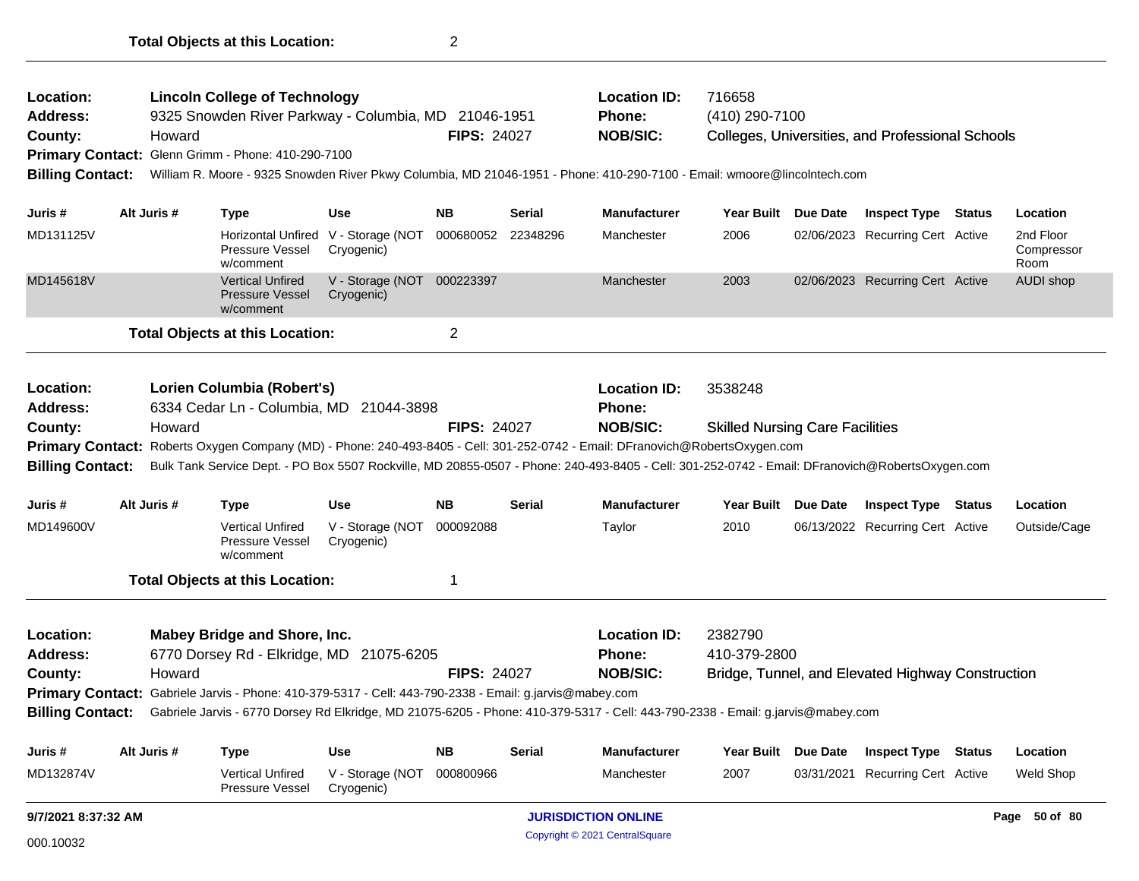| Location:<br><b>Address:</b><br>County:<br><b>Billing Contact:</b>        | Howard      | <b>Lincoln College of Technology</b><br>Primary Contact: Glenn Grimm - Phone: 410-290-7100                                                                                          | 9325 Snowden River Parkway - Columbia, MD 21046-1951<br><b>FIPS: 24027</b><br>William R. Moore - 9325 Snowden River Pkwy Columbia, MD 21046-1951 - Phone: 410-290-7100 - Email: wmoore@lincolntech.com<br><b>Use</b><br><b>NB</b><br><b>Serial</b> |                    |               | <b>Location ID:</b><br>Phone:<br><b>NOB/SIC:</b>                                                                                                                                                                                                                                                                                     | 716658<br>(410) 290-7100                          | Colleges, Universities, and Professional Schools  |                                 |
|---------------------------------------------------------------------------|-------------|-------------------------------------------------------------------------------------------------------------------------------------------------------------------------------------|----------------------------------------------------------------------------------------------------------------------------------------------------------------------------------------------------------------------------------------------------|--------------------|---------------|--------------------------------------------------------------------------------------------------------------------------------------------------------------------------------------------------------------------------------------------------------------------------------------------------------------------------------------|---------------------------------------------------|---------------------------------------------------|---------------------------------|
| Juris #                                                                   | Alt Juris # | Type                                                                                                                                                                                |                                                                                                                                                                                                                                                    |                    |               | <b>Manufacturer</b>                                                                                                                                                                                                                                                                                                                  | Year Built Due Date                               | <b>Inspect Type Status</b>                        | Location                        |
| MD131125V                                                                 |             | Pressure Vessel<br>w/comment                                                                                                                                                        | Horizontal Unfired V - Storage (NOT 000680052 22348296<br>Cryogenic)                                                                                                                                                                               |                    |               | Manchester                                                                                                                                                                                                                                                                                                                           | 2006                                              | 02/06/2023 Recurring Cert Active                  | 2nd Floor<br>Compressor<br>Room |
| MD145618V                                                                 |             | <b>Vertical Unfired</b><br><b>Pressure Vessel</b><br>w/comment                                                                                                                      | V - Storage (NOT 000223397<br>Cryogenic)                                                                                                                                                                                                           |                    |               | Manchester                                                                                                                                                                                                                                                                                                                           | 2003                                              | 02/06/2023 Recurring Cert Active                  | AUDI shop                       |
|                                                                           |             | <b>Total Objects at this Location:</b>                                                                                                                                              |                                                                                                                                                                                                                                                    | $\overline{2}$     |               |                                                                                                                                                                                                                                                                                                                                      |                                                   |                                                   |                                 |
| <b>Location:</b><br><b>Address:</b><br>County:<br><b>Billing Contact:</b> | Howard      | Lorien Columbia (Robert's)<br>6334 Cedar Ln - Columbia, MD 21044-3898                                                                                                               |                                                                                                                                                                                                                                                    | <b>FIPS: 24027</b> |               | <b>Location ID:</b><br>Phone:<br><b>NOB/SIC:</b><br>Primary Contact: Roberts Oxygen Company (MD) - Phone: 240-493-8405 - Cell: 301-252-0742 - Email: DFranovich@RobertsOxygen.com<br>Bulk Tank Service Dept. - PO Box 5507 Rockville, MD 20855-0507 - Phone: 240-493-8405 - Cell: 301-252-0742 - Email: DFranovich@RobertsOxygen.com | 3538248<br><b>Skilled Nursing Care Facilities</b> |                                                   |                                 |
| Juris #                                                                   | Alt Juris # | Type                                                                                                                                                                                | Use                                                                                                                                                                                                                                                | <b>NB</b>          | <b>Serial</b> | <b>Manufacturer</b>                                                                                                                                                                                                                                                                                                                  | Year Built Due Date                               | <b>Inspect Type Status</b>                        | Location                        |
| MD149600V                                                                 |             | <b>Vertical Unfired</b><br>Pressure Vessel<br>w/comment                                                                                                                             | V - Storage (NOT<br>Cryogenic)                                                                                                                                                                                                                     | 000092088          |               | Taylor                                                                                                                                                                                                                                                                                                                               | 2010                                              | 06/13/2022 Recurring Cert Active                  | Outside/Cage                    |
|                                                                           |             | <b>Total Objects at this Location:</b>                                                                                                                                              |                                                                                                                                                                                                                                                    | 1                  |               |                                                                                                                                                                                                                                                                                                                                      |                                                   |                                                   |                                 |
| <b>Location:</b><br><b>Address:</b><br>County:<br><b>Billing Contact:</b> | Howard      | Mabey Bridge and Shore, Inc.<br>6770 Dorsey Rd - Elkridge, MD 21075-6205<br>Primary Contact: Gabriele Jarvis - Phone: 410-379-5317 - Cell: 443-790-2338 - Email: g.jarvis@mabey.com |                                                                                                                                                                                                                                                    | <b>FIPS: 24027</b> |               | <b>Location ID:</b><br>Phone:<br><b>NOB/SIC:</b><br>Gabriele Jarvis - 6770 Dorsey Rd Elkridge, MD 21075-6205 - Phone: 410-379-5317 - Cell: 443-790-2338 - Email: g.jarvis@mabey.com                                                                                                                                                  | 2382790<br>410-379-2800                           | Bridge, Tunnel, and Elevated Highway Construction |                                 |
| Juris #                                                                   | Alt Juris # | Type                                                                                                                                                                                | Use                                                                                                                                                                                                                                                | <b>NB</b>          | <b>Serial</b> | <b>Manufacturer</b>                                                                                                                                                                                                                                                                                                                  | Year Built Due Date                               | <b>Inspect Type Status</b>                        | Location                        |
| MD132874V                                                                 |             | <b>Vertical Unfired</b><br>Pressure Vessel                                                                                                                                          | V - Storage (NOT 000800966<br>Cryogenic)                                                                                                                                                                                                           |                    |               | Manchester                                                                                                                                                                                                                                                                                                                           | 2007                                              | 03/31/2021 Recurring Cert Active                  | <b>Weld Shop</b>                |
| 9/7/2021 8:37:32 AM                                                       |             |                                                                                                                                                                                     |                                                                                                                                                                                                                                                    |                    |               | <b>JURISDICTION ONLINE</b>                                                                                                                                                                                                                                                                                                           |                                                   |                                                   | Page 50 of 80                   |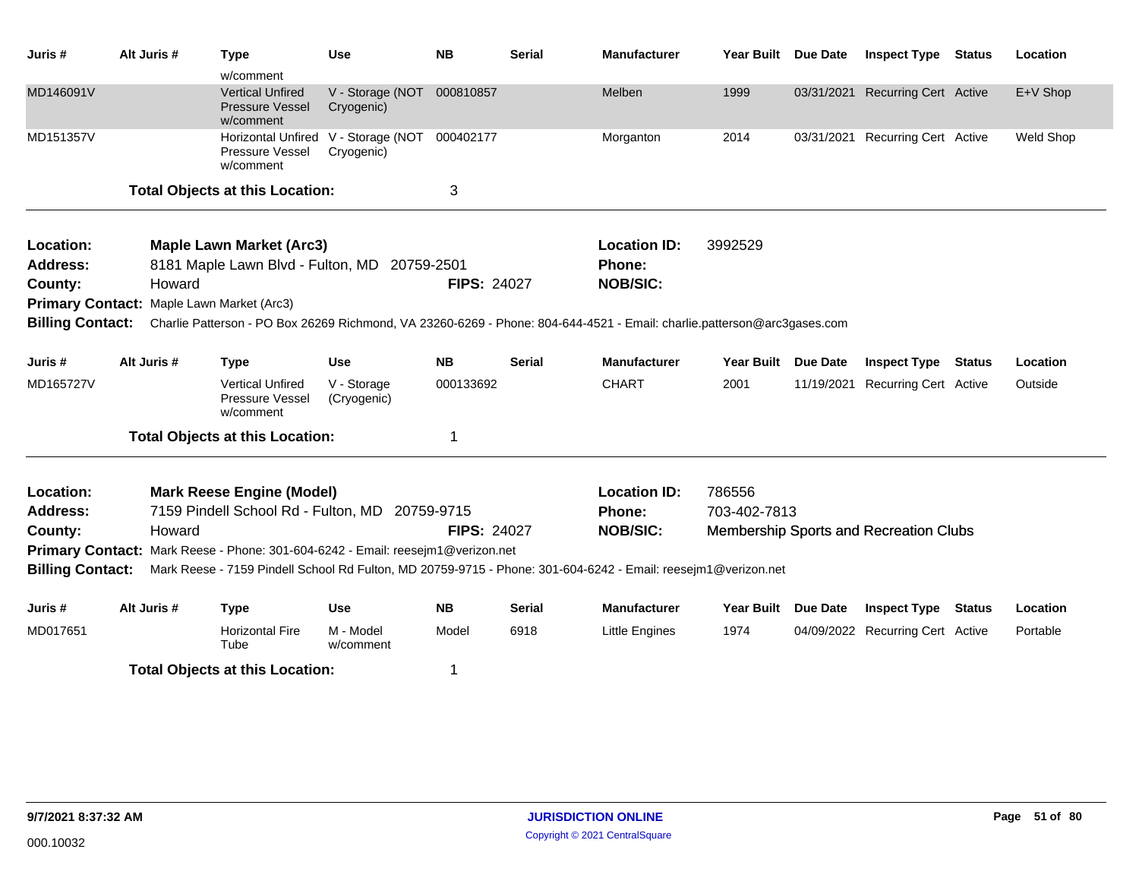| Juris #                                                            | Alt Juris #                                         | <b>Type</b><br>w/comment                                                                                                                                              | <b>Use</b>                                        | <b>NB</b>              | <b>Serial</b> | <b>Manufacturer</b>                                                                                                                                                                | <b>Year Built</b>         | <b>Due Date</b>               | <b>Inspect Type</b>                                 | <b>Status</b> | Location            |
|--------------------------------------------------------------------|-----------------------------------------------------|-----------------------------------------------------------------------------------------------------------------------------------------------------------------------|---------------------------------------------------|------------------------|---------------|------------------------------------------------------------------------------------------------------------------------------------------------------------------------------------|---------------------------|-------------------------------|-----------------------------------------------------|---------------|---------------------|
| MD146091V                                                          |                                                     | <b>Vertical Unfired</b><br><b>Pressure Vessel</b><br>w/comment                                                                                                        | V - Storage (NOT<br>Cryogenic)                    | 000810857              |               | Melben                                                                                                                                                                             | 1999                      | 03/31/2021                    | <b>Recurring Cert Active</b>                        |               | E+V Shop            |
| MD151357V                                                          |                                                     | Pressure Vessel<br>w/comment                                                                                                                                          | Horizontal Unfired V - Storage (NOT<br>Cryogenic) | 000402177              |               | Morganton                                                                                                                                                                          | 2014                      |                               | 03/31/2021 Recurring Cert Active                    |               | Weld Shop           |
|                                                                    |                                                     | <b>Total Objects at this Location:</b>                                                                                                                                |                                                   | 3                      |               |                                                                                                                                                                                    |                           |                               |                                                     |               |                     |
| Location:<br><b>Address:</b><br>County:<br><b>Billing Contact:</b> | Howard<br>Primary Contact: Maple Lawn Market (Arc3) | <b>Maple Lawn Market (Arc3)</b><br>8181 Maple Lawn Blvd - Fulton, MD 20759-2501                                                                                       |                                                   | <b>FIPS: 24027</b>     |               | <b>Location ID:</b><br><b>Phone:</b><br><b>NOB/SIC:</b><br>Charlie Patterson - PO Box 26269 Richmond, VA 23260-6269 - Phone: 804-644-4521 - Email: charlie.patterson@arc3gases.com | 3992529                   |                               |                                                     |               |                     |
|                                                                    |                                                     |                                                                                                                                                                       |                                                   |                        |               |                                                                                                                                                                                    |                           |                               |                                                     |               |                     |
| Juris #<br>MD165727V                                               | Alt Juris #                                         | <b>Type</b><br><b>Vertical Unfired</b><br>Pressure Vessel<br>w/comment                                                                                                | <b>Use</b><br>V - Storage<br>(Cryogenic)          | <b>NB</b><br>000133692 | <b>Serial</b> | <b>Manufacturer</b><br><b>CHART</b>                                                                                                                                                | <b>Year Built</b><br>2001 | <b>Due Date</b><br>11/19/2021 | <b>Inspect Type</b><br><b>Recurring Cert Active</b> | <b>Status</b> | Location<br>Outside |
|                                                                    |                                                     | <b>Total Objects at this Location:</b>                                                                                                                                |                                                   | 1                      |               |                                                                                                                                                                                    |                           |                               |                                                     |               |                     |
| Location:<br><b>Address:</b><br>County:<br><b>Billing Contact:</b> | Howard                                              | <b>Mark Reese Engine (Model)</b><br>7159 Pindell School Rd - Fulton, MD 20759-9715<br>Primary Contact: Mark Reese - Phone: 301-604-6242 - Email: reesejm1@verizon.net |                                                   | <b>FIPS: 24027</b>     |               | <b>Location ID:</b><br><b>Phone:</b><br><b>NOB/SIC:</b><br>Mark Reese - 7159 Pindell School Rd Fulton, MD 20759-9715 - Phone: 301-604-6242 - Email: reesejm1@verizon.net           | 786556<br>703-402-7813    |                               | Membership Sports and Recreation Clubs              |               |                     |
| Juris #                                                            | Alt Juris #                                         | <b>Type</b>                                                                                                                                                           | <b>Use</b>                                        | <b>NB</b>              | <b>Serial</b> | <b>Manufacturer</b>                                                                                                                                                                | <b>Year Built</b>         | <b>Due Date</b>               | <b>Inspect Type</b>                                 | <b>Status</b> | Location            |
| MD017651                                                           |                                                     | <b>Horizontal Fire</b><br>Tube                                                                                                                                        | M - Model<br>w/comment                            | Model                  | 6918          | <b>Little Engines</b>                                                                                                                                                              | 1974                      |                               | 04/09/2022 Recurring Cert Active                    |               | Portable            |
|                                                                    |                                                     | <b>Total Objects at this Location:</b>                                                                                                                                |                                                   | 1                      |               |                                                                                                                                                                                    |                           |                               |                                                     |               |                     |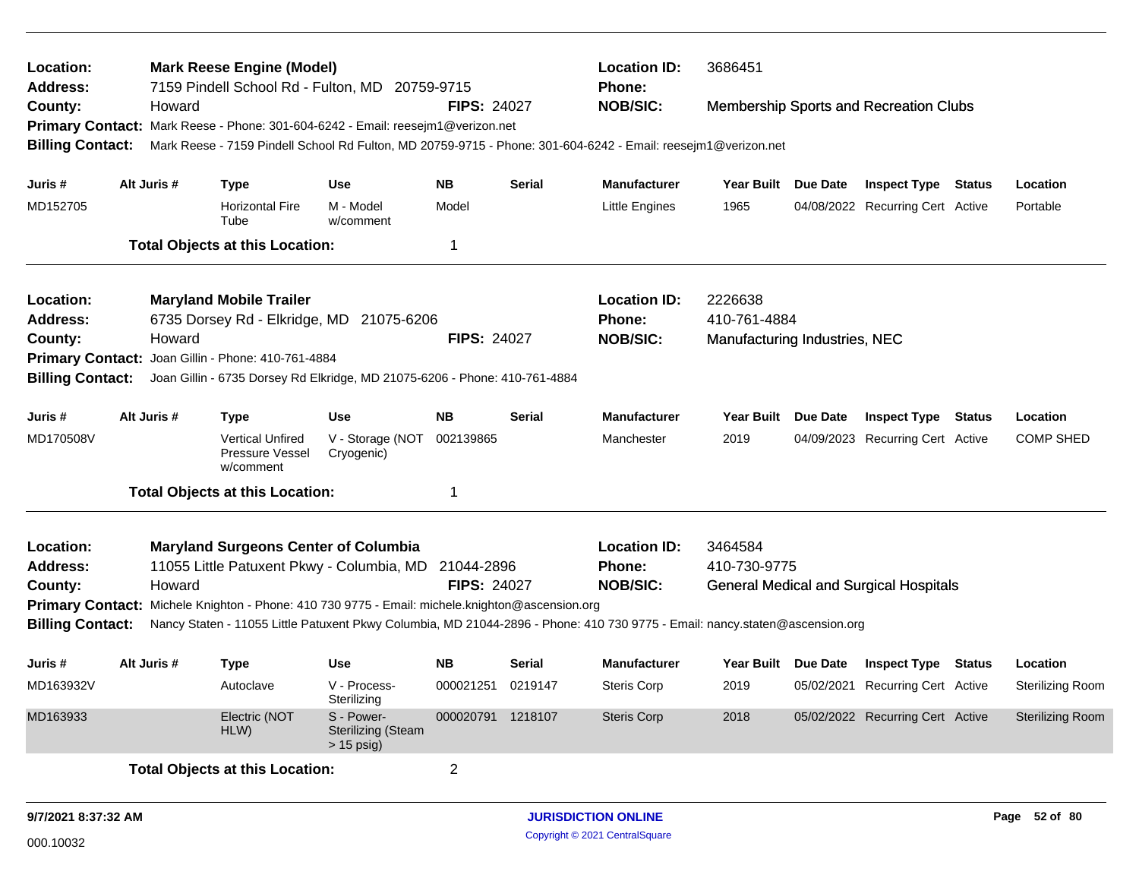| Location:<br>Address:<br>County:<br><b>Billing Contact:</b>                                   | Howard      | <b>Mark Reese Engine (Model)</b><br>7159 Pindell School Rd - Fulton, MD 20759-9715<br>Primary Contact: Mark Reese - Phone: 301-604-6242 - Email: reesejm1@verizon.net                                  |                                                         | <b>FIPS: 24027</b>                  |                   | <b>Location ID:</b><br>Phone:<br><b>NOB/SIC:</b><br>Mark Reese - 7159 Pindell School Rd Fulton, MD 20759-9715 - Phone: 301-604-6242 - Email: reesejm1@verizon.net               | 3686451                                                  |          | <b>Membership Sports and Recreation Clubs</b>                  |                                     |
|-----------------------------------------------------------------------------------------------|-------------|--------------------------------------------------------------------------------------------------------------------------------------------------------------------------------------------------------|---------------------------------------------------------|-------------------------------------|-------------------|---------------------------------------------------------------------------------------------------------------------------------------------------------------------------------|----------------------------------------------------------|----------|----------------------------------------------------------------|-------------------------------------|
| Juris #<br>MD152705                                                                           | Alt Juris # | <b>Type</b><br><b>Horizontal Fire</b><br>Tube<br><b>Total Objects at this Location:</b>                                                                                                                | <b>Use</b><br>M - Model<br>w/comment                    | <b>NB</b><br>Model<br>-1            | Serial            | <b>Manufacturer</b><br><b>Little Engines</b>                                                                                                                                    | Year Built Due Date<br>1965                              |          | <b>Inspect Type Status</b><br>04/08/2022 Recurring Cert Active | Location<br>Portable                |
| Location:<br><b>Address:</b><br>County:<br><b>Primary Contact:</b><br><b>Billing Contact:</b> | Howard      | <b>Maryland Mobile Trailer</b><br>6735 Dorsey Rd - Elkridge, MD 21075-6206<br>Joan Gillin - Phone: 410-761-4884<br>Joan Gillin - 6735 Dorsey Rd Elkridge, MD 21075-6206 - Phone: 410-761-4884          |                                                         | <b>FIPS: 24027</b>                  |                   | <b>Location ID:</b><br>Phone:<br><b>NOB/SIC:</b>                                                                                                                                | 2226638<br>410-761-4884<br>Manufacturing Industries, NEC |          |                                                                |                                     |
| Juris #<br>MD170508V                                                                          | Alt Juris # | <b>Type</b><br><b>Vertical Unfired</b><br>Pressure Vessel<br>w/comment<br><b>Total Objects at this Location:</b>                                                                                       | <b>Use</b><br>V - Storage (NOT<br>Cryogenic)            | <b>NB</b><br>002139865<br>-1        | Serial            | <b>Manufacturer</b><br>Manchester                                                                                                                                               | Year Built Due Date<br>2019                              |          | <b>Inspect Type Status</b><br>04/09/2023 Recurring Cert Active | Location<br><b>COMP SHED</b>        |
| Location:<br><b>Address:</b><br>County:<br><b>Billing Contact:</b>                            | Howard      | <b>Maryland Surgeons Center of Columbia</b><br>11055 Little Patuxent Pkwy - Columbia, MD 21044-2896<br>Primary Contact: Michele Knighton - Phone: 410 730 9775 - Email: michele.knighton@ascension.org |                                                         | <b>FIPS: 24027</b>                  |                   | <b>Location ID:</b><br>Phone:<br><b>NOB/SIC:</b><br>Nancy Staten - 11055 Little Patuxent Pkwy Columbia, MD 21044-2896 - Phone: 410 730 9775 - Email: nancy.staten@ascension.org | 3464584<br>410-730-9775                                  |          | <b>General Medical and Surgical Hospitals</b>                  |                                     |
| Juris #<br>MD163932V                                                                          | Alt Juris # | <b>Type</b><br>Autoclave                                                                                                                                                                               | Use<br>V - Process-<br>Sterilizing                      | NΒ<br>000021251                     | Serial<br>0219147 | <b>Manufacturer</b><br><b>Steris Corp</b>                                                                                                                                       | Year Built<br>2019                                       | Due Date | <b>Inspect Type Status</b><br>05/02/2021 Recurring Cert Active | Location<br><b>Sterilizing Room</b> |
| MD163933                                                                                      |             | Electric (NOT<br>HLW)<br><b>Total Objects at this Location:</b>                                                                                                                                        | S - Power-<br><b>Sterilizing (Steam</b><br>$> 15$ psig) | 000020791 1218107<br>$\overline{c}$ |                   | <b>Steris Corp</b>                                                                                                                                                              | 2018                                                     |          | 05/02/2022 Recurring Cert Active                               | <b>Sterilizing Room</b>             |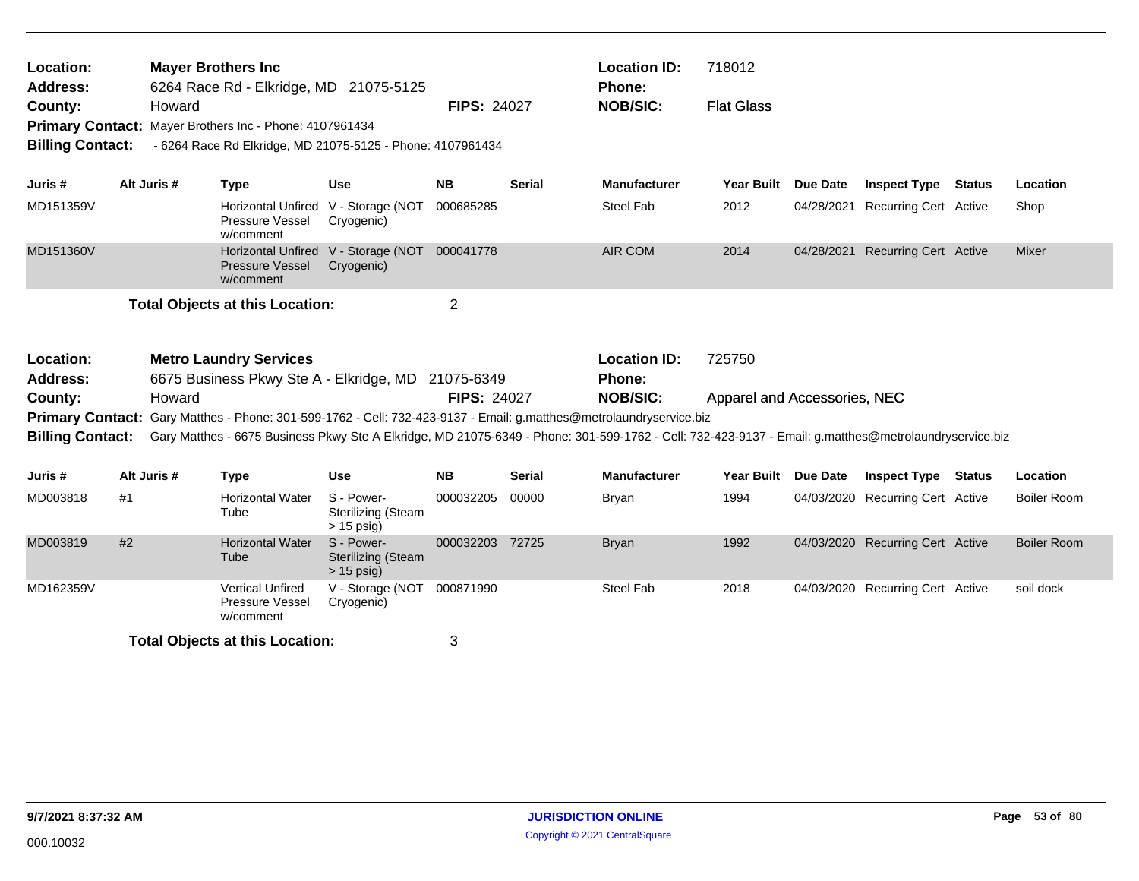| Location:<br><b>Address:</b><br>County:<br><b>Billing Contact:</b> |             | Howard | <b>Mayer Brothers Inc</b><br>6264 Race Rd - Elkridge, MD 21075-5125<br>Primary Contact: Mayer Brothers Inc - Phone: 4107961434 | - 6264 Race Rd Elkridge, MD 21075-5125 - Phone: 4107961434  | <b>FIPS: 24027</b> |               | <b>Location ID:</b><br><b>Phone:</b><br><b>NOB/SIC:</b>                                                                                                                                                                                                                      | 718012<br><b>Flat Glass</b>            |                 |                                  |                    |
|--------------------------------------------------------------------|-------------|--------|--------------------------------------------------------------------------------------------------------------------------------|-------------------------------------------------------------|--------------------|---------------|------------------------------------------------------------------------------------------------------------------------------------------------------------------------------------------------------------------------------------------------------------------------------|----------------------------------------|-----------------|----------------------------------|--------------------|
| Juris #                                                            | Alt Juris # |        | <b>Type</b>                                                                                                                    | <b>Use</b>                                                  | <b>NB</b>          | <b>Serial</b> | <b>Manufacturer</b>                                                                                                                                                                                                                                                          | <b>Year Built</b>                      | Due Date        | <b>Inspect Type Status</b>       | Location           |
| MD151359V                                                          |             |        | Horizontal Unfired V - Storage (NOT<br>Pressure Vessel<br>w/comment                                                            | Cryogenic)                                                  | 000685285          |               | <b>Steel Fab</b>                                                                                                                                                                                                                                                             | 2012                                   | 04/28/2021      | <b>Recurring Cert Active</b>     | Shop               |
| MD151360V                                                          |             |        | <b>Pressure Vessel</b><br>w/comment                                                                                            | Horizontal Unfired V - Storage (NOT 000041778<br>Cryogenic) |                    |               | <b>AIR COM</b>                                                                                                                                                                                                                                                               | 2014                                   |                 | 04/28/2021 Recurring Cert Active | Mixer              |
|                                                                    |             |        | <b>Total Objects at this Location:</b>                                                                                         |                                                             | $\overline{2}$     |               |                                                                                                                                                                                                                                                                              |                                        |                 |                                  |                    |
| Location:<br>Address:<br>County:                                   |             | Howard | <b>Metro Laundry Services</b>                                                                                                  | 6675 Business Pkwy Ste A - Elkridge, MD 21075-6349          | <b>FIPS: 24027</b> |               | <b>Location ID:</b><br><b>Phone:</b><br><b>NOB/SIC:</b>                                                                                                                                                                                                                      | 725750<br>Apparel and Accessories, NEC |                 |                                  |                    |
| <b>Billing Contact:</b>                                            |             |        |                                                                                                                                |                                                             |                    |               | Primary Contact: Gary Matthes - Phone: 301-599-1762 - Cell: 732-423-9137 - Email: g.matthes@metrolaundryservice.biz<br>Gary Matthes - 6675 Business Pkwy Ste A Elkridge, MD 21075-6349 - Phone: 301-599-1762 - Cell: 732-423-9137 - Email: g.matthes@metrolaundryservice.biz |                                        |                 |                                  |                    |
| Juris #                                                            | Alt Juris # |        | <b>Type</b>                                                                                                                    | <b>Use</b>                                                  | <b>NB</b>          | <b>Serial</b> | <b>Manufacturer</b>                                                                                                                                                                                                                                                          | <b>Year Built</b>                      | <b>Due Date</b> | <b>Inspect Type Status</b>       | Location           |
| MD003818                                                           | #1          |        | <b>Horizontal Water</b><br>Tube                                                                                                | S - Power-<br><b>Sterilizing (Steam</b><br>$> 15$ psig)     | 000032205          | 00000         | <b>Bryan</b>                                                                                                                                                                                                                                                                 | 1994                                   |                 | 04/03/2020 Recurring Cert Active | <b>Boiler Room</b> |
| MD003819                                                           | #2          |        | <b>Horizontal Water</b><br>Tube                                                                                                | S - Power-<br><b>Sterilizing (Steam</b><br>$> 15$ psig)     | 000032203 72725    |               | <b>Bryan</b>                                                                                                                                                                                                                                                                 | 1992                                   |                 | 04/03/2020 Recurring Cert Active | <b>Boiler Room</b> |
| MD162359V                                                          |             |        | <b>Vertical Unfired</b><br>Pressure Vessel<br>w/comment                                                                        | V - Storage (NOT<br>Cryogenic)                              | 000871990          |               | <b>Steel Fab</b>                                                                                                                                                                                                                                                             | 2018                                   |                 | 04/03/2020 Recurring Cert Active | soil dock          |
|                                                                    |             |        | <b>Total Objects at this Location:</b>                                                                                         |                                                             | 3                  |               |                                                                                                                                                                                                                                                                              |                                        |                 |                                  |                    |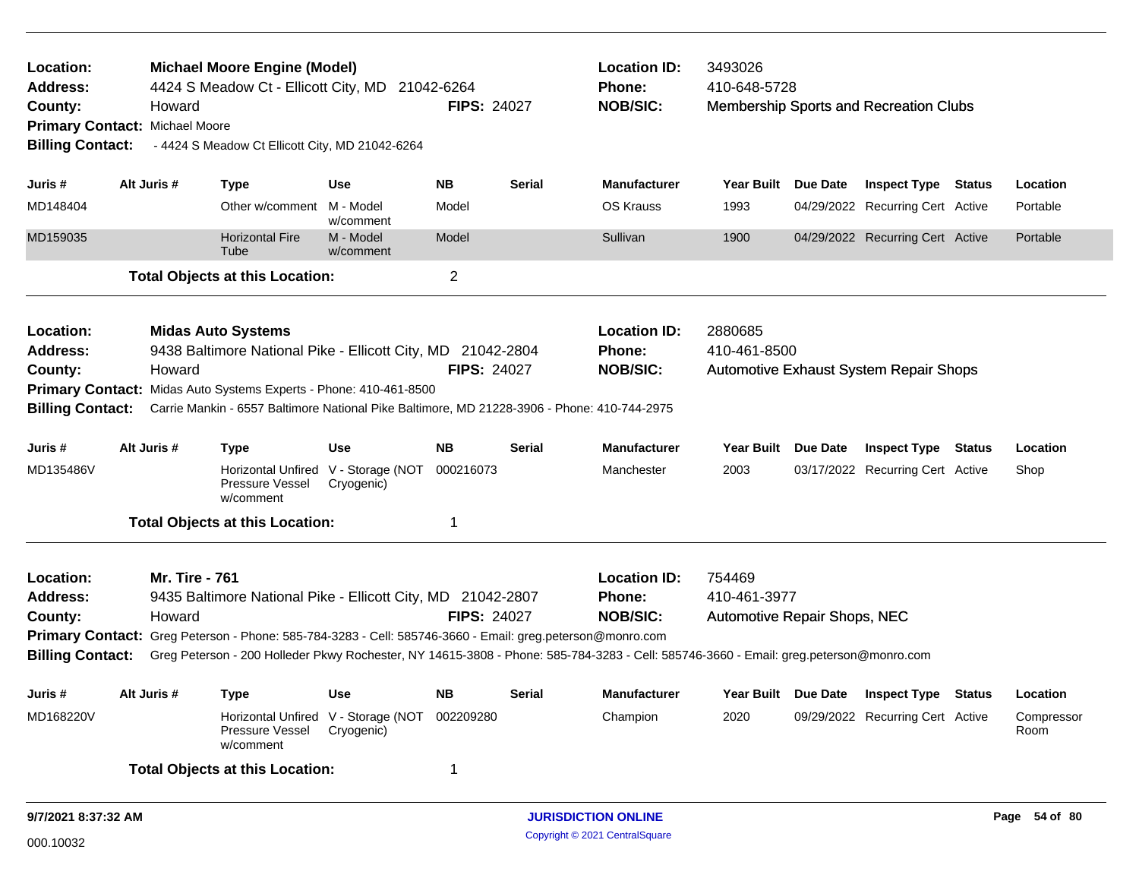| Location:<br><b>Address:</b><br>County:<br><b>Billing Contact:</b> | Howard<br>Primary Contact: Michael Moore                                                                                                                                                                                                                  | <b>Michael Moore Engine (Model)</b><br>4424 S Meadow Ct - Ellicott City, MD 21042-6264<br>- 4424 S Meadow Ct Ellicott City, MD 21042-6264                        |                                                   | <b>FIPS: 24027</b> |               | <b>Location ID:</b><br>Phone:<br><b>NOB/SIC:</b> | 3493026<br>410-648-5728      |                 | Membership Sports and Recreation Clubs        |               |                    |
|--------------------------------------------------------------------|-----------------------------------------------------------------------------------------------------------------------------------------------------------------------------------------------------------------------------------------------------------|------------------------------------------------------------------------------------------------------------------------------------------------------------------|---------------------------------------------------|--------------------|---------------|--------------------------------------------------|------------------------------|-----------------|-----------------------------------------------|---------------|--------------------|
| Juris #                                                            | Alt Juris #                                                                                                                                                                                                                                               | <b>Type</b>                                                                                                                                                      | <b>Use</b>                                        | <b>NB</b>          | <b>Serial</b> | <b>Manufacturer</b>                              | <b>Year Built</b>            | <b>Due Date</b> | <b>Inspect Type Status</b>                    |               | Location           |
| MD148404                                                           |                                                                                                                                                                                                                                                           | Other w/comment                                                                                                                                                  | M - Model<br>w/comment                            | Model              |               | <b>OS Krauss</b>                                 | 1993                         |                 | 04/29/2022 Recurring Cert Active              |               | Portable           |
| MD159035                                                           |                                                                                                                                                                                                                                                           | <b>Horizontal Fire</b><br>Tube                                                                                                                                   | M - Model<br>w/comment                            | Model              |               | Sullivan                                         | 1900                         |                 | 04/29/2022 Recurring Cert Active              |               | Portable           |
|                                                                    |                                                                                                                                                                                                                                                           | <b>Total Objects at this Location:</b>                                                                                                                           |                                                   | $\overline{2}$     |               |                                                  |                              |                 |                                               |               |                    |
| Location:<br><b>Address:</b>                                       |                                                                                                                                                                                                                                                           | <b>Midas Auto Systems</b><br>9438 Baltimore National Pike - Ellicott City, MD 21042-2804                                                                         |                                                   |                    |               | <b>Location ID:</b><br>Phone:                    | 2880685<br>410-461-8500      |                 |                                               |               |                    |
| County:                                                            | Howard                                                                                                                                                                                                                                                    |                                                                                                                                                                  |                                                   | <b>FIPS: 24027</b> |               | <b>NOB/SIC:</b>                                  |                              |                 | <b>Automotive Exhaust System Repair Shops</b> |               |                    |
| <b>Billing Contact:</b>                                            |                                                                                                                                                                                                                                                           | Primary Contact: Midas Auto Systems Experts - Phone: 410-461-8500<br>Carrie Mankin - 6557 Baltimore National Pike Baltimore, MD 21228-3906 - Phone: 410-744-2975 |                                                   |                    |               |                                                  |                              |                 |                                               |               |                    |
| Juris #                                                            | Alt Juris #                                                                                                                                                                                                                                               | <b>Type</b>                                                                                                                                                      | Use                                               | <b>NB</b>          | <b>Serial</b> | <b>Manufacturer</b>                              | Year Built                   | Due Date        | <b>Inspect Type</b>                           | <b>Status</b> | Location           |
| MD135486V                                                          |                                                                                                                                                                                                                                                           | Pressure Vessel<br>w/comment                                                                                                                                     | Horizontal Unfired V - Storage (NOT<br>Cryogenic) | 000216073          |               | Manchester                                       | 2003                         |                 | 03/17/2022 Recurring Cert Active              |               | Shop               |
|                                                                    |                                                                                                                                                                                                                                                           | <b>Total Objects at this Location:</b>                                                                                                                           |                                                   | 1                  |               |                                                  |                              |                 |                                               |               |                    |
| Location:                                                          | <b>Mr. Tire - 761</b>                                                                                                                                                                                                                                     |                                                                                                                                                                  |                                                   |                    |               | <b>Location ID:</b>                              | 754469                       |                 |                                               |               |                    |
| <b>Address:</b>                                                    |                                                                                                                                                                                                                                                           | 9435 Baltimore National Pike - Ellicott City, MD 21042-2807                                                                                                      |                                                   |                    |               | Phone:                                           | 410-461-3977                 |                 |                                               |               |                    |
| County:                                                            | Howard                                                                                                                                                                                                                                                    |                                                                                                                                                                  |                                                   | <b>FIPS: 24027</b> |               | <b>NOB/SIC:</b>                                  | Automotive Repair Shops, NEC |                 |                                               |               |                    |
| <b>Billing Contact:</b>                                            | <b>Primary Contact:</b> Greg Peterson - Phone: 585-784-3283 - Cell: 585746-3660 - Email: greg.peterson@monro.com<br>Greg Peterson - 200 Holleder Pkwy Rochester, NY 14615-3808 - Phone: 585-784-3283 - Cell: 585746-3660 - Email: greg.peterson@monro.com |                                                                                                                                                                  |                                                   |                    |               |                                                  |                              |                 |                                               |               |                    |
| Juris #                                                            | Alt Juris #                                                                                                                                                                                                                                               | <b>Type</b>                                                                                                                                                      | <b>Use</b>                                        | <b>NB</b>          | <b>Serial</b> | <b>Manufacturer</b>                              | Year Built Due Date          |                 | <b>Inspect Type</b>                           | Status        | Location           |
| MD168220V                                                          |                                                                                                                                                                                                                                                           | <b>Horizontal Unfired</b><br>Pressure Vessel<br>w/comment                                                                                                        | V - Storage (NOT<br>Cryogenic)                    | 002209280          |               | Champion                                         | 2020                         |                 | 09/29/2022 Recurring Cert Active              |               | Compressor<br>Room |
|                                                                    |                                                                                                                                                                                                                                                           | <b>Total Objects at this Location:</b>                                                                                                                           |                                                   | 1                  |               |                                                  |                              |                 |                                               |               |                    |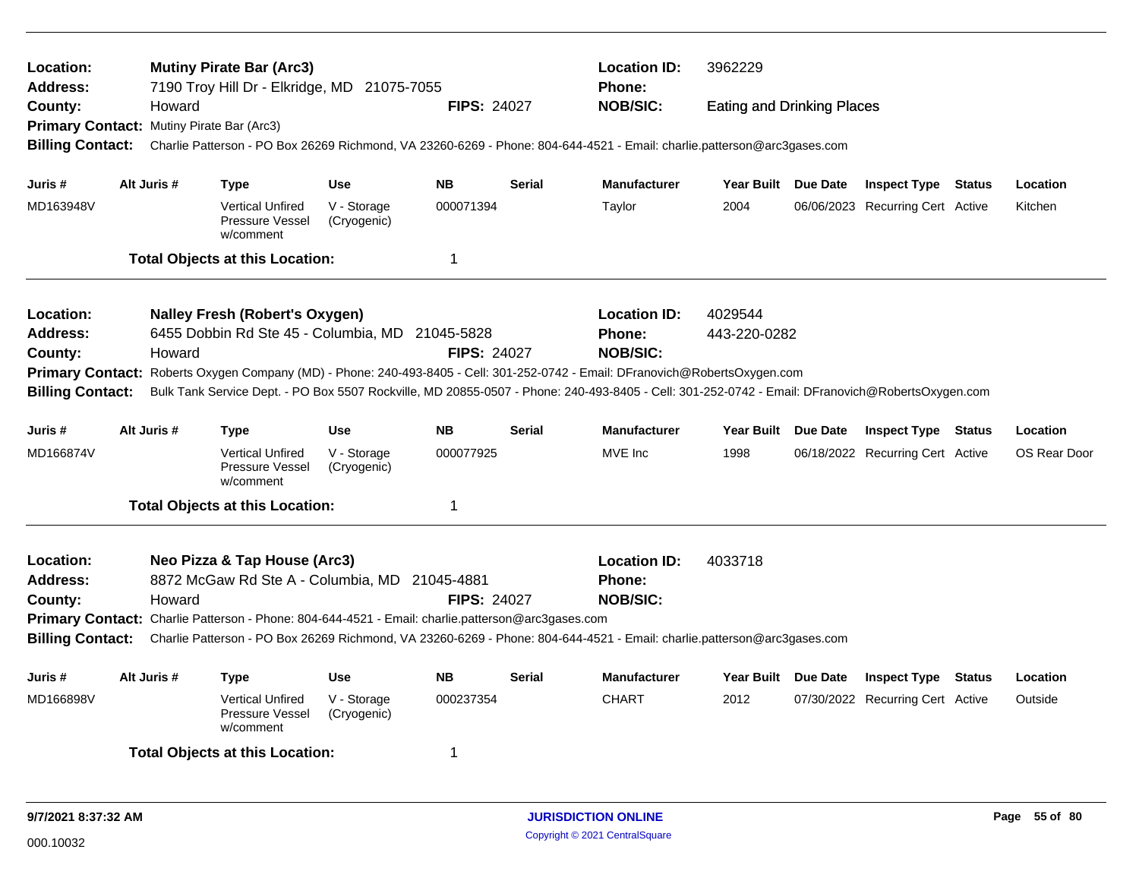| Location:<br><b>Address:</b>                                                                                                            |             |        | <b>Mutiny Pirate Bar (Arc3)</b><br>7190 Troy Hill Dr - Elkridge, MD 21075-7055 |                            |                    |               | <b>Location ID:</b><br>3962229<br><b>Phone:</b>                                                                                                 |                                   |  |                                  |  |              |
|-----------------------------------------------------------------------------------------------------------------------------------------|-------------|--------|--------------------------------------------------------------------------------|----------------------------|--------------------|---------------|-------------------------------------------------------------------------------------------------------------------------------------------------|-----------------------------------|--|----------------------------------|--|--------------|
| County:                                                                                                                                 |             | Howard |                                                                                |                            | <b>FIPS: 24027</b> |               | <b>NOB/SIC:</b>                                                                                                                                 | <b>Eating and Drinking Places</b> |  |                                  |  |              |
| Primary Contact: Mutiny Pirate Bar (Arc3)                                                                                               |             |        |                                                                                |                            |                    |               |                                                                                                                                                 |                                   |  |                                  |  |              |
| <b>Billing Contact:</b>                                                                                                                 |             |        |                                                                                |                            |                    |               | Charlie Patterson - PO Box 26269 Richmond, VA 23260-6269 - Phone: 804-644-4521 - Email: charlie.patterson@arc3gases.com                         |                                   |  |                                  |  |              |
| Juris #                                                                                                                                 | Alt Juris # |        | <b>Type</b>                                                                    | <b>Use</b>                 | <b>NB</b>          | <b>Serial</b> | <b>Manufacturer</b>                                                                                                                             | Year Built Due Date               |  | <b>Inspect Type Status</b>       |  | Location     |
| MD163948V                                                                                                                               |             |        | <b>Vertical Unfired</b><br>Pressure Vessel<br>w/comment                        | V - Storage<br>(Cryogenic) | 000071394          |               | Taylor                                                                                                                                          | 2004                              |  | 06/06/2023 Recurring Cert Active |  | Kitchen      |
|                                                                                                                                         |             |        | <b>Total Objects at this Location:</b>                                         |                            | $\mathbf 1$        |               |                                                                                                                                                 |                                   |  |                                  |  |              |
| Location:                                                                                                                               |             |        | <b>Nalley Fresh (Robert's Oxygen)</b>                                          |                            |                    |               | <b>Location ID:</b>                                                                                                                             | 4029544                           |  |                                  |  |              |
| <b>Address:</b>                                                                                                                         |             |        | 6455 Dobbin Rd Ste 45 - Columbia, MD 21045-5828                                |                            |                    |               | <b>Phone:</b>                                                                                                                                   | 443-220-0282                      |  |                                  |  |              |
| County:                                                                                                                                 |             | Howard |                                                                                |                            | <b>FIPS: 24027</b> |               | <b>NOB/SIC:</b>                                                                                                                                 |                                   |  |                                  |  |              |
| Roberts Oxygen Company (MD) - Phone: 240-493-8405 - Cell: 301-252-0742 - Email: DFranovich@RobertsOxygen.com<br><b>Primary Contact:</b> |             |        |                                                                                |                            |                    |               |                                                                                                                                                 |                                   |  |                                  |  |              |
| <b>Billing Contact:</b>                                                                                                                 |             |        |                                                                                |                            |                    |               | Bulk Tank Service Dept. - PO Box 5507 Rockville, MD 20855-0507 - Phone: 240-493-8405 - Cell: 301-252-0742 - Email: DFranovich@RobertsOxygen.com |                                   |  |                                  |  |              |
| Juris #                                                                                                                                 | Alt Juris # |        | <b>Type</b>                                                                    | <b>Use</b>                 | <b>NB</b>          | <b>Serial</b> | <b>Manufacturer</b>                                                                                                                             | Year Built Due Date               |  | <b>Inspect Type Status</b>       |  | Location     |
| MD166874V                                                                                                                               |             |        | <b>Vertical Unfired</b><br>Pressure Vessel<br>w/comment                        | V - Storage<br>(Cryogenic) | 000077925          |               | MVE Inc                                                                                                                                         | 1998                              |  | 06/18/2022 Recurring Cert Active |  | OS Rear Door |
|                                                                                                                                         |             |        | <b>Total Objects at this Location:</b>                                         |                            | $\mathbf 1$        |               |                                                                                                                                                 |                                   |  |                                  |  |              |
| Location:                                                                                                                               |             |        | Neo Pizza & Tap House (Arc3)                                                   |                            |                    |               | <b>Location ID:</b>                                                                                                                             | 4033718                           |  |                                  |  |              |
| <b>Address:</b>                                                                                                                         |             |        | 8872 McGaw Rd Ste A - Columbia, MD 21045-4881                                  |                            |                    |               | Phone:                                                                                                                                          |                                   |  |                                  |  |              |
| County:                                                                                                                                 |             | Howard |                                                                                |                            | <b>FIPS: 24027</b> |               | <b>NOB/SIC:</b>                                                                                                                                 |                                   |  |                                  |  |              |
| Primary Contact: Charlie Patterson - Phone: 804-644-4521 - Email: charlie.patterson@arc3gases.com                                       |             |        |                                                                                |                            |                    |               |                                                                                                                                                 |                                   |  |                                  |  |              |
| <b>Billing Contact:</b>                                                                                                                 |             |        |                                                                                |                            |                    |               | Charlie Patterson - PO Box 26269 Richmond, VA 23260-6269 - Phone: 804-644-4521 - Email: charlie.patterson@arc3gases.com                         |                                   |  |                                  |  |              |
| Juris #                                                                                                                                 | Alt Juris # |        | <b>Type</b>                                                                    | <b>Use</b>                 | <b>NB</b>          | <b>Serial</b> | <b>Manufacturer</b>                                                                                                                             | Year Built Due Date               |  | <b>Inspect Type Status</b>       |  | Location     |
| MD166898V                                                                                                                               |             |        | <b>Vertical Unfired</b><br>Pressure Vessel<br>w/comment                        | V - Storage<br>(Cryogenic) | 000237354          |               | <b>CHART</b>                                                                                                                                    | 2012                              |  | 07/30/2022 Recurring Cert Active |  | Outside      |
|                                                                                                                                         |             |        | <b>Total Objects at this Location:</b>                                         |                            | $\mathbf 1$        |               |                                                                                                                                                 |                                   |  |                                  |  |              |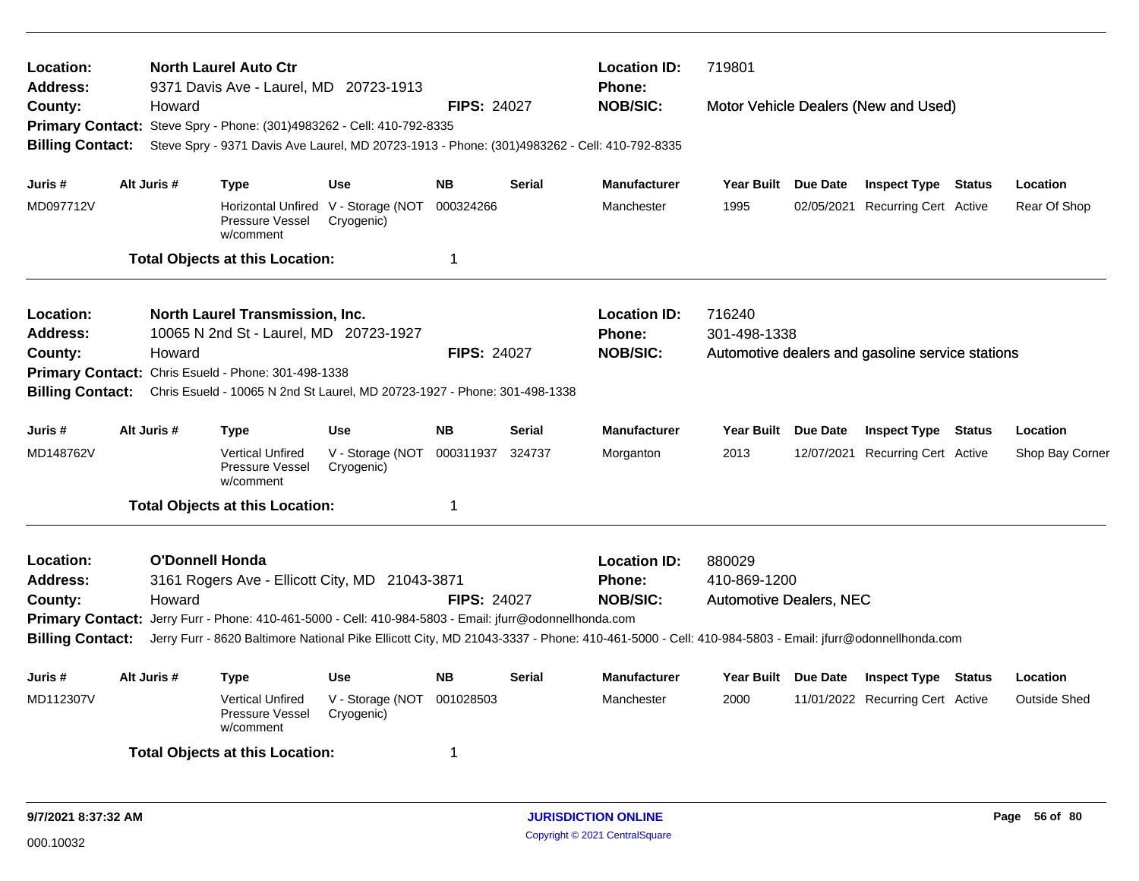| Location:<br><b>Address:</b><br>County:<br><b>Billing Contact:</b>                                                                                                                                                                                                                                                                                                                                                        |  | Howard      | <b>North Laurel Auto Ctr</b><br>9371 Davis Ave - Laurel, MD 20723-1913<br>Primary Contact: Steve Spry - Phone: (301)4983262 - Cell: 410-792-8335<br>Steve Spry - 9371 Davis Ave Laurel, MD 20723-1913 - Phone: (301)4983262 - Cell: 410-792-8335 |                                                                 | <b>FIPS: 24027</b>          |                                                         | <b>Location ID:</b><br><b>Phone:</b><br><b>NOB/SIC:</b>  | 719801<br>Motor Vehicle Dealers (New and Used)                             |  |                                                                |  |                                 |  |
|---------------------------------------------------------------------------------------------------------------------------------------------------------------------------------------------------------------------------------------------------------------------------------------------------------------------------------------------------------------------------------------------------------------------------|--|-------------|--------------------------------------------------------------------------------------------------------------------------------------------------------------------------------------------------------------------------------------------------|-----------------------------------------------------------------|-----------------------------|---------------------------------------------------------|----------------------------------------------------------|----------------------------------------------------------------------------|--|----------------------------------------------------------------|--|---------------------------------|--|
| Juris #<br>MD097712V                                                                                                                                                                                                                                                                                                                                                                                                      |  | Alt Juris # | <b>Type</b><br>Pressure Vessel<br>w/comment<br><b>Total Objects at this Location:</b>                                                                                                                                                            | <b>Use</b><br>Horizontal Unfired V - Storage (NOT<br>Cryogenic) | <b>NB</b><br>000324266<br>1 | <b>Serial</b>                                           | <b>Manufacturer</b><br>Manchester                        | Year Built Due Date<br>1995                                                |  | <b>Inspect Type Status</b><br>02/05/2021 Recurring Cert Active |  | Location<br>Rear Of Shop        |  |
| <b>Location:</b><br>North Laurel Transmission, Inc.<br>10065 N 2nd St - Laurel, MD 20723-1927<br><b>Address:</b><br>Howard<br><b>FIPS: 24027</b><br>County:<br>Chris Esueld - Phone: 301-498-1338<br><b>Primary Contact:</b><br><b>Billing Contact:</b><br>Chris Esueld - 10065 N 2nd St Laurel, MD 20723-1927 - Phone: 301-498-1338                                                                                      |  |             |                                                                                                                                                                                                                                                  |                                                                 |                             |                                                         | <b>Location ID:</b><br><b>Phone:</b><br><b>NOB/SIC:</b>  | 716240<br>301-498-1338<br>Automotive dealers and gasoline service stations |  |                                                                |  |                                 |  |
| Juris #<br>MD148762V                                                                                                                                                                                                                                                                                                                                                                                                      |  | Alt Juris # | <b>Type</b><br><b>Vertical Unfired</b><br>Pressure Vessel<br>w/comment                                                                                                                                                                           | <b>Use</b><br>V - Storage (NOT<br>Cryogenic)                    | <b>NB</b><br>000311937      | Serial<br>324737                                        | <b>Manufacturer</b><br>Morganton                         | Year Built Due Date<br>2013                                                |  | <b>Inspect Type Status</b><br>12/07/2021 Recurring Cert Active |  | Location<br>Shop Bay Corner     |  |
|                                                                                                                                                                                                                                                                                                                                                                                                                           |  |             | <b>Total Objects at this Location:</b>                                                                                                                                                                                                           |                                                                 | 1                           |                                                         |                                                          |                                                                            |  |                                                                |  |                                 |  |
| O'Donnell Honda<br><b>Location:</b><br>3161 Rogers Ave - Ellicott City, MD 21043-3871<br><b>Address:</b><br>Howard<br>County:<br>Primary Contact: Jerry Furr - Phone: 410-461-5000 - Cell: 410-984-5803 - Email: jfurr@odonnellhonda.com<br><b>Billing Contact:</b><br>Jerry Furr - 8620 Baltimore National Pike Ellicott City, MD 21043-3337 - Phone: 410-461-5000 - Cell: 410-984-5803 - Email: jfurr@odonnellhonda.com |  |             |                                                                                                                                                                                                                                                  | <b>FIPS: 24027</b>                                              |                             | <b>Location ID:</b><br><b>Phone:</b><br><b>NOB/SIC:</b> | 880029<br>410-869-1200<br><b>Automotive Dealers, NEC</b> |                                                                            |  |                                                                |  |                                 |  |
| Juris #<br>MD112307V                                                                                                                                                                                                                                                                                                                                                                                                      |  | Alt Juris # | <b>Type</b><br><b>Vertical Unfired</b><br>Pressure Vessel<br>w/comment<br><b>Total Objects at this Location:</b>                                                                                                                                 | <b>Use</b><br>V - Storage (NOT<br>Cryogenic)                    | <b>NB</b><br>001028503<br>1 | <b>Serial</b>                                           | <b>Manufacturer</b><br>Manchester                        | Year Built Due Date<br>2000                                                |  | <b>Inspect Type Status</b><br>11/01/2022 Recurring Cert Active |  | Location<br><b>Outside Shed</b> |  |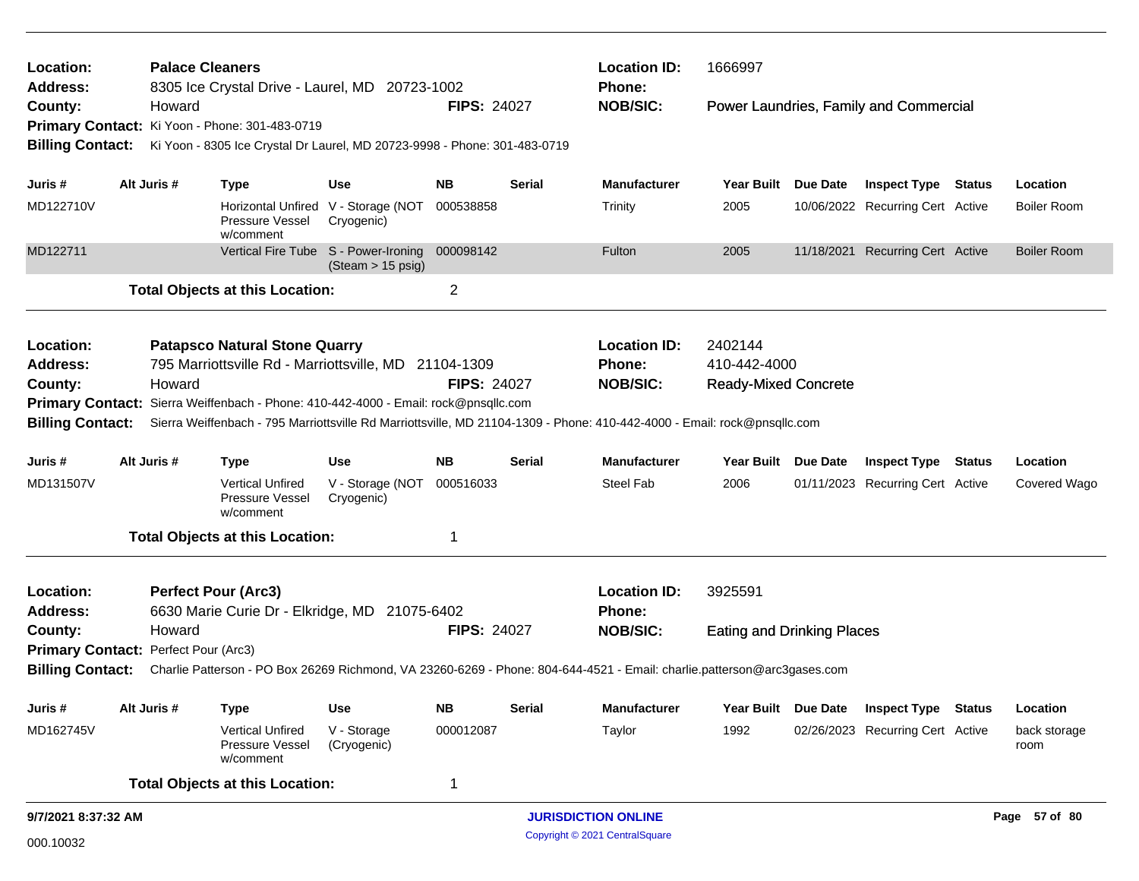| <b>Palace Cleaners</b><br>Location:<br><b>Address:</b><br>8305 Ice Crystal Drive - Laurel, MD 20723-1002 |                                                                                                                                                    |             |                                                                           |                                                           |                                             |               | <b>Location ID:</b>                                                                                                      | 1666997                           |          |                                        |  |                      |  |
|----------------------------------------------------------------------------------------------------------|----------------------------------------------------------------------------------------------------------------------------------------------------|-------------|---------------------------------------------------------------------------|-----------------------------------------------------------|---------------------------------------------|---------------|--------------------------------------------------------------------------------------------------------------------------|-----------------------------------|----------|----------------------------------------|--|----------------------|--|
| County:                                                                                                  |                                                                                                                                                    | Howard      |                                                                           |                                                           | <b>FIPS: 24027</b>                          |               | Phone:<br><b>NOB/SIC:</b>                                                                                                |                                   |          | Power Laundries, Family and Commercial |  |                      |  |
|                                                                                                          |                                                                                                                                                    |             | Primary Contact: Ki Yoon - Phone: 301-483-0719                            |                                                           |                                             |               |                                                                                                                          |                                   |          |                                        |  |                      |  |
| <b>Billing Contact:</b>                                                                                  |                                                                                                                                                    |             | Ki Yoon - 8305 Ice Crystal Dr Laurel, MD 20723-9998 - Phone: 301-483-0719 |                                                           |                                             |               |                                                                                                                          |                                   |          |                                        |  |                      |  |
|                                                                                                          |                                                                                                                                                    |             |                                                                           |                                                           |                                             |               |                                                                                                                          |                                   |          |                                        |  |                      |  |
| Juris #                                                                                                  |                                                                                                                                                    | Alt Juris # | <b>Type</b>                                                               | Use                                                       | <b>NB</b>                                   | Serial        | <b>Manufacturer</b>                                                                                                      | Year Built Due Date               |          | <b>Inspect Type Status</b>             |  | Location             |  |
| MD122710V                                                                                                |                                                                                                                                                    |             | Pressure Vessel<br>w/comment                                              | Horizontal Unfired V - Storage (NOT<br>Cryogenic)         | 000538858                                   |               | Trinity                                                                                                                  | 2005                              |          | 10/06/2022 Recurring Cert Active       |  | <b>Boiler Room</b>   |  |
| MD122711                                                                                                 |                                                                                                                                                    |             |                                                                           | Vertical Fire Tube S - Power-Ironing<br>(Steam > 15 psig) | 000098142                                   |               | Fulton                                                                                                                   | 2005                              |          | 11/18/2021 Recurring Cert Active       |  | <b>Boiler Room</b>   |  |
|                                                                                                          |                                                                                                                                                    |             | <b>Total Objects at this Location:</b>                                    |                                                           | $\overline{2}$                              |               |                                                                                                                          |                                   |          |                                        |  |                      |  |
| Location:                                                                                                |                                                                                                                                                    |             | <b>Patapsco Natural Stone Quarry</b>                                      |                                                           |                                             |               | <b>Location ID:</b>                                                                                                      | 2402144                           |          |                                        |  |                      |  |
| <b>Address:</b>                                                                                          |                                                                                                                                                    |             | 795 Marriottsville Rd - Marriottsville, MD 21104-1309                     |                                                           |                                             |               | Phone:                                                                                                                   | 410-442-4000                      |          |                                        |  |                      |  |
| County:                                                                                                  | Howard<br>Primary Contact: Sierra Weiffenbach - Phone: 410-442-4000 - Email: rock@pnsqllc.com                                                      |             |                                                                           |                                                           | <b>FIPS: 24027</b>                          |               | <b>NOB/SIC:</b>                                                                                                          | <b>Ready-Mixed Concrete</b>       |          |                                        |  |                      |  |
|                                                                                                          |                                                                                                                                                    |             |                                                                           |                                                           |                                             |               |                                                                                                                          |                                   |          |                                        |  |                      |  |
| <b>Billing Contact:</b>                                                                                  |                                                                                                                                                    |             |                                                                           |                                                           |                                             |               | Sierra Weiffenbach - 795 Marriottsville Rd Marriottsville, MD 21104-1309 - Phone: 410-442-4000 - Email: rock@pnsqllc.com |                                   |          |                                        |  |                      |  |
| Juris #                                                                                                  |                                                                                                                                                    | Alt Juris # | <b>Type</b>                                                               | <b>Use</b>                                                | <b>NB</b>                                   | Serial        | <b>Manufacturer</b>                                                                                                      | Year Built Due Date               |          | <b>Inspect Type Status</b>             |  | Location             |  |
| MD131507V                                                                                                |                                                                                                                                                    |             | <b>Vertical Unfired</b><br>Pressure Vessel<br>w/comment                   | V - Storage (NOT<br>Cryogenic)                            | 000516033                                   |               | <b>Steel Fab</b>                                                                                                         | 2006                              |          | 01/11/2023 Recurring Cert Active       |  | Covered Wago         |  |
|                                                                                                          |                                                                                                                                                    |             | <b>Total Objects at this Location:</b>                                    |                                                           | -1                                          |               |                                                                                                                          |                                   |          |                                        |  |                      |  |
| Location:                                                                                                |                                                                                                                                                    |             | <b>Perfect Pour (Arc3)</b>                                                |                                                           |                                             |               | <b>Location ID:</b>                                                                                                      | 3925591                           |          |                                        |  |                      |  |
| <b>Address:</b>                                                                                          |                                                                                                                                                    |             | 6630 Marie Curie Dr - Elkridge, MD 21075-6402                             |                                                           |                                             |               | <b>Phone:</b>                                                                                                            |                                   |          |                                        |  |                      |  |
| County:                                                                                                  |                                                                                                                                                    | Howard      |                                                                           |                                                           | <b>FIPS: 24027</b>                          |               | <b>NOB/SIC:</b>                                                                                                          | <b>Eating and Drinking Places</b> |          |                                        |  |                      |  |
| Primary Contact: Perfect Pour (Arc3)                                                                     |                                                                                                                                                    |             |                                                                           |                                                           |                                             |               |                                                                                                                          |                                   |          |                                        |  |                      |  |
|                                                                                                          | <b>Billing Contact:</b><br>Charlie Patterson - PO Box 26269 Richmond, VA 23260-6269 - Phone: 804-644-4521 - Email: charlie.patterson@arc3gases.com |             |                                                                           |                                                           |                                             |               |                                                                                                                          |                                   |          |                                        |  |                      |  |
| Juris#                                                                                                   |                                                                                                                                                    | Alt Juris # | <b>Type</b>                                                               | Use                                                       | <b>NB</b>                                   | <b>Serial</b> | Manufacturer                                                                                                             | <b>Year Built</b>                 | Due Date | <b>Inspect Type Status</b>             |  | Location             |  |
| MD162745V                                                                                                |                                                                                                                                                    |             | Vertical Unfired<br>Pressure Vessel<br>w/comment                          | V - Storage<br>(Cryogenic)                                | 000012087                                   |               | Taylor                                                                                                                   | 1992                              |          | 02/26/2023 Recurring Cert Active       |  | back storage<br>room |  |
|                                                                                                          |                                                                                                                                                    |             | <b>Total Objects at this Location:</b>                                    |                                                           | 1                                           |               |                                                                                                                          |                                   |          |                                        |  |                      |  |
|                                                                                                          | 9/7/2021 8:37:32 AM                                                                                                                                |             |                                                                           |                                                           | <b>JURISDICTION ONLINE</b><br>Page 57 of 80 |               |                                                                                                                          |                                   |          |                                        |  |                      |  |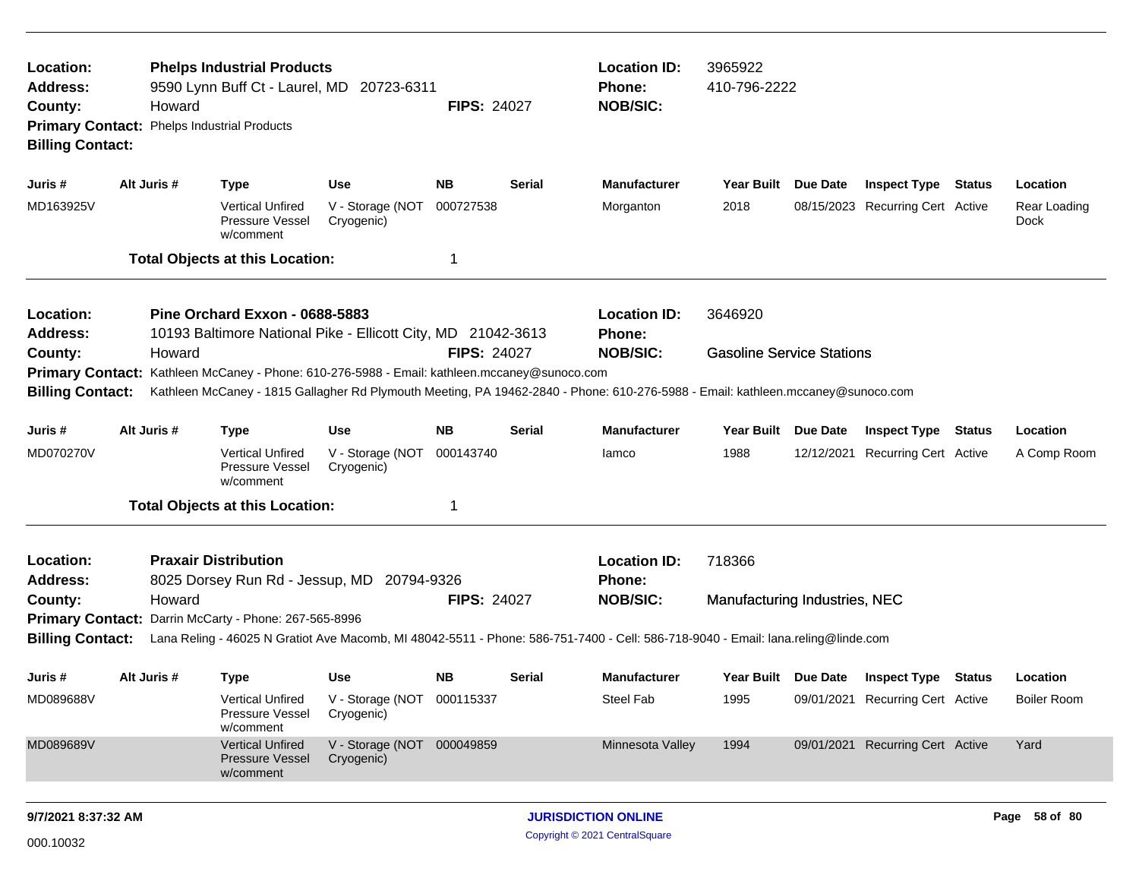| Location:<br>Address:<br>County:<br><b>Billing Contact:</b>                                                                                                                                                           | Howard<br>Primary Contact: Phelps Industrial Products | <b>Phelps Industrial Products</b><br>9590 Lynn Buff Ct - Laurel, MD 20723-6311                 |                                          | <b>Location ID:</b><br><b>Phone:</b><br><b>NOB/SIC:</b> | 3965922<br>410-796-2222                                 |                                                                                                                                 |                               |  |                                         |               |                             |
|-----------------------------------------------------------------------------------------------------------------------------------------------------------------------------------------------------------------------|-------------------------------------------------------|------------------------------------------------------------------------------------------------|------------------------------------------|---------------------------------------------------------|---------------------------------------------------------|---------------------------------------------------------------------------------------------------------------------------------|-------------------------------|--|-----------------------------------------|---------------|-----------------------------|
| Juris #                                                                                                                                                                                                               | Alt Juris #                                           | Type                                                                                           | Use                                      | NΒ                                                      | <b>Serial</b>                                           | <b>Manufacturer</b>                                                                                                             | Year Built Due Date           |  | <b>Inspect Type Status</b>              |               | Location                    |
| MD163925V                                                                                                                                                                                                             |                                                       | <b>Vertical Unfired</b><br>Pressure Vessel<br>w/comment                                        | V - Storage (NOT<br>Cryogenic)           | 000727538                                               |                                                         | Morganton                                                                                                                       | 2018                          |  | 08/15/2023 Recurring Cert Active        |               | Rear Loading<br><b>Dock</b> |
|                                                                                                                                                                                                                       |                                                       | <b>Total Objects at this Location:</b>                                                         |                                          | -1                                                      |                                                         |                                                                                                                                 |                               |  |                                         |               |                             |
| Location:<br><b>Address:</b><br>County:                                                                                                                                                                               | Howard                                                | Pine Orchard Exxon - 0688-5883<br>10193 Baltimore National Pike - Ellicott City, MD 21042-3613 |                                          | <b>FIPS: 24027</b>                                      | <b>Location ID:</b><br><b>Phone:</b><br><b>NOB/SIC:</b> | 3646920<br><b>Gasoline Service Stations</b>                                                                                     |                               |  |                                         |               |                             |
| Primary Contact: Kathleen McCaney - Phone: 610-276-5988 - Email: kathleen.mccaney@sunoco.com                                                                                                                          |                                                       |                                                                                                |                                          |                                                         |                                                         |                                                                                                                                 |                               |  |                                         |               |                             |
| <b>Billing Contact:</b>                                                                                                                                                                                               |                                                       |                                                                                                |                                          |                                                         |                                                         | Kathleen McCaney - 1815 Gallagher Rd Plymouth Meeting, PA 19462-2840 - Phone: 610-276-5988 - Email: kathleen.mccaney@sunoco.com |                               |  |                                         |               |                             |
| Juris #                                                                                                                                                                                                               | Alt Juris #                                           | <b>Type</b>                                                                                    | <b>Use</b>                               | NB.                                                     | <b>Serial</b>                                           | <b>Manufacturer</b>                                                                                                             | Year Built Due Date           |  | <b>Inspect Type Status</b>              |               | Location                    |
| MD070270V                                                                                                                                                                                                             |                                                       | <b>Vertical Unfired</b><br>Pressure Vessel<br>w/comment                                        | V - Storage (NOT<br>Cryogenic)           | 000143740                                               |                                                         | lamco                                                                                                                           | 1988                          |  | 12/12/2021 Recurring Cert Active        |               | A Comp Room                 |
|                                                                                                                                                                                                                       |                                                       | <b>Total Objects at this Location:</b>                                                         |                                          | -1                                                      |                                                         |                                                                                                                                 |                               |  |                                         |               |                             |
| Location:<br><b>Address:</b>                                                                                                                                                                                          |                                                       | <b>Praxair Distribution</b><br>8025 Dorsey Run Rd - Jessup, MD 20794-9326                      |                                          |                                                         |                                                         | <b>Location ID:</b><br>Phone:                                                                                                   | 718366                        |  |                                         |               |                             |
| County:                                                                                                                                                                                                               | Howard                                                |                                                                                                |                                          | <b>FIPS: 24027</b>                                      |                                                         | <b>NOB/SIC:</b>                                                                                                                 | Manufacturing Industries, NEC |  |                                         |               |                             |
|                                                                                                                                                                                                                       |                                                       |                                                                                                |                                          |                                                         |                                                         |                                                                                                                                 |                               |  |                                         |               |                             |
| Primary Contact: Darrin McCarty - Phone: 267-565-8996<br><b>Billing Contact:</b><br>Lana Reling - 46025 N Gratiot Ave Macomb, MI 48042-5511 - Phone: 586-751-7400 - Cell: 586-718-9040 - Email: lana.reling@linde.com |                                                       |                                                                                                |                                          |                                                         |                                                         |                                                                                                                                 |                               |  |                                         |               |                             |
| Juris #                                                                                                                                                                                                               | Alt Juris #                                           | <b>Type</b>                                                                                    | <b>Use</b>                               | NB.                                                     | <b>Serial</b>                                           | Manufacturer                                                                                                                    |                               |  | Year Built Due Date Inspect Type Status |               | Location                    |
| MD089688V                                                                                                                                                                                                             |                                                       | <b>Vertical Unfired</b><br>Pressure Vessel<br>w/comment                                        | V - Storage (NOT 000115337<br>Cryogenic) |                                                         |                                                         | <b>Steel Fab</b>                                                                                                                | 1995                          |  | 09/01/2021 Recurring Cert Active        |               | <b>Boiler Room</b>          |
| MD089689V                                                                                                                                                                                                             |                                                       | <b>Vertical Unfired</b><br><b>Pressure Vessel</b><br>w/comment                                 | V - Storage (NOT 000049859<br>Cryogenic) |                                                         |                                                         | Minnesota Valley                                                                                                                | 1994                          |  | 09/01/2021 Recurring Cert Active        |               | Yard                        |
| 9/7/2021 8:37:32 AM                                                                                                                                                                                                   |                                                       |                                                                                                |                                          |                                                         | <b>JURISDICTION ONLINE</b>                              |                                                                                                                                 |                               |  |                                         | Page 58 of 80 |                             |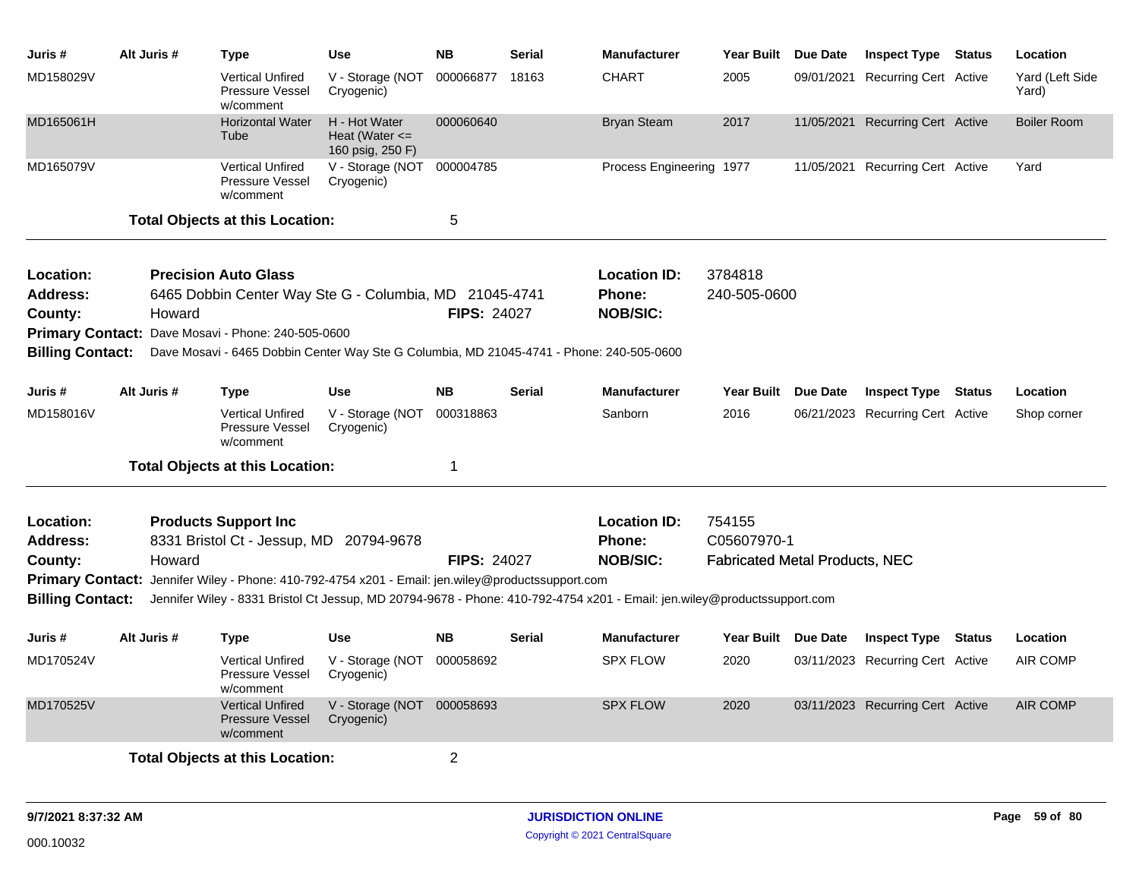| Juris #                                                                                                                                                                                                                                                 | Alt Juris # | Type                                                                                                                                                                                                                                    | <b>Use</b>                                              | <b>NB</b>          | Serial                                                  | <b>Manufacturer</b>                                                                                                      | Year Built Due Date     | <b>Inspect Type Status</b>       | Location                 |
|---------------------------------------------------------------------------------------------------------------------------------------------------------------------------------------------------------------------------------------------------------|-------------|-----------------------------------------------------------------------------------------------------------------------------------------------------------------------------------------------------------------------------------------|---------------------------------------------------------|--------------------|---------------------------------------------------------|--------------------------------------------------------------------------------------------------------------------------|-------------------------|----------------------------------|--------------------------|
| MD158029V                                                                                                                                                                                                                                               |             | Vertical Unfired<br>Pressure Vessel<br>w/comment                                                                                                                                                                                        | V - Storage (NOT<br>Cryogenic)                          | 000066877          | 18163                                                   | <b>CHART</b>                                                                                                             | 2005                    | 09/01/2021 Recurring Cert Active | Yard (Left Side<br>Yard) |
| MD165061H                                                                                                                                                                                                                                               |             | <b>Horizontal Water</b><br>Tube                                                                                                                                                                                                         | H - Hot Water<br>Heat (Water $\leq$<br>160 psig, 250 F) | 000060640          |                                                         | <b>Bryan Steam</b>                                                                                                       | 2017                    | 11/05/2021 Recurring Cert Active | <b>Boiler Room</b>       |
| MD165079V                                                                                                                                                                                                                                               |             | <b>Vertical Unfired</b><br>Pressure Vessel<br>w/comment                                                                                                                                                                                 | V - Storage (NOT<br>Cryogenic)                          | 000004785          |                                                         | Process Engineering 1977                                                                                                 |                         | 11/05/2021 Recurring Cert Active | Yard                     |
|                                                                                                                                                                                                                                                         |             | <b>Total Objects at this Location:</b>                                                                                                                                                                                                  |                                                         | 5                  |                                                         |                                                                                                                          |                         |                                  |                          |
| Location:<br>Address:<br>County:<br><b>Billing Contact:</b>                                                                                                                                                                                             | Howard      | <b>Precision Auto Glass</b><br>6465 Dobbin Center Way Ste G - Columbia, MD 21045-4741<br>Primary Contact: Dave Mosavi - Phone: 240-505-0600<br>Dave Mosavi - 6465 Dobbin Center Way Ste G Columbia, MD 21045-4741 - Phone: 240-505-0600 |                                                         | <b>FIPS: 24027</b> |                                                         | <b>Location ID:</b><br><b>Phone:</b><br><b>NOB/SIC:</b>                                                                  | 3784818<br>240-505-0600 |                                  |                          |
| Juris #                                                                                                                                                                                                                                                 | Alt Juris # | Type                                                                                                                                                                                                                                    | <b>Use</b>                                              | <b>NB</b>          | Serial                                                  | <b>Manufacturer</b>                                                                                                      | Year Built Due Date     | <b>Inspect Type Status</b>       | Location                 |
| MD158016V                                                                                                                                                                                                                                               |             | <b>Vertical Unfired</b><br><b>Pressure Vessel</b><br>w/comment                                                                                                                                                                          | V - Storage (NOT<br>Cryogenic)                          | 000318863          |                                                         | Sanborn                                                                                                                  | 2016                    | 06/21/2023 Recurring Cert Active | Shop corner              |
|                                                                                                                                                                                                                                                         |             | <b>Total Objects at this Location:</b>                                                                                                                                                                                                  |                                                         | 1                  |                                                         |                                                                                                                          |                         |                                  |                          |
| Location:<br><b>Products Support Inc.</b><br>8331 Bristol Ct - Jessup, MD 20794-9678<br><b>Address:</b><br>Howard<br><b>FIPS: 24027</b><br>County:<br>Primary Contact: Jennifer Wiley - Phone: 410-792-4754 x201 - Email: jen.wiley@productssupport.com |             |                                                                                                                                                                                                                                         |                                                         |                    | <b>Location ID:</b><br><b>Phone:</b><br><b>NOB/SIC:</b> | 754155<br>C05607970-1<br><b>Fabricated Metal Products, NEC</b>                                                           |                         |                                  |                          |
| <b>Billing Contact:</b>                                                                                                                                                                                                                                 |             |                                                                                                                                                                                                                                         |                                                         |                    |                                                         | Jennifer Wiley - 8331 Bristol Ct Jessup, MD 20794-9678 - Phone: 410-792-4754 x201 - Email: jen.wiley@productssupport.com |                         |                                  |                          |
| Juris #                                                                                                                                                                                                                                                 | Alt Juris # | Type                                                                                                                                                                                                                                    | <b>Use</b>                                              | <b>NB</b>          | <b>Serial</b>                                           | <b>Manufacturer</b>                                                                                                      | Year Built Due Date     | <b>Inspect Type Status</b>       | Location                 |
| MD170524V                                                                                                                                                                                                                                               |             | <b>Vertical Unfired</b><br><b>Pressure Vessel</b><br>w/comment                                                                                                                                                                          | V - Storage (NOT<br>Cryogenic)                          | 000058692          |                                                         | <b>SPX FLOW</b>                                                                                                          | 2020                    | 03/11/2023 Recurring Cert Active | <b>AIR COMP</b>          |
| MD170525V                                                                                                                                                                                                                                               |             | <b>Vertical Unfired</b><br><b>Pressure Vessel</b><br>w/comment                                                                                                                                                                          | V - Storage (NOT 000058693<br>Cryogenic)                |                    |                                                         | <b>SPX FLOW</b>                                                                                                          | 2020                    | 03/11/2023 Recurring Cert Active | <b>AIR COMP</b>          |
|                                                                                                                                                                                                                                                         |             | <b>Total Objects at this Location:</b>                                                                                                                                                                                                  |                                                         | $\overline{2}$     |                                                         |                                                                                                                          |                         |                                  |                          |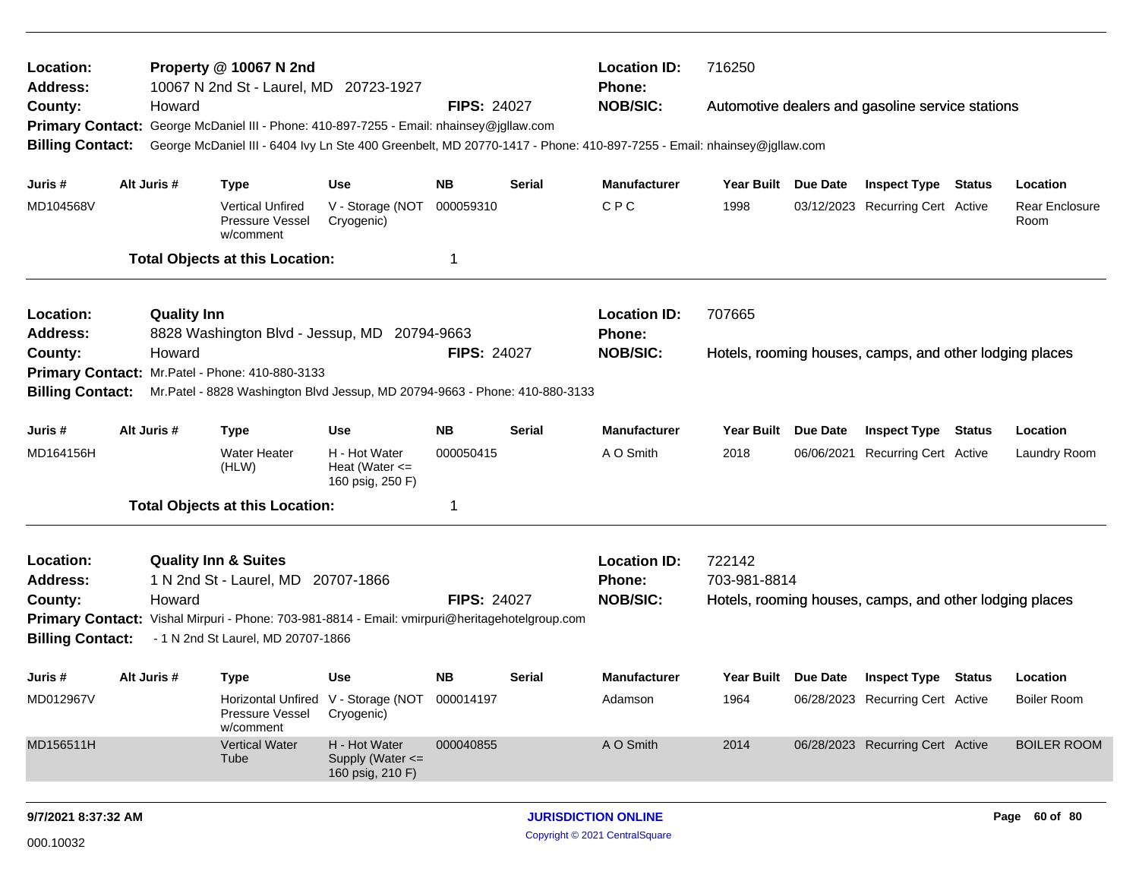| Location:<br><b>Address:</b>                                                                                                                                              |  | Property @ 10067 N 2nd<br><b>Location ID:</b><br>10067 N 2nd St - Laurel, MD 20723-1927<br><b>Phone:</b> |                                                                             |                                                             |                    |                     |                                                                                                                       | 716250                                                                                                                            |  |                                                         |  |                        |  |  |
|---------------------------------------------------------------------------------------------------------------------------------------------------------------------------|--|----------------------------------------------------------------------------------------------------------|-----------------------------------------------------------------------------|-------------------------------------------------------------|--------------------|---------------------|-----------------------------------------------------------------------------------------------------------------------|-----------------------------------------------------------------------------------------------------------------------------------|--|---------------------------------------------------------|--|------------------------|--|--|
| County:                                                                                                                                                                   |  | Howard                                                                                                   |                                                                             |                                                             | <b>FIPS: 24027</b> |                     | <b>NOB/SIC:</b>                                                                                                       |                                                                                                                                   |  | Automotive dealers and gasoline service stations        |  |                        |  |  |
| <b>Primary Contact:</b>                                                                                                                                                   |  |                                                                                                          | George McDaniel III - Phone: 410-897-7255 - Email: nhainsey@jgllaw.com      |                                                             |                    |                     |                                                                                                                       |                                                                                                                                   |  |                                                         |  |                        |  |  |
| <b>Billing Contact:</b>                                                                                                                                                   |  |                                                                                                          |                                                                             |                                                             |                    |                     | George McDaniel III - 6404 Ivy Ln Ste 400 Greenbelt, MD 20770-1417 - Phone: 410-897-7255 - Email: nhainsey@jgllaw.com |                                                                                                                                   |  |                                                         |  |                        |  |  |
| Juris #                                                                                                                                                                   |  | Alt Juris #                                                                                              | <b>Type</b>                                                                 | <b>Use</b>                                                  | <b>NB</b>          | <b>Serial</b>       | <b>Manufacturer</b>                                                                                                   | Year Built Due Date                                                                                                               |  | <b>Inspect Type Status</b>                              |  | Location               |  |  |
| MD104568V                                                                                                                                                                 |  |                                                                                                          | <b>Vertical Unfired</b><br>Pressure Vessel<br>w/comment                     | V - Storage (NOT<br>Cryogenic)                              | 000059310          |                     | <b>CPC</b>                                                                                                            | 1998                                                                                                                              |  | 03/12/2023 Recurring Cert Active                        |  | Rear Enclosure<br>Room |  |  |
|                                                                                                                                                                           |  |                                                                                                          | <b>Total Objects at this Location:</b>                                      |                                                             | 1                  |                     |                                                                                                                       |                                                                                                                                   |  |                                                         |  |                        |  |  |
| Location:                                                                                                                                                                 |  | <b>Quality Inn</b>                                                                                       |                                                                             |                                                             |                    |                     | <b>Location ID:</b>                                                                                                   | 707665                                                                                                                            |  |                                                         |  |                        |  |  |
| <b>Address:</b>                                                                                                                                                           |  |                                                                                                          | 8828 Washington Blvd - Jessup, MD 20794-9663                                |                                                             |                    |                     | <b>Phone:</b>                                                                                                         |                                                                                                                                   |  |                                                         |  |                        |  |  |
| County:                                                                                                                                                                   |  | Howard                                                                                                   |                                                                             |                                                             | <b>FIPS: 24027</b> |                     | <b>NOB/SIC:</b>                                                                                                       |                                                                                                                                   |  | Hotels, rooming houses, camps, and other lodging places |  |                        |  |  |
| <b>Primary Contact:</b><br>Mr. Patel - Phone: 410-880-3133                                                                                                                |  |                                                                                                          |                                                                             |                                                             |                    |                     |                                                                                                                       |                                                                                                                                   |  |                                                         |  |                        |  |  |
| <b>Billing Contact:</b>                                                                                                                                                   |  |                                                                                                          | Mr.Patel - 8828 Washington Blvd Jessup, MD 20794-9663 - Phone: 410-880-3133 |                                                             |                    |                     |                                                                                                                       |                                                                                                                                   |  |                                                         |  |                        |  |  |
| Alt Juris #<br><b>NB</b><br>Juris #<br><b>Type</b><br><b>Use</b><br><b>Serial</b>                                                                                         |  |                                                                                                          |                                                                             |                                                             |                    | <b>Manufacturer</b> | <b>Year Built</b><br><b>Due Date</b><br><b>Inspect Type</b><br><b>Status</b>                                          |                                                                                                                                   |  |                                                         |  |                        |  |  |
| MD164156H                                                                                                                                                                 |  |                                                                                                          | <b>Water Heater</b><br>(HLW)                                                | H - Hot Water<br>Heat (Water $\leq$<br>160 psig, 250 F)     | 000050415          |                     | A O Smith                                                                                                             | 2018                                                                                                                              |  |                                                         |  | Laundry Room           |  |  |
|                                                                                                                                                                           |  |                                                                                                          | <b>Total Objects at this Location:</b>                                      |                                                             | 1                  |                     |                                                                                                                       |                                                                                                                                   |  |                                                         |  |                        |  |  |
| Location:                                                                                                                                                                 |  |                                                                                                          | <b>Quality Inn &amp; Suites</b>                                             |                                                             |                    |                     | <b>Location ID:</b>                                                                                                   |                                                                                                                                   |  |                                                         |  |                        |  |  |
| <b>Address:</b>                                                                                                                                                           |  |                                                                                                          | 1 N 2nd St - Laurel, MD 20707-1866                                          |                                                             |                    |                     | Phone:                                                                                                                | Location<br>06/06/2021 Recurring Cert Active<br>722142<br>703-981-8814<br>Hotels, rooming houses, camps, and other lodging places |  |                                                         |  |                        |  |  |
| County:                                                                                                                                                                   |  | Howard                                                                                                   |                                                                             |                                                             | <b>FIPS: 24027</b> |                     | <b>NOB/SIC:</b>                                                                                                       |                                                                                                                                   |  |                                                         |  |                        |  |  |
| <b>Primary Contact:</b><br>Vishal Mirpuri - Phone: 703-981-8814 - Email: vmirpuri@heritagehotelgroup.com<br>- 1 N 2nd St Laurel, MD 20707-1866<br><b>Billing Contact:</b> |  |                                                                                                          |                                                                             |                                                             |                    |                     |                                                                                                                       |                                                                                                                                   |  |                                                         |  |                        |  |  |
| Juris #                                                                                                                                                                   |  | Alt Juris #                                                                                              | <b>Type</b>                                                                 | Use                                                         | <b>NB</b>          | <b>Serial</b>       | <b>Manufacturer</b>                                                                                                   | Year Built Due Date                                                                                                               |  | <b>Inspect Type Status</b>                              |  | Location               |  |  |
| MD012967V                                                                                                                                                                 |  |                                                                                                          | Pressure Vessel<br>w/comment                                                | Horizontal Unfired V - Storage (NOT 000014197<br>Cryogenic) |                    |                     | Adamson                                                                                                               | 1964                                                                                                                              |  | 06/28/2023 Recurring Cert Active                        |  | <b>Boiler Room</b>     |  |  |
| MD156511H                                                                                                                                                                 |  |                                                                                                          | <b>Vertical Water</b><br>Tube                                               | H - Hot Water<br>Supply (Water <=<br>160 psig, 210 F)       | 000040855          |                     | A O Smith                                                                                                             | 2014                                                                                                                              |  | 06/28/2023 Recurring Cert Active                        |  | <b>BOILER ROOM</b>     |  |  |
|                                                                                                                                                                           |  |                                                                                                          |                                                                             |                                                             |                    |                     |                                                                                                                       |                                                                                                                                   |  |                                                         |  |                        |  |  |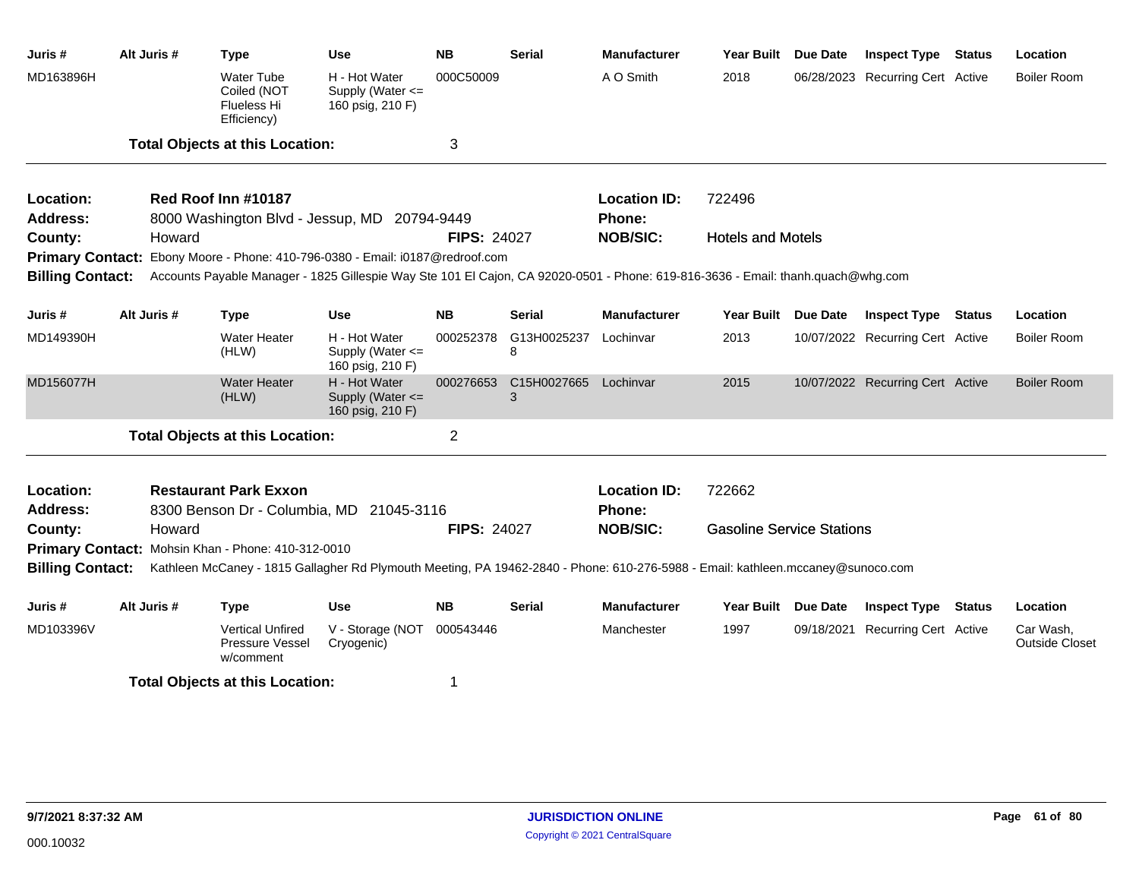| Juris #                                     | Alt Juris #                                                                                                                     |        | Type                                                                                                                             | Use                                                   | <b>NB</b>          | <b>Serial</b>    | <b>Manufacturer</b> | Year Built                       | Due Date        | <b>Inspect Type Status</b>       |        | Location                           |
|---------------------------------------------|---------------------------------------------------------------------------------------------------------------------------------|--------|----------------------------------------------------------------------------------------------------------------------------------|-------------------------------------------------------|--------------------|------------------|---------------------|----------------------------------|-----------------|----------------------------------|--------|------------------------------------|
| MD163896H                                   |                                                                                                                                 |        | Water Tube<br>Coiled (NOT<br><b>Flueless Hi</b><br>Efficiency)                                                                   | H - Hot Water<br>Supply (Water <=<br>160 psig, 210 F) | 000C50009          |                  | A O Smith           | 2018                             |                 | 06/28/2023 Recurring Cert Active |        | <b>Boiler Room</b>                 |
|                                             |                                                                                                                                 |        | <b>Total Objects at this Location:</b>                                                                                           |                                                       | 3                  |                  |                     |                                  |                 |                                  |        |                                    |
| Location:                                   |                                                                                                                                 |        | Red Roof Inn #10187                                                                                                              |                                                       |                    |                  | <b>Location ID:</b> | 722496                           |                 |                                  |        |                                    |
| Address:                                    |                                                                                                                                 |        | 8000 Washington Blvd - Jessup, MD 20794-9449                                                                                     |                                                       |                    |                  | <b>Phone:</b>       |                                  |                 |                                  |        |                                    |
| County:                                     |                                                                                                                                 | Howard |                                                                                                                                  |                                                       | <b>FIPS: 24027</b> |                  | <b>NOB/SIC:</b>     | <b>Hotels and Motels</b>         |                 |                                  |        |                                    |
|                                             |                                                                                                                                 |        | Primary Contact: Ebony Moore - Phone: 410-796-0380 - Email: i0187@redroof.com                                                    |                                                       |                    |                  |                     |                                  |                 |                                  |        |                                    |
| <b>Billing Contact:</b>                     |                                                                                                                                 |        | Accounts Payable Manager - 1825 Gillespie Way Ste 101 El Cajon, CA 92020-0501 - Phone: 619-816-3636 - Email: thanh.quach@whg.com |                                                       |                    |                  |                     |                                  |                 |                                  |        |                                    |
| Juris #                                     | Alt Juris #                                                                                                                     |        | <b>Type</b>                                                                                                                      | <b>Use</b>                                            | <b>NB</b>          | <b>Serial</b>    | <b>Manufacturer</b> | <b>Year Built</b>                | <b>Due Date</b> | <b>Inspect Type</b>              | Status | Location                           |
| MD149390H                                   |                                                                                                                                 |        | <b>Water Heater</b><br>(HLW)                                                                                                     | H - Hot Water<br>Supply (Water <=<br>160 psig, 210 F) | 000252378          | G13H0025237<br>8 | Lochinvar           | 2013                             |                 | 10/07/2022 Recurring Cert Active |        | <b>Boiler Room</b>                 |
| MD156077H                                   |                                                                                                                                 |        | <b>Water Heater</b><br>(HLW)                                                                                                     | H - Hot Water<br>Supply (Water <=<br>160 psig, 210 F) | 000276653          | C15H0027665<br>3 | Lochinvar           | 2015                             |                 | 10/07/2022 Recurring Cert Active |        | <b>Boiler Room</b>                 |
|                                             |                                                                                                                                 |        | <b>Total Objects at this Location:</b>                                                                                           |                                                       | $\overline{2}$     |                  |                     |                                  |                 |                                  |        |                                    |
| Location:                                   |                                                                                                                                 |        | <b>Restaurant Park Exxon</b>                                                                                                     |                                                       |                    |                  | <b>Location ID:</b> | 722662                           |                 |                                  |        |                                    |
| <b>Address:</b>                             |                                                                                                                                 |        | 8300 Benson Dr - Columbia, MD 21045-3116                                                                                         |                                                       |                    |                  | Phone:              |                                  |                 |                                  |        |                                    |
| County:                                     |                                                                                                                                 | Howard |                                                                                                                                  |                                                       | <b>FIPS: 24027</b> |                  | <b>NOB/SIC:</b>     | <b>Gasoline Service Stations</b> |                 |                                  |        |                                    |
|                                             |                                                                                                                                 |        | Primary Contact: Mohsin Khan - Phone: 410-312-0010                                                                               |                                                       |                    |                  |                     |                                  |                 |                                  |        |                                    |
| <b>Billing Contact:</b>                     | Kathleen McCaney - 1815 Gallagher Rd Plymouth Meeting, PA 19462-2840 - Phone: 610-276-5988 - Email: kathleen.mccaney@sunoco.com |        |                                                                                                                                  |                                                       |                    |                  |                     |                                  |                 |                                  |        |                                    |
| Juris #                                     | Alt Juris #                                                                                                                     |        | <b>Type</b>                                                                                                                      | <b>Use</b>                                            | <b>NB</b>          | Serial           | <b>Manufacturer</b> | Year Built Due Date              |                 | <b>Inspect Type Status</b>       |        | Location                           |
| MD103396V                                   |                                                                                                                                 |        | <b>Vertical Unfired</b><br><b>Pressure Vessel</b><br>w/comment                                                                   | V - Storage (NOT<br>Cryogenic)                        | 000543446          |                  | Manchester          | 1997                             |                 | 09/18/2021 Recurring Cert Active |        | Car Wash,<br><b>Outside Closet</b> |
| <b>Total Objects at this Location:</b><br>1 |                                                                                                                                 |        |                                                                                                                                  |                                                       |                    |                  |                     |                                  |                 |                                  |        |                                    |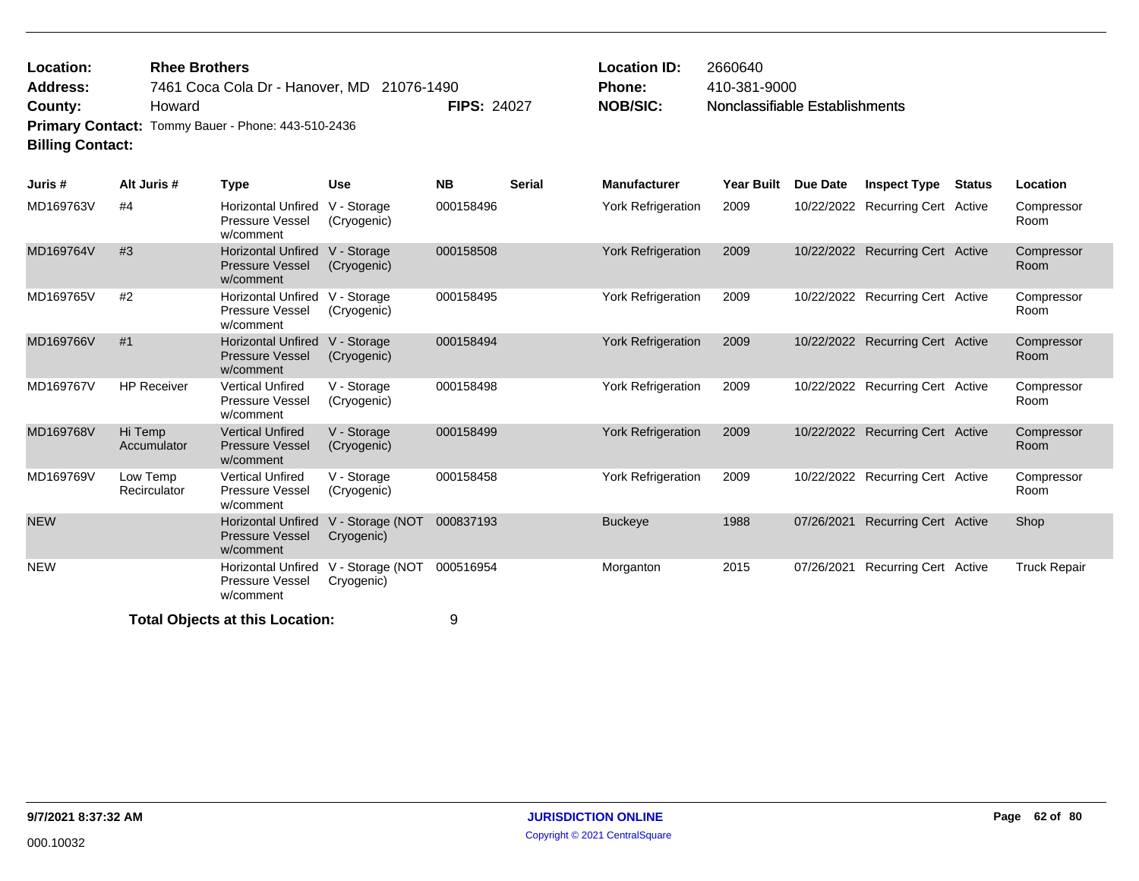| <b>Location:</b>        | <b>Rhee Brothers</b>                               |                    | <b>Location ID:</b> | 2660640                        |
|-------------------------|----------------------------------------------------|--------------------|---------------------|--------------------------------|
| Address:                | 7461 Coca Cola Dr - Hanover, MD 21076-1490         |                    | <b>Phone:</b>       | 410-381-9000                   |
| County:                 | Howard                                             | <b>FIPS: 24027</b> | NOB/SIC:            | Nonclassifiable Establishments |
|                         | Primary Contact: Tommy Bauer - Phone: 443-510-2436 |                    |                     |                                |
| <b>Billing Contact:</b> |                                                    |                    |                     |                                |

| Juris #    | Alt Juris #              | Type                                                             | <b>Use</b>                     | <b>NB</b> | <b>Serial</b> | <b>Manufacturer</b>       | Year Built | Due Date   | <b>Inspect Type</b>              | <b>Status</b> | Location            |
|------------|--------------------------|------------------------------------------------------------------|--------------------------------|-----------|---------------|---------------------------|------------|------------|----------------------------------|---------------|---------------------|
| MD169763V  | #4                       | <b>Horizontal Unfired</b><br><b>Pressure Vessel</b><br>w/comment | V - Storage<br>(Cryogenic)     | 000158496 |               | <b>York Refrigeration</b> | 2009       |            | 10/22/2022 Recurring Cert Active |               | Compressor<br>Room  |
| MD169764V  | #3                       | <b>Horizontal Unfired</b><br><b>Pressure Vessel</b><br>w/comment | V - Storage<br>(Cryogenic)     | 000158508 |               | York Refrigeration        | 2009       |            | 10/22/2022 Recurring Cert Active |               | Compressor<br>Room  |
| MD169765V  | #2                       | <b>Horizontal Unfired</b><br><b>Pressure Vessel</b><br>w/comment | V - Storage<br>(Cryogenic)     | 000158495 |               | <b>York Refrigeration</b> | 2009       |            | 10/22/2022 Recurring Cert Active |               | Compressor<br>Room  |
| MD169766V  | #1                       | <b>Horizontal Unfired</b><br><b>Pressure Vessel</b><br>w/comment | V - Storage<br>(Cryogenic)     | 000158494 |               | <b>York Refrigeration</b> | 2009       |            | 10/22/2022 Recurring Cert Active |               | Compressor<br>Room  |
| MD169767V  | <b>HP Receiver</b>       | <b>Vertical Unfired</b><br><b>Pressure Vessel</b><br>w/comment   | V - Storage<br>(Cryogenic)     | 000158498 |               | <b>York Refrigeration</b> | 2009       |            | 10/22/2022 Recurring Cert Active |               | Compressor<br>Room  |
| MD169768V  | Hi Temp<br>Accumulator   | <b>Vertical Unfired</b><br><b>Pressure Vessel</b><br>w/comment   | V - Storage<br>(Cryogenic)     | 000158499 |               | York Refrigeration        | 2009       |            | 10/22/2022 Recurring Cert Active |               | Compressor<br>Room  |
| MD169769V  | Low Temp<br>Recirculator | <b>Vertical Unfired</b><br><b>Pressure Vessel</b><br>w/comment   | V - Storage<br>(Cryogenic)     | 000158458 |               | York Refrigeration        | 2009       |            | 10/22/2022 Recurring Cert Active |               | Compressor<br>Room  |
| <b>NEW</b> |                          | <b>Horizontal Unfired</b><br><b>Pressure Vessel</b><br>w/comment | V - Storage (NOT<br>Cryogenic) | 000837193 |               | <b>Buckeye</b>            | 1988       | 07/26/2021 | <b>Recurring Cert Active</b>     |               | Shop                |
| <b>NEW</b> |                          | <b>Horizontal Unfired</b><br>Pressure Vessel<br>w/comment        | V - Storage (NOT<br>Cryogenic) | 000516954 |               | Morganton                 | 2015       | 07/26/2021 | Recurring Cert Active            |               | <b>Truck Repair</b> |

**Total Objects at this Location:** 9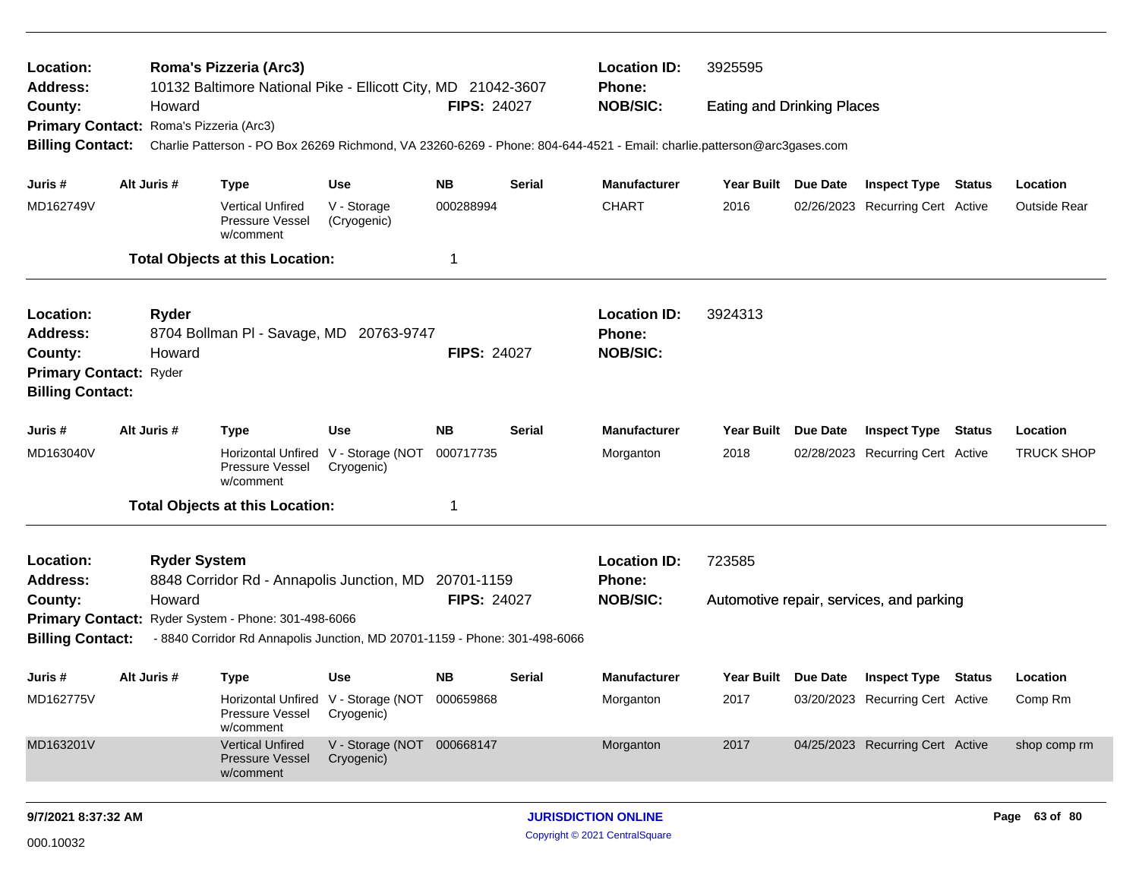| Location:<br>Address:                                                                                                                                        |  |                     | Roma's Pizzeria (Arc3)<br>10132 Baltimore National Pike - Ellicott City, MD 21042-3607 |                                                             |                    |               | <b>Location ID:</b><br>3925595<br><b>Phone:</b>                                                                         |                                   |                 |                                          |               |                   |
|--------------------------------------------------------------------------------------------------------------------------------------------------------------|--|---------------------|----------------------------------------------------------------------------------------|-------------------------------------------------------------|--------------------|---------------|-------------------------------------------------------------------------------------------------------------------------|-----------------------------------|-----------------|------------------------------------------|---------------|-------------------|
| County:                                                                                                                                                      |  | Howard              |                                                                                        |                                                             | <b>FIPS: 24027</b> |               | <b>NOB/SIC:</b>                                                                                                         | <b>Eating and Drinking Places</b> |                 |                                          |               |                   |
| Primary Contact: Roma's Pizzeria (Arc3)                                                                                                                      |  |                     |                                                                                        |                                                             |                    |               |                                                                                                                         |                                   |                 |                                          |               |                   |
| <b>Billing Contact:</b>                                                                                                                                      |  |                     |                                                                                        |                                                             |                    |               | Charlie Patterson - PO Box 26269 Richmond, VA 23260-6269 - Phone: 804-644-4521 - Email: charlie.patterson@arc3gases.com |                                   |                 |                                          |               |                   |
| Juris #                                                                                                                                                      |  | Alt Juris #         | <b>Type</b>                                                                            | <b>Use</b>                                                  | <b>NB</b>          | <b>Serial</b> | <b>Manufacturer</b>                                                                                                     | Year Built Due Date               |                 | <b>Inspect Type Status</b>               |               | Location          |
| MD162749V                                                                                                                                                    |  |                     | <b>Vertical Unfired</b><br>Pressure Vessel<br>w/comment                                | V - Storage<br>(Cryogenic)                                  | 000288994          |               | <b>CHART</b>                                                                                                            | 2016                              |                 | 02/26/2023 Recurring Cert Active         |               | Outside Rear      |
|                                                                                                                                                              |  |                     | <b>Total Objects at this Location:</b>                                                 |                                                             | 1                  |               |                                                                                                                         |                                   |                 |                                          |               |                   |
| Location:<br><b>Address:</b>                                                                                                                                 |  | Ryder               | 8704 Bollman PI - Savage, MD 20763-9747                                                |                                                             |                    |               | <b>Location ID:</b><br><b>Phone:</b>                                                                                    | 3924313                           |                 |                                          |               |                   |
| County:                                                                                                                                                      |  | Howard              |                                                                                        |                                                             | <b>FIPS: 24027</b> |               | <b>NOB/SIC:</b>                                                                                                         |                                   |                 |                                          |               |                   |
| <b>Primary Contact: Ryder</b><br><b>Billing Contact:</b>                                                                                                     |  |                     |                                                                                        |                                                             |                    |               |                                                                                                                         |                                   |                 |                                          |               |                   |
| Juris #                                                                                                                                                      |  | Alt Juris #         | <b>Type</b>                                                                            | <b>Use</b>                                                  | <b>NB</b>          | <b>Serial</b> | <b>Manufacturer</b>                                                                                                     | Year Built                        | <b>Due Date</b> | <b>Inspect Type</b>                      | <b>Status</b> | Location          |
| MD163040V                                                                                                                                                    |  |                     | Horizontal Unfired V - Storage (NOT<br>Pressure Vessel<br>w/comment                    | Cryogenic)                                                  | 000717735          |               | Morganton                                                                                                               | 2018                              |                 | 02/28/2023 Recurring Cert Active         |               | <b>TRUCK SHOP</b> |
|                                                                                                                                                              |  |                     | <b>Total Objects at this Location:</b>                                                 |                                                             | 1                  |               |                                                                                                                         |                                   |                 |                                          |               |                   |
| Location:                                                                                                                                                    |  | <b>Ryder System</b> |                                                                                        |                                                             |                    |               | <b>Location ID:</b>                                                                                                     | 723585                            |                 |                                          |               |                   |
| <b>Address:</b>                                                                                                                                              |  |                     | 8848 Corridor Rd - Annapolis Junction, MD                                              |                                                             | 20701-1159         |               | <b>Phone:</b>                                                                                                           |                                   |                 |                                          |               |                   |
| County:                                                                                                                                                      |  | Howard              |                                                                                        |                                                             | <b>FIPS: 24027</b> |               | <b>NOB/SIC:</b>                                                                                                         |                                   |                 | Automotive repair, services, and parking |               |                   |
| Primary Contact: Ryder System - Phone: 301-498-6066<br><b>Billing Contact:</b><br>- 8840 Corridor Rd Annapolis Junction, MD 20701-1159 - Phone: 301-498-6066 |  |                     |                                                                                        |                                                             |                    |               |                                                                                                                         |                                   |                 |                                          |               |                   |
| Juris #                                                                                                                                                      |  | Alt Juris #         | <b>Type</b>                                                                            | <b>Use</b>                                                  | <b>NB</b>          | Serial        | <b>Manufacturer</b>                                                                                                     | Year Built Due Date               |                 | <b>Inspect Type Status</b>               |               | Location          |
| MD162775V                                                                                                                                                    |  |                     | Pressure Vessel<br>w/comment                                                           | Horizontal Unfired V - Storage (NOT 000659868<br>Cryogenic) |                    |               | Morganton                                                                                                               | 2017                              |                 | 03/20/2023 Recurring Cert Active         |               | Comp Rm           |
| MD163201V                                                                                                                                                    |  |                     | <b>Vertical Unfired</b><br>Pressure Vessel<br>w/comment                                | V - Storage (NOT 000668147<br>Cryogenic)                    |                    |               | Morganton                                                                                                               | 2017                              |                 | 04/25/2023 Recurring Cert Active         |               | shop comp rm      |
|                                                                                                                                                              |  |                     |                                                                                        |                                                             |                    |               |                                                                                                                         |                                   |                 |                                          |               |                   |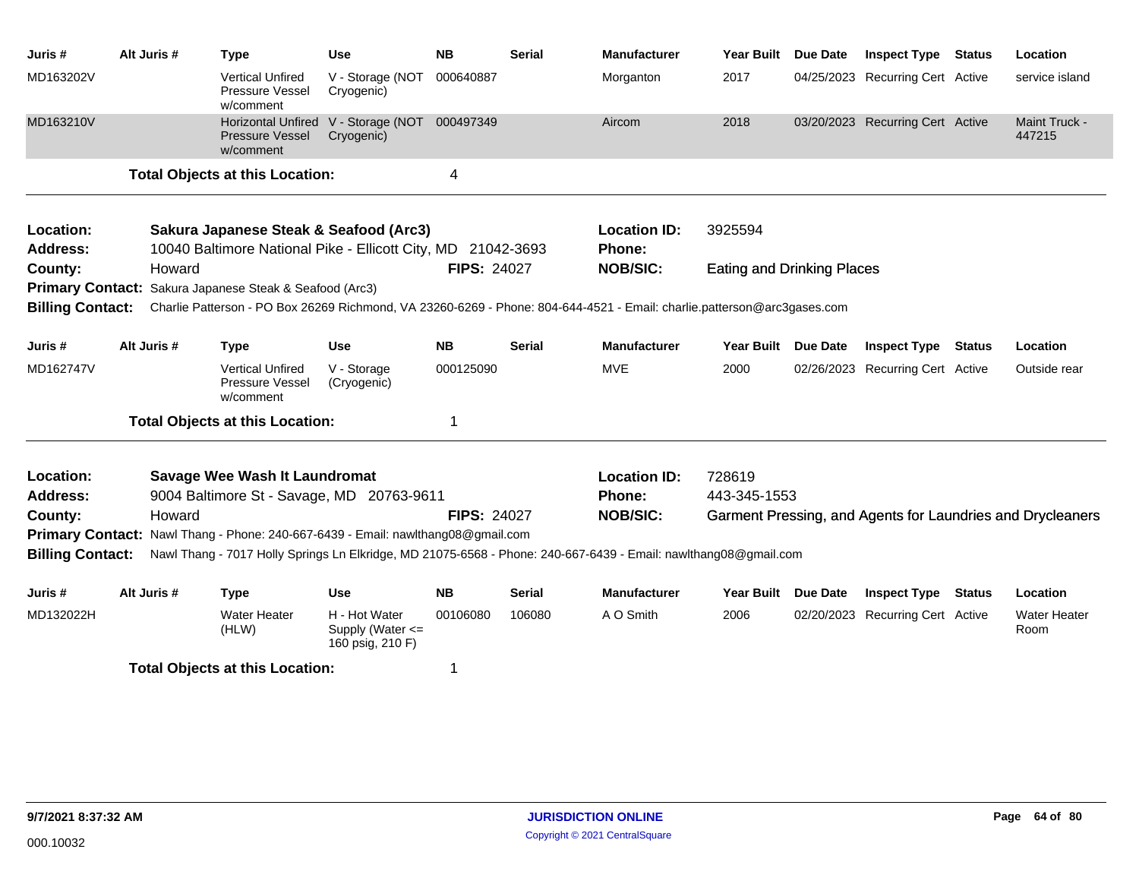| Juris #                                                                                                                                            | Alt Juris #                            | <b>Type</b>                                                                                                     | <b>Use</b>                                                  | <b>NB</b>          | <b>Serial</b> | <b>Manufacturer</b>                  | <b>Year Built</b>                 | <b>Due Date</b> | <b>Inspect Type</b>              | <b>Status</b> | Location                                                   |
|----------------------------------------------------------------------------------------------------------------------------------------------------|----------------------------------------|-----------------------------------------------------------------------------------------------------------------|-------------------------------------------------------------|--------------------|---------------|--------------------------------------|-----------------------------------|-----------------|----------------------------------|---------------|------------------------------------------------------------|
| MD163202V                                                                                                                                          |                                        | <b>Vertical Unfired</b><br>Pressure Vessel<br>w/comment                                                         | V - Storage (NOT<br>Cryogenic)                              | 000640887          |               | Morganton                            | 2017                              |                 | 04/25/2023 Recurring Cert Active |               | service island                                             |
| MD163210V                                                                                                                                          |                                        | <b>Pressure Vessel</b><br>w/comment                                                                             | Horizontal Unfired V - Storage (NOT 000497349<br>Cryogenic) |                    |               | Aircom                               | 2018                              |                 | 03/20/2023 Recurring Cert Active |               | Maint Truck -<br>447215                                    |
|                                                                                                                                                    |                                        | <b>Total Objects at this Location:</b>                                                                          |                                                             | 4                  |               |                                      |                                   |                 |                                  |               |                                                            |
| Location:<br><b>Address:</b>                                                                                                                       |                                        | Sakura Japanese Steak & Seafood (Arc3)<br>10040 Baltimore National Pike - Ellicott City, MD 21042-3693          |                                                             |                    |               | <b>Location ID:</b><br><b>Phone:</b> | 3925594                           |                 |                                  |               |                                                            |
| County:                                                                                                                                            | Howard                                 |                                                                                                                 |                                                             | <b>FIPS: 24027</b> |               | <b>NOB/SIC:</b>                      | <b>Eating and Drinking Places</b> |                 |                                  |               |                                                            |
| <b>Primary Contact:</b>                                                                                                                            |                                        | Sakura Japanese Steak & Seafood (Arc3)                                                                          |                                                             |                    |               |                                      |                                   |                 |                                  |               |                                                            |
| <b>Billing Contact:</b><br>Charlie Patterson - PO Box 26269 Richmond, VA 23260-6269 - Phone: 804-644-4521 - Email: charlie.patterson@arc3gases.com |                                        |                                                                                                                 |                                                             |                    |               |                                      |                                   |                 |                                  |               |                                                            |
| Juris #                                                                                                                                            | Alt Juris #                            | <b>Type</b>                                                                                                     | <b>Use</b>                                                  | <b>NB</b>          | <b>Serial</b> | <b>Manufacturer</b>                  | Year Built                        | <b>Due Date</b> | <b>Inspect Type</b>              | <b>Status</b> | Location                                                   |
| MD162747V                                                                                                                                          |                                        | <b>Vertical Unfired</b><br>Pressure Vessel<br>w/comment                                                         | V - Storage<br>(Cryogenic)                                  | 000125090          |               | <b>MVE</b>                           | 2000                              |                 | 02/26/2023 Recurring Cert Active |               | Outside rear                                               |
|                                                                                                                                                    |                                        | <b>Total Objects at this Location:</b>                                                                          |                                                             | 1                  |               |                                      |                                   |                 |                                  |               |                                                            |
| Location:                                                                                                                                          |                                        | Savage Wee Wash It Laundromat                                                                                   |                                                             |                    |               | <b>Location ID:</b>                  | 728619                            |                 |                                  |               |                                                            |
| <b>Address:</b>                                                                                                                                    |                                        | 9004 Baltimore St - Savage, MD 20763-9611                                                                       |                                                             |                    |               | Phone:                               | 443-345-1553                      |                 |                                  |               |                                                            |
| County:                                                                                                                                            | Howard                                 |                                                                                                                 |                                                             | <b>FIPS: 24027</b> |               | <b>NOB/SIC:</b>                      |                                   |                 |                                  |               | Garment Pressing, and Agents for Laundries and Drycleaners |
| <b>Primary Contact:</b>                                                                                                                            |                                        | Nawl Thang - Phone: 240-667-6439 - Email: nawlthang08@gmail.com                                                 |                                                             |                    |               |                                      |                                   |                 |                                  |               |                                                            |
| <b>Billing Contact:</b>                                                                                                                            |                                        | Nawl Thang - 7017 Holly Springs Ln Elkridge, MD 21075-6568 - Phone: 240-667-6439 - Email: nawlthang08@gmail.com |                                                             |                    |               |                                      |                                   |                 |                                  |               |                                                            |
| Juris #                                                                                                                                            | Alt Juris #                            | <b>Type</b>                                                                                                     | Use                                                         | <b>NB</b>          | <b>Serial</b> | <b>Manufacturer</b>                  | Year Built                        | <b>Due Date</b> | <b>Inspect Type</b>              | Status        | Location                                                   |
| MD132022H                                                                                                                                          |                                        | <b>Water Heater</b><br>(HLW)                                                                                    | H - Hot Water<br>Supply (Water <=<br>160 psig, 210 F)       | 00106080           | 106080        | A O Smith                            | 2006                              |                 | 02/20/2023 Recurring Cert Active |               | <b>Water Heater</b><br>Room                                |
|                                                                                                                                                    | <b>Total Objects at this Location:</b> |                                                                                                                 |                                                             |                    |               |                                      |                                   |                 |                                  |               |                                                            |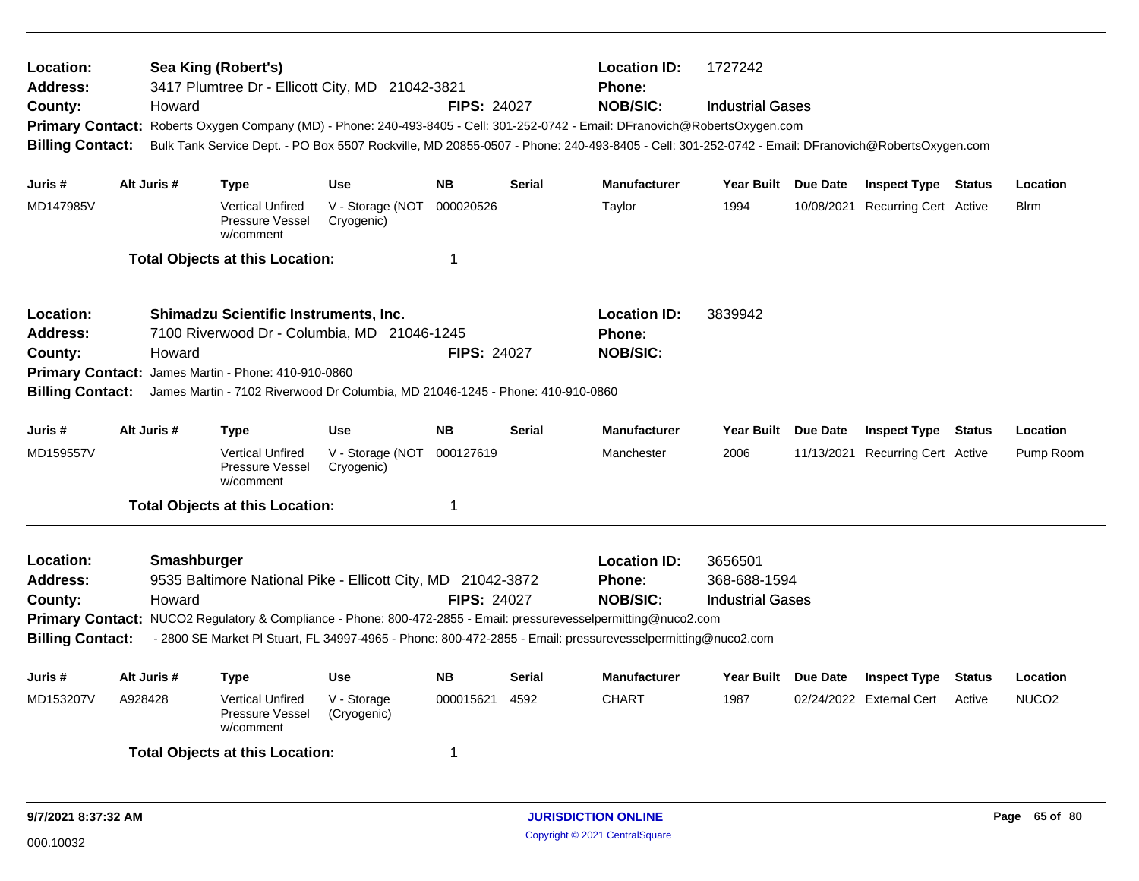| Location:<br>Address:<br>County:<br><b>Primary Contact:</b><br><b>Billing Contact:</b> |                                                                                                                                                                                                                                                                                                                                                                          | Howard | Sea King (Robert's)<br>3417 Plumtree Dr - Ellicott City, MD 21042-3821                                                                                                                                              |                                | <b>FIPS: 24027</b> |                                                  | <b>Location ID:</b><br>1727242<br><b>Phone:</b><br><b>NOB/SIC:</b><br><b>Industrial Gases</b><br>Roberts Oxygen Company (MD) - Phone: 240-493-8405 - Cell: 301-252-0742 - Email: DFranovich@RobertsOxygen.com<br>Bulk Tank Service Dept. - PO Box 5507 Rockville, MD 20855-0507 - Phone: 240-493-8405 - Cell: 301-252-0742 - Email: DFranovich@RobertsOxygen.com |                     |          |                                  |               |                   |
|----------------------------------------------------------------------------------------|--------------------------------------------------------------------------------------------------------------------------------------------------------------------------------------------------------------------------------------------------------------------------------------------------------------------------------------------------------------------------|--------|---------------------------------------------------------------------------------------------------------------------------------------------------------------------------------------------------------------------|--------------------------------|--------------------|--------------------------------------------------|------------------------------------------------------------------------------------------------------------------------------------------------------------------------------------------------------------------------------------------------------------------------------------------------------------------------------------------------------------------|---------------------|----------|----------------------------------|---------------|-------------------|
| Juris #                                                                                | Alt Juris #                                                                                                                                                                                                                                                                                                                                                              |        | <b>Type</b>                                                                                                                                                                                                         | <b>Use</b>                     | <b>NB</b>          | <b>Serial</b>                                    | <b>Manufacturer</b>                                                                                                                                                                                                                                                                                                                                              | Year Built Due Date |          | <b>Inspect Type Status</b>       |               | Location          |
| MD147985V                                                                              |                                                                                                                                                                                                                                                                                                                                                                          |        | <b>Vertical Unfired</b><br>Pressure Vessel<br>w/comment                                                                                                                                                             | V - Storage (NOT<br>Cryogenic) | 000020526          |                                                  | Taylor                                                                                                                                                                                                                                                                                                                                                           | 1994                |          | 10/08/2021 Recurring Cert Active |               | <b>B</b> lrm      |
|                                                                                        |                                                                                                                                                                                                                                                                                                                                                                          |        | <b>Total Objects at this Location:</b>                                                                                                                                                                              |                                | $\mathbf 1$        |                                                  |                                                                                                                                                                                                                                                                                                                                                                  |                     |          |                                  |               |                   |
| Location:<br>Address:<br>County:<br><b>Primary Contact:</b><br><b>Billing Contact:</b> |                                                                                                                                                                                                                                                                                                                                                                          | Howard | <b>Shimadzu Scientific Instruments, Inc.</b><br>7100 Riverwood Dr - Columbia, MD 21046-1245<br>James Martin - Phone: 410-910-0860<br>James Martin - 7102 Riverwood Dr Columbia, MD 21046-1245 - Phone: 410-910-0860 |                                | <b>FIPS: 24027</b> |                                                  | <b>Location ID:</b><br><b>Phone:</b><br><b>NOB/SIC:</b>                                                                                                                                                                                                                                                                                                          | 3839942             |          |                                  |               |                   |
| Juris #                                                                                | Alt Juris #                                                                                                                                                                                                                                                                                                                                                              |        | <b>Type</b>                                                                                                                                                                                                         | <b>Use</b>                     | <b>NB</b>          | <b>Serial</b>                                    | Manufacturer                                                                                                                                                                                                                                                                                                                                                     | <b>Year Built</b>   | Due Date | <b>Inspect Type</b>              | Status        | Location          |
| MD159557V                                                                              |                                                                                                                                                                                                                                                                                                                                                                          |        | <b>Vertical Unfired</b><br>Pressure Vessel<br>w/comment                                                                                                                                                             | V - Storage (NOT<br>Cryogenic) | 000127619          |                                                  | Manchester                                                                                                                                                                                                                                                                                                                                                       | 2006                |          | 11/13/2021 Recurring Cert Active |               | Pump Room         |
|                                                                                        |                                                                                                                                                                                                                                                                                                                                                                          |        | <b>Total Objects at this Location:</b>                                                                                                                                                                              |                                | $\overline{1}$     |                                                  |                                                                                                                                                                                                                                                                                                                                                                  |                     |          |                                  |               |                   |
| Location:<br><b>Address:</b><br>County:                                                | Smashburger<br>9535 Baltimore National Pike - Ellicott City, MD 21042-3872<br><b>FIPS: 24027</b><br>Howard<br>Primary Contact: NUCO2 Regulatory & Compliance - Phone: 800-472-2855 - Email: pressurevesselpermitting@nuco2.com<br><b>Billing Contact:</b><br>- 2800 SE Market PI Stuart, FL 34997-4965 - Phone: 800-472-2855 - Email: pressurevesselpermitting@nuco2.com |        |                                                                                                                                                                                                                     |                                |                    | <b>Location ID:</b><br>Phone:<br><b>NOB/SIC:</b> | 3656501<br>368-688-1594<br><b>Industrial Gases</b>                                                                                                                                                                                                                                                                                                               |                     |          |                                  |               |                   |
| Juris#                                                                                 | Alt Juris #                                                                                                                                                                                                                                                                                                                                                              |        | Type                                                                                                                                                                                                                | <b>Use</b>                     | <b>NB</b>          | <b>Serial</b>                                    | <b>Manufacturer</b>                                                                                                                                                                                                                                                                                                                                              | Year Built          | Due Date | <b>Inspect Type</b>              | <b>Status</b> | Location          |
| MD153207V                                                                              | A928428                                                                                                                                                                                                                                                                                                                                                                  |        | <b>Vertical Unfired</b><br>Pressure Vessel<br>w/comment                                                                                                                                                             | V - Storage<br>(Cryogenic)     | 000015621          | 4592                                             | <b>CHART</b>                                                                                                                                                                                                                                                                                                                                                     | 1987                |          | 02/24/2022 External Cert         | Active        | NUCO <sub>2</sub> |
|                                                                                        |                                                                                                                                                                                                                                                                                                                                                                          |        | <b>Total Objects at this Location:</b>                                                                                                                                                                              |                                | -1                 |                                                  |                                                                                                                                                                                                                                                                                                                                                                  |                     |          |                                  |               |                   |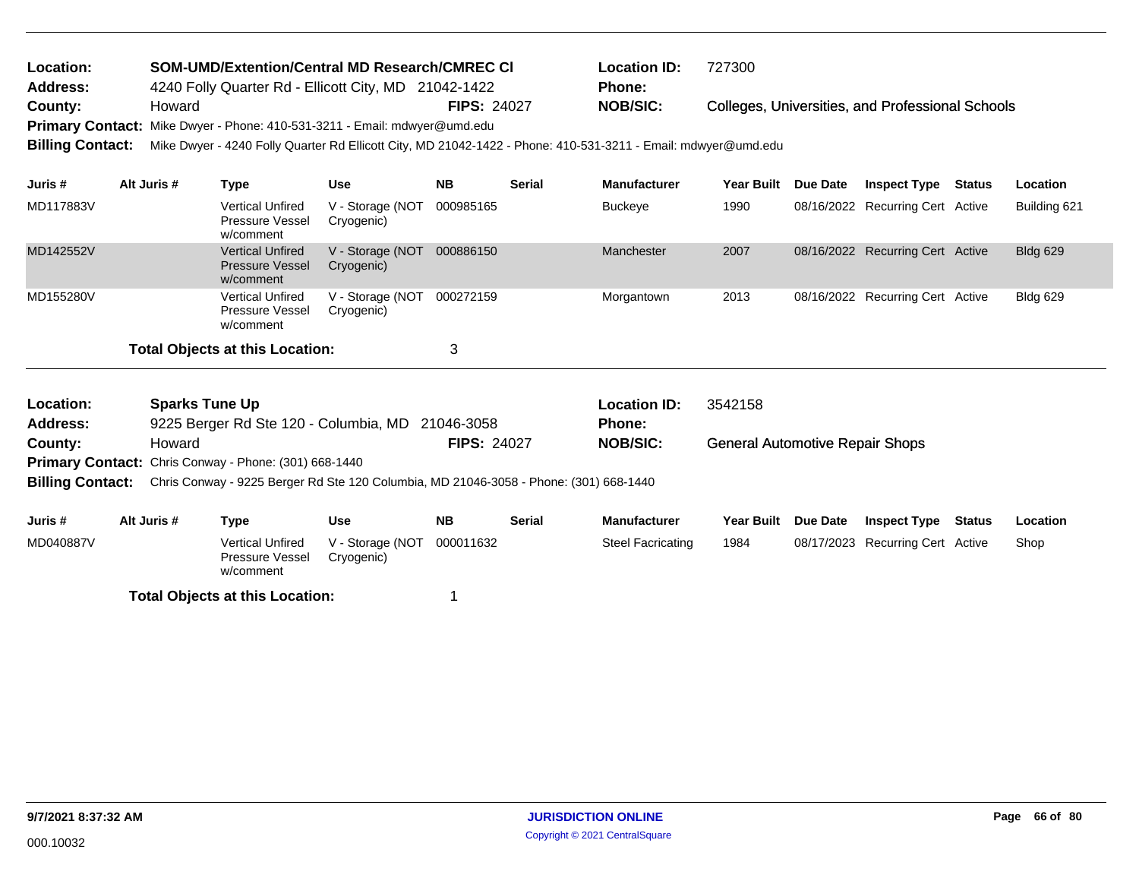| <b>Location:</b> | <b>SOM-UMD/Extention/Central MD Research/CMREC CI</b>                     |                    | <b>Location ID:</b> | 727300                                                  |
|------------------|---------------------------------------------------------------------------|--------------------|---------------------|---------------------------------------------------------|
| Address:         | 4240 Folly Quarter Rd - Ellicott City, MD 21042-1422                      |                    | Phone:              |                                                         |
| County:          | Howard                                                                    | <b>FIPS: 24027</b> | <b>NOB/SIC:</b>     | <b>Colleges, Universities, and Professional Schools</b> |
|                  | Primary Contact: Mike Dwyer - Phone: 410-531-3211 - Email: mdwyer@umd.edu |                    |                     |                                                         |

**Billing Contact:** Mike Dwyer - 4240 Folly Quarter Rd Ellicott City, MD 21042-1422 - Phone: 410-531-3211 - Email: mdwyer@umd.edu

| Juris #   | Alt Juris # | Type                                                           | Use                            | <b>NB</b> | <b>Serial</b> | <b>Manufacturer</b> | Year Built | Due Date | <b>Inspect Type</b>              | <b>Status</b> | Location        |
|-----------|-------------|----------------------------------------------------------------|--------------------------------|-----------|---------------|---------------------|------------|----------|----------------------------------|---------------|-----------------|
| MD117883V |             | <b>Vertical Unfired</b><br><b>Pressure Vessel</b><br>w/comment | V - Storage (NOT<br>Cryogenic) | 000985165 |               | <b>Buckeye</b>      | 1990       |          | 08/16/2022 Recurring Cert Active |               | Building 621    |
| MD142552V |             | <b>Vertical Unfired</b><br><b>Pressure Vessel</b><br>w/comment | V - Storage (NOT<br>Cryogenic) | 000886150 |               | Manchester          | 2007       |          | 08/16/2022 Recurring Cert Active |               | <b>Bldg 629</b> |
| MD155280V |             | <b>Vertical Unfired</b><br>Pressure Vessel<br>w/comment        | V - Storage (NOT<br>Cryogenic) | 000272159 |               | Morgantown          | 2013       |          | 08/16/2022 Recurring Cert Active |               | <b>Bldg 629</b> |
|           |             | <b>Total Objects at this Location:</b>                         |                                | 3         |               |                     |            |          |                                  |               |                 |

|             |                                                                |                                |                                                              |                                                  | <b>Location ID:</b><br><b>Phone:</b> | 3542158                                                                               |          |                     |  |                                            |
|-------------|----------------------------------------------------------------|--------------------------------|--------------------------------------------------------------|--------------------------------------------------|--------------------------------------|---------------------------------------------------------------------------------------|----------|---------------------|--|--------------------------------------------|
| Howard      |                                                                |                                |                                                              |                                                  | <b>NOB/SIC:</b>                      | <b>General Automotive Repair Shops</b>                                                |          |                     |  |                                            |
|             |                                                                |                                |                                                              |                                                  |                                      |                                                                                       |          |                     |  |                                            |
|             |                                                                |                                |                                                              |                                                  |                                      |                                                                                       |          |                     |  |                                            |
|             |                                                                |                                |                                                              |                                                  |                                      |                                                                                       |          |                     |  |                                            |
| Alt Juris # | Type                                                           | <b>Use</b>                     | <b>NB</b>                                                    | <b>Serial</b>                                    | <b>Manufacturer</b>                  | <b>Year Built</b>                                                                     | Due Date | <b>Inspect Type</b> |  | Location                                   |
|             | <b>Vertical Unfired</b><br><b>Pressure Vessel</b><br>w/comment | V - Storage (NOT<br>Cryogenic) | 000011632                                                    |                                                  | <b>Steel Facricating</b>             | 1984                                                                                  |          |                     |  | Shop                                       |
|             |                                                                | <b>Sparks Tune Up</b>          | <b>Primary Contact:</b> Chris Conway - Phone: (301) 668-1440 | 9225 Berger Rd Ste 120 - Columbia, MD 21046-3058 | <b>FIPS: 24027</b>                   | Chris Conway - 9225 Berger Rd Ste 120 Columbia, MD 21046-3058 - Phone: (301) 668-1440 |          |                     |  | Status<br>08/17/2023 Recurring Cert Active |

**Total Objects at this Location:** 1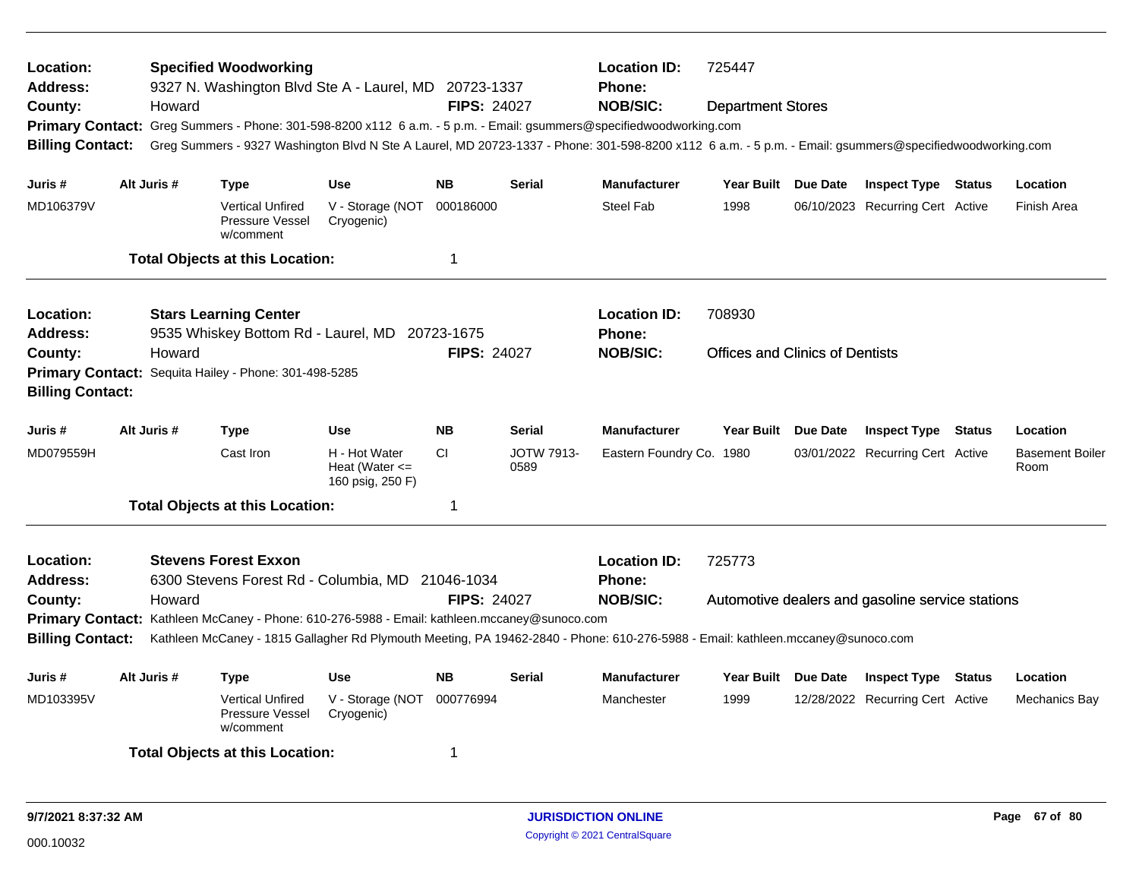| Location:<br><b>Address:</b><br>County:<br><b>Primary Contact:</b><br><b>Billing Contact:</b> | Howard      | <b>Specified Woodworking</b><br>9327 N. Washington Blvd Ste A - Laurel, MD 20723-1337<br>Greg Summers - Phone: 301-598-8200 x112 6 a.m. - 5 p.m. - Email: gsummers@specifiedwoodworking.com<br>Greg Summers - 9327 Washington Blvd N Ste A Laurel, MD 20723-1337 - Phone: 301-598-8200 x112 6 a.m. - 5 p.m. - Email: gsummers@specifiedwoodworking.com |                                                         | <b>FIPS: 24027</b> |                           | <b>Location ID:</b><br>Phone:<br><b>NOB/SIC:</b>        | 725447<br><b>Department Stores</b>     |          |                                                  |               |                                |
|-----------------------------------------------------------------------------------------------|-------------|--------------------------------------------------------------------------------------------------------------------------------------------------------------------------------------------------------------------------------------------------------------------------------------------------------------------------------------------------------|---------------------------------------------------------|--------------------|---------------------------|---------------------------------------------------------|----------------------------------------|----------|--------------------------------------------------|---------------|--------------------------------|
| Juris #                                                                                       | Alt Juris # | Type                                                                                                                                                                                                                                                                                                                                                   | <b>Use</b>                                              | <b>NB</b>          | <b>Serial</b>             | <b>Manufacturer</b>                                     | Year Built Due Date                    |          | <b>Inspect Type Status</b>                       |               | Location                       |
| MD106379V                                                                                     |             | <b>Vertical Unfired</b><br>Pressure Vessel<br>w/comment                                                                                                                                                                                                                                                                                                | V - Storage (NOT<br>Cryogenic)                          | 000186000          |                           | Steel Fab                                               | 1998                                   |          | 06/10/2023 Recurring Cert Active                 |               | <b>Finish Area</b>             |
|                                                                                               |             | <b>Total Objects at this Location:</b>                                                                                                                                                                                                                                                                                                                 |                                                         | $\mathbf 1$        |                           |                                                         |                                        |          |                                                  |               |                                |
| Location:<br><b>Address:</b>                                                                  |             | <b>Stars Learning Center</b><br>9535 Whiskey Bottom Rd - Laurel, MD 20723-1675                                                                                                                                                                                                                                                                         |                                                         |                    |                           | <b>Location ID:</b><br>Phone:                           | 708930                                 |          |                                                  |               |                                |
| County:<br><b>Billing Contact:</b>                                                            | Howard      | Primary Contact: Sequita Hailey - Phone: 301-498-5285                                                                                                                                                                                                                                                                                                  |                                                         | <b>FIPS: 24027</b> |                           | <b>NOB/SIC:</b>                                         | <b>Offices and Clinics of Dentists</b> |          |                                                  |               |                                |
| Juris #                                                                                       | Alt Juris # | <b>Type</b>                                                                                                                                                                                                                                                                                                                                            | <b>Use</b>                                              | <b>NB</b>          | <b>Serial</b>             | <b>Manufacturer</b>                                     | <b>Year Built</b>                      | Due Date | <b>Inspect Type Status</b>                       |               | Location                       |
| MD079559H                                                                                     |             | Cast Iron                                                                                                                                                                                                                                                                                                                                              | H - Hot Water<br>Heat (Water $\leq$<br>160 psig, 250 F) | <b>CI</b>          | <b>JOTW 7913-</b><br>0589 | Eastern Foundry Co. 1980                                |                                        |          | 03/01/2022 Recurring Cert Active                 |               | <b>Basement Boiler</b><br>Room |
|                                                                                               |             | <b>Total Objects at this Location:</b>                                                                                                                                                                                                                                                                                                                 |                                                         | -1                 |                           |                                                         |                                        |          |                                                  |               |                                |
| Location:<br>Address:<br>County:                                                              | Howard      | <b>Stevens Forest Exxon</b><br>6300 Stevens Forest Rd - Columbia, MD 21046-1034                                                                                                                                                                                                                                                                        |                                                         | <b>FIPS: 24027</b> |                           | <b>Location ID:</b><br><b>Phone:</b><br><b>NOB/SIC:</b> | 725773                                 |          | Automotive dealers and gasoline service stations |               |                                |
| <b>Billing Contact:</b>                                                                       |             | Primary Contact: Kathleen McCaney - Phone: 610-276-5988 - Email: kathleen.mccaney@sunoco.com<br>Kathleen McCaney - 1815 Gallagher Rd Plymouth Meeting, PA 19462-2840 - Phone: 610-276-5988 - Email: kathleen.mccaney@sunoco.com                                                                                                                        |                                                         |                    |                           |                                                         |                                        |          |                                                  |               |                                |
| Juris #                                                                                       | Alt Juris # | Type                                                                                                                                                                                                                                                                                                                                                   | <b>Use</b>                                              | <b>NB</b>          | <b>Serial</b>             | <b>Manufacturer</b>                                     | Year Built Due Date                    |          | <b>Inspect Type</b>                              | <b>Status</b> | Location                       |
| MD103395V                                                                                     |             | <b>Vertical Unfired</b><br>Pressure Vessel<br>w/comment                                                                                                                                                                                                                                                                                                | V - Storage (NOT<br>Cryogenic)                          | 000776994          |                           | Manchester                                              | 1999                                   |          | 12/28/2022 Recurring Cert Active                 |               | Mechanics Bay                  |
|                                                                                               |             | <b>Total Objects at this Location:</b>                                                                                                                                                                                                                                                                                                                 |                                                         | -1                 |                           |                                                         |                                        |          |                                                  |               |                                |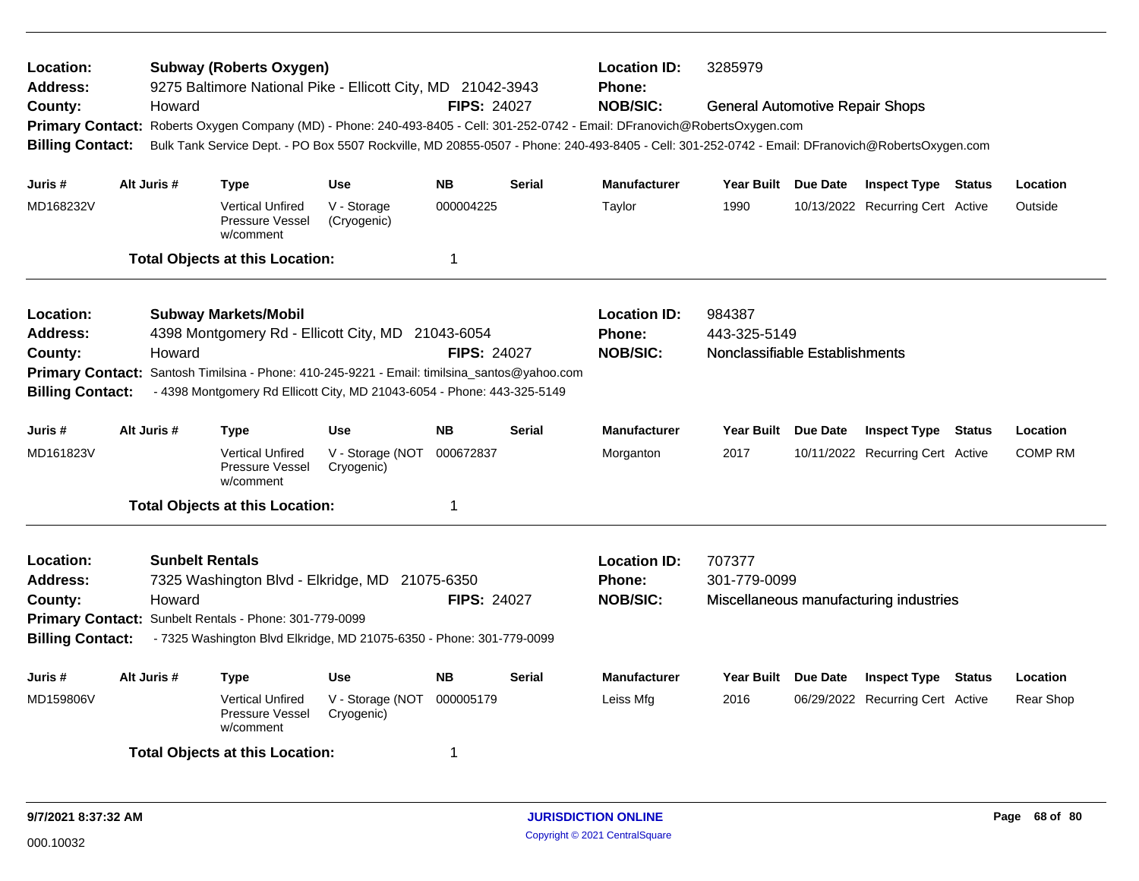| Location:<br><b>Address:</b><br>County:<br><b>Billing Contact:</b>                            | Howard                           | <b>Subway (Roberts Oxygen)</b><br>9275 Baltimore National Pike - Ellicott City, MD 21042-3943<br>Primary Contact: Roberts Oxygen Company (MD) - Phone: 240-493-8405 - Cell: 301-252-0742 - Email: DFranovich@RobertsOxygen.com<br>Bulk Tank Service Dept. - PO Box 5507 Rockville, MD 20855-0507 - Phone: 240-493-8405 - Cell: 301-252-0742 - Email: DFranovich@RobertsOxygen.com |                                          | <b>FIPS: 24027</b>     |               | <b>Location ID:</b><br><b>Phone:</b><br><b>NOB/SIC:</b> | 3285979<br><b>General Automotive Repair Shops</b>        |          |                                                                |               |                     |
|-----------------------------------------------------------------------------------------------|----------------------------------|-----------------------------------------------------------------------------------------------------------------------------------------------------------------------------------------------------------------------------------------------------------------------------------------------------------------------------------------------------------------------------------|------------------------------------------|------------------------|---------------|---------------------------------------------------------|----------------------------------------------------------|----------|----------------------------------------------------------------|---------------|---------------------|
|                                                                                               |                                  |                                                                                                                                                                                                                                                                                                                                                                                   |                                          |                        |               |                                                         |                                                          |          |                                                                |               |                     |
| Juris #<br>MD168232V                                                                          | Alt Juris #                      | Type<br><b>Vertical Unfired</b><br>Pressure Vessel<br>w/comment                                                                                                                                                                                                                                                                                                                   | <b>Use</b><br>V - Storage<br>(Cryogenic) | <b>NB</b><br>000004225 | <b>Serial</b> | <b>Manufacturer</b><br>Taylor                           | Year Built Due Date<br>1990                              |          | <b>Inspect Type Status</b><br>10/13/2022 Recurring Cert Active |               | Location<br>Outside |
|                                                                                               |                                  | <b>Total Objects at this Location:</b>                                                                                                                                                                                                                                                                                                                                            |                                          | 1                      |               |                                                         |                                                          |          |                                                                |               |                     |
| <b>Location:</b><br>Address:<br>County:<br><b>Primary Contact:</b><br><b>Billing Contact:</b> | Howard                           | <b>Subway Markets/Mobil</b><br>4398 Montgomery Rd - Ellicott City, MD 21043-6054<br>Santosh Timilsina - Phone: 410-245-9221 - Email: timilsina_santos@yahoo.com<br>- 4398 Montgomery Rd Ellicott City, MD 21043-6054 - Phone: 443-325-5149                                                                                                                                        |                                          | <b>FIPS: 24027</b>     |               | <b>Location ID:</b><br>Phone:<br><b>NOB/SIC:</b>        | 984387<br>443-325-5149<br>Nonclassifiable Establishments |          |                                                                |               |                     |
| Juris #                                                                                       | Alt Juris #                      | Type                                                                                                                                                                                                                                                                                                                                                                              | <b>Use</b>                               | <b>NB</b>              | <b>Serial</b> | <b>Manufacturer</b>                                     | Year Built Due Date                                      |          | <b>Inspect Type Status</b>                                     |               | Location            |
| MD161823V                                                                                     |                                  | <b>Vertical Unfired</b><br>Pressure Vessel<br>w/comment                                                                                                                                                                                                                                                                                                                           | V - Storage (NOT<br>Cryogenic)           | 000672837              |               | Morganton                                               | 2017                                                     |          | 10/11/2022 Recurring Cert Active                               |               | <b>COMP RM</b>      |
|                                                                                               |                                  | <b>Total Objects at this Location:</b>                                                                                                                                                                                                                                                                                                                                            |                                          | -1                     |               |                                                         |                                                          |          |                                                                |               |                     |
| <b>Location:</b><br><b>Address:</b><br>County:<br><b>Billing Contact:</b>                     | <b>Sunbelt Rentals</b><br>Howard | 7325 Washington Blvd - Elkridge, MD 21075-6350<br>Primary Contact: Sunbelt Rentals - Phone: 301-779-0099<br>- 7325 Washington Blvd Elkridge, MD 21075-6350 - Phone: 301-779-0099                                                                                                                                                                                                  |                                          | <b>FIPS: 24027</b>     |               | <b>Location ID:</b><br><b>Phone:</b><br><b>NOB/SIC:</b> | 707377<br>301-779-0099                                   |          | Miscellaneous manufacturing industries                         |               |                     |
| Juris #                                                                                       | Alt Juris #                      | <b>Type</b>                                                                                                                                                                                                                                                                                                                                                                       | <b>Use</b>                               | <b>NB</b>              | <b>Serial</b> | <b>Manufacturer</b>                                     | <b>Year Built</b>                                        | Due Date | <b>Inspect Type</b>                                            | <b>Status</b> | Location            |
| MD159806V                                                                                     |                                  | <b>Vertical Unfired</b><br>Pressure Vessel<br>w/comment                                                                                                                                                                                                                                                                                                                           | V - Storage (NOT<br>Cryogenic)           | 000005179              |               | Leiss Mfg                                               | 2016                                                     |          | 06/29/2022 Recurring Cert Active                               |               | Rear Shop           |
|                                                                                               |                                  | <b>Total Objects at this Location:</b>                                                                                                                                                                                                                                                                                                                                            |                                          | -1                     |               |                                                         |                                                          |          |                                                                |               |                     |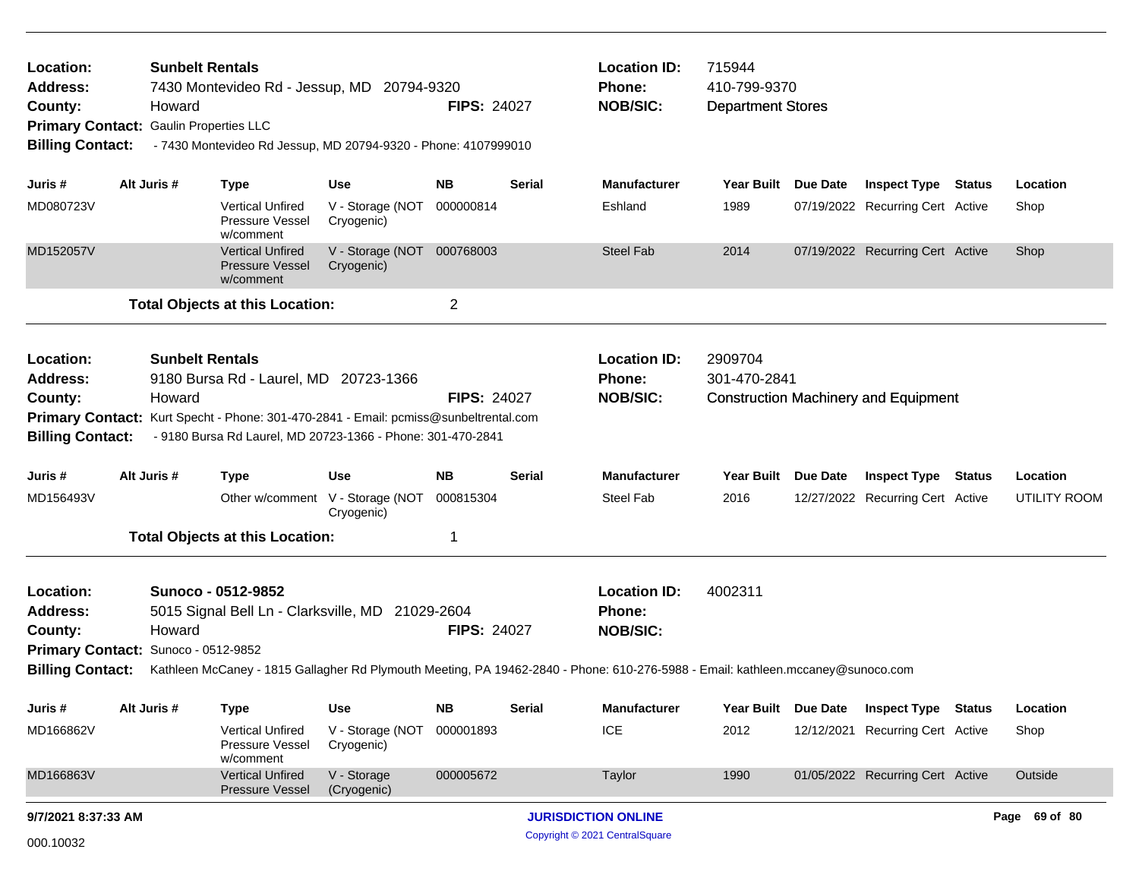| Location:<br><b>Address:</b><br>County:<br><b>Primary Contact:</b><br><b>Billing Contact:</b>             |             | <b>Sunbelt Rentals</b><br>Howard<br><b>Gaulin Properties LLC</b> |                                                                | 7430 Montevideo Rd - Jessup, MD 20794-9320<br>- 7430 Montevideo Rd Jessup, MD 20794-9320 - Phone: 4107999010                                        | <b>FIPS: 24027</b> |               | <b>Location ID:</b><br><b>Phone:</b><br><b>NOB/SIC:</b>                                                                                                                                    | 715944<br>410-799-9370<br><b>Department Stores</b> |                                                                |                                 |
|-----------------------------------------------------------------------------------------------------------|-------------|------------------------------------------------------------------|----------------------------------------------------------------|-----------------------------------------------------------------------------------------------------------------------------------------------------|--------------------|---------------|--------------------------------------------------------------------------------------------------------------------------------------------------------------------------------------------|----------------------------------------------------|----------------------------------------------------------------|---------------------------------|
| Juris #                                                                                                   | Alt Juris # |                                                                  | <b>Type</b>                                                    | Use                                                                                                                                                 | <b>NB</b>          | <b>Serial</b> | <b>Manufacturer</b>                                                                                                                                                                        | Year Built Due Date                                | <b>Inspect Type Status</b>                                     | Location                        |
| MD080723V                                                                                                 |             |                                                                  | <b>Vertical Unfired</b><br>Pressure Vessel<br>w/comment        | V - Storage (NOT<br>Cryogenic)                                                                                                                      | 000000814          |               | Eshland                                                                                                                                                                                    | 1989                                               | 07/19/2022 Recurring Cert Active                               | Shop                            |
| MD152057V                                                                                                 |             |                                                                  | <b>Vertical Unfired</b><br><b>Pressure Vessel</b><br>w/comment | V - Storage (NOT 000768003<br>Cryogenic)                                                                                                            |                    |               | <b>Steel Fab</b>                                                                                                                                                                           | 2014                                               | 07/19/2022 Recurring Cert Active                               | Shop                            |
|                                                                                                           |             |                                                                  | <b>Total Objects at this Location:</b>                         |                                                                                                                                                     | $\overline{c}$     |               |                                                                                                                                                                                            |                                                    |                                                                |                                 |
| Location:<br><b>Address:</b><br>County:<br><b>Billing Contact:</b>                                        |             | <b>Sunbelt Rentals</b><br>Howard                                 | 9180 Bursa Rd - Laurel, MD 20723-1366                          | Primary Contact: Kurt Specht - Phone: 301-470-2841 - Email: pcmiss@sunbeltrental.com<br>- 9180 Bursa Rd Laurel, MD 20723-1366 - Phone: 301-470-2841 | <b>FIPS: 24027</b> |               | <b>Location ID:</b><br>Phone:<br><b>NOB/SIC:</b>                                                                                                                                           | 2909704<br>301-470-2841                            | <b>Construction Machinery and Equipment</b>                    |                                 |
|                                                                                                           | Alt Juris # |                                                                  |                                                                | Use                                                                                                                                                 | <b>NB</b>          | <b>Serial</b> | <b>Manufacturer</b>                                                                                                                                                                        |                                                    |                                                                |                                 |
| Juris #<br>MD156493V                                                                                      |             |                                                                  | <b>Type</b>                                                    | Other w/comment V - Storage (NOT<br>Cryogenic)                                                                                                      | 000815304          |               | Steel Fab                                                                                                                                                                                  | Year Built Due Date<br>2016                        | <b>Inspect Type Status</b><br>12/27/2022 Recurring Cert Active | Location<br><b>UTILITY ROOM</b> |
|                                                                                                           |             |                                                                  | <b>Total Objects at this Location:</b>                         |                                                                                                                                                     | 1                  |               |                                                                                                                                                                                            |                                                    |                                                                |                                 |
| Location:<br><b>Address:</b><br>County:<br>Primary Contact: Sunoco - 0512-9852<br><b>Billing Contact:</b> |             | Howard                                                           | Sunoco - 0512-9852                                             | 5015 Signal Bell Ln - Clarksville, MD 21029-2604                                                                                                    | <b>FIPS: 24027</b> |               | <b>Location ID:</b><br><b>Phone:</b><br><b>NOB/SIC:</b><br>Kathleen McCaney - 1815 Gallagher Rd Plymouth Meeting, PA 19462-2840 - Phone: 610-276-5988 - Email: kathleen.mccaney@sunoco.com | 4002311                                            |                                                                |                                 |
| Juris #                                                                                                   | Alt Juris # |                                                                  | <b>Type</b>                                                    | Use                                                                                                                                                 | <b>NB</b>          | <b>Serial</b> | <b>Manufacturer</b>                                                                                                                                                                        | Year Built Due Date                                | <b>Inspect Type Status</b>                                     | Location                        |
| MD166862V                                                                                                 |             |                                                                  | Vertical Unfired<br>Pressure Vessel<br>w/comment               | V - Storage (NOT<br>Cryogenic)                                                                                                                      | 000001893          |               | <b>ICE</b>                                                                                                                                                                                 | 2012                                               | 12/12/2021 Recurring Cert Active                               | Shop                            |
| MD166863V                                                                                                 |             |                                                                  | <b>Vertical Unfired</b><br><b>Pressure Vessel</b>              | V - Storage<br>(Cryogenic)                                                                                                                          | 000005672          |               | Taylor                                                                                                                                                                                     | 1990                                               | 01/05/2022 Recurring Cert Active                               | Outside                         |
| 9/7/2021 8:37:33 AM                                                                                       |             |                                                                  |                                                                |                                                                                                                                                     |                    |               | <b>JURISDICTION ONLINE</b>                                                                                                                                                                 |                                                    |                                                                | Page 69 of 80                   |
| 000.10032                                                                                                 |             |                                                                  |                                                                |                                                                                                                                                     |                    |               | Copyright © 2021 CentralSquare                                                                                                                                                             |                                                    |                                                                |                                 |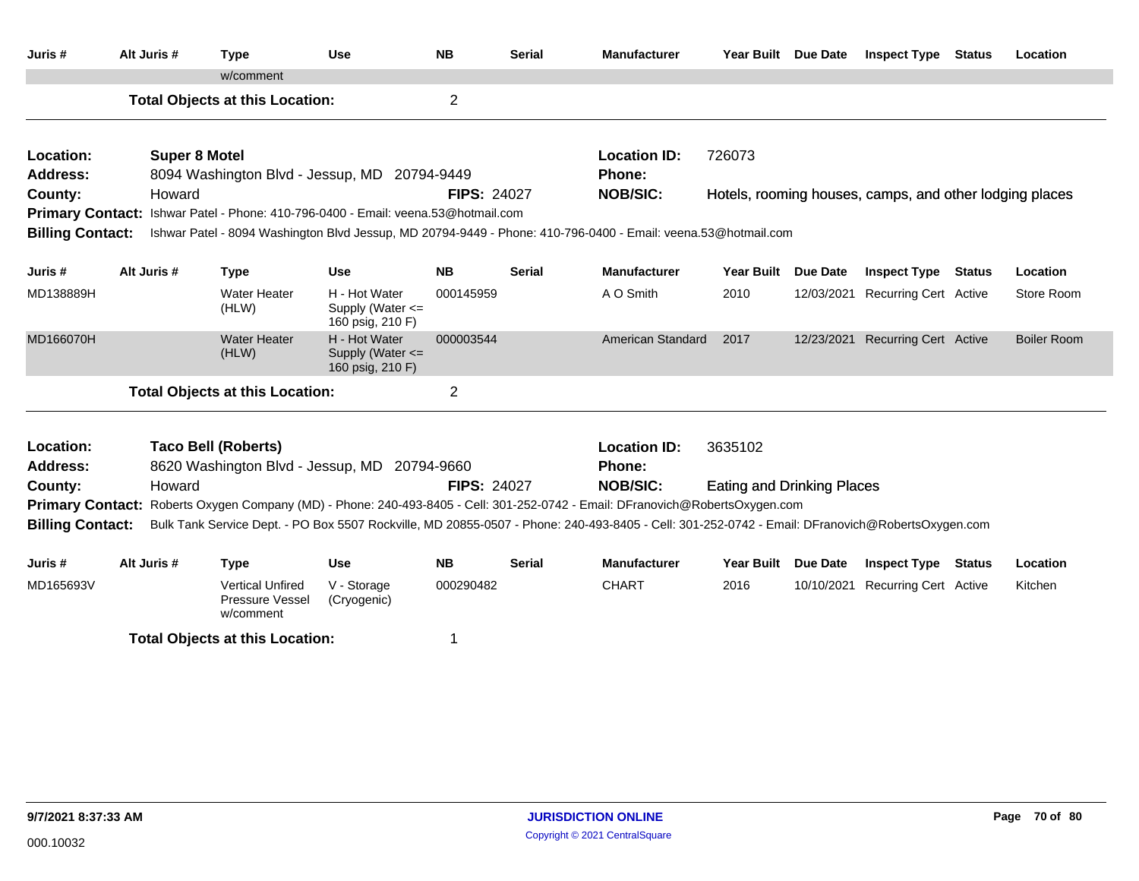| Juris #                      | Alt Juris #          | <b>Type</b>                                                                                                                                     | <b>Use</b>                                            | <b>NB</b>          | <b>Serial</b> | <b>Manufacturer</b>           | Year Built Due Date               |            | <b>Inspect Type</b>                                     | <b>Status</b> | Location           |
|------------------------------|----------------------|-------------------------------------------------------------------------------------------------------------------------------------------------|-------------------------------------------------------|--------------------|---------------|-------------------------------|-----------------------------------|------------|---------------------------------------------------------|---------------|--------------------|
|                              |                      | w/comment                                                                                                                                       |                                                       |                    |               |                               |                                   |            |                                                         |               |                    |
|                              |                      | <b>Total Objects at this Location:</b>                                                                                                          |                                                       | $\overline{2}$     |               |                               |                                   |            |                                                         |               |                    |
|                              |                      |                                                                                                                                                 |                                                       |                    |               |                               |                                   |            |                                                         |               |                    |
| Location:                    | <b>Super 8 Motel</b> |                                                                                                                                                 |                                                       |                    |               | <b>Location ID:</b>           | 726073                            |            |                                                         |               |                    |
| Address:                     |                      | 8094 Washington Blvd - Jessup, MD 20794-9449                                                                                                    |                                                       |                    |               | Phone:                        |                                   |            |                                                         |               |                    |
| County:                      | Howard               |                                                                                                                                                 |                                                       | <b>FIPS: 24027</b> |               | <b>NOB/SIC:</b>               |                                   |            | Hotels, rooming houses, camps, and other lodging places |               |                    |
|                              |                      | Primary Contact: Ishwar Patel - Phone: 410-796-0400 - Email: veena.53@hotmail.com                                                               |                                                       |                    |               |                               |                                   |            |                                                         |               |                    |
| <b>Billing Contact:</b>      |                      | Ishwar Patel - 8094 Washington Blvd Jessup, MD 20794-9449 - Phone: 410-796-0400 - Email: veena.53@hotmail.com                                   |                                                       |                    |               |                               |                                   |            |                                                         |               |                    |
| Juris #                      | Alt Juris #          | <b>Type</b>                                                                                                                                     | <b>Use</b>                                            | <b>NB</b>          | <b>Serial</b> | <b>Manufacturer</b>           | Year Built Due Date               |            | <b>Inspect Type Status</b>                              |               | Location           |
| MD138889H                    |                      | <b>Water Heater</b><br>(HLW)                                                                                                                    | H - Hot Water<br>Supply (Water <=<br>160 psig, 210 F) | 000145959          |               | A O Smith                     | 2010                              |            | 12/03/2021 Recurring Cert Active                        |               | Store Room         |
| MD166070H                    |                      | <b>Water Heater</b><br>(HLW)                                                                                                                    | H - Hot Water<br>Supply (Water <=<br>160 psig, 210 F) | 000003544          |               | <b>American Standard</b>      | 2017                              | 12/23/2021 | <b>Recurring Cert Active</b>                            |               | <b>Boiler Room</b> |
|                              |                      | <b>Total Objects at this Location:</b>                                                                                                          |                                                       | $\overline{2}$     |               |                               |                                   |            |                                                         |               |                    |
| Location:<br><b>Address:</b> |                      | <b>Taco Bell (Roberts)</b><br>8620 Washington Blvd - Jessup, MD 20794-9660                                                                      |                                                       |                    |               | <b>Location ID:</b><br>Phone: | 3635102                           |            |                                                         |               |                    |
| County:                      | Howard               |                                                                                                                                                 |                                                       | <b>FIPS: 24027</b> |               | <b>NOB/SIC:</b>               | <b>Eating and Drinking Places</b> |            |                                                         |               |                    |
| <b>Primary Contact:</b>      |                      | Roberts Oxygen Company (MD) - Phone: 240-493-8405 - Cell: 301-252-0742 - Email: DFranovich@RobertsOxygen.com                                    |                                                       |                    |               |                               |                                   |            |                                                         |               |                    |
| <b>Billing Contact:</b>      |                      | Bulk Tank Service Dept. - PO Box 5507 Rockville, MD 20855-0507 - Phone: 240-493-8405 - Cell: 301-252-0742 - Email: DFranovich@RobertsOxygen.com |                                                       |                    |               |                               |                                   |            |                                                         |               |                    |
| Juris #                      | Alt Juris #          | <b>Type</b>                                                                                                                                     | <b>Use</b>                                            | <b>NB</b>          | Serial        | <b>Manufacturer</b>           | Year Built Due Date               |            | <b>Inspect Type Status</b>                              |               | Location           |
| MD165693V                    |                      | <b>Vertical Unfired</b><br>Pressure Vessel<br>w/comment                                                                                         | V - Storage<br>(Cryogenic)                            | 000290482          |               | <b>CHART</b>                  | 2016                              |            | 10/10/2021 Recurring Cert Active                        |               | Kitchen            |
|                              |                      | <b>Total Objects at this Location:</b>                                                                                                          |                                                       | 1                  |               |                               |                                   |            |                                                         |               |                    |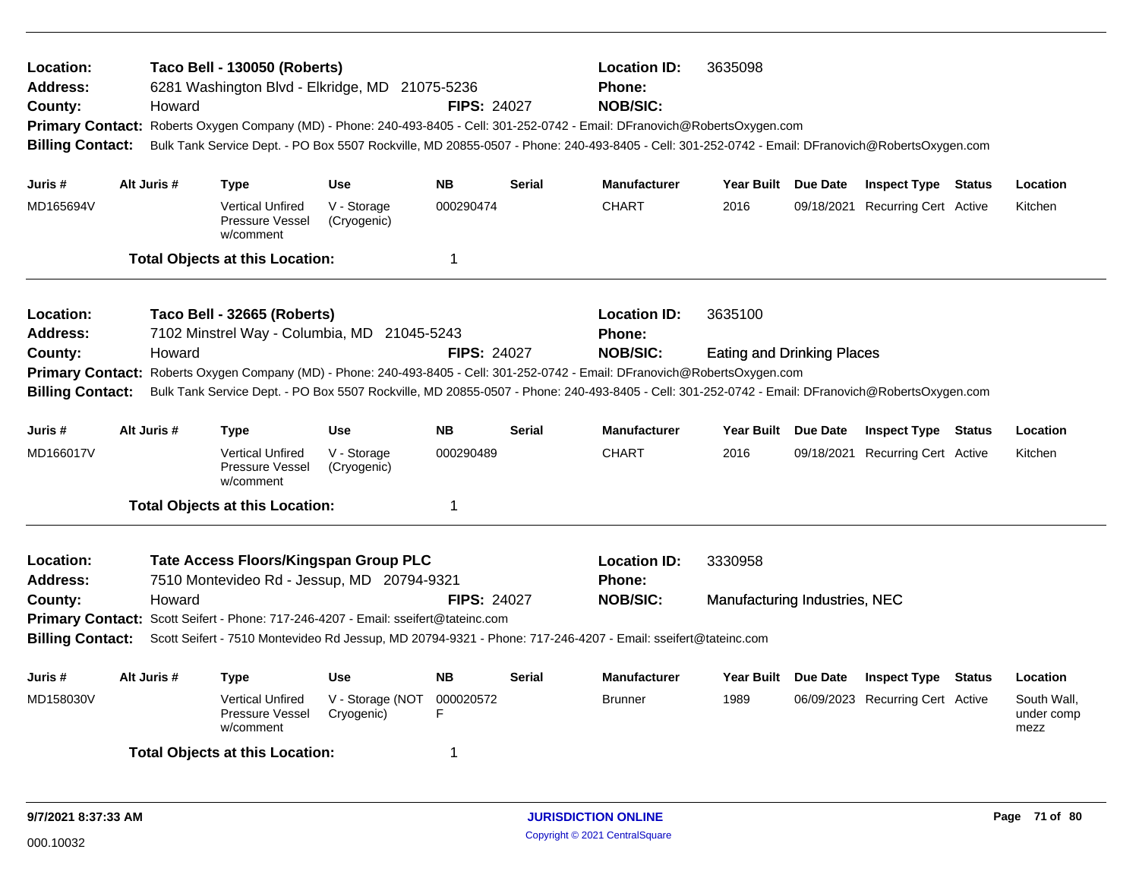| Location:<br><b>Address:</b><br>County:<br><b>Primary Contact:</b><br><b>Billing Contact:</b> | Howard      | <b>Taco Bell - 130050 (Roberts)</b>                     | 6281 Washington Blvd - Elkridge, MD 21075-5236                                                                                                                            | <b>FIPS: 24027</b>      |               | <b>Location ID:</b><br>Phone:<br><b>NOB/SIC:</b><br>Roberts Oxygen Company (MD) - Phone: 240-493-8405 - Cell: 301-252-0742 - Email: DFranovich@RobertsOxygen.com<br>Bulk Tank Service Dept. - PO Box 5507 Rockville, MD 20855-0507 - Phone: 240-493-8405 - Cell: 301-252-0742 - Email: DFranovich@RobertsOxygen.com                  | 3635098                                      |          |                                  |                                   |
|-----------------------------------------------------------------------------------------------|-------------|---------------------------------------------------------|---------------------------------------------------------------------------------------------------------------------------------------------------------------------------|-------------------------|---------------|--------------------------------------------------------------------------------------------------------------------------------------------------------------------------------------------------------------------------------------------------------------------------------------------------------------------------------------|----------------------------------------------|----------|----------------------------------|-----------------------------------|
| Juris #                                                                                       | Alt Juris # | Type                                                    | <b>Use</b>                                                                                                                                                                | <b>NB</b>               | <b>Serial</b> | <b>Manufacturer</b>                                                                                                                                                                                                                                                                                                                  | <b>Year Built</b>                            | Due Date | <b>Inspect Type Status</b>       | Location                          |
| MD165694V                                                                                     |             | <b>Vertical Unfired</b><br>Pressure Vessel<br>w/comment | V - Storage<br>(Cryogenic)                                                                                                                                                | 000290474               |               | <b>CHART</b>                                                                                                                                                                                                                                                                                                                         | 2016                                         |          | 09/18/2021 Recurring Cert Active | Kitchen                           |
|                                                                                               |             | <b>Total Objects at this Location:</b>                  |                                                                                                                                                                           | $\overline{1}$          |               |                                                                                                                                                                                                                                                                                                                                      |                                              |          |                                  |                                   |
| <b>Location:</b><br><b>Address:</b><br>County:<br><b>Billing Contact:</b>                     | Howard      | Taco Bell - 32665 (Roberts)                             | 7102 Minstrel Way - Columbia, MD 21045-5243                                                                                                                               | <b>FIPS: 24027</b>      |               | <b>Location ID:</b><br>Phone:<br><b>NOB/SIC:</b><br>Primary Contact: Roberts Oxygen Company (MD) - Phone: 240-493-8405 - Cell: 301-252-0742 - Email: DFranovich@RobertsOxygen.com<br>Bulk Tank Service Dept. - PO Box 5507 Rockville, MD 20855-0507 - Phone: 240-493-8405 - Cell: 301-252-0742 - Email: DFranovich@RobertsOxygen.com | 3635100<br><b>Eating and Drinking Places</b> |          |                                  |                                   |
| Juris #                                                                                       | Alt Juris # | <b>Type</b>                                             | <b>Use</b>                                                                                                                                                                | <b>NB</b>               | <b>Serial</b> | <b>Manufacturer</b>                                                                                                                                                                                                                                                                                                                  | Year Built Due Date                          |          | <b>Inspect Type Status</b>       | Location                          |
| MD166017V                                                                                     |             | <b>Vertical Unfired</b><br>Pressure Vessel<br>w/comment | V - Storage<br>(Cryogenic)                                                                                                                                                | 000290489               |               | <b>CHART</b>                                                                                                                                                                                                                                                                                                                         | 2016                                         |          | 09/18/2021 Recurring Cert Active | Kitchen                           |
|                                                                                               |             | <b>Total Objects at this Location:</b>                  |                                                                                                                                                                           | $\overline{\mathbf{1}}$ |               |                                                                                                                                                                                                                                                                                                                                      |                                              |          |                                  |                                   |
| Location:<br><b>Address:</b><br>County:                                                       | Howard      |                                                         | Tate Access Floors/Kingspan Group PLC<br>7510 Montevideo Rd - Jessup, MD 20794-9321<br>Primary Contact: Scott Seifert - Phone: 717-246-4207 - Email: sseifert@tateinc.com | <b>FIPS: 24027</b>      |               | <b>Location ID:</b><br>Phone:<br><b>NOB/SIC:</b><br>Billing Contact: Scott Seifert - 7510 Montevideo Rd Jessup, MD 20794-9321 - Phone: 717-246-4207 - Email: sseifert@tateinc.com                                                                                                                                                    | 3330958<br>Manufacturing Industries, NEC     |          |                                  |                                   |
| Juris #                                                                                       | Alt Juris # | <b>Type</b>                                             | <b>Use</b>                                                                                                                                                                | <b>NB</b>               | <b>Serial</b> | <b>Manufacturer</b>                                                                                                                                                                                                                                                                                                                  | <b>Year Built</b>                            | Due Date | <b>Inspect Type Status</b>       | Location                          |
| MD158030V                                                                                     |             | <b>Vertical Unfired</b><br>Pressure Vessel<br>w/comment | V - Storage (NOT<br>Cryogenic)                                                                                                                                            | 000020572<br>F          |               | <b>Brunner</b>                                                                                                                                                                                                                                                                                                                       | 1989                                         |          | 06/09/2023 Recurring Cert Active | South Wall,<br>under comp<br>mezz |
|                                                                                               |             | <b>Total Objects at this Location:</b>                  |                                                                                                                                                                           | -1                      |               |                                                                                                                                                                                                                                                                                                                                      |                                              |          |                                  |                                   |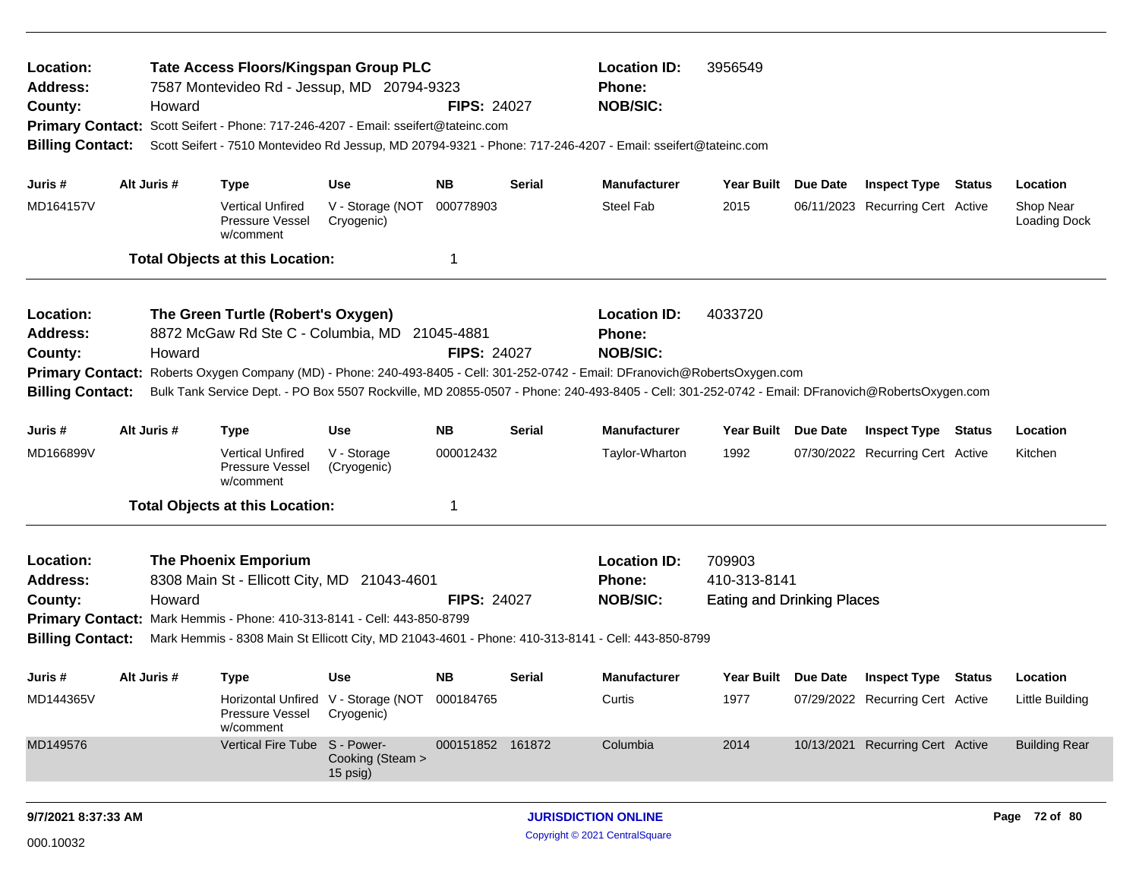| Location:<br><b>Address:</b><br>County:<br><b>Billing Contact:</b> |             | Howard | <b>Tate Access Floors/Kingspan Group PLC</b><br>7587 Montevideo Rd - Jessup, MD 20794-9323<br>Primary Contact: Scott Seifert - Phone: 717-246-4207 - Email: sseifert@tateinc.com |                                                             | <b>FIPS: 24027</b> |               | <b>Location ID:</b><br><b>Phone:</b><br><b>NOB/SIC:</b><br>Scott Seifert - 7510 Montevideo Rd Jessup, MD 20794-9321 - Phone: 717-246-4207 - Email: sseifert@tateinc.com                                                                                                                                                                     | 3956549                                                     |                                  |        |                           |
|--------------------------------------------------------------------|-------------|--------|----------------------------------------------------------------------------------------------------------------------------------------------------------------------------------|-------------------------------------------------------------|--------------------|---------------|---------------------------------------------------------------------------------------------------------------------------------------------------------------------------------------------------------------------------------------------------------------------------------------------------------------------------------------------|-------------------------------------------------------------|----------------------------------|--------|---------------------------|
| Juris #                                                            | Alt Juris # |        | <b>Type</b>                                                                                                                                                                      | <b>Use</b>                                                  | <b>NB</b>          | <b>Serial</b> | <b>Manufacturer</b>                                                                                                                                                                                                                                                                                                                         | Year Built Due Date                                         | <b>Inspect Type Status</b>       |        | Location                  |
| MD164157V                                                          |             |        | <b>Vertical Unfired</b><br>Pressure Vessel<br>w/comment                                                                                                                          | V - Storage (NOT 000778903<br>Cryogenic)                    |                    |               | <b>Steel Fab</b>                                                                                                                                                                                                                                                                                                                            | 2015                                                        | 06/11/2023 Recurring Cert Active |        | Shop Near<br>Loading Dock |
|                                                                    |             |        | <b>Total Objects at this Location:</b>                                                                                                                                           |                                                             | $\mathbf 1$        |               |                                                                                                                                                                                                                                                                                                                                             |                                                             |                                  |        |                           |
| Location:<br><b>Address:</b><br>County:<br><b>Billing Contact:</b> |             | Howard | The Green Turtle (Robert's Oxygen)<br>8872 McGaw Rd Ste C - Columbia, MD 21045-4881                                                                                              |                                                             | <b>FIPS: 24027</b> |               | <b>Location ID:</b><br><b>Phone:</b><br><b>NOB/SIC:</b><br>Primary Contact: Roberts Oxygen Company (MD) - Phone: 240-493-8405 - Cell: 301-252-0742 - Email: DFranovich@RobertsOxygen.com<br>Bulk Tank Service Dept. - PO Box 5507 Rockville, MD 20855-0507 - Phone: 240-493-8405 - Cell: 301-252-0742 - Email: DFranovich@RobertsOxygen.com | 4033720                                                     |                                  |        |                           |
| Juris #                                                            | Alt Juris # |        | <b>Type</b>                                                                                                                                                                      | Use                                                         | <b>NB</b>          | <b>Serial</b> | <b>Manufacturer</b>                                                                                                                                                                                                                                                                                                                         | Year Built Due Date                                         | <b>Inspect Type Status</b>       |        | Location                  |
| MD166899V                                                          |             |        | <b>Vertical Unfired</b><br>Pressure Vessel<br>w/comment                                                                                                                          | V - Storage<br>(Cryogenic)                                  | 000012432          |               | Taylor-Wharton                                                                                                                                                                                                                                                                                                                              | 1992                                                        | 07/30/2022 Recurring Cert Active |        | Kitchen                   |
|                                                                    |             |        | <b>Total Objects at this Location:</b>                                                                                                                                           |                                                             | $\mathbf 1$        |               |                                                                                                                                                                                                                                                                                                                                             |                                                             |                                  |        |                           |
| Location:<br><b>Address:</b><br>County:<br><b>Billing Contact:</b> |             | Howard | <b>The Phoenix Emporium</b><br>8308 Main St - Ellicott City, MD 21043-4601<br>Primary Contact: Mark Hemmis - Phone: 410-313-8141 - Cell: 443-850-8799                            |                                                             | <b>FIPS: 24027</b> |               | <b>Location ID:</b><br><b>Phone:</b><br><b>NOB/SIC:</b><br>Mark Hemmis - 8308 Main St Ellicott City, MD 21043-4601 - Phone: 410-313-8141 - Cell: 443-850-8799                                                                                                                                                                               | 709903<br>410-313-8141<br><b>Eating and Drinking Places</b> |                                  |        |                           |
| Juris #                                                            | Alt Juris # |        | <b>Type</b>                                                                                                                                                                      | <b>Use</b>                                                  | <b>NB</b>          | <b>Serial</b> | <b>Manufacturer</b>                                                                                                                                                                                                                                                                                                                         | Year Built Due Date                                         | Inspect Type                     | Status | Location                  |
| MD144365V                                                          |             |        | Pressure Vessel<br>w/comment                                                                                                                                                     | Horizontal Unfired V - Storage (NOT 000184765<br>Cryogenic) |                    |               | Curtis                                                                                                                                                                                                                                                                                                                                      | 1977                                                        | 07/29/2022 Recurring Cert Active |        | Little Building           |
| MD149576                                                           |             |        | Vertical Fire Tube S - Power-                                                                                                                                                    | Cooking (Steam ><br>$15$ psig)                              | 000151852 161872   |               | Columbia                                                                                                                                                                                                                                                                                                                                    | 2014                                                        | 10/13/2021 Recurring Cert Active |        | <b>Building Rear</b>      |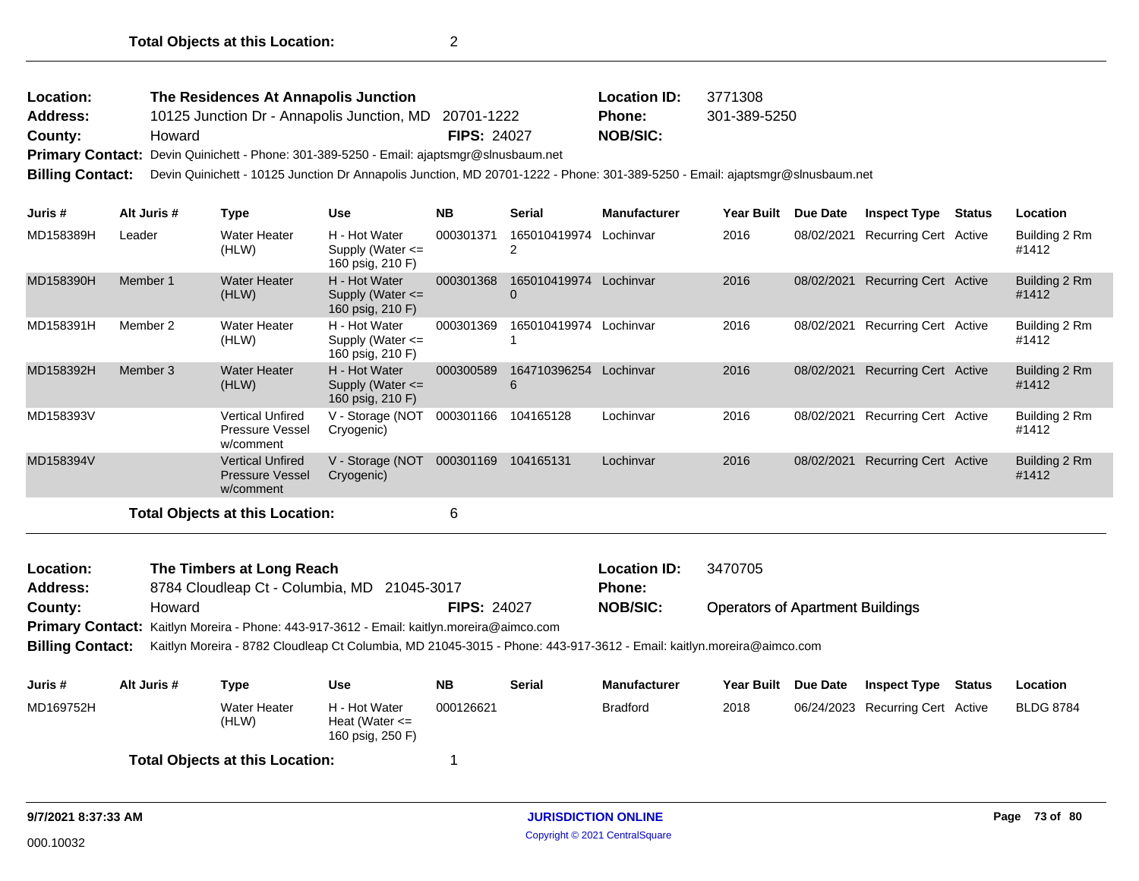| Location:       | The Residences At Annapolis Junction                  |                    | <b>Location ID:</b> | 3771308      |
|-----------------|-------------------------------------------------------|--------------------|---------------------|--------------|
| <b>Address:</b> | 10125 Junction Dr - Annapolis Junction, MD 20701-1222 |                    | <b>Phone:</b>       | 301-389-5250 |
| County:         | Howard                                                | <b>FIPS: 24027</b> | NOB/SIC:            |              |
| - -             | .                                                     |                    |                     |              |

**Primary Contact:** Devin Quinichett - Phone: 301-389-5250 - Email: ajaptsmgr@slnusbaum.net

**Billing Contact:** Devin Quinichett - 10125 Junction Dr Annapolis Junction, MD 20701-1222 - Phone: 301-389-5250 - Email: ajaptsmgr@slnusbaum.net

| Juris #   | Alt Juris # | Type                                                           | <b>Use</b>                                                | <b>NB</b> | <b>Serial</b>     | <b>Manufacturer</b> | Year Built | Due Date   | <b>Inspect Type</b>          | <b>Status</b> | Location               |
|-----------|-------------|----------------------------------------------------------------|-----------------------------------------------------------|-----------|-------------------|---------------------|------------|------------|------------------------------|---------------|------------------------|
| MD158389H | Leader      | <b>Water Heater</b><br>(HLW)                                   | H - Hot Water<br>Supply (Water $\leq$<br>160 psig, 210 F) | 000301371 | 165010419974      | Lochinvar           | 2016       | 08/02/2021 | Recurring Cert Active        |               | Building 2 Rm<br>#1412 |
| MD158390H | Member 1    | <b>Water Heater</b><br>(HLW)                                   | H - Hot Water<br>Supply (Water $\leq$<br>160 psig, 210 F) | 000301368 | 165010419974<br>0 | Lochinvar           | 2016       | 08/02/2021 | <b>Recurring Cert Active</b> |               | Building 2 Rm<br>#1412 |
| MD158391H | Member 2    | <b>Water Heater</b><br>(HLW)                                   | H - Hot Water<br>Supply (Water $\leq$<br>160 psig, 210 F) | 000301369 | 165010419974      | Lochinvar           | 2016       | 08/02/2021 | <b>Recurring Cert Active</b> |               | Building 2 Rm<br>#1412 |
| MD158392H | Member 3    | <b>Water Heater</b><br>(HLW)                                   | H - Hot Water<br>Supply (Water $\leq$<br>160 psig, 210 F) | 000300589 | 164710396254<br>6 | Lochinvar           | 2016       | 08/02/2021 | Recurring Cert Active        |               | Building 2 Rm<br>#1412 |
| MD158393V |             | Vertical Unfired<br><b>Pressure Vessel</b><br>w/comment        | V - Storage (NOT<br>Cryogenic)                            | 000301166 | 104165128         | Lochinvar           | 2016       | 08/02/2021 | Recurring Cert Active        |               | Building 2 Rm<br>#1412 |
| MD158394V |             | <b>Vertical Unfired</b><br><b>Pressure Vessel</b><br>w/comment | V - Storage (NOT<br>Cryogenic)                            | 000301169 | 104165131         | Lochinvar           | 2016       | 08/02/2021 | <b>Recurring Cert Active</b> |               | Building 2 Rm<br>#1412 |
|           |             |                                                                |                                                           |           |                   |                     |            |            |                              |               |                        |

**Total Objects at this Location:** 6

Operators of Apartment Buildings 8784 Cloudleap Ct - Columbia, MD 21045-3017 **County:** Howard **NOB/SIC: FIPS:** 24027 Primary Contact: Kaitlyn Moreira - Phone: 443-917-3612 - Email: kaitlyn.moreira@aimco.com **Billing Contact:** Kaitlyn Moreira - 8782 Cloudleap Ct Columbia, MD 21045-3015 - Phone: 443-917-3612 - Email: kaitlyn.moreira@aimco.com **The Timbers at Long Reach <b>Location ID:** 3470705 **Address: Location: Phone:**

| Juris #   | Alt Juris # | Type                                   | Use                                                     | NΒ        | <b>Serial</b> | <b>Manufacturer</b> | <b>Year Built</b> | <b>Due Date</b> | <b>Inspect Type</b>              | Status | Location         |
|-----------|-------------|----------------------------------------|---------------------------------------------------------|-----------|---------------|---------------------|-------------------|-----------------|----------------------------------|--------|------------------|
| MD169752H |             | Water Heater<br>(HLW)                  | H - Hot Water<br>Heat (Water $\leq$<br>160 psig, 250 F) | 000126621 |               | <b>Bradford</b>     | 2018              |                 | 06/24/2023 Recurring Cert Active |        | <b>BLDG 8784</b> |
|           |             | <b>Total Objects at this Location:</b> |                                                         |           |               |                     |                   |                 |                                  |        |                  |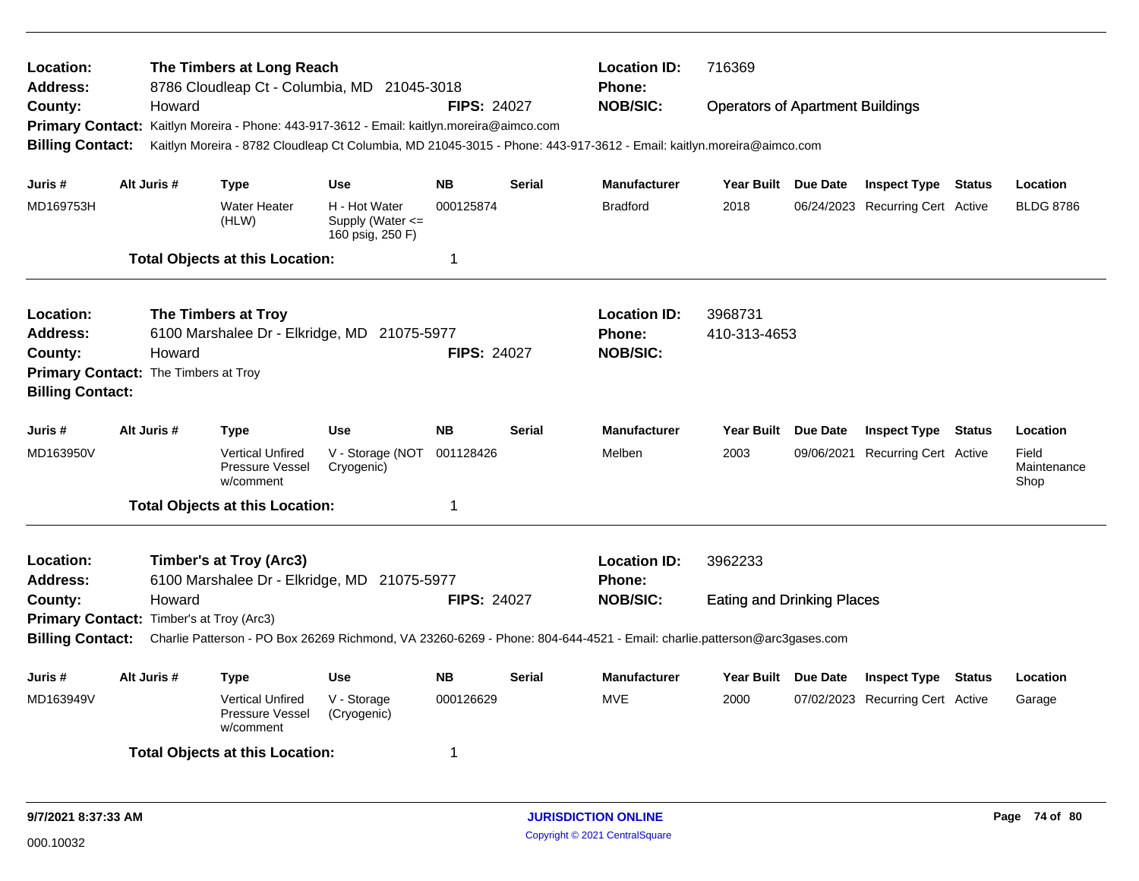| Location:<br><b>Address:</b>                                    |             | The Timbers at Long Reach<br>8786 Cloudleap Ct - Columbia, MD 21045-3018                  |                                                           |                    |               | <b>Location ID:</b><br><b>Phone:</b>                                                                                    | 716369                                  |                 |                                  |        |                              |
|-----------------------------------------------------------------|-------------|-------------------------------------------------------------------------------------------|-----------------------------------------------------------|--------------------|---------------|-------------------------------------------------------------------------------------------------------------------------|-----------------------------------------|-----------------|----------------------------------|--------|------------------------------|
| County:                                                         | Howard      |                                                                                           |                                                           | <b>FIPS: 24027</b> |               | <b>NOB/SIC:</b>                                                                                                         | <b>Operators of Apartment Buildings</b> |                 |                                  |        |                              |
|                                                                 |             | Primary Contact: Kaitlyn Moreira - Phone: 443-917-3612 - Email: kaitlyn.moreira@aimco.com |                                                           |                    |               |                                                                                                                         |                                         |                 |                                  |        |                              |
| <b>Billing Contact:</b>                                         |             |                                                                                           |                                                           |                    |               | Kaitlyn Moreira - 8782 Cloudleap Ct Columbia, MD 21045-3015 - Phone: 443-917-3612 - Email: kaitlyn.moreira@aimco.com    |                                         |                 |                                  |        |                              |
| Juris #                                                         | Alt Juris # | <b>Type</b>                                                                               | <b>Use</b>                                                | <b>NB</b>          | <b>Serial</b> | <b>Manufacturer</b>                                                                                                     | Year Built Due Date                     |                 | <b>Inspect Type Status</b>       |        | Location                     |
| MD169753H                                                       |             | <b>Water Heater</b><br>(HLW)                                                              | H - Hot Water<br>Supply (Water $\leq$<br>160 psig, 250 F) | 000125874          |               | <b>Bradford</b>                                                                                                         | 2018                                    |                 | 06/24/2023 Recurring Cert Active |        | <b>BLDG 8786</b>             |
|                                                                 |             | <b>Total Objects at this Location:</b>                                                    |                                                           | 1                  |               |                                                                                                                         |                                         |                 |                                  |        |                              |
| Location:                                                       |             | The Timbers at Troy                                                                       |                                                           |                    |               | <b>Location ID:</b>                                                                                                     | 3968731                                 |                 |                                  |        |                              |
| <b>Address:</b>                                                 |             | 6100 Marshalee Dr - Elkridge, MD 21075-5977                                               |                                                           |                    |               | <b>Phone:</b>                                                                                                           | 410-313-4653                            |                 |                                  |        |                              |
| County:                                                         | Howard      |                                                                                           |                                                           | <b>FIPS: 24027</b> |               | <b>NOB/SIC:</b>                                                                                                         |                                         |                 |                                  |        |                              |
| Primary Contact: The Timbers at Troy<br><b>Billing Contact:</b> |             |                                                                                           |                                                           |                    |               |                                                                                                                         |                                         |                 |                                  |        |                              |
| Juris #                                                         | Alt Juris # | <b>Type</b>                                                                               | <b>Use</b>                                                | <b>NB</b>          | <b>Serial</b> | <b>Manufacturer</b>                                                                                                     | Year Built Due Date                     |                 | <b>Inspect Type</b>              | Status | Location                     |
| MD163950V                                                       |             | <b>Vertical Unfired</b><br><b>Pressure Vessel</b><br>w/comment                            | V - Storage (NOT<br>Cryogenic)                            | 001128426          |               | Melben                                                                                                                  | 2003                                    | 09/06/2021      | <b>Recurring Cert Active</b>     |        | Field<br>Maintenance<br>Shop |
|                                                                 |             | <b>Total Objects at this Location:</b>                                                    |                                                           | 1                  |               |                                                                                                                         |                                         |                 |                                  |        |                              |
| Location:<br><b>Address:</b>                                    |             | <b>Timber's at Troy (Arc3)</b><br>6100 Marshalee Dr - Elkridge, MD 21075-5977             |                                                           |                    |               | <b>Location ID:</b><br><b>Phone:</b>                                                                                    | 3962233                                 |                 |                                  |        |                              |
| County:                                                         | Howard      |                                                                                           |                                                           | <b>FIPS: 24027</b> |               | <b>NOB/SIC:</b>                                                                                                         | <b>Eating and Drinking Places</b>       |                 |                                  |        |                              |
| Primary Contact: Timber's at Troy (Arc3)                        |             |                                                                                           |                                                           |                    |               |                                                                                                                         |                                         |                 |                                  |        |                              |
| <b>Billing Contact:</b>                                         |             |                                                                                           |                                                           |                    |               | Charlie Patterson - PO Box 26269 Richmond, VA 23260-6269 - Phone: 804-644-4521 - Email: charlie.patterson@arc3gases.com |                                         |                 |                                  |        |                              |
| Juris #                                                         | Alt Juris # | <b>Type</b>                                                                               | <b>Use</b>                                                | <b>NB</b>          | Serial        | <b>Manufacturer</b>                                                                                                     | Year Built                              | <b>Due Date</b> | <b>Inspect Type</b>              | Status | Location                     |
| MD163949V                                                       |             | <b>Vertical Unfired</b><br>Pressure Vessel<br>w/comment                                   | V - Storage<br>(Cryogenic)                                | 000126629          |               | <b>MVE</b>                                                                                                              | 2000                                    |                 | 07/02/2023 Recurring Cert Active |        | Garage                       |
|                                                                 |             | <b>Total Objects at this Location:</b>                                                    |                                                           | 1                  |               |                                                                                                                         |                                         |                 |                                  |        |                              |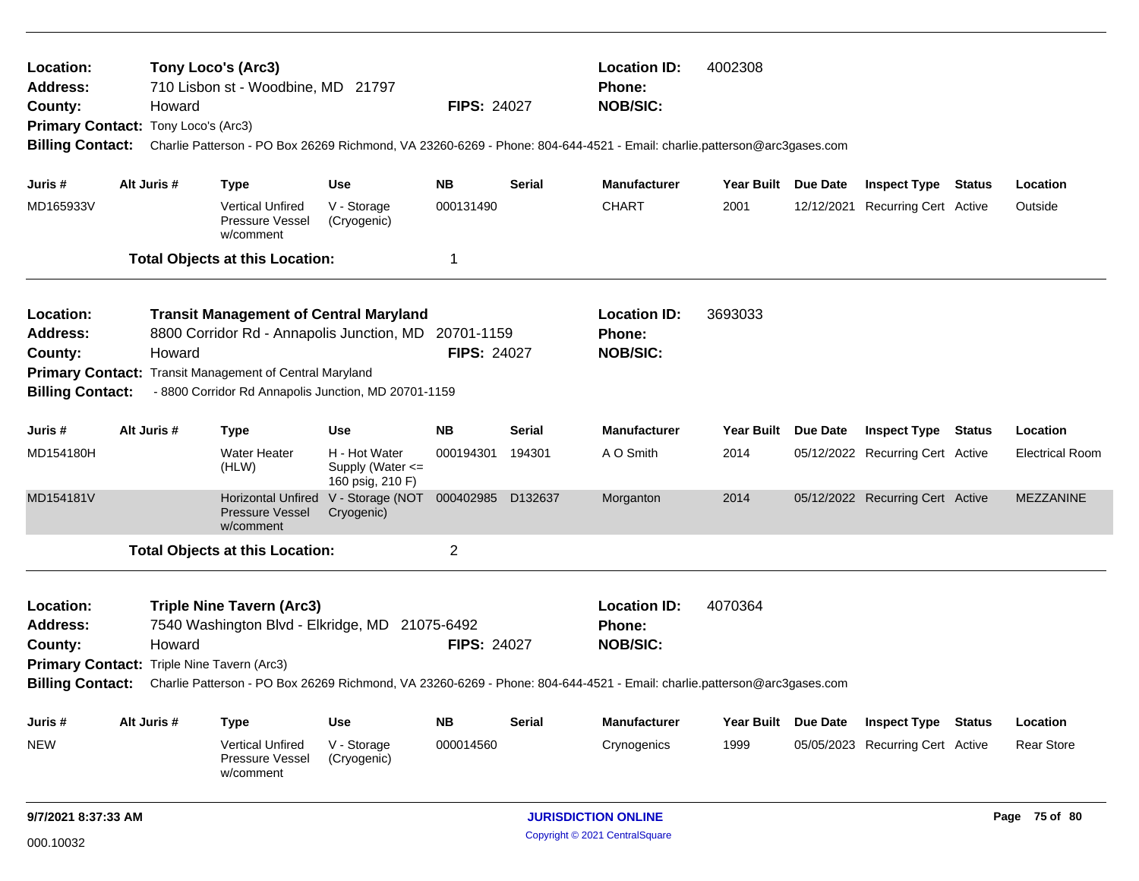| Location:<br><b>Address:</b><br>County:<br>Primary Contact: Tony Loco's (Arc3)<br><b>Billing Contact:</b>        | Howard      | Tony Loco's (Arc3)<br>710 Lisbon st - Woodbine, MD 21797                                                                                                                                                      |                                                       | <b>FIPS: 24027</b>               |               | <b>Location ID:</b><br><b>Phone:</b><br><b>NOB/SIC:</b>                                                                                                                            | 4002308             | Charlie Patterson - PO Box 26269 Richmond, VA 23260-6269 - Phone: 804-644-4521 - Email: charlie.patterson@arc3gases.com |                                  |               |                        |
|------------------------------------------------------------------------------------------------------------------|-------------|---------------------------------------------------------------------------------------------------------------------------------------------------------------------------------------------------------------|-------------------------------------------------------|----------------------------------|---------------|------------------------------------------------------------------------------------------------------------------------------------------------------------------------------------|---------------------|-------------------------------------------------------------------------------------------------------------------------|----------------------------------|---------------|------------------------|
| Juris #                                                                                                          | Alt Juris # | <b>Type</b>                                                                                                                                                                                                   | <b>Use</b>                                            | <b>NB</b>                        | <b>Serial</b> | <b>Manufacturer</b>                                                                                                                                                                | <b>Year Built</b>   | Due Date                                                                                                                | <b>Inspect Type</b>              | Status        | Location               |
| MD165933V                                                                                                        |             | <b>Vertical Unfired</b><br><b>Pressure Vessel</b><br>w/comment                                                                                                                                                | V - Storage<br>(Cryogenic)                            | 000131490                        |               | <b>CHART</b>                                                                                                                                                                       | 2001                |                                                                                                                         | 12/12/2021 Recurring Cert Active |               | Outside                |
|                                                                                                                  |             | <b>Total Objects at this Location:</b>                                                                                                                                                                        |                                                       | 1                                |               |                                                                                                                                                                                    |                     |                                                                                                                         |                                  |               |                        |
| Location:<br>Address:<br>County:<br><b>Billing Contact:</b>                                                      | Howard      | <b>Transit Management of Central Maryland</b><br>8800 Corridor Rd - Annapolis Junction, MD<br>Primary Contact: Transit Management of Central Maryland<br>- 8800 Corridor Rd Annapolis Junction, MD 20701-1159 |                                                       | 20701-1159<br><b>FIPS: 24027</b> |               | <b>Location ID:</b><br><b>Phone:</b><br><b>NOB/SIC:</b>                                                                                                                            | 3693033             |                                                                                                                         |                                  |               |                        |
| Juris #                                                                                                          | Alt Juris # | <b>Type</b>                                                                                                                                                                                                   | <b>Use</b>                                            | <b>NB</b>                        | Serial        | <b>Manufacturer</b>                                                                                                                                                                | Year Built Due Date |                                                                                                                         | <b>Inspect Type Status</b>       |               | Location               |
| MD154180H                                                                                                        |             | Water Heater<br>(HLW)                                                                                                                                                                                         | H - Hot Water<br>Supply (Water <=<br>160 psig, 210 F) | 000194301                        | 194301        | A O Smith                                                                                                                                                                          | 2014                |                                                                                                                         | 05/12/2022 Recurring Cert Active |               | <b>Electrical Room</b> |
| MD154181V                                                                                                        |             | <b>Horizontal Unfired</b><br><b>Pressure Vessel</b><br>w/comment                                                                                                                                              | V - Storage (NOT 000402985<br>Cryogenic)              |                                  | D132637       | Morganton                                                                                                                                                                          | 2014                |                                                                                                                         | 05/12/2022 Recurring Cert Active |               | <b>MEZZANINE</b>       |
|                                                                                                                  |             | <b>Total Objects at this Location:</b>                                                                                                                                                                        |                                                       | $\overline{c}$                   |               |                                                                                                                                                                                    |                     |                                                                                                                         |                                  |               |                        |
| Location:<br><b>Address:</b><br>County:<br>Primary Contact: Triple Nine Tavern (Arc3)<br><b>Billing Contact:</b> | Howard      | <b>Triple Nine Tavern (Arc3)</b><br>7540 Washington Blvd - Elkridge, MD 21075-6492                                                                                                                            |                                                       | <b>FIPS: 24027</b>               |               | <b>Location ID:</b><br><b>Phone:</b><br><b>NOB/SIC:</b><br>Charlie Patterson - PO Box 26269 Richmond, VA 23260-6269 - Phone: 804-644-4521 - Email: charlie.patterson@arc3gases.com | 4070364             |                                                                                                                         |                                  |               |                        |
| Juris #                                                                                                          | Alt Juris # | <b>Type</b>                                                                                                                                                                                                   | <b>Use</b>                                            | <b>NB</b>                        | <b>Serial</b> | <b>Manufacturer</b>                                                                                                                                                                | Year Built Due Date |                                                                                                                         | <b>Inspect Type</b>              | <b>Status</b> | Location               |
| <b>NEW</b>                                                                                                       |             | <b>Vertical Unfired</b><br>Pressure Vessel<br>w/comment                                                                                                                                                       | V - Storage<br>(Cryogenic)                            | 000014560                        |               | Crynogenics                                                                                                                                                                        | 1999                |                                                                                                                         | 05/05/2023 Recurring Cert Active |               | <b>Rear Store</b>      |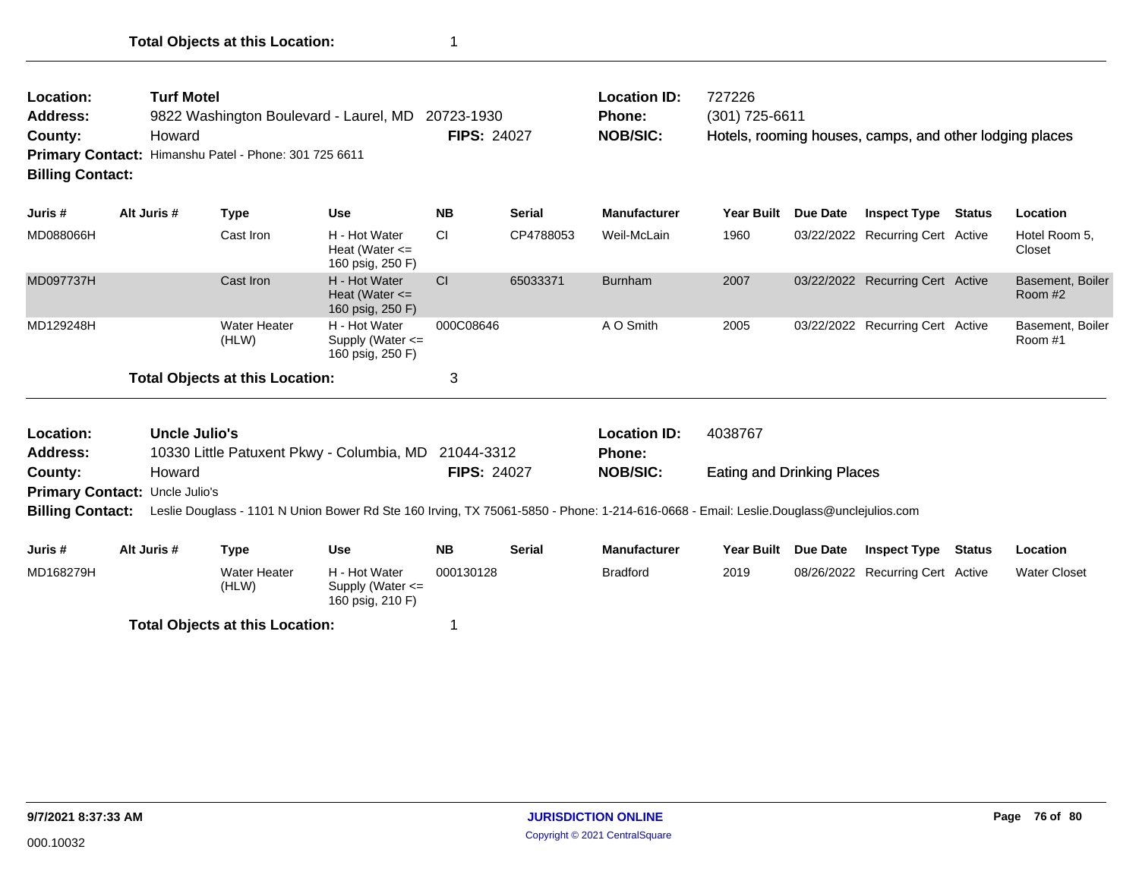| Location:<br><b>Address:</b><br>County:<br><b>Primary Contact:</b><br><b>Billing Contact:</b> | <b>Turf Motel</b><br>Howard                     | 9822 Washington Boulevard - Laurel, MD<br>Himanshu Patel - Phone: 301 725 6611 |                                                                                                                                        | 20723-1930<br><b>FIPS: 24027</b> |               | <b>Location ID:</b><br>Phone:<br><b>NOB/SIC:</b> | 727226<br>(301) 725-6611<br>Hotels, rooming houses, camps, and other lodging places |                 |                                  |               |                             |  |
|-----------------------------------------------------------------------------------------------|-------------------------------------------------|--------------------------------------------------------------------------------|----------------------------------------------------------------------------------------------------------------------------------------|----------------------------------|---------------|--------------------------------------------------|-------------------------------------------------------------------------------------|-----------------|----------------------------------|---------------|-----------------------------|--|
| Juris #                                                                                       | Alt Juris #                                     | <b>Type</b>                                                                    | <b>Use</b>                                                                                                                             | <b>NB</b>                        | <b>Serial</b> | <b>Manufacturer</b>                              | <b>Year Built</b>                                                                   | Due Date        | <b>Inspect Type Status</b>       |               | Location                    |  |
| MD088066H                                                                                     |                                                 | Cast Iron                                                                      | H - Hot Water<br>Heat (Water $\leq$<br>160 psig, 250 F)                                                                                | <b>CI</b>                        | CP4788053     | Weil-McLain                                      | 1960                                                                                |                 | 03/22/2022 Recurring Cert Active |               | Hotel Room 5,<br>Closet     |  |
| MD097737H                                                                                     |                                                 | Cast Iron                                                                      | H - Hot Water<br>Heat (Water $\leq$<br>160 psig, 250 F)                                                                                | <b>CI</b>                        | 65033371      | <b>Burnham</b>                                   | 2007                                                                                |                 | 03/22/2022 Recurring Cert Active |               | Basement, Boiler<br>Room #2 |  |
| MD129248H                                                                                     |                                                 | <b>Water Heater</b><br>(HLW)                                                   | H - Hot Water<br>Supply (Water <=<br>160 psig, 250 F)                                                                                  | 000C08646                        |               | A O Smith                                        | 2005                                                                                |                 | 03/22/2022 Recurring Cert Active |               | Basement, Boiler<br>Room #1 |  |
|                                                                                               |                                                 | <b>Total Objects at this Location:</b>                                         |                                                                                                                                        | 3                                |               |                                                  |                                                                                     |                 |                                  |               |                             |  |
| Location:<br><b>Address:</b>                                                                  | Uncle Julio's                                   |                                                                                | 10330 Little Patuxent Pkwy - Columbia, MD                                                                                              | 21044-3312                       |               | <b>Location ID:</b><br>Phone:                    | 4038767                                                                             |                 |                                  |               |                             |  |
| County:<br><b>Billing Contact:</b>                                                            | Howard<br><b>Primary Contact: Uncle Julio's</b> |                                                                                | Leslie Douglass - 1101 N Union Bower Rd Ste 160 Irving, TX 75061-5850 - Phone: 1-214-616-0668 - Email: Leslie.Douglass@unclejulios.com | <b>FIPS: 24027</b>               |               | <b>NOB/SIC:</b>                                  | <b>Eating and Drinking Places</b>                                                   |                 |                                  |               |                             |  |
| Juris #                                                                                       | Alt Juris #                                     | <b>Type</b>                                                                    | <b>Use</b>                                                                                                                             | <b>NB</b>                        | <b>Serial</b> | <b>Manufacturer</b>                              | <b>Year Built</b>                                                                   | <b>Due Date</b> | <b>Inspect Type</b>              | <b>Status</b> | Location                    |  |
| MD168279H                                                                                     |                                                 | <b>Water Heater</b><br>(HLW)                                                   | H - Hot Water<br>Supply (Water $\leq$                                                                                                  | 000130128                        |               | <b>Bradford</b>                                  | 2019                                                                                | 08/26/2022      | <b>Recurring Cert Active</b>     |               | <b>Water Closet</b>         |  |

**Total Objects at this Location:** 1

160 psig, 210 F)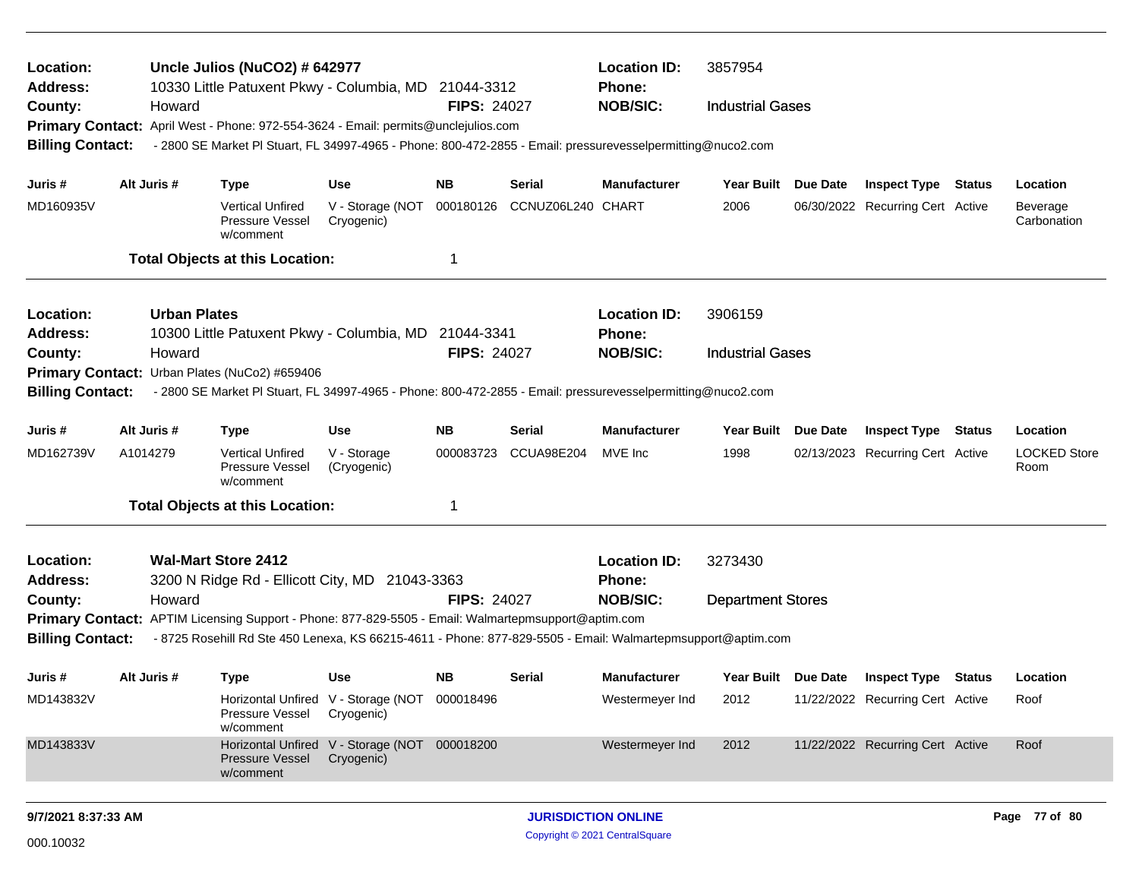| Location:<br><b>Address:</b> |                     | Uncle Julios (NuCO2) # 642977<br>10330 Little Patuxent Pkwy - Columbia, MD 21044-3312                       |                                                             |                    |                   | <b>Location ID:</b><br>Phone: | 3857954                  |                                  |        |                             |
|------------------------------|---------------------|-------------------------------------------------------------------------------------------------------------|-------------------------------------------------------------|--------------------|-------------------|-------------------------------|--------------------------|----------------------------------|--------|-----------------------------|
| County:                      | Howard              |                                                                                                             |                                                             | <b>FIPS: 24027</b> |                   | <b>NOB/SIC:</b>               | <b>Industrial Gases</b>  |                                  |        |                             |
| <b>Primary Contact:</b>      |                     | April West - Phone: 972-554-3624 - Email: permits@unclejulios.com                                           |                                                             |                    |                   |                               |                          |                                  |        |                             |
| <b>Billing Contact:</b>      |                     | - 2800 SE Market Pl Stuart, FL 34997-4965 - Phone: 800-472-2855 - Email: pressurevesselpermitting@nuco2.com |                                                             |                    |                   |                               |                          |                                  |        |                             |
| Juris #                      | Alt Juris #         | <b>Type</b>                                                                                                 | <b>Use</b>                                                  | NB.                | Serial            | <b>Manufacturer</b>           | Year Built Due Date      | <b>Inspect Type Status</b>       |        | Location                    |
| MD160935V                    |                     |                                                                                                             |                                                             |                    | CCNUZ06L240 CHART |                               | 2006                     |                                  |        |                             |
|                              |                     | Vertical Unfired<br>Pressure Vessel<br>w/comment                                                            | V - Storage (NOT<br>Cryogenic)                              | 000180126          |                   |                               |                          | 06/30/2022 Recurring Cert Active |        | Beverage<br>Carbonation     |
|                              |                     | <b>Total Objects at this Location:</b>                                                                      |                                                             |                    |                   |                               |                          |                                  |        |                             |
| Location:                    | <b>Urban Plates</b> |                                                                                                             |                                                             |                    |                   | <b>Location ID:</b>           | 3906159                  |                                  |        |                             |
| <b>Address:</b>              |                     | 10300 Little Patuxent Pkwy - Columbia, MD 21044-3341                                                        |                                                             |                    |                   | <b>Phone:</b>                 |                          |                                  |        |                             |
| County:                      | Howard              |                                                                                                             |                                                             | <b>FIPS: 24027</b> |                   | <b>NOB/SIC:</b>               | <b>Industrial Gases</b>  |                                  |        |                             |
| <b>Primary Contact:</b>      |                     | Urban Plates (NuCo2) #659406                                                                                |                                                             |                    |                   |                               |                          |                                  |        |                             |
| <b>Billing Contact:</b>      |                     | - 2800 SE Market PI Stuart, FL 34997-4965 - Phone: 800-472-2855 - Email: pressurevesselpermitting@nuco2.com |                                                             |                    |                   |                               |                          |                                  |        |                             |
| Juris #                      | Alt Juris #         | <b>Type</b>                                                                                                 | <b>Use</b>                                                  | <b>NB</b>          | Serial            | <b>Manufacturer</b>           | Year Built Due Date      | Inspect Type                     | Status | Location                    |
| MD162739V                    | A1014279            | <b>Vertical Unfired</b><br><b>Pressure Vessel</b><br>w/comment                                              | V - Storage<br>(Cryogenic)                                  | 000083723          | CCUA98E204        | MVE Inc                       | 1998                     | 02/13/2023 Recurring Cert Active |        | <b>LOCKED Store</b><br>Room |
|                              |                     | <b>Total Objects at this Location:</b>                                                                      |                                                             | -1                 |                   |                               |                          |                                  |        |                             |
| Location:                    |                     | <b>Wal-Mart Store 2412</b>                                                                                  |                                                             |                    |                   | <b>Location ID:</b>           | 3273430                  |                                  |        |                             |
| <b>Address:</b>              |                     | 3200 N Ridge Rd - Ellicott City, MD 21043-3363                                                              |                                                             |                    |                   | <b>Phone:</b>                 |                          |                                  |        |                             |
| County:                      | Howard              |                                                                                                             |                                                             | <b>FIPS: 24027</b> |                   | <b>NOB/SIC:</b>               | <b>Department Stores</b> |                                  |        |                             |
|                              |                     | Primary Contact: APTIM Licensing Support - Phone: 877-829-5505 - Email: Walmartepmsupport@aptim.com         |                                                             |                    |                   |                               |                          |                                  |        |                             |
| <b>Billing Contact:</b>      |                     | - 8725 Rosehill Rd Ste 450 Lenexa, KS 66215-4611 - Phone: 877-829-5505 - Email: Walmartepmsupport@aptim.com |                                                             |                    |                   |                               |                          |                                  |        |                             |
| Juris #                      | Alt Juris #         | <b>Type</b>                                                                                                 | <b>Use</b>                                                  | NB.                | Serial            | <b>Manufacturer</b>           | Year Built Due Date      | <b>Inspect Type Status</b>       |        | Location                    |
| MD143832V                    |                     | Pressure Vessel<br>w/comment                                                                                | Horizontal Unfired V - Storage (NOT 000018496<br>Cryogenic) |                    |                   | Westermeyer Ind               | 2012                     | 11/22/2022 Recurring Cert Active |        | Roof                        |
| MD143833V                    |                     | <b>Pressure Vessel</b><br>w/comment                                                                         | Horizontal Unfired V - Storage (NOT 000018200<br>Cryogenic) |                    |                   | Westermeyer Ind               | 2012                     | 11/22/2022 Recurring Cert Active |        | Roof                        |
|                              |                     |                                                                                                             |                                                             |                    |                   |                               |                          |                                  |        |                             |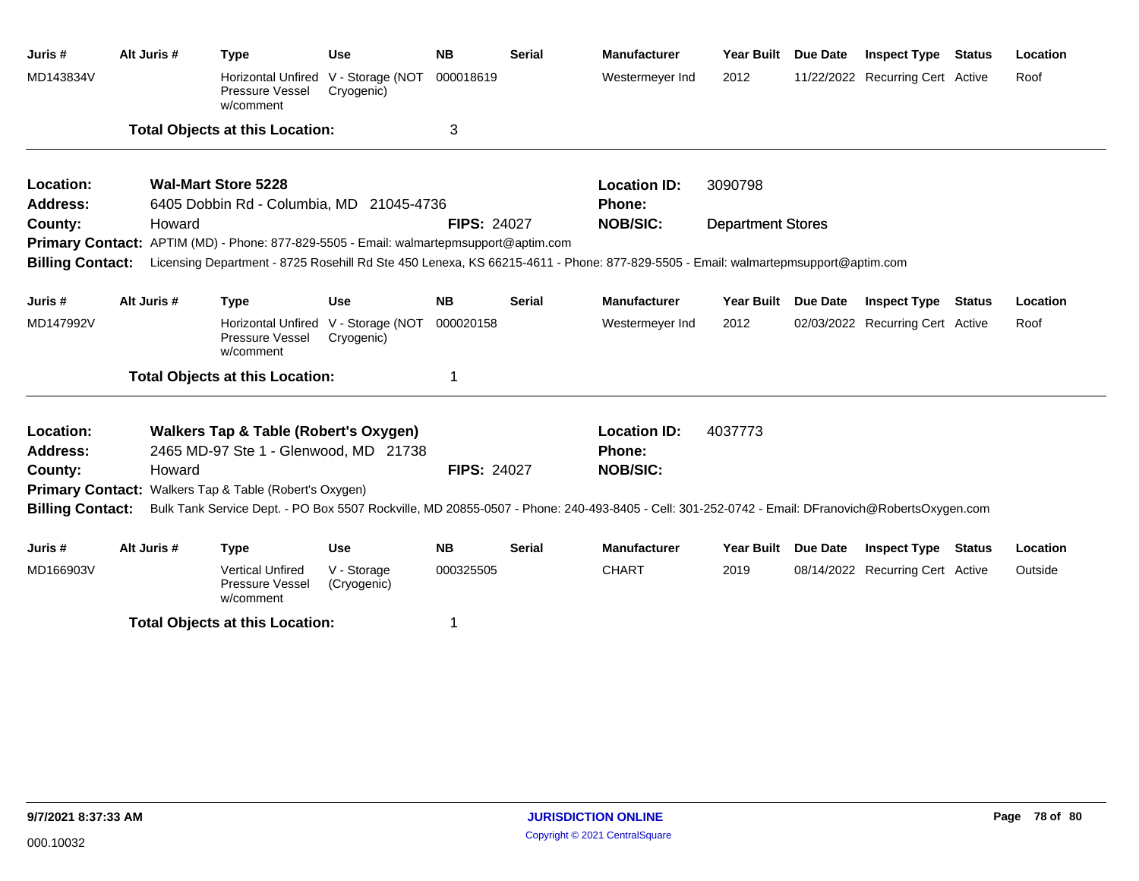| Juris#                       | Alt Juris # |        | <b>Type</b>                                                                               | <b>Use</b>                 | <b>NB</b>          | <b>Serial</b> | <b>Manufacturer</b>                                                                                                                             | Year Built               | Due Date | <b>Inspect Type</b>              | <b>Status</b> | Location |
|------------------------------|-------------|--------|-------------------------------------------------------------------------------------------|----------------------------|--------------------|---------------|-------------------------------------------------------------------------------------------------------------------------------------------------|--------------------------|----------|----------------------------------|---------------|----------|
| MD143834V                    |             |        | Horizontal Unfired V - Storage (NOT<br>Pressure Vessel<br>w/comment                       | Cryogenic)                 | 000018619          |               | Westermeyer Ind                                                                                                                                 | 2012                     |          | 11/22/2022 Recurring Cert Active |               | Roof     |
|                              |             |        | <b>Total Objects at this Location:</b>                                                    |                            | 3                  |               |                                                                                                                                                 |                          |          |                                  |               |          |
| Location:                    |             |        | <b>Wal-Mart Store 5228</b>                                                                |                            |                    |               | <b>Location ID:</b>                                                                                                                             | 3090798                  |          |                                  |               |          |
| <b>Address:</b>              |             |        | 6405 Dobbin Rd - Columbia, MD 21045-4736                                                  |                            |                    |               | <b>Phone:</b>                                                                                                                                   |                          |          |                                  |               |          |
| County:                      |             | Howard |                                                                                           |                            | <b>FIPS: 24027</b> |               | <b>NOB/SIC:</b>                                                                                                                                 | <b>Department Stores</b> |          |                                  |               |          |
|                              |             |        | Primary Contact: APTIM (MD) - Phone: 877-829-5505 - Email: walmartepmsupport@aptim.com    |                            |                    |               |                                                                                                                                                 |                          |          |                                  |               |          |
| <b>Billing Contact:</b>      |             |        |                                                                                           |                            |                    |               | Licensing Department - 8725 Rosehill Rd Ste 450 Lenexa, KS 66215-4611 - Phone: 877-829-5505 - Email: walmartepmsupport@aptim.com                |                          |          |                                  |               |          |
| Juris #                      | Alt Juris # |        | <b>Type</b>                                                                               | <b>Use</b>                 | <b>NB</b>          | <b>Serial</b> | <b>Manufacturer</b>                                                                                                                             | Year Built Due Date      |          | <b>Inspect Type Status</b>       |               | Location |
| MD147992V                    |             |        | Horizontal Unfired V - Storage (NOT<br>Pressure Vessel<br>w/comment                       | Cryogenic)                 | 000020158          |               | Westermeyer Ind                                                                                                                                 | 2012                     |          | 02/03/2022 Recurring Cert Active |               | Roof     |
|                              |             |        | <b>Total Objects at this Location:</b>                                                    |                            |                    |               |                                                                                                                                                 |                          |          |                                  |               |          |
| Location:<br><b>Address:</b> |             |        | <b>Walkers Tap &amp; Table (Robert's Oxygen)</b><br>2465 MD-97 Ste 1 - Glenwood, MD 21738 |                            |                    |               | <b>Location ID:</b><br><b>Phone:</b>                                                                                                            | 4037773                  |          |                                  |               |          |
| County:                      |             | Howard |                                                                                           |                            | <b>FIPS: 24027</b> |               | <b>NOB/SIC:</b>                                                                                                                                 |                          |          |                                  |               |          |
|                              |             |        | <b>Primary Contact: Walkers Tap &amp; Table (Robert's Oxygen)</b>                         |                            |                    |               |                                                                                                                                                 |                          |          |                                  |               |          |
| <b>Billing Contact:</b>      |             |        |                                                                                           |                            |                    |               | Bulk Tank Service Dept. - PO Box 5507 Rockville, MD 20855-0507 - Phone: 240-493-8405 - Cell: 301-252-0742 - Email: DFranovich@RobertsOxygen.com |                          |          |                                  |               |          |
| Juris #                      | Alt Juris # |        | <b>Type</b>                                                                               | <b>Use</b>                 | <b>NB</b>          | <b>Serial</b> | <b>Manufacturer</b>                                                                                                                             | Year Built Due Date      |          | <b>Inspect Type Status</b>       |               | Location |
| MD166903V                    |             |        | <b>Vertical Unfired</b><br>Pressure Vessel<br>w/comment                                   | V - Storage<br>(Cryogenic) | 000325505          |               | <b>CHART</b>                                                                                                                                    | 2019                     |          | 08/14/2022 Recurring Cert Active |               | Outside  |

**Total Objects at this Location:** 1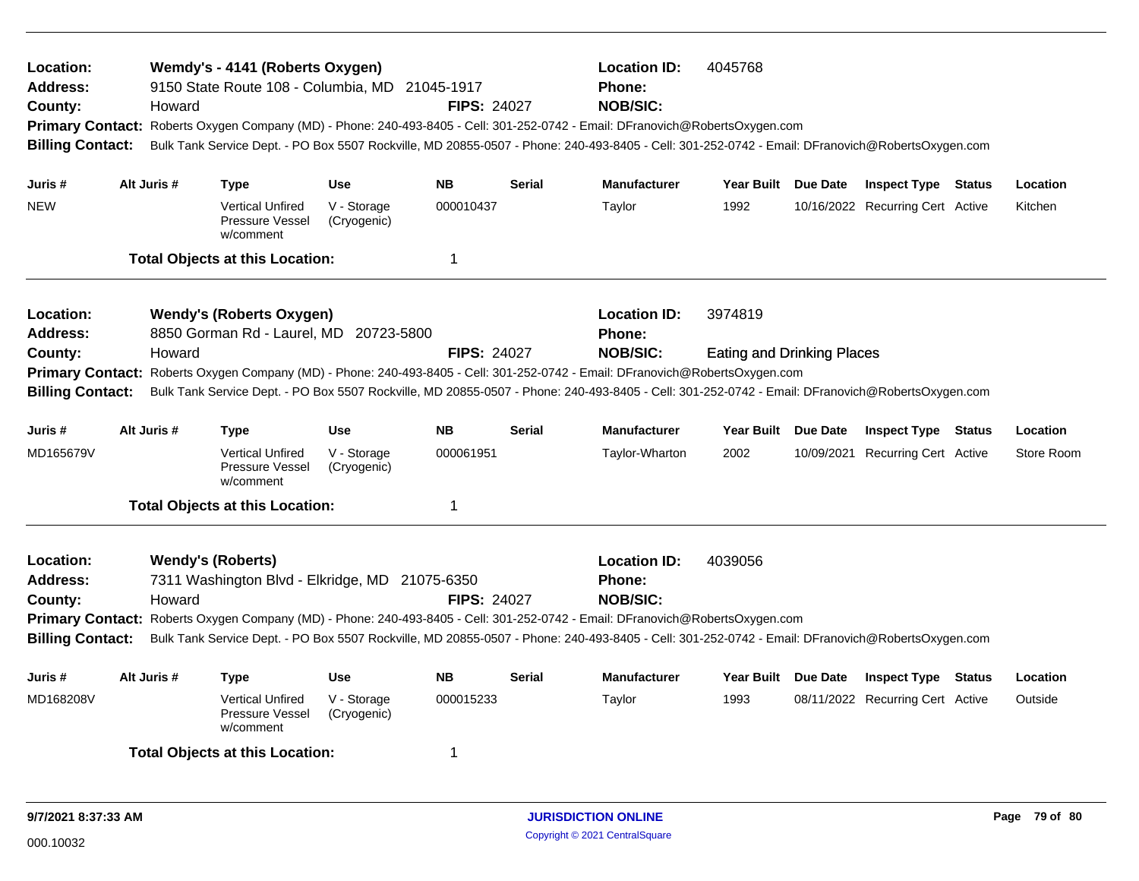| Location:<br><b>Address:</b><br>County:<br><b>Billing Contact:</b> | Howard                             | Wemdy's - 4141 (Roberts Oxygen)<br>9150 State Route 108 - Columbia, MD 21045-1917 |                            | <b>FIPS: 24027</b> |               | <b>Location ID:</b><br><b>Phone:</b><br><b>NOB/SIC:</b><br>Primary Contact: Roberts Oxygen Company (MD) - Phone: 240-493-8405 - Cell: 301-252-0742 - Email: DFranovich@RobertsOxygen.com<br>Bulk Tank Service Dept. - PO Box 5507 Rockville, MD 20855-0507 - Phone: 240-493-8405 - Cell: 301-252-0742 - Email: DFranovich@RobertsOxygen.com | 4045768                           |                                  |            |
|--------------------------------------------------------------------|------------------------------------|-----------------------------------------------------------------------------------|----------------------------|--------------------|---------------|---------------------------------------------------------------------------------------------------------------------------------------------------------------------------------------------------------------------------------------------------------------------------------------------------------------------------------------------|-----------------------------------|----------------------------------|------------|
| Juris #                                                            | Alt Juris #                        | Type                                                                              | <b>Use</b>                 | <b>NB</b>          | <b>Serial</b> | <b>Manufacturer</b>                                                                                                                                                                                                                                                                                                                         | Year Built Due Date               | <b>Inspect Type Status</b>       | Location   |
| <b>NEW</b>                                                         |                                    | <b>Vertical Unfired</b><br>Pressure Vessel<br>w/comment                           | V - Storage<br>(Cryogenic) | 000010437          |               | Taylor                                                                                                                                                                                                                                                                                                                                      | 1992                              | 10/16/2022 Recurring Cert Active | Kitchen    |
|                                                                    |                                    | <b>Total Objects at this Location:</b>                                            |                            | 1                  |               |                                                                                                                                                                                                                                                                                                                                             |                                   |                                  |            |
| <b>Location:</b><br><b>Address:</b>                                |                                    | <b>Wendy's (Roberts Oxygen)</b><br>8850 Gorman Rd - Laurel, MD 20723-5800         |                            |                    |               | <b>Location ID:</b><br>Phone:                                                                                                                                                                                                                                                                                                               | 3974819                           |                                  |            |
| County:<br><b>Primary Contact:</b>                                 | Howard                             |                                                                                   |                            | <b>FIPS: 24027</b> |               | <b>NOB/SIC:</b><br>Roberts Oxygen Company (MD) - Phone: 240-493-8405 - Cell: 301-252-0742 - Email: DFranovich@RobertsOxygen.com                                                                                                                                                                                                             | <b>Eating and Drinking Places</b> |                                  |            |
| <b>Billing Contact:</b>                                            |                                    |                                                                                   |                            |                    |               | Bulk Tank Service Dept. - PO Box 5507 Rockville, MD 20855-0507 - Phone: 240-493-8405 - Cell: 301-252-0742 - Email: DFranovich@RobertsOxygen.com                                                                                                                                                                                             |                                   |                                  |            |
| Juris #                                                            | Alt Juris #                        | Type                                                                              | <b>Use</b>                 | <b>NB</b>          | <b>Serial</b> | <b>Manufacturer</b>                                                                                                                                                                                                                                                                                                                         | Year Built Due Date               | <b>Inspect Type Status</b>       | Location   |
| MD165679V                                                          |                                    | <b>Vertical Unfired</b><br>Pressure Vessel<br>w/comment                           | V - Storage<br>(Cryogenic) | 000061951          |               | Taylor-Wharton                                                                                                                                                                                                                                                                                                                              | 2002                              | 10/09/2021 Recurring Cert Active | Store Room |
|                                                                    |                                    | <b>Total Objects at this Location:</b>                                            |                            | $\mathbf 1$        |               |                                                                                                                                                                                                                                                                                                                                             |                                   |                                  |            |
| Location:<br><b>Address:</b><br>County:<br><b>Billing Contact:</b> | <b>Wendy's (Roberts)</b><br>Howard | 7311 Washington Blvd - Elkridge, MD 21075-6350                                    |                            | <b>FIPS: 24027</b> |               | <b>Location ID:</b><br><b>Phone:</b><br><b>NOB/SIC:</b><br>Primary Contact: Roberts Oxygen Company (MD) - Phone: 240-493-8405 - Cell: 301-252-0742 - Email: DFranovich@RobertsOxygen.com<br>Bulk Tank Service Dept. - PO Box 5507 Rockville, MD 20855-0507 - Phone: 240-493-8405 - Cell: 301-252-0742 - Email: DFranovich@RobertsOxygen.com | 4039056                           |                                  |            |
| Juris #                                                            | Alt Juris #                        | <b>Type</b>                                                                       | <b>Use</b>                 | <b>NB</b>          | <b>Serial</b> | <b>Manufacturer</b>                                                                                                                                                                                                                                                                                                                         | Year Built Due Date               | <b>Inspect Type Status</b>       | Location   |
| MD168208V                                                          |                                    | <b>Vertical Unfired</b><br>Pressure Vessel<br>w/comment                           | V - Storage<br>(Cryogenic) | 000015233          |               | Taylor                                                                                                                                                                                                                                                                                                                                      | 1993                              | 08/11/2022 Recurring Cert Active | Outside    |
|                                                                    |                                    | <b>Total Objects at this Location:</b>                                            |                            | -1                 |               |                                                                                                                                                                                                                                                                                                                                             |                                   |                                  |            |